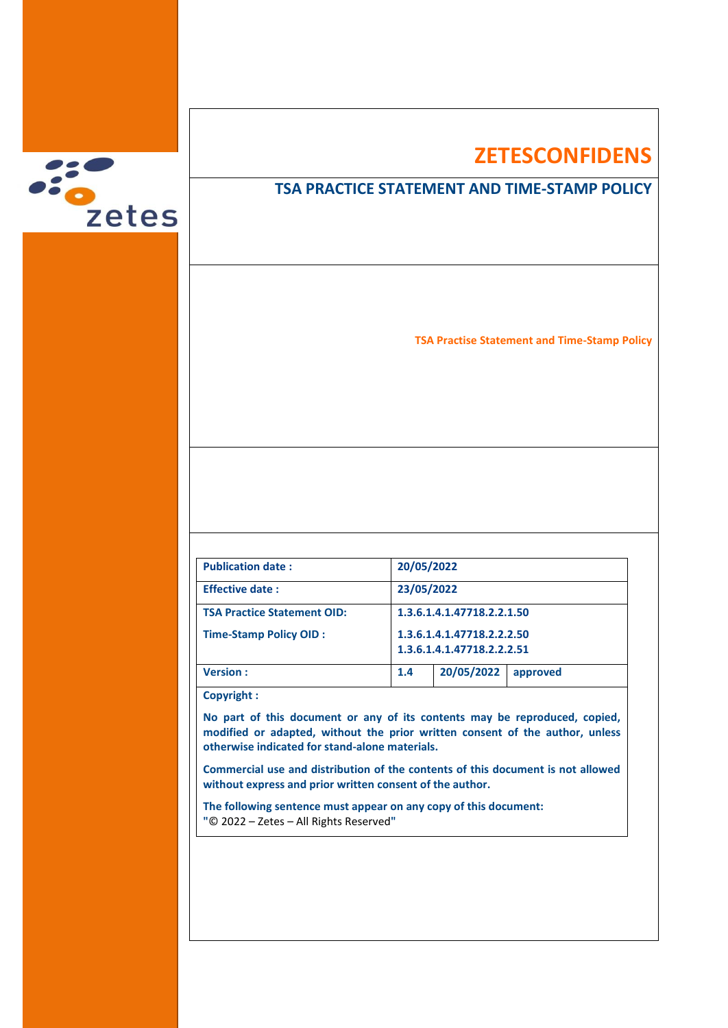

# <span id="page-0-0"></span>**ZETESCONFIDENS**

#### <span id="page-0-1"></span>**TSA PRACTICE STATEMENT AND TIME-STAMP POLICY**

**TSA Practise Statement and Time-Stamp Policy**

| <b>Publication date:</b>           |            | 20/05/2022                                               |          |  |
|------------------------------------|------------|----------------------------------------------------------|----------|--|
| <b>Effective date:</b>             | 23/05/2022 |                                                          |          |  |
| <b>TSA Practice Statement OID:</b> |            | 1.3.6.1.4.1.47718.2.2.1.50                               |          |  |
| <b>Time-Stamp Policy OID:</b>      |            | 1.3.6.1.4.1.47718.2.2.2.50<br>1.3.6.1.4.1.47718.2.2.2.51 |          |  |
| <b>Version:</b>                    | 1.4        | 20/05/2022                                               | approved |  |

**Copyright :**

**No part of this document or any of its contents may be reproduced, copied, modified or adapted, without the prior written consent of the author, unless otherwise indicated for stand-alone materials.**

**Commercial use and distribution of the contents of this document is not allowed without express and prior written consent of the author.**

<span id="page-0-2"></span>**The following sentence must appear on any copy of this document: "**© 2022 – Zetes – All Rights Reserved**"**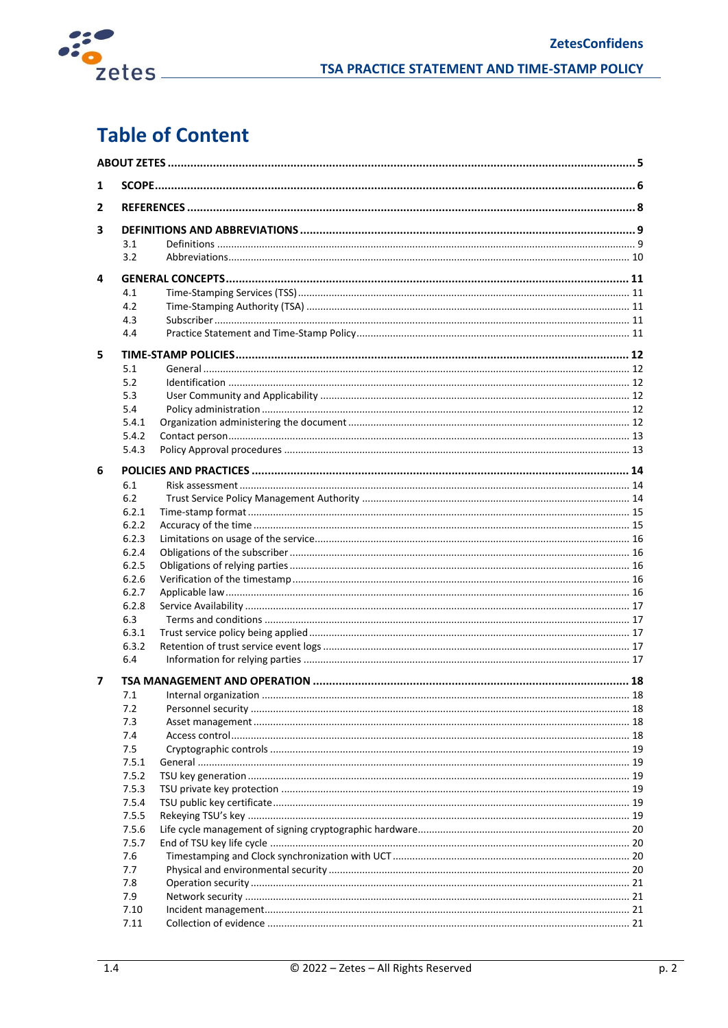# **Table of Content**

| 1 |              |  |  |  |
|---|--------------|--|--|--|
| 2 |              |  |  |  |
| 3 |              |  |  |  |
|   | 3.1          |  |  |  |
|   | 3.2          |  |  |  |
| 4 |              |  |  |  |
|   | 4.1          |  |  |  |
|   | 4.2          |  |  |  |
|   | 4.3          |  |  |  |
|   | 4.4          |  |  |  |
|   |              |  |  |  |
| 5 |              |  |  |  |
|   | 5.1          |  |  |  |
|   | 5.2          |  |  |  |
|   | 5.3<br>5.4   |  |  |  |
|   | 5.4.1        |  |  |  |
|   | 5.4.2        |  |  |  |
|   | 5.4.3        |  |  |  |
|   |              |  |  |  |
| 6 |              |  |  |  |
|   | 6.1          |  |  |  |
|   | 6.2          |  |  |  |
|   | 6.2.1        |  |  |  |
|   | 6.2.2        |  |  |  |
|   | 6.2.3        |  |  |  |
|   | 6.2.4        |  |  |  |
|   | 6.2.5        |  |  |  |
|   | 6.2.6        |  |  |  |
|   | 6.2.7        |  |  |  |
|   | 6.2.8        |  |  |  |
|   | 6.3<br>6.3.1 |  |  |  |
|   | 6.3.2        |  |  |  |
|   | 6.4          |  |  |  |
|   |              |  |  |  |
| 7 |              |  |  |  |
|   | 7.1          |  |  |  |
|   | 7.2          |  |  |  |
|   | 7.3<br>7.4   |  |  |  |
|   | 7.5          |  |  |  |
|   | 7.5.1        |  |  |  |
|   | 7.5.2        |  |  |  |
|   | 7.5.3        |  |  |  |
|   | 7.5.4        |  |  |  |
|   | 7.5.5        |  |  |  |
|   | 7.5.6        |  |  |  |
|   | 7.5.7        |  |  |  |
|   | 7.6          |  |  |  |
|   | 7.7          |  |  |  |
|   | 7.8          |  |  |  |
|   | 7.9          |  |  |  |
|   | 7.10         |  |  |  |
|   | 7.11         |  |  |  |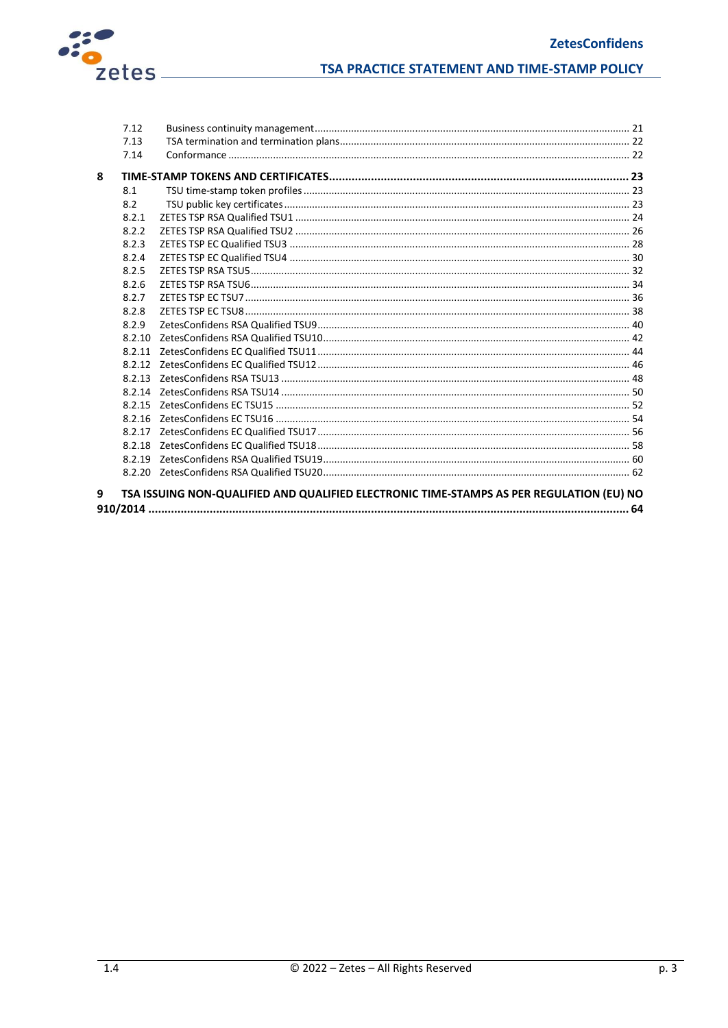

#### TSA PRACTICE STATEMENT AND TIME-STAMP POLICY

|   | 7.12   |                                                                                          |  |
|---|--------|------------------------------------------------------------------------------------------|--|
|   | 7.13   |                                                                                          |  |
|   | 7.14   |                                                                                          |  |
| 8 |        |                                                                                          |  |
|   | 8.1    |                                                                                          |  |
|   | 8.2    |                                                                                          |  |
|   | 8.2.1  |                                                                                          |  |
|   | 8.2.2  |                                                                                          |  |
|   | 8.2.3  |                                                                                          |  |
|   | 8.2.4  |                                                                                          |  |
|   | 8.2.5  |                                                                                          |  |
|   | 8.2.6  |                                                                                          |  |
|   | 8.2.7  |                                                                                          |  |
|   | 8.2.8  |                                                                                          |  |
|   | 8.2.9  |                                                                                          |  |
|   | 8.2.10 |                                                                                          |  |
|   |        |                                                                                          |  |
|   |        |                                                                                          |  |
|   |        |                                                                                          |  |
|   |        |                                                                                          |  |
|   |        |                                                                                          |  |
|   |        |                                                                                          |  |
|   |        |                                                                                          |  |
|   |        |                                                                                          |  |
|   |        |                                                                                          |  |
|   |        |                                                                                          |  |
| 9 |        | TSA ISSUING NON-QUALIFIED AND QUALIFIED ELECTRONIC TIME-STAMPS AS PER REGULATION (EU) NO |  |
|   |        |                                                                                          |  |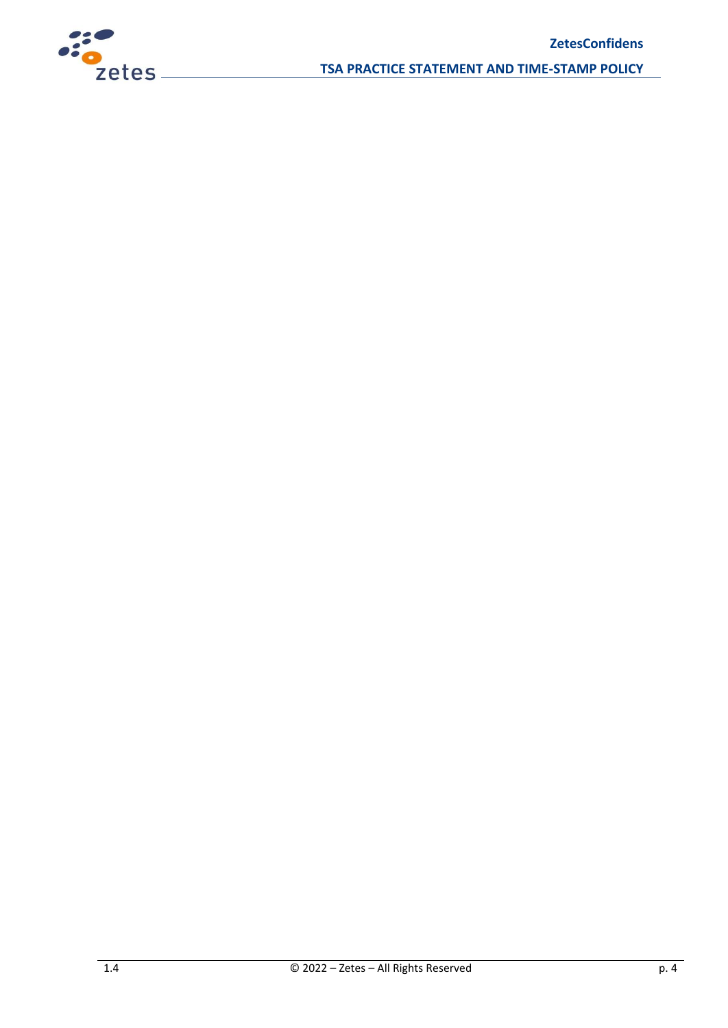

**[TSA PRACTICE STATEMENT AND TIME-STAMP POLICY](#page-0-1)**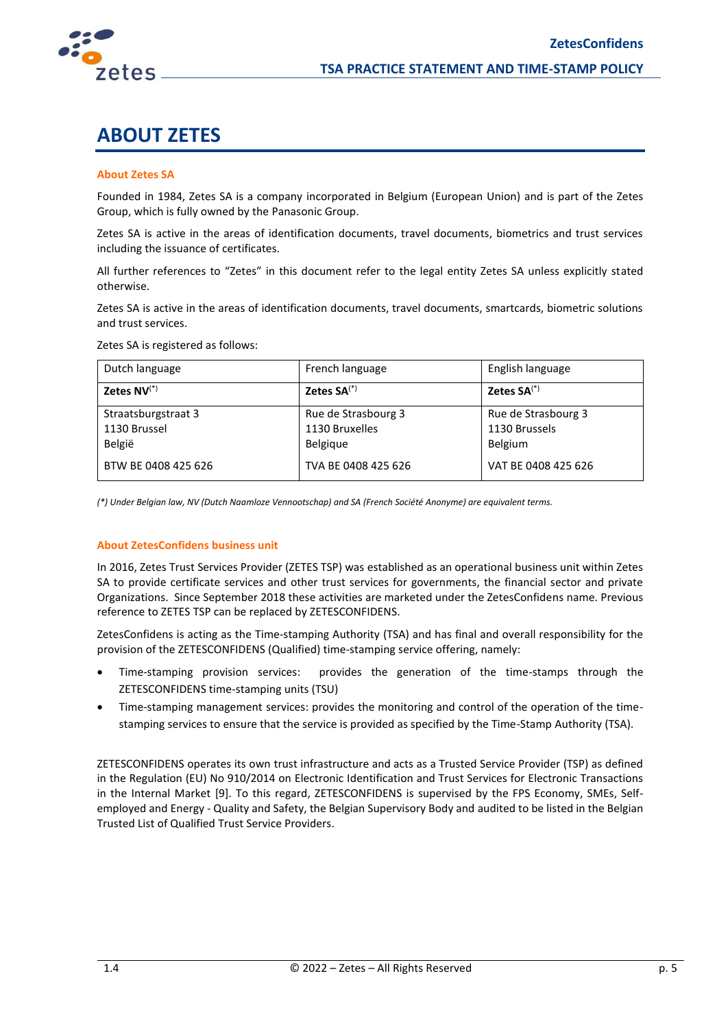

# <span id="page-4-0"></span>**ABOUT ZETES**

#### **About Zetes SA**

Founded in 1984, Zetes SA is a company incorporated in Belgium (European Union) and is part of the Zetes Group, which is fully owned by the Panasonic Group.

Zetes SA is active in the areas of identification documents, travel documents, biometrics and trust services including the issuance of certificates.

All further references to "Zetes" in this document refer to the legal entity Zetes SA unless explicitly stated otherwise.

Zetes SA is active in the areas of identification documents, travel documents, smartcards, biometric solutions and trust services.

Zetes SA is registered as follows:

| Dutch language            | French language     | English language    |  |
|---------------------------|---------------------|---------------------|--|
| Zetes $\mathsf{NV}^{(*)}$ | Zetes $SA^{(*)}$    | Zetes $SA^{(*)}$    |  |
| Straatsburgstraat 3       | Rue de Strasbourg 3 | Rue de Strasbourg 3 |  |
| 1130 Brussel              | 1130 Bruxelles      | 1130 Brussels       |  |
| België                    | <b>Belgique</b>     | Belgium             |  |
| BTW BE 0408 425 626       | TVA BE 0408 425 626 | VAT BE 0408 425 626 |  |

*(\*) Under Belgian law, NV (Dutch Naamloze Vennootschap) and SA (French Société Anonyme) are equivalent terms.*

#### **About ZetesConfidens business unit**

In 2016, Zetes Trust Services Provider (ZETES TSP) was established as an operational business unit within Zetes SA to provide certificate services and other trust services for governments, the financial sector and private Organizations. Since September 2018 these activities are marketed under the ZetesConfidens name. Previous reference to ZETES TSP can be replaced by ZETESCONFIDENS.

ZetesConfidens is acting as the Time-stamping Authority (TSA) and has final and overall responsibility for the provision of the ZETESCONFIDENS (Qualified) time-stamping service offering, namely:

- Time-stamping provision services: provides the generation of the time-stamps through the ZETESCONFIDENS time-stamping units (TSU)
- Time-stamping management services: provides the monitoring and control of the operation of the timestamping services to ensure that the service is provided as specified by the Time-Stamp Authority (TSA).

ZETESCONFIDENS operates its own trust infrastructure and acts as a Trusted Service Provider (TSP) as defined in the Regulation (EU) No 910/2014 on Electronic Identification and Trust Services for Electronic Transactions in the Internal Market [9]. To this regard, ZETESCONFIDENS is supervised by the FPS Economy, SMEs, Selfemployed and Energy - Quality and Safety, the Belgian Supervisory Body and audited to be listed in the Belgian Trusted List of Qualified Trust Service Providers.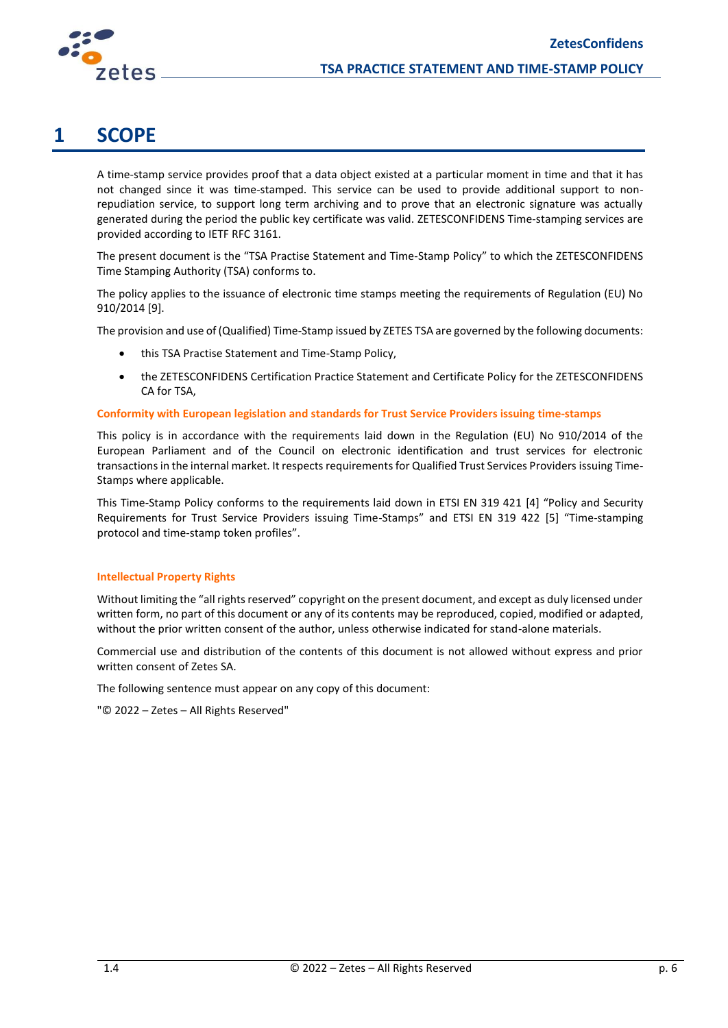

## <span id="page-5-0"></span>**1 SCOPE**

A time-stamp service provides proof that a data object existed at a particular moment in time and that it has not changed since it was time-stamped. This service can be used to provide additional support to nonrepudiation service, to support long term archiving and to prove that an electronic signature was actually generated during the period the public key certificate was valid. ZETESCONFIDENS Time-stamping services are provided according to IETF RFC 3161.

The present document is the "TSA Practise Statement and Time-Stamp Policy" to which the ZETESCONFIDENS Time Stamping Authority (TSA) conforms to.

The policy applies to the issuance of electronic time stamps meeting the requirements of Regulation (EU) No 910/2014 [9].

The provision and use of (Qualified) Time-Stamp issued by ZETES TSA are governed by the following documents:

- this TSA Practise Statement and Time-Stamp Policy,
- the ZETESCONFIDENS Certification Practice Statement and Certificate Policy for the ZETESCONFIDENS CA for TSA,

#### **Conformity with European legislation and standards for Trust Service Providers issuing time-stamps**

This policy is in accordance with the requirements laid down in the Regulation (EU) No 910/2014 of the European Parliament and of the Council on electronic identification and trust services for electronic transactions in the internal market. It respects requirements for Qualified Trust Services Providers issuing Time-Stamps where applicable.

This Time-Stamp Policy conforms to the requirements laid down in ETSI EN 319 421 [4] "Policy and Security Requirements for Trust Service Providers issuing Time-Stamps" and ETSI EN 319 422 [5] "Time-stamping protocol and time-stamp token profiles".

#### **Intellectual Property Rights**

Without limiting the "all rights reserved" copyright on the present document, and except as duly licensed under written form, no part of this document or any of its contents may be reproduced, copied, modified or adapted, without the prior written consent of the author, unless otherwise indicated for stand-alone materials.

Commercial use and distribution of the contents of this document is not allowed without express and prior written consent of Zetes SA.

The following sentence must appear on any copy of this document:

"© 2022 – Zetes – All Rights Reserved"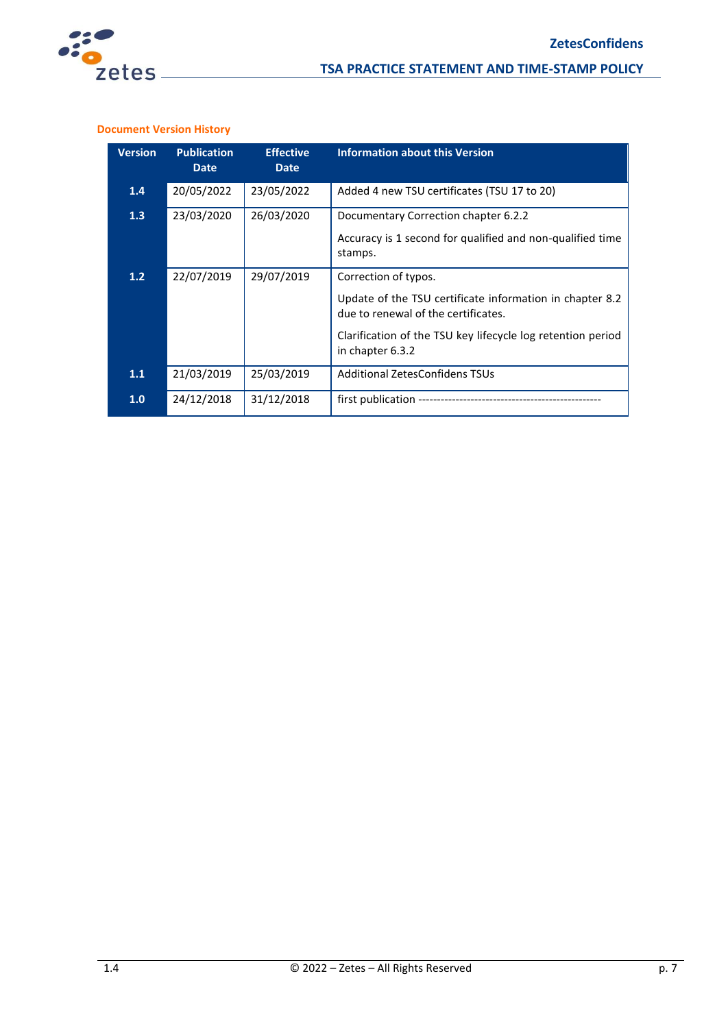

#### **Document Version History**

| <b>Version</b> | <b>Publication</b><br><b>Date</b> | <b>Effective</b><br><b>Date</b> | <b>Information about this Version</b>                                                                                                                                                                      |
|----------------|-----------------------------------|---------------------------------|------------------------------------------------------------------------------------------------------------------------------------------------------------------------------------------------------------|
| 1.4            | 20/05/2022                        | 23/05/2022                      | Added 4 new TSU certificates (TSU 17 to 20)                                                                                                                                                                |
| 1.3            | 23/03/2020                        | 26/03/2020                      | Documentary Correction chapter 6.2.2<br>Accuracy is 1 second for qualified and non-qualified time<br>stamps.                                                                                               |
| 1.2            | 22/07/2019                        | 29/07/2019                      | Correction of typos.<br>Update of the TSU certificate information in chapter 8.2<br>due to renewal of the certificates.<br>Clarification of the TSU key lifecycle log retention period<br>in chapter 6.3.2 |
| 1.1            | 21/03/2019                        | 25/03/2019                      | <b>Additional ZetesConfidens TSUs</b>                                                                                                                                                                      |
| 1.0            | 24/12/2018                        | 31/12/2018                      | first publication                                                                                                                                                                                          |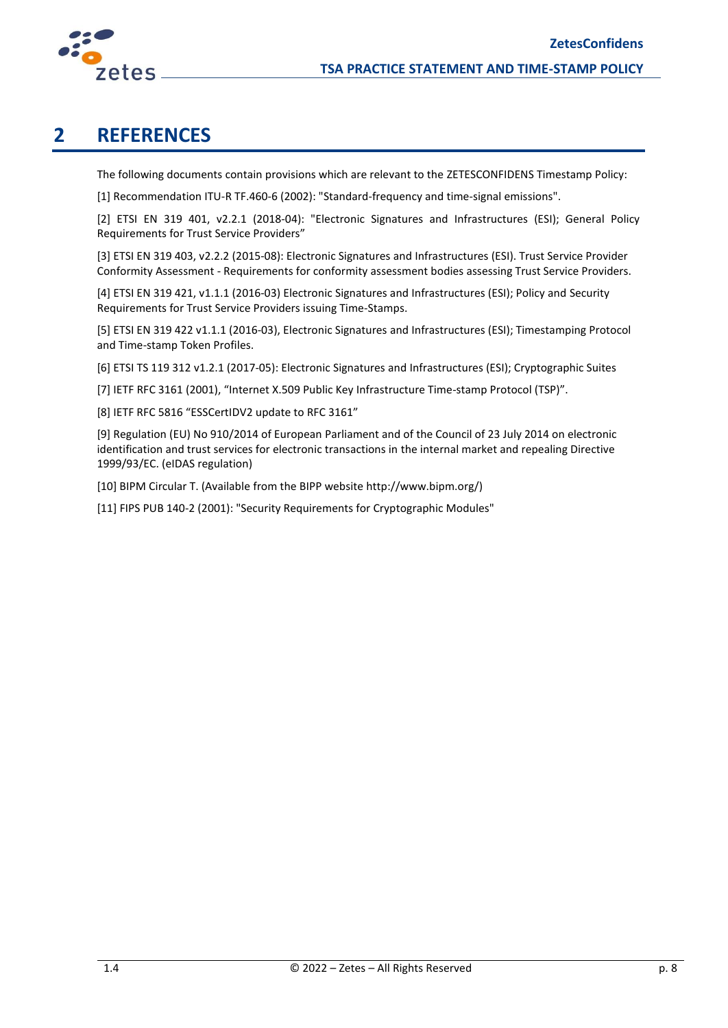

## <span id="page-7-0"></span>**2 REFERENCES**

The following documents contain provisions which are relevant to the ZETESCONFIDENS Timestamp Policy:

[1] Recommendation ITU-R TF.460-6 (2002): "Standard-frequency and time-signal emissions".

[2] ETSI EN 319 401, v2.2.1 (2018-04): "Electronic Signatures and Infrastructures (ESI); General Policy Requirements for Trust Service Providers"

[3] ETSI EN 319 403, v2.2.2 (2015-08): Electronic Signatures and Infrastructures (ESI). Trust Service Provider Conformity Assessment - Requirements for conformity assessment bodies assessing Trust Service Providers.

[4] ETSI EN 319 421, v1.1.1 (2016-03) Electronic Signatures and Infrastructures (ESI); Policy and Security Requirements for Trust Service Providers issuing Time-Stamps.

[5] ETSI EN 319 422 v1.1.1 (2016-03), Electronic Signatures and Infrastructures (ESI); Timestamping Protocol and Time-stamp Token Profiles.

[6] ETSI TS 119 312 v1.2.1 (2017-05): Electronic Signatures and Infrastructures (ESI); Cryptographic Suites

[7] IETF RFC 3161 (2001), "Internet X.509 Public Key Infrastructure Time-stamp Protocol (TSP)".

[8] IETF RFC 5816 "ESSCertIDV2 update to RFC 3161"

[9] Regulation (EU) No 910/2014 of European Parliament and of the Council of 23 July 2014 on electronic identification and trust services for electronic transactions in the internal market and repealing Directive 1999/93/EC. (eIDAS regulation)

[10] BIPM Circular T. (Available from the BIPP website [http://www.bipm.org/\)](http://www.bipm.org/)

[11] FIPS PUB 140-2 (2001): "Security Requirements for Cryptographic Modules"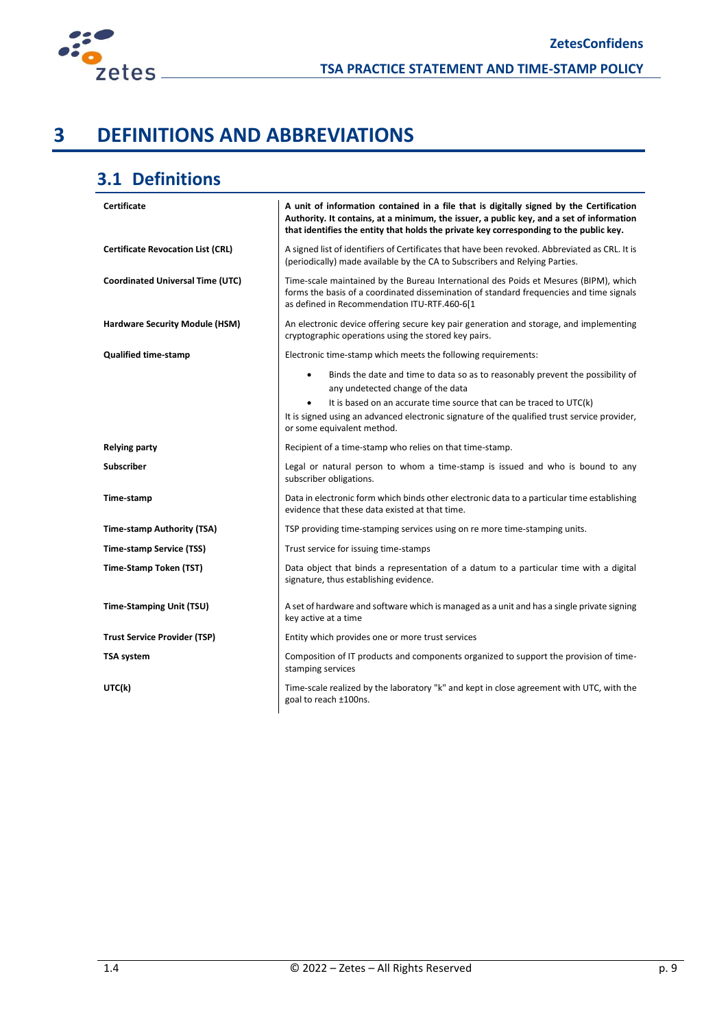

# <span id="page-8-0"></span>**3 DEFINITIONS AND ABBREVIATIONS**

### <span id="page-8-1"></span>**3.1 Definitions**

| <b>Certificate</b>                       | A unit of information contained in a file that is digitally signed by the Certification<br>Authority. It contains, at a minimum, the issuer, a public key, and a set of information<br>that identifies the entity that holds the private key corresponding to the public key. |  |
|------------------------------------------|-------------------------------------------------------------------------------------------------------------------------------------------------------------------------------------------------------------------------------------------------------------------------------|--|
| <b>Certificate Revocation List (CRL)</b> | A signed list of identifiers of Certificates that have been revoked. Abbreviated as CRL. It is<br>(periodically) made available by the CA to Subscribers and Relying Parties.                                                                                                 |  |
| <b>Coordinated Universal Time (UTC)</b>  | Time-scale maintained by the Bureau International des Poids et Mesures (BIPM), which<br>forms the basis of a coordinated dissemination of standard frequencies and time signals<br>as defined in Recommendation ITU-RTF.460-6[1                                               |  |
| <b>Hardware Security Module (HSM)</b>    | An electronic device offering secure key pair generation and storage, and implementing<br>cryptographic operations using the stored key pairs.                                                                                                                                |  |
| <b>Qualified time-stamp</b>              | Electronic time-stamp which meets the following requirements:                                                                                                                                                                                                                 |  |
|                                          | Binds the date and time to data so as to reasonably prevent the possibility of<br>٠<br>any undetected change of the data                                                                                                                                                      |  |
|                                          | It is based on an accurate time source that can be traced to UTC(k)<br>It is signed using an advanced electronic signature of the qualified trust service provider,<br>or some equivalent method.                                                                             |  |
| <b>Relying party</b>                     | Recipient of a time-stamp who relies on that time-stamp.                                                                                                                                                                                                                      |  |
| <b>Subscriber</b>                        | Legal or natural person to whom a time-stamp is issued and who is bound to any<br>subscriber obligations.                                                                                                                                                                     |  |
| Time-stamp                               | Data in electronic form which binds other electronic data to a particular time establishing<br>evidence that these data existed at that time.                                                                                                                                 |  |
| Time-stamp Authority (TSA)               | TSP providing time-stamping services using on re more time-stamping units.                                                                                                                                                                                                    |  |
| Time-stamp Service (TSS)                 | Trust service for issuing time-stamps                                                                                                                                                                                                                                         |  |
| Time-Stamp Token (TST)                   | Data object that binds a representation of a datum to a particular time with a digital<br>signature, thus establishing evidence.                                                                                                                                              |  |
| Time-Stamping Unit (TSU)                 | A set of hardware and software which is managed as a unit and has a single private signing<br>key active at a time                                                                                                                                                            |  |
| <b>Trust Service Provider (TSP)</b>      | Entity which provides one or more trust services                                                                                                                                                                                                                              |  |
| <b>TSA system</b>                        | Composition of IT products and components organized to support the provision of time-<br>stamping services                                                                                                                                                                    |  |
| UTC(k)                                   | Time-scale realized by the laboratory "k" and kept in close agreement with UTC, with the<br>goal to reach ±100ns.                                                                                                                                                             |  |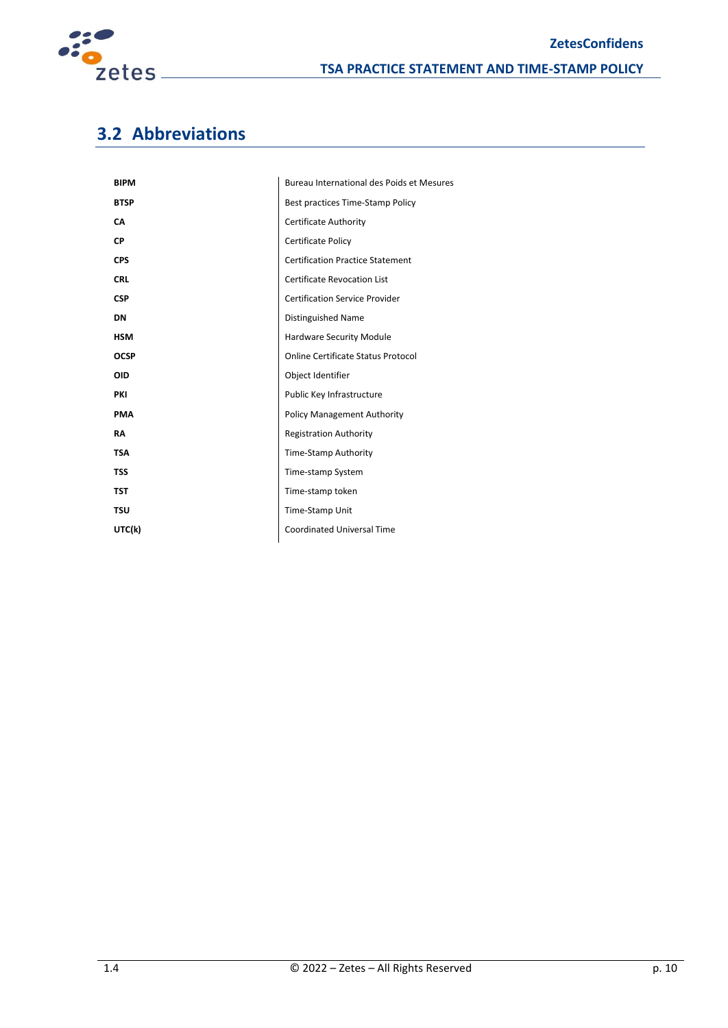

# <span id="page-9-0"></span>**3.2 Abbreviations**

| Best practices Time-Stamp Policy<br><b>BTSP</b><br>Certificate Authority<br>CA<br>Certificate Policy<br><b>CP</b><br><b>Certification Practice Statement</b><br><b>CPS</b><br><b>Certificate Revocation List</b><br><b>CRL</b><br><b>Certification Service Provider</b><br><b>CSP</b><br><b>Distinguished Name</b><br>DN<br><b>Hardware Security Module</b><br><b>HSM</b><br>Online Certificate Status Protocol<br><b>OCSP</b><br>Object Identifier<br><b>OID</b><br>Public Key Infrastructure<br>PKI<br><b>Policy Management Authority</b><br><b>PMA</b><br><b>RA</b><br><b>Registration Authority</b><br><b>TSA</b><br><b>Time-Stamp Authority</b><br>Time-stamp System<br><b>TSS</b><br>Time-stamp token<br><b>TST</b><br>Time-Stamp Unit<br>TSU<br><b>Coordinated Universal Time</b><br>UTC(k) | <b>BIPM</b> | Bureau International des Poids et Mesures |
|----------------------------------------------------------------------------------------------------------------------------------------------------------------------------------------------------------------------------------------------------------------------------------------------------------------------------------------------------------------------------------------------------------------------------------------------------------------------------------------------------------------------------------------------------------------------------------------------------------------------------------------------------------------------------------------------------------------------------------------------------------------------------------------------------|-------------|-------------------------------------------|
|                                                                                                                                                                                                                                                                                                                                                                                                                                                                                                                                                                                                                                                                                                                                                                                                    |             |                                           |
|                                                                                                                                                                                                                                                                                                                                                                                                                                                                                                                                                                                                                                                                                                                                                                                                    |             |                                           |
|                                                                                                                                                                                                                                                                                                                                                                                                                                                                                                                                                                                                                                                                                                                                                                                                    |             |                                           |
|                                                                                                                                                                                                                                                                                                                                                                                                                                                                                                                                                                                                                                                                                                                                                                                                    |             |                                           |
|                                                                                                                                                                                                                                                                                                                                                                                                                                                                                                                                                                                                                                                                                                                                                                                                    |             |                                           |
|                                                                                                                                                                                                                                                                                                                                                                                                                                                                                                                                                                                                                                                                                                                                                                                                    |             |                                           |
|                                                                                                                                                                                                                                                                                                                                                                                                                                                                                                                                                                                                                                                                                                                                                                                                    |             |                                           |
|                                                                                                                                                                                                                                                                                                                                                                                                                                                                                                                                                                                                                                                                                                                                                                                                    |             |                                           |
|                                                                                                                                                                                                                                                                                                                                                                                                                                                                                                                                                                                                                                                                                                                                                                                                    |             |                                           |
|                                                                                                                                                                                                                                                                                                                                                                                                                                                                                                                                                                                                                                                                                                                                                                                                    |             |                                           |
|                                                                                                                                                                                                                                                                                                                                                                                                                                                                                                                                                                                                                                                                                                                                                                                                    |             |                                           |
|                                                                                                                                                                                                                                                                                                                                                                                                                                                                                                                                                                                                                                                                                                                                                                                                    |             |                                           |
|                                                                                                                                                                                                                                                                                                                                                                                                                                                                                                                                                                                                                                                                                                                                                                                                    |             |                                           |
|                                                                                                                                                                                                                                                                                                                                                                                                                                                                                                                                                                                                                                                                                                                                                                                                    |             |                                           |
|                                                                                                                                                                                                                                                                                                                                                                                                                                                                                                                                                                                                                                                                                                                                                                                                    |             |                                           |
|                                                                                                                                                                                                                                                                                                                                                                                                                                                                                                                                                                                                                                                                                                                                                                                                    |             |                                           |
|                                                                                                                                                                                                                                                                                                                                                                                                                                                                                                                                                                                                                                                                                                                                                                                                    |             |                                           |
|                                                                                                                                                                                                                                                                                                                                                                                                                                                                                                                                                                                                                                                                                                                                                                                                    |             |                                           |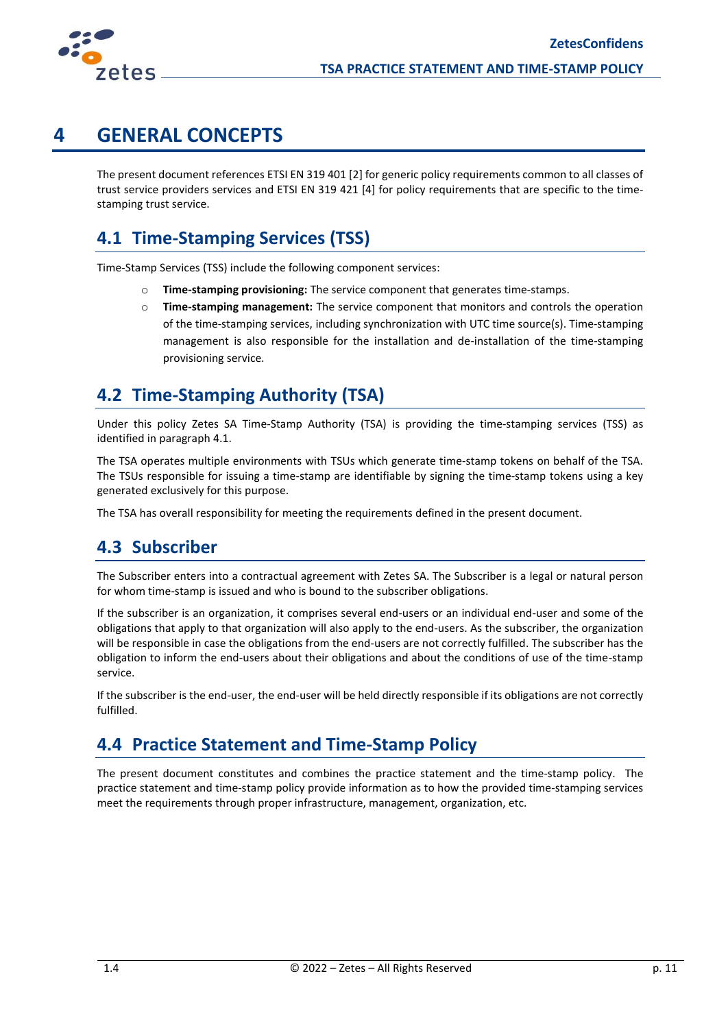

# <span id="page-10-0"></span>**4 GENERAL CONCEPTS**

The present document references ETSI EN 319 401 [2] for generic policy requirements common to all classes of trust service providers services and ETSI EN 319 421 [4] for policy requirements that are specific to the timestamping trust service.

# <span id="page-10-1"></span>**4.1 Time-Stamping Services (TSS)**

Time-Stamp Services (TSS) include the following component services:

- o **Time-stamping provisioning:** The service component that generates time-stamps.
- o **Time-stamping management:** The service component that monitors and controls the operation of the time-stamping services, including synchronization with UTC time source(s). Time-stamping management is also responsible for the installation and de-installation of the time-stamping provisioning service.

## <span id="page-10-2"></span>**4.2 Time-Stamping Authority (TSA)**

Under this policy Zetes SA Time-Stamp Authority (TSA) is providing the time-stamping services (TSS) as identified in paragraph [4.1.](#page-10-1)

The TSA operates multiple environments with TSUs which generate time-stamp tokens on behalf of the TSA. The TSUs responsible for issuing a time-stamp are identifiable by signing the time-stamp tokens using a key generated exclusively for this purpose.

The TSA has overall responsibility for meeting the requirements defined in the present document.

## <span id="page-10-3"></span>**4.3 Subscriber**

The Subscriber enters into a contractual agreement with Zetes SA. The Subscriber is a legal or natural person for whom time-stamp is issued and who is bound to the subscriber obligations.

If the subscriber is an organization, it comprises several end-users or an individual end-user and some of the obligations that apply to that organization will also apply to the end-users. As the subscriber, the organization will be responsible in case the obligations from the end-users are not correctly fulfilled. The subscriber has the obligation to inform the end-users about their obligations and about the conditions of use of the time-stamp service.

If the subscriber is the end-user, the end-user will be held directly responsible if its obligations are not correctly fulfilled.

## <span id="page-10-4"></span>**4.4 Practice Statement and Time-Stamp Policy**

The present document constitutes and combines the practice statement and the time-stamp policy. The practice statement and time-stamp policy provide information as to how the provided time-stamping services meet the requirements through proper infrastructure, management, organization, etc.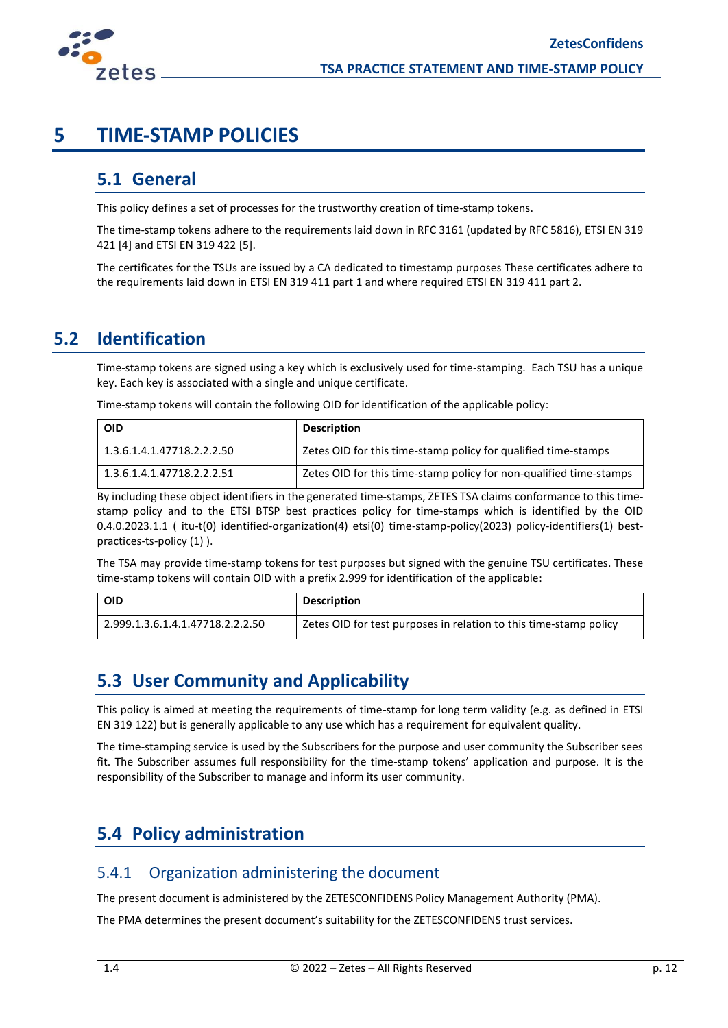

# <span id="page-11-0"></span>**5 TIME-STAMP POLICIES**

### <span id="page-11-1"></span>**5.1 General**

This policy defines a set of processes for the trustworthy creation of time-stamp tokens.

The time-stamp tokens adhere to the requirements laid down in RFC 3161 (updated by RFC 5816), ETSI EN 319 421 [4] and ETSI EN 319 422 [5].

The certificates for the TSUs are issued by a CA dedicated to timestamp purposes These certificates adhere to the requirements laid down in ETSI EN 319 411 part 1 and where required ETSI EN 319 411 part 2.

### <span id="page-11-2"></span>**5.2 Identification**

Time-stamp tokens are signed using a key which is exclusively used for time-stamping. Each TSU has a unique key. Each key is associated with a single and unique certificate.

Time-stamp tokens will contain the following OID for identification of the applicable policy:

| <b>OID</b>                 | <b>Description</b>                                                 |
|----------------------------|--------------------------------------------------------------------|
| 1.3.6.1.4.1.47718.2.2.2.50 | Zetes OID for this time-stamp policy for qualified time-stamps     |
| 1.3.6.1.4.1.47718.2.2.2.51 | Zetes OID for this time-stamp policy for non-qualified time-stamps |

By including these object identifiers in the generated time-stamps, ZETES TSA claims conformance to this timestamp policy and to the ETSI BTSP best practices policy for time-stamps which is identified by the OID 0.4.0.2023.1.1 ( itu-t(0) identified-organization(4) etsi(0) time-stamp-policy(2023) policy-identifiers(1) bestpractices-ts-policy (1) ).

The TSA may provide time-stamp tokens for test purposes but signed with the genuine TSU certificates. These time-stamp tokens will contain OID with a prefix 2.999 for identification of the applicable:

| OID                              | <b>Description</b>                                                |
|----------------------------------|-------------------------------------------------------------------|
| 2.999.1.3.6.1.4.1.47718.2.2.2.50 | Zetes OID for test purposes in relation to this time-stamp policy |

### <span id="page-11-3"></span>**5.3 User Community and Applicability**

This policy is aimed at meeting the requirements of time-stamp for long term validity (e.g. as defined in ETSI EN 319 122) but is generally applicable to any use which has a requirement for equivalent quality.

The time-stamping service is used by the Subscribers for the purpose and user community the Subscriber sees fit. The Subscriber assumes full responsibility for the time-stamp tokens' application and purpose. It is the responsibility of the Subscriber to manage and inform its user community.

## <span id="page-11-4"></span>**5.4 Policy administration**

#### <span id="page-11-5"></span>5.4.1 Organization administering the document

The present document is administered by the ZETESCONFIDENS Policy Management Authority (PMA).

The PMA determines the present document's suitability for the ZETESCONFIDENS trust services.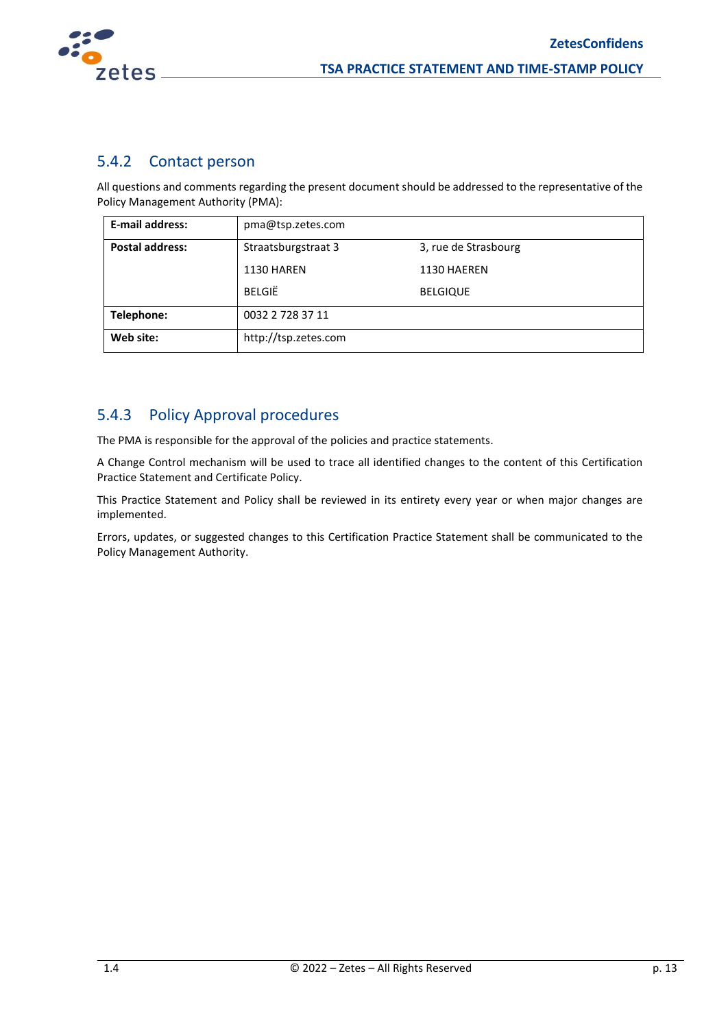

### <span id="page-12-0"></span>5.4.2 Contact person

All questions and comments regarding the present document should be addressed to the representative of the Policy Management Authority (PMA):

| <b>E-mail address:</b> | pma@tsp.zetes.com                           |  |
|------------------------|---------------------------------------------|--|
| <b>Postal address:</b> | Straatsburgstraat 3<br>3, rue de Strasbourg |  |
|                        | 1130 HAREN<br>1130 HAEREN                   |  |
|                        | BELGIË<br><b>BELGIQUE</b>                   |  |
| Telephone:             | 0032 2 728 37 11                            |  |
| Web site:              | http://tsp.zetes.com                        |  |

### <span id="page-12-1"></span>5.4.3 Policy Approval procedures

The PMA is responsible for the approval of the policies and practice statements.

A Change Control mechanism will be used to trace all identified changes to the content of this Certification Practice Statement and Certificate Policy.

This Practice Statement and Policy shall be reviewed in its entirety every year or when major changes are implemented.

Errors, updates, or suggested changes to this Certification Practice Statement shall be communicated to the Policy Management Authority.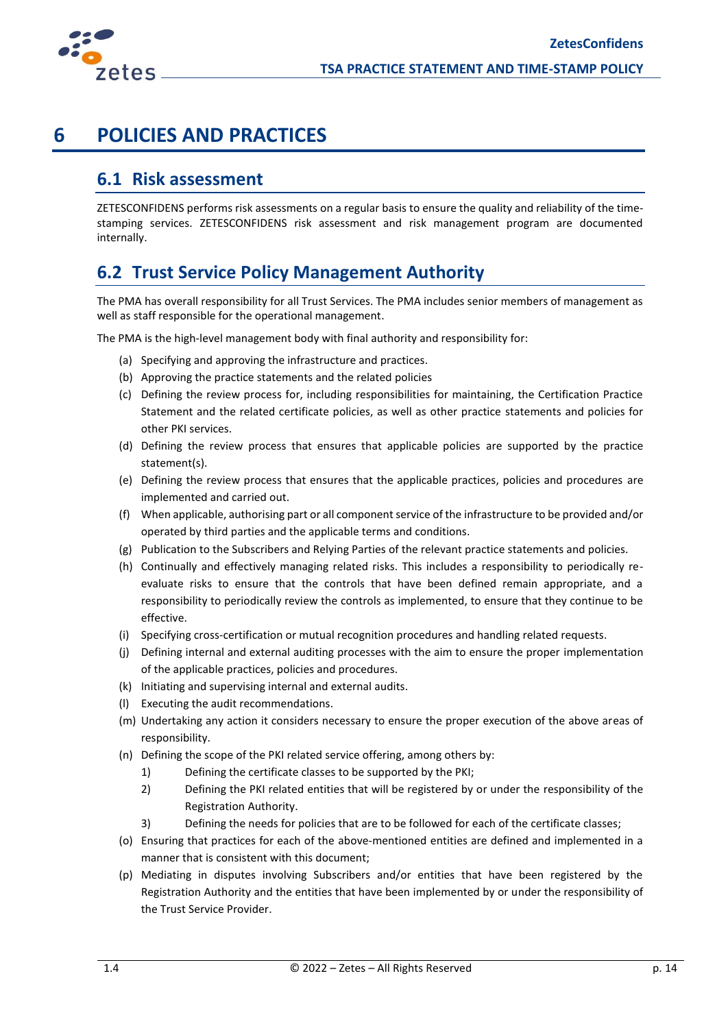

# <span id="page-13-0"></span>**6 POLICIES AND PRACTICES**

### <span id="page-13-1"></span>**6.1 Risk assessment**

ZETESCONFIDENS performs risk assessments on a regular basis to ensure the quality and reliability of the timestamping services. ZETESCONFIDENS risk assessment and risk management program are documented internally.

## <span id="page-13-2"></span>**6.2 Trust Service Policy Management Authority**

The PMA has overall responsibility for all Trust Services. The PMA includes senior members of management as well as staff responsible for the operational management.

The PMA is the high-level management body with final authority and responsibility for:

- (a) Specifying and approving the infrastructure and practices.
- (b) Approving the practice statements and the related policies
- (c) Defining the review process for, including responsibilities for maintaining, the Certification Practice Statement and the related certificate policies, as well as other practice statements and policies for other PKI services.
- (d) Defining the review process that ensures that applicable policies are supported by the practice statement(s).
- (e) Defining the review process that ensures that the applicable practices, policies and procedures are implemented and carried out.
- (f) When applicable, authorising part or all component service of the infrastructure to be provided and/or operated by third parties and the applicable terms and conditions.
- (g) Publication to the Subscribers and Relying Parties of the relevant practice statements and policies.
- (h) Continually and effectively managing related risks. This includes a responsibility to periodically reevaluate risks to ensure that the controls that have been defined remain appropriate, and a responsibility to periodically review the controls as implemented, to ensure that they continue to be effective.
- (i) Specifying cross-certification or mutual recognition procedures and handling related requests.
- (j) Defining internal and external auditing processes with the aim to ensure the proper implementation of the applicable practices, policies and procedures.
- (k) Initiating and supervising internal and external audits.
- (l) Executing the audit recommendations.
- (m) Undertaking any action it considers necessary to ensure the proper execution of the above areas of responsibility.
- (n) Defining the scope of the PKI related service offering, among others by:
	- 1) Defining the certificate classes to be supported by the PKI;
	- 2) Defining the PKI related entities that will be registered by or under the responsibility of the Registration Authority.
	- 3) Defining the needs for policies that are to be followed for each of the certificate classes;
- (o) Ensuring that practices for each of the above-mentioned entities are defined and implemented in a manner that is consistent with this document;
- (p) Mediating in disputes involving Subscribers and/or entities that have been registered by the Registration Authority and the entities that have been implemented by or under the responsibility of the Trust Service Provider.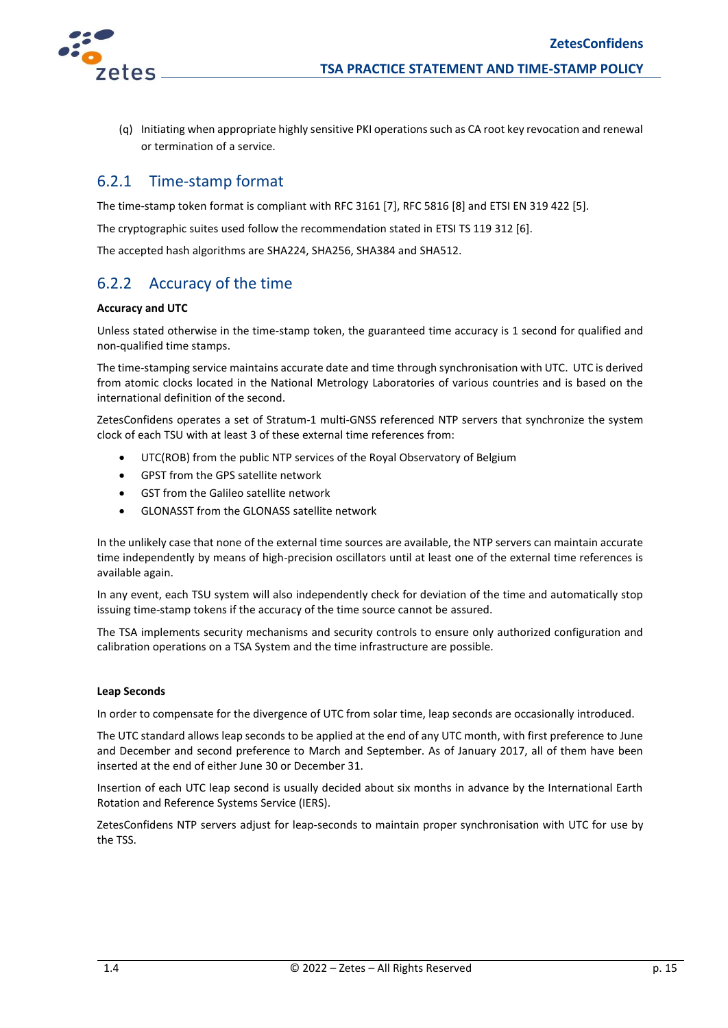

(q) Initiating when appropriate highly sensitive PKI operations such as CA root key revocation and renewal or termination of a service.

### <span id="page-14-0"></span>6.2.1 Time-stamp format

The time-stamp token format is compliant with RFC 3161 [7], RFC 5816 [8] and ETSI EN 319 422 [5].

The cryptographic suites used follow the recommendation stated in ETSI TS 119 312 [6].

The accepted hash algorithms are SHA224, SHA256, SHA384 and SHA512.

### <span id="page-14-1"></span>6.2.2 Accuracy of the time

#### **Accuracy and UTC**

Unless stated otherwise in the time-stamp token, the guaranteed time accuracy is 1 second for qualified and non-qualified time stamps.

The time-stamping service maintains accurate date and time through synchronisation with UTC. UTC is derived from atomic clocks located in the National Metrology Laboratories of various countries and is based on the international definition of the second.

ZetesConfidens operates a set of Stratum-1 multi-GNSS referenced NTP servers that synchronize the system clock of each TSU with at least 3 of these external time references from:

- UTC(ROB) from the public NTP services of the Royal Observatory of Belgium
- GPST from the GPS satellite network
- GST from the Galileo satellite network
- GLONASST from the GLONASS satellite network

In the unlikely case that none of the external time sources are available, the NTP servers can maintain accurate time independently by means of high-precision oscillators until at least one of the external time references is available again.

In any event, each TSU system will also independently check for deviation of the time and automatically stop issuing time-stamp tokens if the accuracy of the time source cannot be assured.

The TSA implements security mechanisms and security controls to ensure only authorized configuration and calibration operations on a TSA System and the time infrastructure are possible.

#### **Leap Seconds**

In order to compensate for the divergence of UTC from solar time, leap seconds are occasionally introduced.

The UTC standard allows leap seconds to be applied at the end of any UTC month, with first preference to June and December and second preference to March and September. As of January 2017, all of them have been inserted at the end of either June 30 or December 31.

Insertion of each UTC leap second is usually decided about six months in advance by the International Earth Rotation and Reference Systems Service (IERS).

ZetesConfidens NTP servers adjust for leap-seconds to maintain proper synchronisation with UTC for use by the TSS.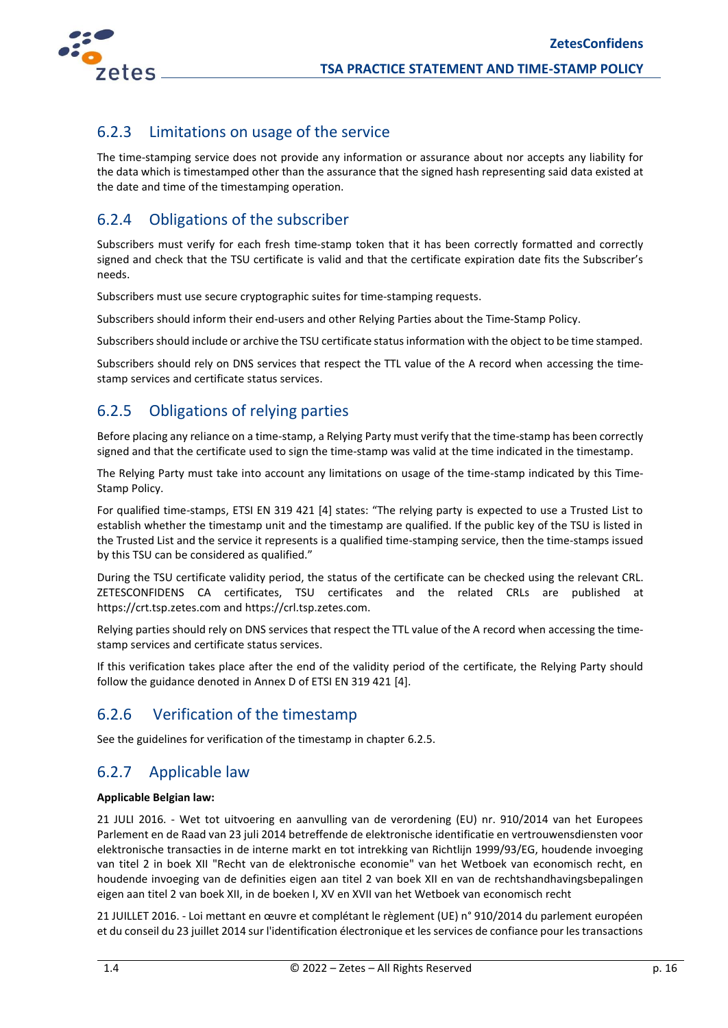

### <span id="page-15-0"></span>6.2.3 Limitations on usage of the service

The time-stamping service does not provide any information or assurance about nor accepts any liability for the data which is timestamped other than the assurance that the signed hash representing said data existed at the date and time of the timestamping operation.

### <span id="page-15-1"></span>6.2.4 Obligations of the subscriber

Subscribers must verify for each fresh time-stamp token that it has been correctly formatted and correctly signed and check that the TSU certificate is valid and that the certificate expiration date fits the Subscriber's needs.

Subscribers must use secure cryptographic suites for time-stamping requests.

Subscribers should inform their end-users and other Relying Parties about the Time-Stamp Policy.

Subscribers should include or archive the TSU certificate status information with the object to be time stamped.

Subscribers should rely on DNS services that respect the TTL value of the A record when accessing the timestamp services and certificate status services.

### <span id="page-15-2"></span>6.2.5 Obligations of relying parties

Before placing any reliance on a time-stamp, a Relying Party must verify that the time-stamp has been correctly signed and that the certificate used to sign the time-stamp was valid at the time indicated in the timestamp.

The Relying Party must take into account any limitations on usage of the time-stamp indicated by this Time-Stamp Policy.

For qualified time-stamps, ETSI EN 319 421 [4] states: "The relying party is expected to use a Trusted List to establish whether the timestamp unit and the timestamp are qualified. If the public key of the TSU is listed in the Trusted List and the service it represents is a qualified time-stamping service, then the time-stamps issued by this TSU can be considered as qualified."

During the TSU certificate validity period, the status of the certificate can be checked using the relevant CRL. ZETESCONFIDENS CA certificates, TSU certificates and the related CRLs are published at https://crt.tsp.zetes.com an[d https://crl.tsp.zetes.com.](https://crl.tsp.zetes.com/)

Relying parties should rely on DNS services that respect the TTL value of the A record when accessing the timestamp services and certificate status services.

If this verification takes place after the end of the validity period of the certificate, the Relying Party should follow the guidance denoted in Annex D of ETSI EN 319 421 [4].

### <span id="page-15-3"></span>6.2.6 Verification of the timestamp

See the guidelines for verification of the timestamp in chapte[r 6.2.5.](#page-15-2)

#### <span id="page-15-4"></span>6.2.7 Applicable law

#### **Applicable Belgian law:**

21 JULI 2016. - Wet tot uitvoering en aanvulling van de verordening (EU) nr. 910/2014 van het Europees Parlement en de Raad van 23 juli 2014 betreffende de elektronische identificatie en vertrouwensdiensten voor elektronische transacties in de interne markt en tot intrekking van Richtlijn 1999/93/EG, houdende invoeging van titel 2 in boek XII "Recht van de elektronische economie" van het Wetboek van economisch recht, en houdende invoeging van de definities eigen aan titel 2 van boek XII en van de rechtshandhavingsbepalingen eigen aan titel 2 van boek XII, in de boeken I, XV en XVII van het Wetboek van economisch recht

21 JUILLET 2016. - Loi mettant en œuvre et complétant le règlement (UE) n° 910/2014 du parlement européen et du conseil du 23 juillet 2014 sur l'identification électronique et les services de confiance pour les transactions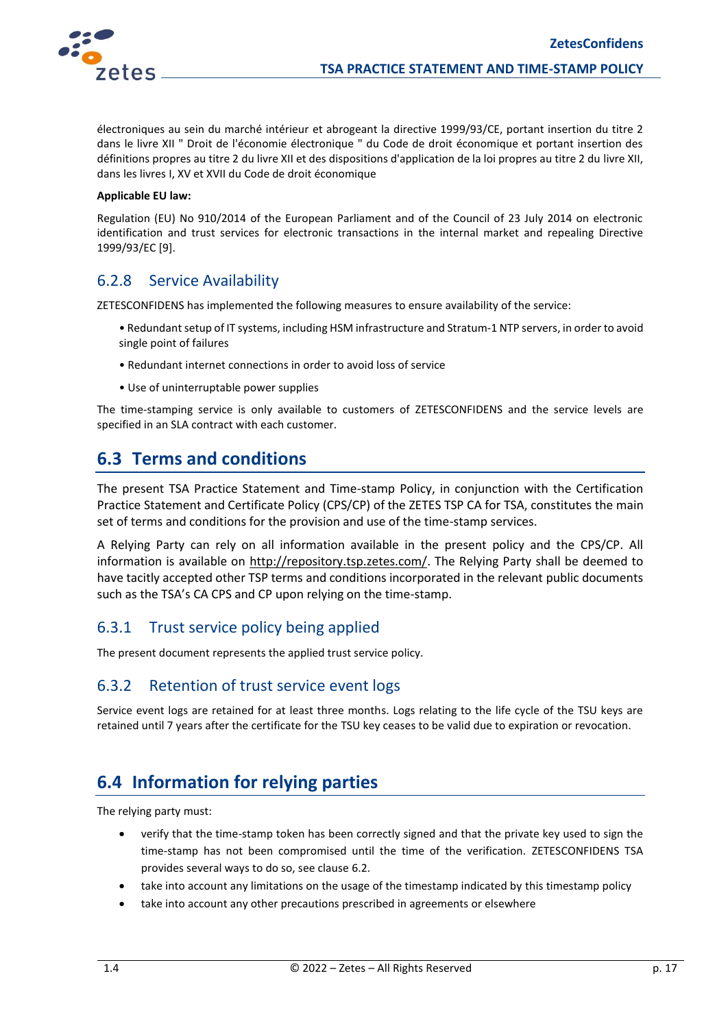électroniques au sein du marché intérieur et abrogeant la directive 1999/93/CE, portant insertion du titre 2 dans le livre XII " Droit de l'économie électronique " du Code de droit économique et portant insertion des définitions propres au titre 2 du livre XII et des dispositions d'application de la loi propres au titre 2 du livre XII, dans les livres I, XV et XVII du Code de droit économique

#### **Applicable EU law:**

Regulation (EU) No 910/2014 of the European Parliament and of the Council of 23 July 2014 on electronic identification and trust services for electronic transactions in the internal market and repealing Directive 1999/93/EC [9].

### <span id="page-16-0"></span>6.2.8 Service Availability

ZETESCONFIDENS has implemented the following measures to ensure availability of the service:

- Redundant setup of IT systems, including HSM infrastructure and Stratum-1 NTP servers, in order to avoid single point of failures
- Redundant internet connections in order to avoid loss of service
- Use of uninterruptable power supplies

The time-stamping service is only available to customers of ZETESCONFIDENS and the service levels are specified in an SLA contract with each customer.

### <span id="page-16-1"></span>**6.3 Terms and conditions**

The present TSA Practice Statement and Time-stamp Policy, in conjunction with the Certification Practice Statement and Certificate Policy (CPS/CP) of the ZETES TSP CA for TSA, constitutes the main set of terms and conditions for the provision and use of the time-stamp services.

A Relying Party can rely on all information available in the present policy and the CPS/CP. All information is available on http://repository.tsp.zetes.com/. The Relying Party shall be deemed to have tacitly accepted other TSP terms and conditions incorporated in the relevant public documents such as the TSA's CA CPS and CP upon relying on the time-stamp.

### <span id="page-16-2"></span>6.3.1 Trust service policy being applied

The present document represents the applied trust service policy.

#### <span id="page-16-3"></span>6.3.2 Retention of trust service event logs

Service event logs are retained for at least three months. Logs relating to the life cycle of the TSU keys are retained until 7 years after the certificate for the TSU key ceases to be valid due to expiration or revocation.

## <span id="page-16-4"></span>**6.4 Information for relying parties**

The relying party must:

- verify that the time-stamp token has been correctly signed and that the private key used to sign the time-stamp has not been compromised until the time of the verification. ZETESCONFIDENS TSA provides several ways to do so, see clause [6.2.](#page-13-2)
- take into account any limitations on the usage of the timestamp indicated by this timestamp policy
- take into account any other precautions prescribed in agreements or elsewhere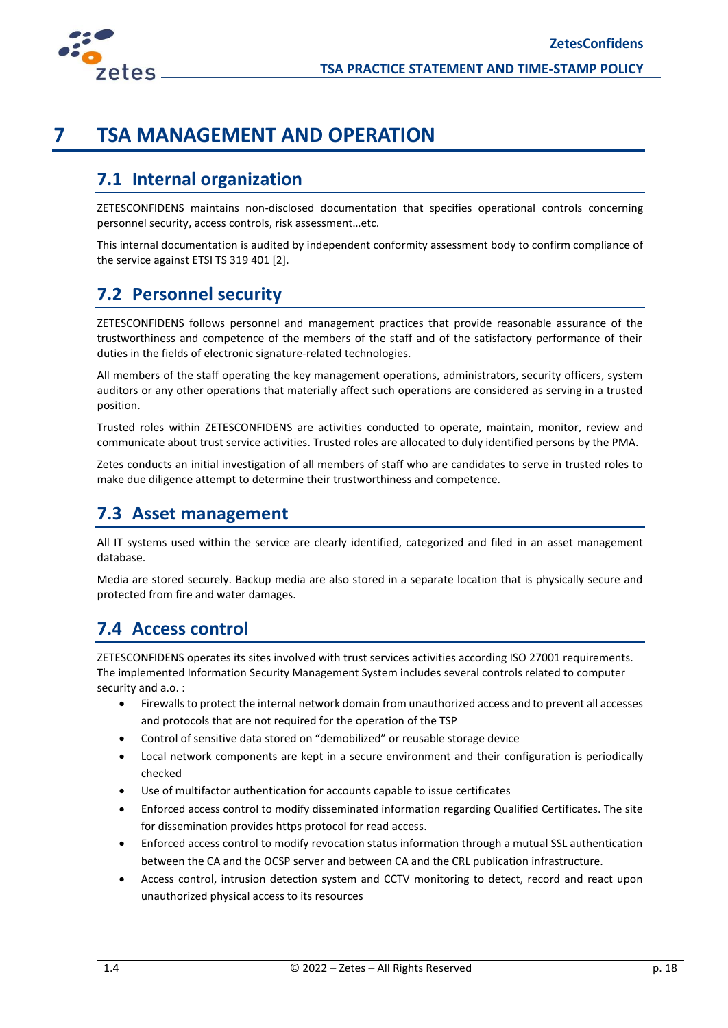

# <span id="page-17-0"></span>**7 TSA MANAGEMENT AND OPERATION**

### <span id="page-17-1"></span>**7.1 Internal organization**

ZETESCONFIDENS maintains non-disclosed documentation that specifies operational controls concerning personnel security, access controls, risk assessment…etc.

This internal documentation is audited by independent conformity assessment body to confirm compliance of the service against ETSI TS 319 401 [2].

### <span id="page-17-2"></span>**7.2 Personnel security**

ZETESCONFIDENS follows personnel and management practices that provide reasonable assurance of the trustworthiness and competence of the members of the staff and of the satisfactory performance of their duties in the fields of electronic signature-related technologies.

All members of the staff operating the key management operations, administrators, security officers, system auditors or any other operations that materially affect such operations are considered as serving in a trusted position.

Trusted roles within ZETESCONFIDENS are activities conducted to operate, maintain, monitor, review and communicate about trust service activities. Trusted roles are allocated to duly identified persons by the PMA.

Zetes conducts an initial investigation of all members of staff who are candidates to serve in trusted roles to make due diligence attempt to determine their trustworthiness and competence.

### <span id="page-17-3"></span>**7.3 Asset management**

All IT systems used within the service are clearly identified, categorized and filed in an asset management database.

Media are stored securely. Backup media are also stored in a separate location that is physically secure and protected from fire and water damages.

### <span id="page-17-4"></span>**7.4 Access control**

ZETESCONFIDENS operates its sites involved with trust services activities according ISO 27001 requirements. The implemented Information Security Management System includes several controls related to computer security and a.o. :

- Firewalls to protect the internal network domain from unauthorized access and to prevent all accesses and protocols that are not required for the operation of the TSP
- Control of sensitive data stored on "demobilized" or reusable storage device
- Local network components are kept in a secure environment and their configuration is periodically checked
- Use of multifactor authentication for accounts capable to issue certificates
- Enforced access control to modify disseminated information regarding Qualified Certificates. The site for dissemination provides https protocol for read access.
- Enforced access control to modify revocation status information through a mutual SSL authentication between the CA and the OCSP server and between CA and the CRL publication infrastructure.
- Access control, intrusion detection system and CCTV monitoring to detect, record and react upon unauthorized physical access to its resources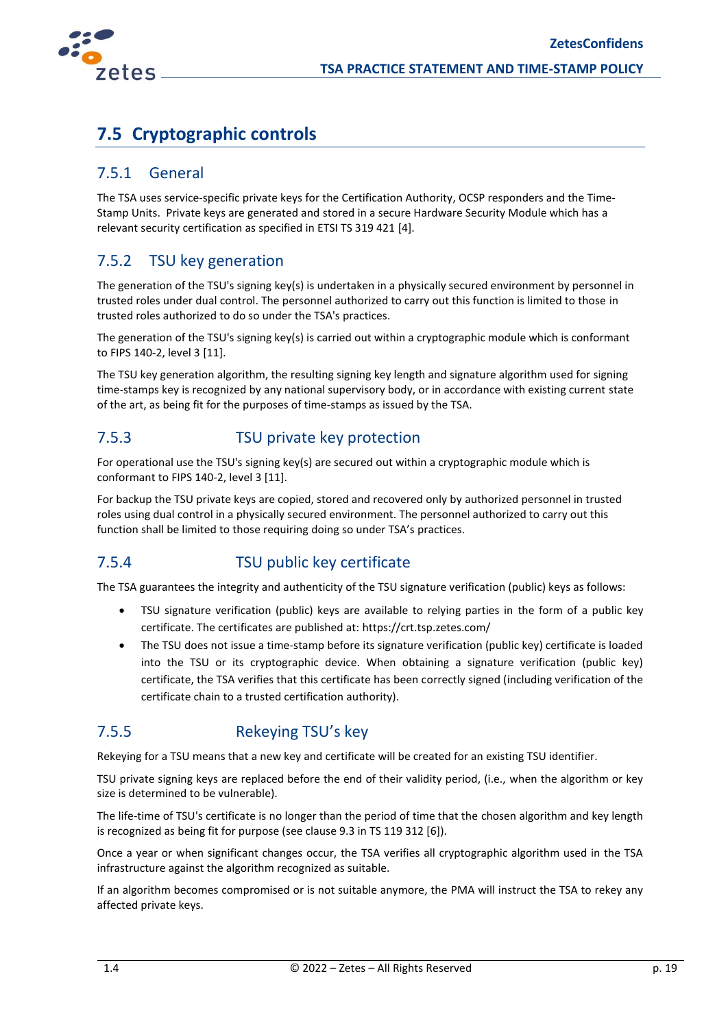

## <span id="page-18-0"></span>**7.5 Cryptographic controls**

#### <span id="page-18-1"></span>7.5.1 General

The TSA uses service-specific private keys for the Certification Authority, OCSP responders and the Time-Stamp Units. Private keys are generated and stored in a secure Hardware Security Module which has a relevant security certification as specified in ETSI TS 319 421 [4].

### <span id="page-18-2"></span>7.5.2 TSU key generation

The generation of the TSU's signing key(s) is undertaken in a physically secured environment by personnel in trusted roles under dual control. The personnel authorized to carry out this function is limited to those in trusted roles authorized to do so under the TSA's practices.

The generation of the TSU's signing key(s) is carried out within a cryptographic module which is conformant to FIPS 140-2, level 3 [11].

The TSU key generation algorithm, the resulting signing key length and signature algorithm used for signing time-stamps key is recognized by any national supervisory body, or in accordance with existing current state of the art, as being fit for the purposes of time-stamps as issued by the TSA.

### <span id="page-18-3"></span>7.5.3 TSU private key protection

For operational use the TSU's signing key(s) are secured out within a cryptographic module which is conformant to FIPS 140-2, level 3 [11].

For backup the TSU private keys are copied, stored and recovered only by authorized personnel in trusted roles using dual control in a physically secured environment. The personnel authorized to carry out this function shall be limited to those requiring doing so under TSA's practices.

### <span id="page-18-4"></span>7.5.4 TSU public key certificate

The TSA guarantees the integrity and authenticity of the TSU signature verification (public) keys as follows:

- TSU signature verification (public) keys are available to relying parties in the form of a public key certificate. The certificates are published at[: https://crt.tsp.zetes.com/](https://crt.tsp.zetes.com/)
- The TSU does not issue a time-stamp before its signature verification (public key) certificate is loaded into the TSU or its cryptographic device. When obtaining a signature verification (public key) certificate, the TSA verifies that this certificate has been correctly signed (including verification of the certificate chain to a trusted certification authority).

### <span id="page-18-5"></span>7.5.5 Rekeying TSU's key

Rekeying for a TSU means that a new key and certificate will be created for an existing TSU identifier.

TSU private signing keys are replaced before the end of their validity period, (i.e., when the algorithm or key size is determined to be vulnerable).

The life-time of TSU's certificate is no longer than the period of time that the chosen algorithm and key length is recognized as being fit for purpose (see clause 9.3 in TS 119 312 [6]).

Once a year or when significant changes occur, the TSA verifies all cryptographic algorithm used in the TSA infrastructure against the algorithm recognized as suitable.

If an algorithm becomes compromised or is not suitable anymore, the PMA will instruct the TSA to rekey any affected private keys.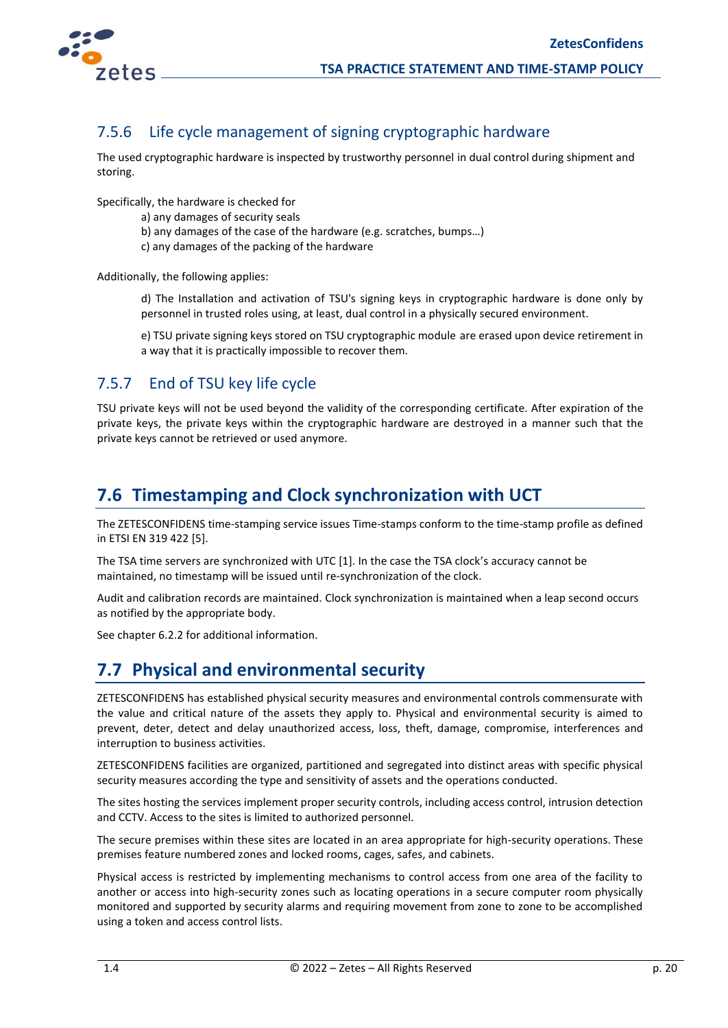

### <span id="page-19-0"></span>7.5.6 Life cycle management of signing cryptographic hardware

The used cryptographic hardware is inspected by trustworthy personnel in dual control during shipment and storing.

Specifically, the hardware is checked for

- a) any damages of security seals
- b) any damages of the case of the hardware (e.g. scratches, bumps…)
- c) any damages of the packing of the hardware

Additionally, the following applies:

d) The Installation and activation of TSU's signing keys in cryptographic hardware is done only by personnel in trusted roles using, at least, dual control in a physically secured environment.

e) TSU private signing keys stored on TSU cryptographic module are erased upon device retirement in a way that it is practically impossible to recover them.

### <span id="page-19-1"></span>7.5.7 End of TSU key life cycle

TSU private keys will not be used beyond the validity of the corresponding certificate. After expiration of the private keys, the private keys within the cryptographic hardware are destroyed in a manner such that the private keys cannot be retrieved or used anymore.

### <span id="page-19-2"></span>**7.6 Timestamping and Clock synchronization with UCT**

The ZETESCONFIDENS time-stamping service issues Time-stamps conform to the time-stamp profile as defined in ETSI EN 319 422 [5].

The TSA time servers are synchronized with UTC [1]. In the case the TSA clock's accuracy cannot be maintained, no timestamp will be issued until re-synchronization of the clock.

Audit and calibration records are maintained. Clock synchronization is maintained when a leap second occurs as notified by the appropriate body.

See chapter [6.2.2](#page-14-1) for additional information.

### <span id="page-19-3"></span>**7.7 Physical and environmental security**

ZETESCONFIDENS has established physical security measures and environmental controls commensurate with the value and critical nature of the assets they apply to. Physical and environmental security is aimed to prevent, deter, detect and delay unauthorized access, loss, theft, damage, compromise, interferences and interruption to business activities.

ZETESCONFIDENS facilities are organized, partitioned and segregated into distinct areas with specific physical security measures according the type and sensitivity of assets and the operations conducted.

The sites hosting the services implement proper security controls, including access control, intrusion detection and CCTV. Access to the sites is limited to authorized personnel.

The secure premises within these sites are located in an area appropriate for high-security operations. These premises feature numbered zones and locked rooms, cages, safes, and cabinets.

Physical access is restricted by implementing mechanisms to control access from one area of the facility to another or access into high-security zones such as locating operations in a secure computer room physically monitored and supported by security alarms and requiring movement from zone to zone to be accomplished using a token and access control lists.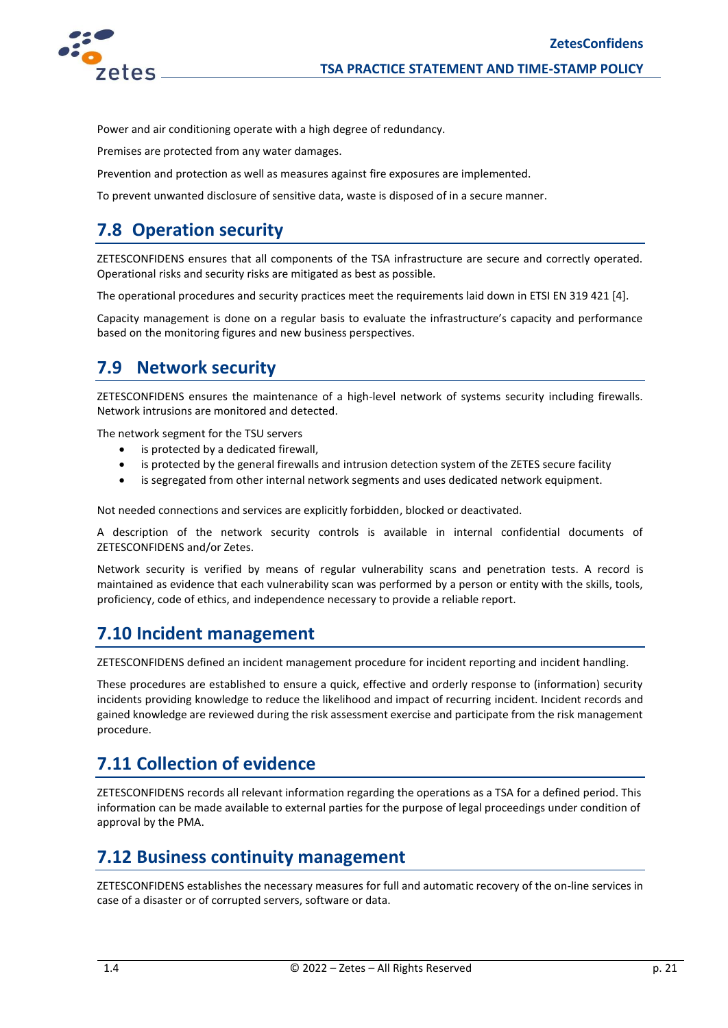

Power and air conditioning operate with a high degree of redundancy.

Premises are protected from any water damages.

Prevention and protection as well as measures against fire exposures are implemented.

To prevent unwanted disclosure of sensitive data, waste is disposed of in a secure manner.

## <span id="page-20-0"></span>**7.8 Operation security**

ZETESCONFIDENS ensures that all components of the TSA infrastructure are secure and correctly operated. Operational risks and security risks are mitigated as best as possible.

The operational procedures and security practices meet the requirements laid down in ETSI EN 319 421 [4].

Capacity management is done on a regular basis to evaluate the infrastructure's capacity and performance based on the monitoring figures and new business perspectives.

### <span id="page-20-1"></span>**7.9 Network security**

ZETESCONFIDENS ensures the maintenance of a high-level network of systems security including firewalls. Network intrusions are monitored and detected.

The network segment for the TSU servers

- is protected by a dedicated firewall,
- is protected by the general firewalls and intrusion detection system of the ZETES secure facility
- is segregated from other internal network segments and uses dedicated network equipment.

Not needed connections and services are explicitly forbidden, blocked or deactivated.

A description of the network security controls is available in internal confidential documents of ZETESCONFIDENS and/or Zetes.

Network security is verified by means of regular vulnerability scans and penetration tests. A record is maintained as evidence that each vulnerability scan was performed by a person or entity with the skills, tools, proficiency, code of ethics, and independence necessary to provide a reliable report.

### <span id="page-20-2"></span>**7.10 Incident management**

ZETESCONFIDENS defined an incident management procedure for incident reporting and incident handling.

These procedures are established to ensure a quick, effective and orderly response to (information) security incidents providing knowledge to reduce the likelihood and impact of recurring incident. Incident records and gained knowledge are reviewed during the risk assessment exercise and participate from the risk management procedure.

### <span id="page-20-3"></span>**7.11 Collection of evidence**

ZETESCONFIDENS records all relevant information regarding the operations as a TSA for a defined period. This information can be made available to external parties for the purpose of legal proceedings under condition of approval by the PMA.

### <span id="page-20-4"></span>**7.12 Business continuity management**

ZETESCONFIDENS establishes the necessary measures for full and automatic recovery of the on-line services in case of a disaster or of corrupted servers, software or data.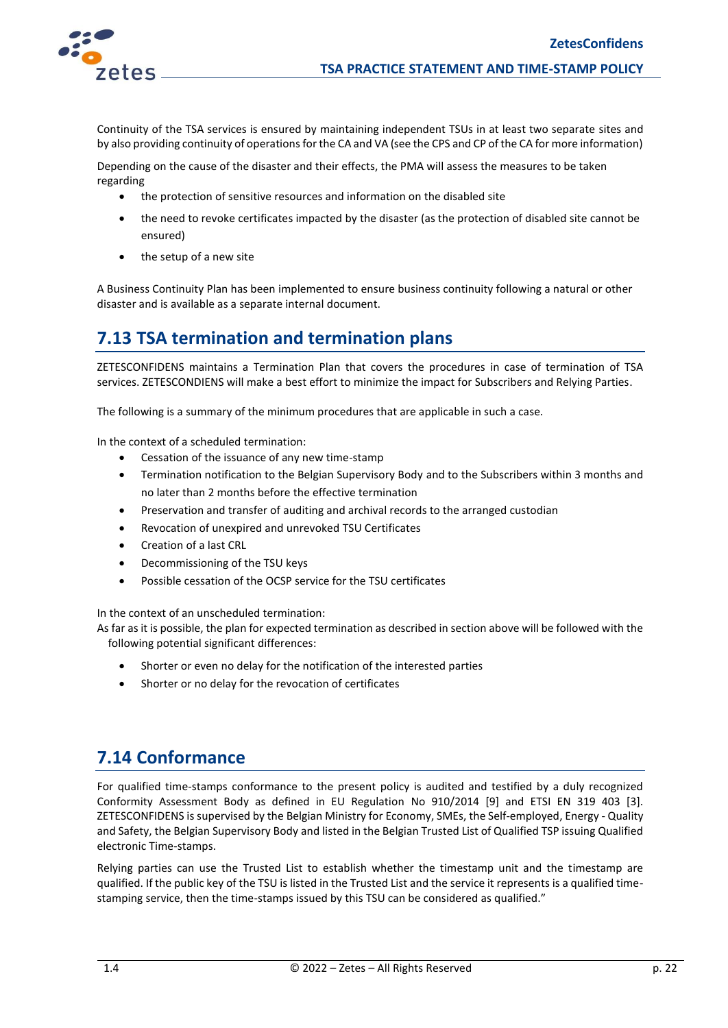

Continuity of the TSA services is ensured by maintaining independent TSUs in at least two separate sites and by also providing continuity of operations for the CA and VA (see the CPS and CP of the CA for more information)

Depending on the cause of the disaster and their effects, the PMA will assess the measures to be taken regarding

- the protection of sensitive resources and information on the disabled site
- the need to revoke certificates impacted by the disaster (as the protection of disabled site cannot be ensured)
- the setup of a new site

A Business Continuity Plan has been implemented to ensure business continuity following a natural or other disaster and is available as a separate internal document.

### <span id="page-21-0"></span>**7.13 TSA termination and termination plans**

ZETESCONFIDENS maintains a Termination Plan that covers the procedures in case of termination of TSA services. ZETESCONDIENS will make a best effort to minimize the impact for Subscribers and Relying Parties.

The following is a summary of the minimum procedures that are applicable in such a case.

In the context of a scheduled termination:

- Cessation of the issuance of any new time-stamp
- Termination notification to the Belgian Supervisory Body and to the Subscribers within 3 months and no later than 2 months before the effective termination
- Preservation and transfer of auditing and archival records to the arranged custodian
- Revocation of unexpired and unrevoked TSU Certificates
- Creation of a last CRL
- Decommissioning of the TSU keys
- Possible cessation of the OCSP service for the TSU certificates

In the context of an unscheduled termination:

As far as it is possible, the plan for expected termination as described in section above will be followed with the following potential significant differences:

- Shorter or even no delay for the notification of the interested parties
- Shorter or no delay for the revocation of certificates

### <span id="page-21-1"></span>**7.14 Conformance**

For qualified time-stamps conformance to the present policy is audited and testified by a duly recognized Conformity Assessment Body as defined in EU Regulation No 910/2014 [9] and ETSI EN 319 403 [3]. ZETESCONFIDENS is supervised by the Belgian Ministry for Economy, SMEs, the Self-employed, Energy - Quality and Safety, the Belgian Supervisory Body and listed in the Belgian Trusted List of Qualified TSP issuing Qualified electronic Time-stamps.

Relying parties can use the Trusted List to establish whether the timestamp unit and the timestamp are qualified. If the public key of the TSU is listed in the Trusted List and the service it represents is a qualified timestamping service, then the time-stamps issued by this TSU can be considered as qualified."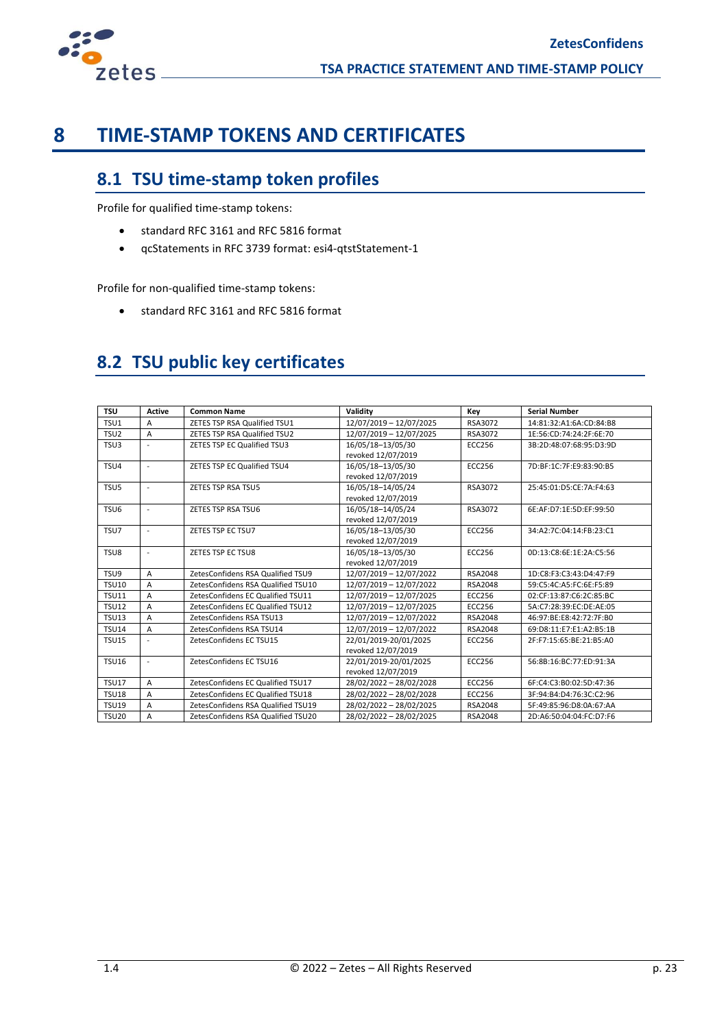

# <span id="page-22-0"></span>**8 TIME-STAMP TOKENS AND CERTIFICATES**

### <span id="page-22-1"></span>**8.1 TSU time-stamp token profiles**

Profile for qualified time-stamp tokens:

- standard RFC 3161 and RFC 5816 format
- qcStatements in RFC 3739 format: esi4-qtstStatement-1

Profile for non-qualified time-stamp tokens:

• standard RFC 3161 and RFC 5816 format

## <span id="page-22-2"></span>**8.2 TSU public key certificates**

| <b>TSU</b>       | Active                   | <b>Common Name</b>                 | Validity                | Key            | <b>Serial Number</b>    |
|------------------|--------------------------|------------------------------------|-------------------------|----------------|-------------------------|
| TSU1             | A                        | ZETES TSP RSA Qualified TSU1       | 12/07/2019 - 12/07/2025 | RSA3072        | 14:81:32:A1:6A:CD:84:B8 |
| TSU <sub>2</sub> | A                        | ZETES TSP RSA Qualified TSU2       | 12/07/2019 - 12/07/2025 | RSA3072        | 1E:56:CD:74:24:2F:6E:70 |
| TSU3             |                          | ZETES TSP EC Qualified TSU3        | 16/05/18-13/05/30       | <b>ECC256</b>  | 3B:2D:48:07:68:95:D3:9D |
|                  |                          |                                    | revoked 12/07/2019      |                |                         |
| TSU4             | $\overline{\phantom{a}}$ | ZETES TSP EC Qualified TSU4        | 16/05/18-13/05/30       | <b>ECC256</b>  | 7D:BF:1C:7F:E9:83:90:B5 |
|                  |                          |                                    | revoked 12/07/2019      |                |                         |
| TSU <sub>5</sub> | $\overline{a}$           | ZETES TSP RSA TSU5                 | 16/05/18-14/05/24       | RSA3072        | 25:45:01:D5:CE:7A:F4:63 |
|                  |                          |                                    | revoked 12/07/2019      |                |                         |
| TSU <sub>6</sub> |                          | ZETES TSP RSA TSU6                 | 16/05/18-14/05/24       | RSA3072        | 6E:AF:D7:1E:5D:EF:99:50 |
|                  |                          |                                    | revoked 12/07/2019      |                |                         |
| TSU7             | $\overline{a}$           | ZETES TSP EC TSU7                  | 16/05/18-13/05/30       | <b>ECC256</b>  | 34:A2:7C:04:14:FB:23:C1 |
|                  |                          |                                    | revoked 12/07/2019      |                |                         |
| TSU8             |                          | ZETES TSP EC TSU8                  | 16/05/18-13/05/30       | <b>ECC256</b>  | 0D:13:C8:6E:1E:2A:C5:56 |
|                  |                          |                                    | revoked 12/07/2019      |                |                         |
| TSU9             | Α                        | ZetesConfidens RSA Qualified TSU9  | 12/07/2019 - 12/07/2022 | <b>RSA2048</b> | 1D:C8:F3:C3:43:D4:47:F9 |
| <b>TSU10</b>     | A                        | ZetesConfidens RSA Qualified TSU10 | 12/07/2019 - 12/07/2022 | <b>RSA2048</b> | 59:C5:4C:A5:FC:6E:F5:89 |
| <b>TSU11</b>     | A                        | ZetesConfidens EC Qualified TSU11  | 12/07/2019 - 12/07/2025 | <b>ECC256</b>  | 02:CF:13:87:C6:2C:85:BC |
| <b>TSU12</b>     | A                        | ZetesConfidens EC Qualified TSU12  | 12/07/2019 - 12/07/2025 | <b>ECC256</b>  | 5A:C7:28:39:EC:DE:AE:05 |
| <b>TSU13</b>     | A                        | ZetesConfidens RSA TSU13           | 12/07/2019 - 12/07/2022 | <b>RSA2048</b> | 46:97:BE:E8:42:72:7F:B0 |
| <b>TSU14</b>     | Α                        | ZetesConfidens RSA TSU14           | 12/07/2019 - 12/07/2022 | <b>RSA2048</b> | 69:D8:11:E7:E1:A2:B5:1B |
| <b>TSU15</b>     |                          | ZetesConfidens EC TSU15            | 22/01/2019-20/01/2025   | <b>ECC256</b>  | 2F:F7:15:65:BE:21:B5:A0 |
|                  |                          |                                    | revoked 12/07/2019      |                |                         |
| <b>TSU16</b>     | $\overline{a}$           | ZetesConfidens EC TSU16            | 22/01/2019-20/01/2025   | <b>ECC256</b>  | 56:8B:16:BC:77:ED:91:3A |
|                  |                          |                                    | revoked 12/07/2019      |                |                         |
| <b>TSU17</b>     | A                        | ZetesConfidens EC Qualified TSU17  | 28/02/2022 - 28/02/2028 | <b>ECC256</b>  | 6F:C4:C3:B0:02:5D:47:36 |
| <b>TSU18</b>     | A                        | ZetesConfidens EC Qualified TSU18  | 28/02/2022 - 28/02/2028 | <b>ECC256</b>  | 3F:94:B4:D4:76:3C:C2:96 |
| <b>TSU19</b>     | A                        | ZetesConfidens RSA Qualified TSU19 | 28/02/2022 - 28/02/2025 | <b>RSA2048</b> | 5F:49:85:96:D8:0A:67:AA |
| <b>TSU20</b>     | A                        | ZetesConfidens RSA Qualified TSU20 | 28/02/2022 - 28/02/2025 | <b>RSA2048</b> | 2D:A6:50:04:04:FC:D7:F6 |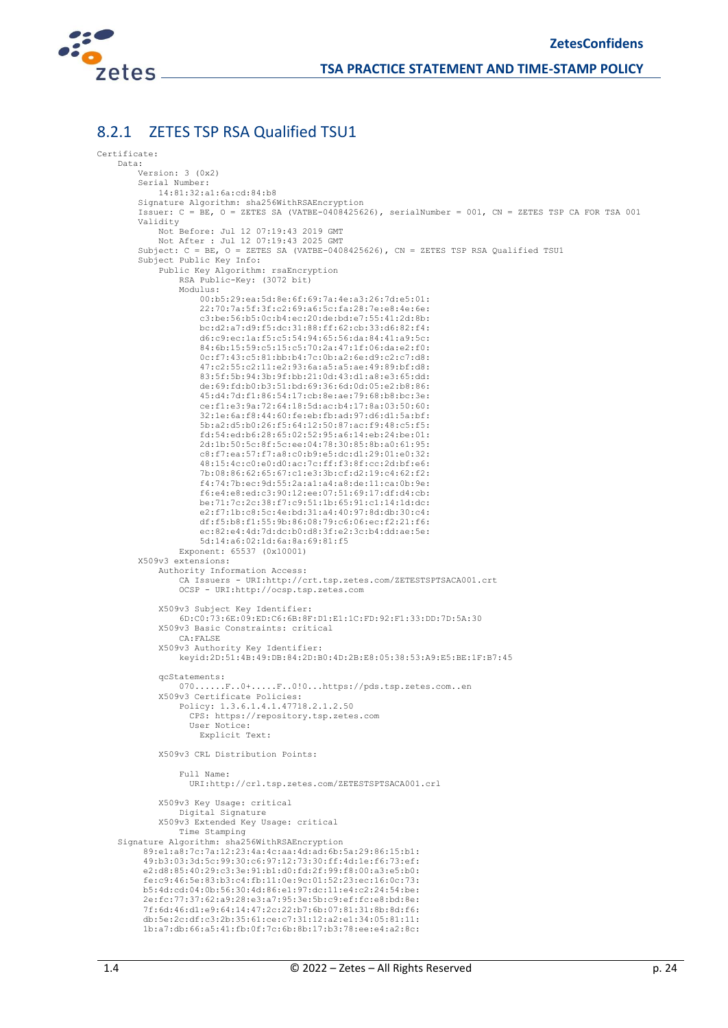

### <span id="page-23-0"></span>8.2.1 ZETES TSP RSA Qualified TSU1

```
Certificate:
     Data:
         Version: 3 (0x2)
         Serial Number:
             14:81:32:a1:6a:cd:84:b8
         Signature Algorithm: sha256WithRSAEncryption
         Issuer: C = BE, O = ZETES SA (VATBE-0408425626), serialNumber = 001, CN = ZETES TSP CA FOR TSA 001
         Validity
 Not Before: Jul 12 07:19:43 2019 GMT
 Not After : Jul 12 07:19:43 2025 GMT
         Subject: C = BE, O = ZETES SA (VATBE-0408425626), CN = ZETES TSP RSA Qualified TSU1
         Subject Public Key Info:
             Public Key Algorithm: rsaEncryption
                 RSA Public-Key: (3072 bit)
                 Modulus:
                     00:b5:29:ea:5d:8e:6f:69:7a:4e:a3:26:7d:e5:01:
                    22:70:7a:5f:3f:c2:69:a6:5c:fa:28:7e:e8:4e:6e:
                     c3:be:56:b5:0c:b4:ec:20:de:bd:e7:55:41:2d:8b:
                     bc:d2:a7:d9:f5:dc:31:88:ff:62:cb:33:d6:82:f4:
                    d6:c9:ec:1a:f5:c5:54:94:65:56:da:84:41:a9:5c:
                    84:6b:15:59:c5:15:c5:70:2a:47:1f:06:da:e2:f0:
                    0c:f7:43:c5:81:bb:b4:7c:0b:a2:6e:d9:c2:c7:d8:
                     47:c2:55:c2:11:e2:93:6a:a5:a5:ae:49:89:bf:d8:
                    83:5f:5b:94:3b:9f:bb:21:0d:43:d1:a8:e3:65:dd:
                    de:69:fd:b0:b3:51:bd:69:36:6d:0d:05:e2:b8:86:
                    45:d4:7d:f1:86:54:17:cb:8e:ae:79:68:b8:bc:3e:
                    ce:f1:e3:9a:72:64:18:5d:ac:b4:17:8a:03:50:60:
                    32:1e:6a:f8:44:60:fe:eb:fb:ad:97:d6:d1:5a:bf:
                     5b:a2:d5:b0:26:f5:64:12:50:87:ac:f9:48:c5:f5:
                    fd:54:ed:b6:28:65:02:52:95:a6:14:eb:24:be:01:
                    2d:1b:50:5c:8f:5c:ee:04:78:30:85:8b:a0:61:95:
                    c8:f7:ea:57:f7:a8:c0:b9:e5:dc:d1:29:01:e0:32:
                    48:15:4c:c0:e0:d0:ac:7c:ff:f3:8f:cc:2d:bf:e6:
                     7b:08:86:62:65:67:c1:e3:3b:cf:d2:19:c4:62:f2:
                    f4:74:7b:ec:9d:55:2a:a1:a4:a8:de:11:ca:0b:9e:
                    f6:e4:e8:ed:c3:90:12:ee:07:51:69:17:df:d4:cb:
                    be:71:7c:2c:38:f7:c9:51:1b:65:91:c1:14:1d:dc:
                    e2:f7:1b:c8:5c:4e:bd:31:a4:40:97:8d:db:30:c4:
                    df:f5:b8:f1:55:9b:86:08:79:c6:06:ec:f2:21:f6:
                    ec:82:e4:4d:7d:dc:b0:d8:3f:e2:3c:b4:dd:ae:5e:
                     5d:14:a6:02:1d:6a:8a:69:81:f5
                 Exponent: 65537 (0x10001)
         X509v3 extensions:
             Authority Information Access: 
                 CA Issuers - URI:http://crt.tsp.zetes.com/ZETESTSPTSACA001.crt
                 OCSP - URI:http://ocsp.tsp.zetes.com
             X509v3 Subject Key Identifier: 
                 6D:C0:73:6E:09:ED:C6:6B:8F:D1:E1:1C:FD:92:F1:33:DD:7D:5A:30
             X509v3 Basic Constraints: critical
                 CA:FALSE
             X509v3 Authority Key Identifier: 
                  keyid:2D:51:4B:49:DB:84:2D:B0:4D:2B:E8:05:38:53:A9:E5:BE:1F:B7:45
             qcStatements: 
                 070......F..0+.....F..0!0...https://pds.tsp.zetes.com..en
             X509v3 Certificate Policies: 
                  Policy: 1.3.6.1.4.1.47718.2.1.2.50
                   CPS: https://repository.tsp.zetes.com
                  User Notice:
                     Explicit Text: 
             X509v3 CRL Distribution Points: 
                 Full Name:
                   URI:http://crl.tsp.zetes.com/ZETESTSPTSACA001.crl
             X509v3 Key Usage: critical
                 Digital Signature
             X509v3 Extended Key Usage: critical
                 Time Stamping
     Signature Algorithm: sha256WithRSAEncryption
          89:e1:a8:7c:7a:12:23:4a:4c:aa:4d:ad:6b:5a:29:86:15:b1:
          49:b3:03:3d:5c:99:30:c6:97:12:73:30:ff:4d:1e:f6:73:ef:
          e2:d8:85:40:29:c3:3e:91:b1:d0:fd:2f:99:f8:00:a3:e5:b0:
          fe:c9:46:5e:83:b3:c4:fb:11:0e:9c:01:52:23:ec:16:0c:73:
          b5:4d:cd:04:0b:56:30:4d:86:e1:97:dc:11:e4:c2:24:54:be:
          2e:fc:77:37:62:a9:28:e3:a7:95:3e:5b:c9:ef:fc:e8:bd:8e:
          7f:6d:46:d1:e9:64:14:47:2c:22:b7:6b:07:81:31:8b:8d:f6:
          db:5e:2c:df:c3:2b:35:61:ce:c7:31:12:a2:e1:34:05:81:11:
          1b:a7:db:66:a5:41:fb:0f:7c:6b:8b:17:b3:78:ee:e4:a2:8c:
```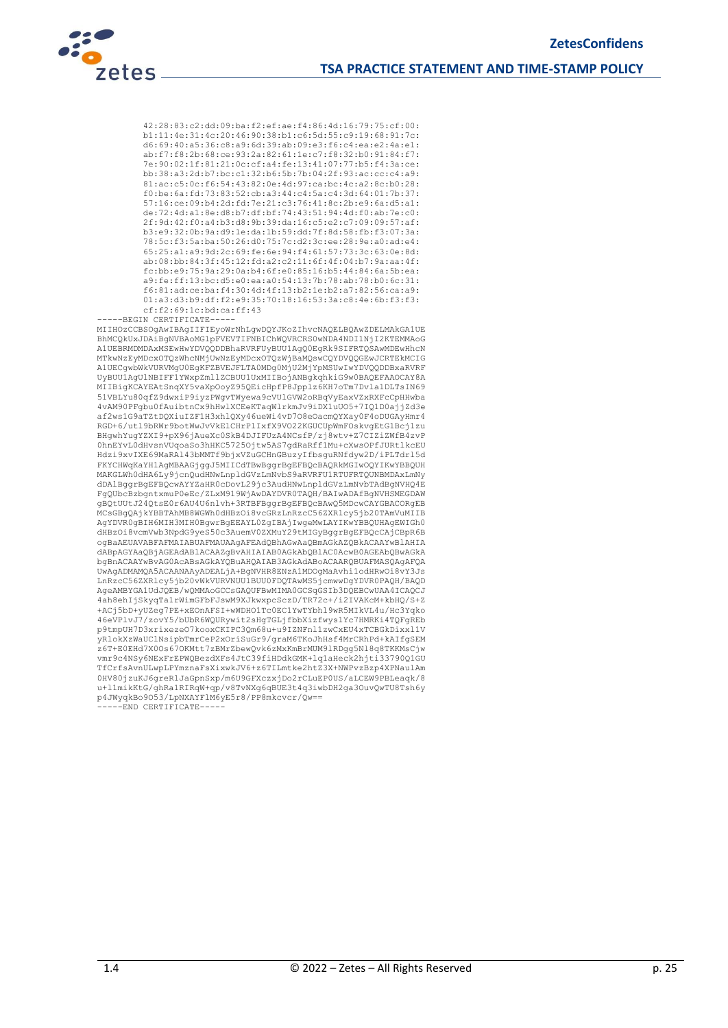

b1:11:4e:31:4c:20:46:90:38:b1:c6:5d:55:c9:19:68:91:7c: d6:69:40:a5:36:c8:a9:6d:39:ab:09:e3:f6:c4:ea:e2:4a:e1: ab:f7:f8:2b:68:ce:93:2a:82:61:1e:c7:f8:32:b0:91:84:f7: 7e:90:02:1f:81:21:0c:cf:a4:fe:13:41:07:77:b5:f4:3a:ce: bb:38:a3:2d:b7:bc:c1:32:b6:5b:7b:04:2f:93:ac:cc:c4:a9: 81:ac:c5:0c:f6:54:43:82:0e:4d:97:ca:bc:4c:a2:8c:b0:28:  $f0 \cdot h - f a \cdot f d \cdot 73 \cdot 83 \cdot 52 \cdot ch \cdot a3 \cdot 44 \cdot c4 \cdot 5a \cdot c4 \cdot 3d \cdot 64 \cdot 01 \cdot 7h \cdot 37 \cdot c4 \cdot 13d \cdot c4 \cdot 14 \cdot c4 \cdot 14 \cdot c4 \cdot 15a \cdot c4 \cdot 164 \cdot 101 \cdot 164 \cdot 101 \cdot 101 \cdot 101 \cdot 101 \cdot 101 \cdot 101 \cdot 101 \cdot 101 \cdot 101 \cdot 101 \cdot 101 \cdot 101 \cdot 101 \cdot 10$ 57:16:ce:09:b4:2d:fd:7e:21:c3:76:41:8c:2b:e9:6a:d5:a1: de:72:4d:al:8e:d8:b7:df:bf:74:43:51:94:4d:f0:ab:7e:c0: 2f:9d:42:f0:a4:b3:d8:9b:39:da:16:c5:e2:c7:09:09:57:af: b3:e9:32:0b:9a:d9:1e:da:1b:59:dd:7f:8d:58:fb:f3:07:3a: 78:5c:f3:5a:ba:50:26:d0:75:7c:d2:3c:ee:28:9e:a0:ad:e4:  $65 \cdot 25 \cdot a1 \cdot a9 \cdot 9d \cdot 2c \cdot 69 \cdot fe \cdot 6e \cdot 94 \cdot f4 \cdot 61 \cdot 57 \cdot 73 \cdot 3c \cdot 63 \cdot 0e \cdot 8d \cdot$ ab:08:bb:84:3f:45:12:fd:a2:c2:11:6f:4f:04:b7:9a:aa:4f: fc:bb:e9:75:9a:29:0a:b4:6f:e0:85:16:b5:44:84:6a:5b:ea: a9:fe:ff:13:bc:d5:e0:ea:a0:54:13:7b:78:ab:78:b0:6c:31: f6:81:ad:ce:ba:f4:30:4d:4f:13:b2:1e:b2:a7:82:56:ca:a9: 01:a3:d3:b9:df:f2:e9:35:70:18:16:53:3a:c8:4e:6b:f3:f3:  $cf·f?·69·1c·hd·ca·ff·43$ --BEGIN CERTIFICATE--MIIHOzCCBSOqAwIBAqIIFIEyoWrNhLqwDQYJKoZIhvcNAQELBQAwZDELMAkGA1UE BhMCQkUxJDAiBgNVBAoMG1pFVEVTIFNBIChWQVRCRS0wNDA4NDI1NjI2KTEMMAoG A1UEBRMDMDAxMSEwHwYDVQQDDBhaRVRFUyBUU1AgQ0EgRk9SIFRTQSAwMDEwHhcN MTkwNzEyMDcxOTQzWhcNMjUwNzEyMDcxOTQzWjBaMQswCOYDVQQGEwJCRTEkMCIG AIUECGWANKVURVMGUOEGKEZBVEJFLFAOMDGOMJUZMjYpMSUwIWYDVQQDDBxaRVRF<br>AIUECGWAMKVURVMGUOEGKEZBVEJFLTAOMDGOMJUZMjYpMSUwIWYDVQQDDBxaRVRF<br>UyBUUIAGUlNBIFFlYWxpZmllZCBUUIUxMIIBojANBgkqhkiG9w0BAQEFAAOCAY8A MIIBigKCAYEAtSnqXY5vaXpOoyZ95QEicHpfP8Jpplz6KH7oTm7Dvla1DLTsIN69 51VBLYu80qfZ9dwxiP9iyzPWgvTWyewa9cVU1GVW2oRBqVyEaxVZxRXFcCpHHwba 4vAM90PFgbu0fAuibtnCx9hHwlXCEeKTaqWlrkmJv9iDX1uUO5+7IQ1D0ajjZd3e af2ws1G9aTZtDQXiuIZF1H3xhlQXy46ueWi4vD7O8eOacmQYXay0F4oDUGAyHmr4 RGD+6/utl9bRWr9botWwJvVkElCHrPlIxfX9VO22KGUCUpWmFOskvqEtG1Bcj1zu BHgwhYugYZXI9+pX96jAueXc0SkB4DJIFUzA4NCsfP/zj8wtv+Z7CIZiZWfB4zvP 0hnEYvL0dHvsnVUqoaSo3hHKC57250jtw5AS7gdRaRff1Mu+cXwsOPfJURtlkcEU Hdzi9xvIXE69MaRA143bMMTf9bjxVZuGCHnGBuzyIfbsguRNfdyw2D/iPLTdr15d FKYCHWqKaYH1AgMBAAGjggJ5MIICdTBwBggrBgEFBQcBAQRkMGIwOQYIKwYBBQUH MAKGLWh0dHA6Ly9jcnQudHNwLnpldGVzLmNvbS9aRVRFU1RTUFRTQUNBMDAxLmNy dDA1BggrBgEFBQcwAYYZaHR0cDovL29jc3AudHNwLnpldGVzLmNvbTAdBgNVHQ4E FgQUbcBzbgntxmuP0eEc/ZLxM919WjAwDAYDVR0TAQH/BAIwADAfBgNVHSMEGDAW gBQtUUtJ24QtsE0r6AU4U6nlvh+3RTBFBggrBgEFBQcBAwQ5MDcwCAYGBACORgEB MCsGBgQAjkYBBTAhMB8WGWh0dHBzOi8vcGRzLnRzcC56ZXRlcy5jb20TAmVuMIIB AgYDVR0gBIH6MIH3MIH0BgwrBgEEAYL0ZgIBAjIwgeMwLAYIKwYBBQUHAgEWIGh0  $\verb+dHBz0i8vcmVwb3NpdG9yeS50c3AuemV02XMuY29tMIGyBggrBgEFBCcCAjCBpR6B$ ogBaAEUAVABFAFMAIABUAFMAUAAgAFEAdQBhAGwAaQBmAGkAZQBkACAAYwBlAHIA dABpAGYAaQBjAGEAdABlACAAZgBvAHIAIAB0AGkAbQBlAC0AcwB0AGEAbQBwAGkA bgBnACAAYwBvAG0AcABsAGkAYQBuAHQAIAB3AGkAdABoACAARQBUAFMASQAgAFQA UwAgADMAMQA5ACAANAAyADEALjA+BgNVHR8ENzA1MDOgMaAvhilodHRwOi8vY3Js LnRzcC56ZXRlcy5jb20vWkVURVNUU1BUU0FDQTAwMS5jcmwwDgYDVR0PAQH/BAQD AgeAMBYGA1UdJOEB/wOMMAoGCCsGAOUFBwMIMA0GCSgGSIb3DOEBCwUAA4ICAOCJ 4ah8ehIjSkyqTa1rWimGFbFJswM9XJkwxpcSczD/TR72c+/i2IVAKcM+kbHQ/S+Z +AC15bD+yUZeq7PE+xEOnAFSI+wWDHO1Tc0EC1YwTYbh19wR5MIkVL4u/Hc3Yqko 46eVPlvJ7/zovY5/bUbR6WQURywit2sHgTGLjfbbXizfwys1Yc7HMRKi4TQFgREb p9tmpUH7D3xrixezeO7kooxCKIPC3Om68u+u9IZNFnl1zwCxEU4xTCBGkDixxl1V yRlokXzWaUClNsipbTmrCeP2xOriSuGr9/qraM6TKoJhHsf4MrCRhPd+kAIfqSEM z6T+E0EHd7X0Os67OKMtt7zBMrZbewQvk6zMxKmBrMUM91RDqq5N18q8TKKMsCjw vmr9c4NSy6NExFrEPWQBezdXFs4JtC39fiHDdkGMK+lq1aHeck2hjti33790Q1GU TfCrfsAvnULwpLPYmznaFsXixwkJV6+z6TILmtke2htZ3X+NWPvzBzp4XPNaulAm 0HV80jzuKJ6greRlJaGpnSxp/m6U9GFXczxjDo2rCLuEP0US/aLCEW9PBLeaqk/8 u+11mikKtG/ghRa1RIRqW+qp/v8TvNXg6qBUE3t4q3iwbDH2ga3OuvQwTU8Tsh6y p4JWyqkBo9O53/LpNXAYF1M6yE5r8/PP8mkcvcr/Qw= -<br>-END CERTIFICATE-

42:28:83:c2:dd:09:ba:f2:ef:ae:f4:86:4d:16:79:75:cf:00: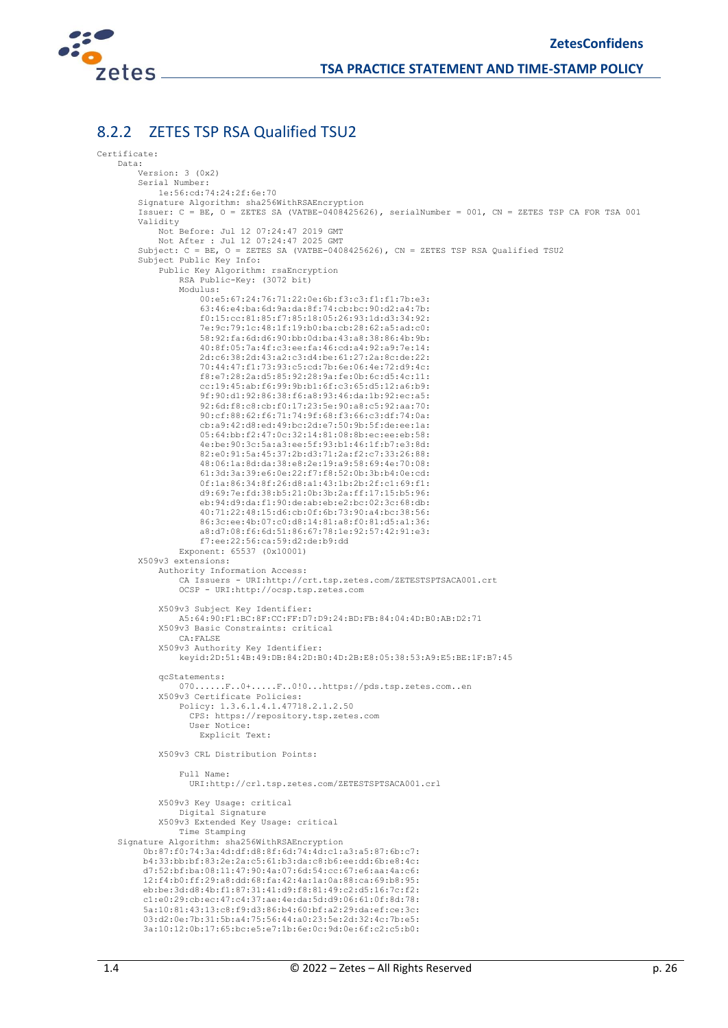

### <span id="page-25-0"></span>8.2.2 ZETES TSP RSA Qualified TSU2

```
Certificate:
     Data:
         Version: 3 (0x2)
         Serial Number:
             1e:56:cd:74:24:2f:6e:70
         Signature Algorithm: sha256WithRSAEncryption
         Issuer: C = BE, O = ZETES SA (VATBE-0408425626), serialNumber = 001, CN = ZETES TSP CA FOR TSA 001
         Validity
 Not Before: Jul 12 07:24:47 2019 GMT
 Not After : Jul 12 07:24:47 2025 GMT
         Subject: C = BE, O = ZETES SA (VATBE-0408425626), CN = ZETES TSP RSA Qualified TSU2
         Subject Public Key Info:
             Public Key Algorithm: rsaEncryption
                 RSA Public-Key: (3072 bit)
                 Modulus:
                     00:e5:67:24:76:71:22:0e:6b:f3:c3:f1:f1:7b:e3:
                      63:46:e4:ba:6d:9a:da:8f:74:cb:bc:90:d2:a4:7b:
                     f0:15:cc:81:85:f7:85:18:05:26:93:1d:d3:34:92:
                     7e:9c:79:1c:48:1f:19:b0:ba:cb:28:62:a5:ad:c0:
                     58:92:fa:6d:d6:90:bb:0d:ba:43:a8:38:86:4b:9b:
                     40:8f:05:7a:4f:c3:ee:fa:46:cd:a4:92:a9:7e:14:
                    2d:c6:38:2d:43:a2:c3:d4:be:61:27:2a:8c:de:22:
                     70:44:47:f1:73:93:c5:cd:7b:6e:06:4e:72:d9:4c:
                     f8:e7:28:2a:d5:85:92:28:9a:fe:0b:6c:d5:4c:11:
                    cc:19:45:ab:f6:99:9b:b1:6f:c3:65:d5:12:a6:b9:
                    9f:90:d1:92:86:38:f6:a8:93:46:da:1b:92:ec:a5:
                    92:6d:f8:c8:cb:f0:17:23:5e:90:a8:c5:92:aa:70:
                    90:cf:88:62:f6:71:74:9f:68:f3:66:c3:df:74:0a:
                    cb:a9:42:d8:ed:49:bc:2d:e7:50:9b:5f:de:ee:1a:
                    05:64:bb:f2:47:0c:32:14:81:08:8b:ec:ee:eb:58:
                     4e:be:90:3c:5a:a3:ee:5f:93:b1:46:1f:b7:e3:8d:
                    82:e0:91:5a:45:37:2b:d3:71:2a:f2:c7:33:26:88:
                    48:06:1a:8d:da:38:e8:2e:19:a9:58:69:4e:70:08:
                     61:3d:3a:39:e6:0e:22:f7:f8:52:0b:3b:b4:0e:cd:
                    0f:1a:86:34:8f:26:d8:a1:43:1b:2b:2f:c1:69:f1:
                    d9:69:7e:fd:38:b5:21:0b:3b:2a:ff:17:15:b5:96:
                    eb:94:d9:da:f1:90:de:ab:eb:e2:bc:02:3c:68:db:
                    40:71:22:48:15:d6:cb:0f:6b:73:90:a4:bc:38:56:
                    86:3c:ee:4b:07:c0:d8:14:81:a8:f0:81:d5:a1:36:
                    a8:d7:08:f6:6d:51:86:67:78:1e:92:57:42:91:e3:
                     f7:ee:22:56:ca:59:d2:de:b9:dd
                 Exponent: 65537 (0x10001)
         X509v3 extensions:
             Authority Information Access: 
                 CA Issuers - URI:http://crt.tsp.zetes.com/ZETESTSPTSACA001.crt
                 OCSP - URI:http://ocsp.tsp.zetes.com
             X509v3 Subject Key Identifier: 
                 A5:64:90:F1:BC:8F:CC:FF:D7:D9:24:BD:FB:84:04:4D:B0:AB:D2:71
             X509v3 Basic Constraints: critical
                 CA:FALSE
             X509v3 Authority Key Identifier: 
                  keyid:2D:51:4B:49:DB:84:2D:B0:4D:2B:E8:05:38:53:A9:E5:BE:1F:B7:45
             qcStatements: 
                 070......F..0+.....F..0!0...https://pds.tsp.zetes.com..en
             X509v3 Certificate Policies: 
                  Policy: 1.3.6.1.4.1.47718.2.1.2.50
                   CPS: https://repository.tsp.zetes.com
                  User Notice:
                     Explicit Text: 
             X509v3 CRL Distribution Points: 
                 Full Name:
                   URI:http://crl.tsp.zetes.com/ZETESTSPTSACA001.crl
             X509v3 Key Usage: critical
                 Digital Signature
             X509v3 Extended Key Usage: critical
                 Time Stamping
     Signature Algorithm: sha256WithRSAEncryption
          0b:87:f0:74:3a:4d:df:d8:8f:6d:74:4d:c1:a3:a5:87:6b:c7:
          b4:33:bb:bf:83:2e:2a:c5:61:b3:da:c8:b6:ee:dd:6b:e8:4c:
          d7:52:bf:ba:08:11:47:90:4a:07:6d:54:cc:67:e6:aa:4a:c6:
          12:f4:b0:ff:29:a8:dd:68:fa:42:4a:1a:0a:88:ca:69:b8:95:
          eb:be:3d:d8:4b:f1:87:31:41:d9:f8:81:49:c2:d5:16:7c:f2:
          c1:e0:29:cb:ec:47:c4:37:ae:4e:da:5d:d9:06:61:0f:8d:78:
          5a:10:81:43:13:c8:f9:d3:86:b4:60:bf:a2:29:da:ef:ce:3c:
          03:d2:0e:7b:31:5b:a4:75:56:44:a0:23:5e:2d:32:4c:7b:e5:
          3a:10:12:0b:17:65:bc:e5:e7:1b:6e:0c:9d:0e:6f:c2:c5:b0:
```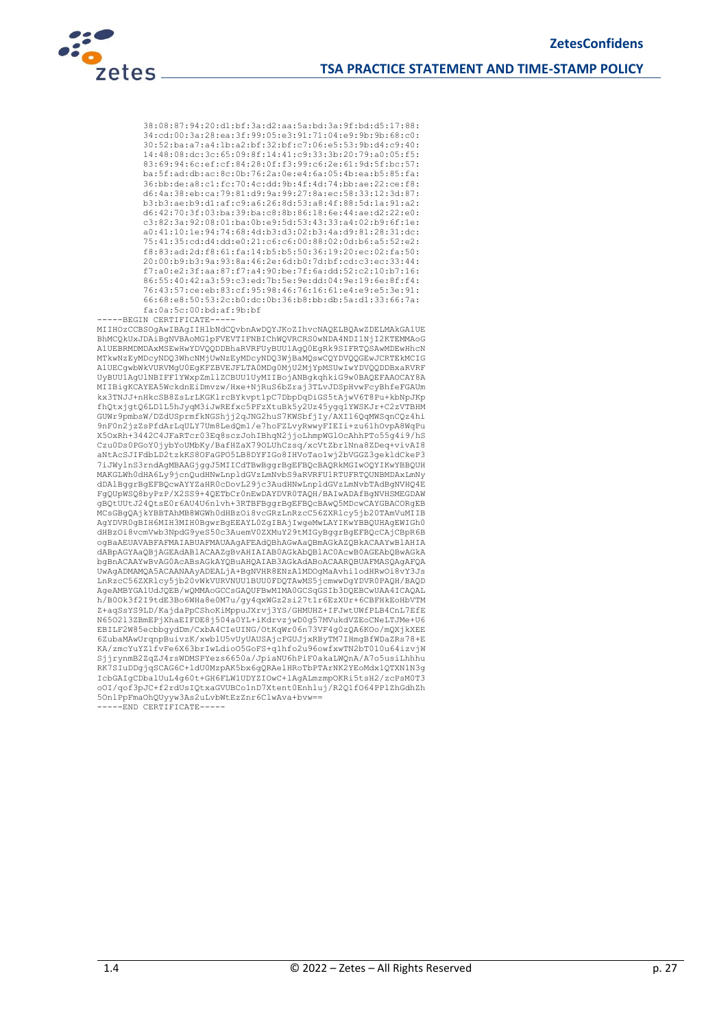



| 34:cd:00:3a:28:ea:3f:99:05:e3:91:71:04:e9:9b:9b:68:c0:           |
|------------------------------------------------------------------|
| 30:52:ba:a7:a4:1b:a2:bf:32:bf:c7:06:e5:53:9b:d4:c9:40:           |
| 14:48:08:dc:3c:65:09:8f:14:41:c9:33:3b:20:79:a0:05:f5:           |
| 83:69:94:6c:ef:cf:84:28:0f:f3:99:c6:2e:61:9d:5f:bc:57:           |
| ba:5f:ad:db:ac:8c:0b:76:2a:0e:e4:6a:05:4b:ea:b5:85:fa:           |
| 36:bb:de:a8:cl:fc:70:4c:dd:9b:4f:4d:74:bb:ae:22:ce:f8:           |
| d6:4a:38:eb:ca:79:81:d9:9a:99:27:8a:ec:58:33:12:3d:87:           |
| b3:b3:ae:b9:d1:af:c9:a6:26:8d:53:a8:4f:88:5d:1a:91:a2:           |
| d6:42:70:3f:03:ba:39:ba:c8:8b:86:18:6e:44:ae:d2:22:e0:           |
| c3:82:3a:92:08:01:ba:0b:e9:5d:53:43:33:a4:02:b9:6f:1e:           |
| a0:41:10:1e:94:74:68:4d:b3:d3:02:b3:4a:d9:81:28:31:dc:           |
| 75:41:35:cd:d4:dd:e0:21:c6:c6:00:88:02:0d:b6:a5:52:e2:           |
| f8:83:ad:2d:f8:61:fa:14:b5:b5:50:36:19:20:ec:02:fa:50:           |
| 20:00:b9:b3:9a:93:8a:46:2e:6d:b0:7d:bf:cd:c3:ec:33:44:           |
| f7:a0:e2:3f:aa:87:f7:a4:90:be:7f:6a:dd:52:c2:10:b7:16:           |
| 86:55:40:42:a3:59:c3:ed:7b:5e:9e:dd:04:9e:19:6e:8f:f4:           |
| 76:43:57:ce:eb:83:cf:95:98:46:76:16:61:e4:e9:e5:3e:91:           |
| 66:68:e8:50:53:2c:b0:dc:0b:36:b8:bb:db:5a:d1:33:66:7a:           |
| fa:0a:5c:00:bd:af:9b:bf                                          |
| -----BEGIN CERTIFICATE-----                                      |
| MIIHOzCCBSOqAwIBAqIIHlbNdCQvbnAwDQYJKoZIhvcNAQELBQAwZDELMAkGA1UE |
| BhMCQkUxJDAiBgNVBAoMG1pFVEVTIFNBIChWQVRCRS0wNDA4NDI1NjI2KTEMMAoG |
| A1UEBRMDMDAxMSEwHwYDVQQDDBhaRVRFUyBUU1AgQ0EgRk9SIFRTQSAwMDEwHhcN |
| MTkwNzEyMDcyNDQ3WhcNMjUwNzEyMDcyNDQ3WjBaMQswCQYDVQQGEwJCRTEkMCIG |
| A1UECgwbWkVURVMgU0EgKFZBVEJFLTA0MDg0MjU2MjYpMSUwIwYDVQQDDBxaRVRF |
| UyBUU1AqU1NBIFF1YWxpZml1ZCBUU1UyMIIBojANBqkqhkiG9w0BAQEFAAOCAY8A |
| MIIBiqKCAYEA5WckdnEiDmvzw/Hxe+NjRuS6bZraj3TLvJDSpHvwFcyBhfeFGAUm |
| kx3TNJJ+nHkcSB8ZsLrLKGKlrcBYkvpt1pC7DbpDqDiGS5tAjwV6T8Pu+kbNpJKp |
| fhQtxjgtQ6LD1L5hJyqM3iJwREfxc5PFzXtuBk5y2Uz45ygq1YWSKJr+C2zVTBHM |
| GUWr9pmbsW/DZdUSprmfkNGShjj2qJNG2huS7KWSbfjIy/AXI16QqMWSqnCQz4hi |
| 9nF0n2jzZsPfdArLqULY7Um8LedQm1/e7hoFZLvyRwwyFIEIi+zu61hOvpA8WqPu |
| X50xRh+3442C4JFaRTcr03Eq8sczJohIBhqN2jjoLhmpWGlOcAhhPTo55g4i9/hS |
| Czu0Ds0PGoY0jybYoUMbKy/BafHZaX79OLUhCzsq/xcVtZbrlNna8ZDeq+vivAI8 |
| aNtAcSJIFdbLD2tzkKS8OFaGPO5LB8DYFIGo8IHVoTao1wj2bVGGZ3qekldCkeP3 |
| 7iJWylnS3rndAgMBAAGjggJ5MIICdTBwBggrBgEFBQcBAQRkMGIwOQYIKwYBBQUH |
| MAKGLWh0dHA6Ly9jcnQudHNwLnpldGVzLmNvbS9aRVRFU1RTUFRTQUNBMDAxLmNy |
| dDAlBqqrBqEFBQcwAYYZaHR0cDovL29jc3AudHNwLnpldGVzLmNvbTAdBqNVHQ4E |
| FqQUpWSQ8byPzP/X2SS9+4QETbCr0nEwDAYDVR0TAQH/BAIwADAfBqNVHSMEGDAW |
| gBQtUUtJ24QtsE0r6AU4U6nlvh+3RTBFBggrBgEFBQcBAwQ5MDcwCAYGBACORgEB |
| MCsGBqQAjkYBBTAhMB8WGWh0dHBzOi8vcGRzLnRzcC56ZXRlcy5jb20TAmVuMIIB |
| AqYDVR0qBIH6MIH3MIH0BqwrBqEEAYL0ZqIBAjIwqeMwLAYIKwYBBQUHAqEWIGh0 |
| dHBzOi8vcmVwb3NpdG9yeS50c3AuemV0ZXMuY29tMIGyBggrBgEFBQcCAjCBpR6B |
| ogBaAEUAVABFAFMAIABUAFMAUAAgAFEAdQBhAGwAaQBmAGkAZQBkACAAYwBlAHIA |
| dABpAGYAaQBjAGEAdABlACAAZgBvAHIAIAB0AGkAbQBlAC0AcwB0AGEAbQBwAGkA |
| bgBnACAAYwBvAG0AcABsAGkAYQBuAHQAIAB3AGkAdABoACAARQBUAFMASQAgAFQA |
| UwAgADMAMQA5ACAANAAyADEALjA+BgNVHR8ENzA1MDOgMaAvhilodHRwOi8vY3Js |
| LnRzcC56ZXRlcy5jb20vWkVURVNUU1BUU0FDQTAwMS5jcmwwDqYDVR0PAQH/BAQD |
| AgeAMBYGA1UdJQEB/wQMMAoGCCsGAQUFBwMIMA0GCSqGSIb3DQEBCwUAA4ICAQAL |
| h/B0Ok3f2I9tdE3Bo6WHa8e0M7u/gy4qxWGz2si27t1r6EzXUr+6CBFHkEoHbVTM |
| Z+aqSsYS9LD/KajdaPpCShoKiMppuJXrvj3YS/GHMUHZ+IFJwtUWfPLB4CnL7EfE |
| N650213ZBmEPjXhaEIFDE8j504a0YL+iKdrvzjwD0g57MVukdVZEoCNeLTJMe+U6 |
| EBILF2W85ecbbqydDm/CxbA4CIeUING/OtKqWr06n73VF4q0zQA6KOo/mQXjkXEE |
| 6ZubaMAwUrqnpBuivzK/xwblU5vUyUAUSAjcPGUJjxRByTM7IHmgBfWDaZRs78+E |
| KA/zmcYuYZ1fvFe6X63brIwLdioO5GoFS+q1hfo2u96owfxwTN2bT010u64izvjW |
| SjjrynmB2ZqZJ4rsWDMSPYezs6650a/JpiaNU6hPiF0akaLWQnA/A7o5usiLhhhu |
|                                                                  |

RK7SIuDDgjqSCAG6C+1dU0MzpAK5bx6gQRAe1HRoTbPTArNK2YEoMdx1QTXN1N3g IcbGAIgCDbalUuL4g60t+GH6FLW1UDYZIOwC+lAgALmzmpOKRi5tsH2/zcPsM0T3 oOI/qof3pJC+f2rdUsIQtxaGVUBCo1nD7Xtent0Enhluj/R2Q1f064PPlZhGdhZh

5OnlPpFmaOhQUyyw3As2uLvbWtEzZnr6ClwAva+bvw=<br>-----END CERTIFICATE-----

38:08:87:94:20:dl:bf:3a:d2:aa:5a:bd:3a:9f:bd:d5:17:88:

© 2022 - Zetes - All Rights Reserved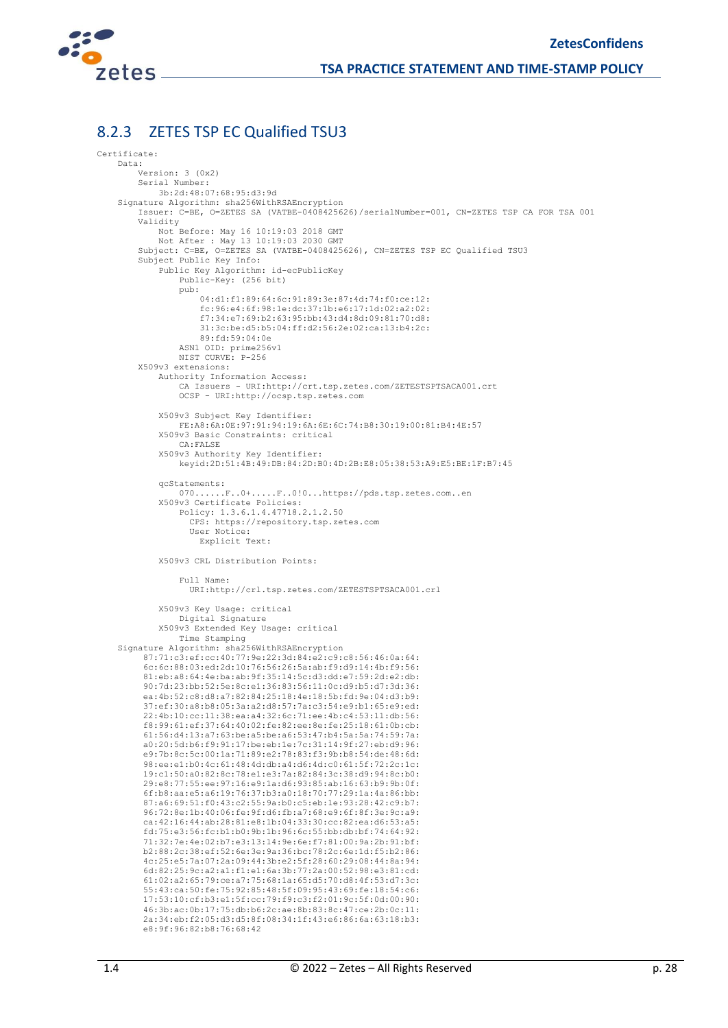

### <span id="page-27-0"></span>8.2.3 ZETES TSP EC Qualified TSU3

```
Certificate:
     Data:
         Version: 3 (0x2)
         Serial Number:
             3b:2d:48:07:68:95:d3:9d
     Signature Algorithm: sha256WithRSAEncryption
         Issuer: C=BE, O=ZETES SA (VATBE-0408425626)/serialNumber=001, CN=ZETES TSP CA FOR TSA 001
         Validity
 Not Before: May 16 10:19:03 2018 GMT
 Not After : May 13 10:19:03 2030 GMT
 Subject: C=BE, O=ZETES SA (VATBE-0408425626), CN=ZETES TSP EC Qualified TSU3
         Subject Public Key Info:
             Public Key Algorithm: id-ecPublicKey
                  Public-Key: (256 bit)
                  pub: 
                      04:d1:f1:89:64:6c:91:89:3e:87:4d:74:f0:ce:12:
                     fc:96:e4:6f:98:1e:dc:37:1b:e6:17:1d:02:a2:02:
                     f7:34:e7:69:b2:63:95:bb:43:d4:8d:09:81:70:d8:
                     31:3c:be:d5:b5:04:ff:d2:56:2e:02:ca:13:b4:2c:
                     89:fd:59:04:0e
                  ASN1 OID: prime256v1
                  NIST CURVE: P-256
         X509v3 extensions:
              Authority Information Access: 
                  CA Issuers - URI:http://crt.tsp.zetes.com/ZETESTSPTSACA001.crt
                  OCSP - URI:http://ocsp.tsp.zetes.com
 X509v3 Subject Key Identifier: 
 FE:A8:6A:0E:97:91:94:19:6A:6E:6C:74:B8:30:19:00:81:B4:4E:57
             X509v3 Basic Constraints: critical
                  CA:FALSE
             X509v3 Authority Key Identifier: 
                  keyid:2D:51:4B:49:DB:84:2D:B0:4D:2B:E8:05:38:53:A9:E5:BE:1F:B7:45
             qcStatements: 
                  070......F..0+.....F..0!0...https://pds.tsp.zetes.com..en
             X509v3 Certificate Policies: 
                  Policy: 1.3.6.1.4.47718.2.1.2.50
                    CPS: https://repository.tsp.zetes.com
                   User Notice:
                      Explicit Text: 
             X509v3 CRL Distribution Points: 
                  Full Name:
                    URI:http://crl.tsp.zetes.com/ZETESTSPTSACA001.crl
             X509v3 Key Usage: critical
                  Digital Signature
             X509v3 Extended Key Usage: critical
                  Time Stamping
     Signature Algorithm: sha256WithRSAEncryption
           87:71:c3:ef:cc:40:77:9e:22:3d:84:e2:c9:c8:56:46:0a:64:
          6c:6c:88:03:ed:2d:10:76:56:26:5a:ab:f9:d9:14:4b:f9:56:
          81:eb:a8:64:4e:ba:ab:9f:35:14:5c:d3:dd:e7:59:2d:e2:db:
          90:7d:23:bb:52:5e:8c:e1:36:83:56:11:0c:d9:b5:d7:3d:36:
          ea:4b:52:c8:d8:a7:82:84:25:18:4e:18:5b:fd:9e:04:d3:b9:
           37:ef:30:a8:b8:05:3a:a2:d8:57:7a:c3:54:e9:b1:65:e9:ed:
          22:4b:10:cc:11:38:ea:a4:32:6c:71:ee:4b:c4:53:11:db:56:
          f8:99:61:ef:37:64:40:02:fe:82:ee:8e:fe:25:18:61:0b:cb:
          61:56:d4:13:a7:63:be:a5:be:a6:53:47:b4:5a:5a:74:59:7a:
 a0:20:5d:b6:f9:91:17:be:eb:1e:7c:31:14:9f:27:eb:d9:96:
 e9:7b:8c:5c:00:1a:71:89:e2:78:83:f3:9b:b8:54:de:48:6d:
          98:ee:e1:b0:4c:61:48:4d:db:a4:d6:4d:c0:61:5f:72:2c:1c:
          19:c1:50:a0:82:8c:78:e1:e3:7a:82:84:3c:38:d9:94:8c:b0:
          29:e8:77:55:ee:97:16:e9:1a:d6:93:85:ab:16:63:b9:9b:0f:
          6f:b8:aa:e5:a6:19:76:37:b3:a0:18:70:77:29:1a:4a:86:bb:
          87:a6:69:51:f0:43:c2:55:9a:b0:c5:eb:1e:93:28:42:c9:b7:
          96:72:8e:1b:40:06:fe:9f:d6:fb:a7:68:e9:6f:8f:3e:9c:a9:
          ca:42:16:44:ab:28:81:e8:1b:04:33:30:cc:82:ea:d6:53:a5:
           fd:75:e3:56:fc:b1:b0:9b:1b:96:6c:55:bb:db:bf:74:64:92:
           71:32:7e:4e:02:b7:e3:13:14:9e:6e:f7:81:00:9a:2b:91:bf:
          b2:88:2c:38:ef:52:6e:3e:9a:36:bc:78:2c:6e:1d:f5:b2:86:
          4c:25:e5:7a:07:2a:09:44:3b:e2:5f:28:60:29:08:44:8a:94:
          6d:82:25:9c:a2:a1:f1:e1:6a:3b:77:2a:00:52:98:e3:81:cd:
           61:02:a2:65:79:ce:a7:75:68:1a:65:d5:70:d8:4f:53:d7:3c:
          55:43:ca:50:fe:75:92:85:48:5f:09:95:43:69:fe:18:54:c6:
          17:53:10:cf:b3:e1:5f:cc:79:f9:c3:f2:01:9c:5f:0d:00:90:
 46:3b:ac:0b:17:75:db:b6:2c:ae:8b:83:8c:47:ce:2b:0c:11:
 2a:34:eb:f2:05:d3:d5:8f:08:34:1f:43:e6:86:6a:63:18:b3:
          e8:9f:96:82:b8:76:68:42
```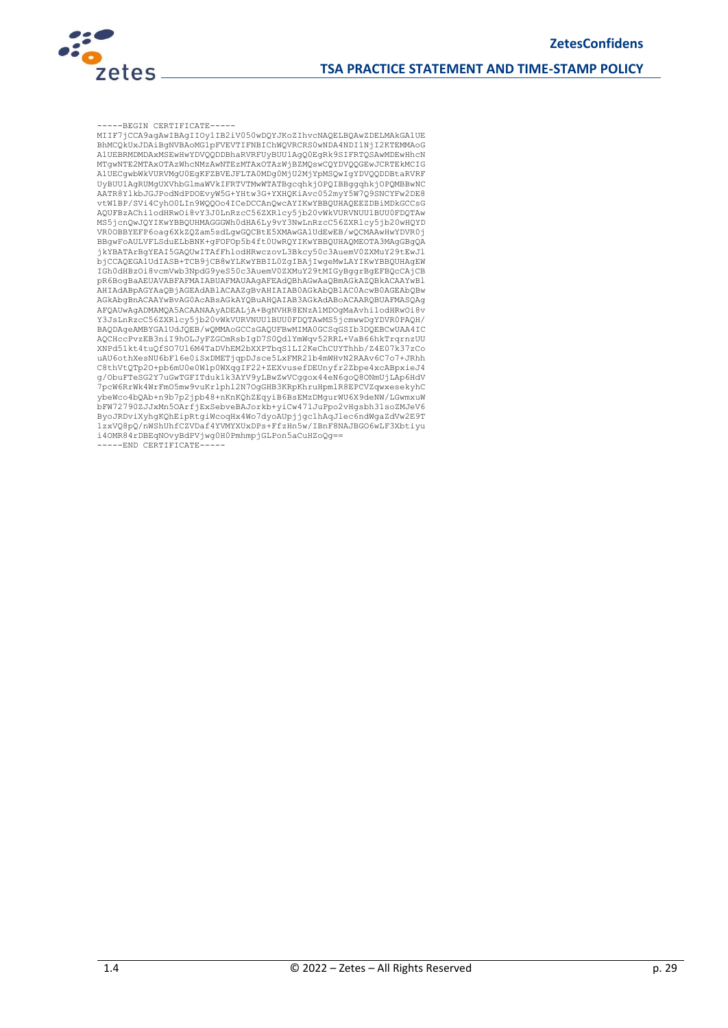$---RERTN CERTFTCAPE---$ 

MIIF7jCCA9agAwIBAgIIOy1IB2iV050wDQYJKoZIhvcNAQELBQAwZDELMAkGA1UE BhMCOkUxJDAiBqNVBAoMG1pFVEVTIFNBIChWOVRCRS0wNDA4NDI1NiI2KTEMMAoG A1UEBRMDMDAxMSEwHwYDVQQDDBhaRVRFUyBUU1AgQ0EgRk9SIFRTQSAwMDEwHhcN MTgwNTE2MTAxOTAzWhcNMzAwNTEzMTAxOTAzWjBZMQswCQYDVQQGEwJCRTEkMCIG A1UECgwbWkVURVMgU0EgKFZBVEJFLTA0MDg0MjU2MjYpMSQwIgYDVQQDDBtaRVRF UyBUU1AgRUMgUXVhbGlmaWVkIFRTVTMwWTATBgcqhkjOPQIBBggqhkjOPQMBBwNC AATR8Y1KbJGJPodNdPDOEvvW5G+YHtw3G+YXHOKiAvc052mvY5W7O9SNCYFw2DE8 vtW1BP/SVi4CyhOOLIn9WQQOo4ICeDCCAnQwcAYIKwYBBQUHAQEEZDBiMDkGCCsG AQUFBzAChilodHRwOi8vY3J0LnRzcC56ZXRlcy5jb20vWkVURVNUU1BUU0FDQTAw MS5jcnQwJQYIKwYBBQUHMAGGGWh0dHA6Ly9vY3NwLnRzcC56ZXRlcy5jb20wHQYD VROOBBYEFP6oag6XkZQZam5sdLgwGQCBtE5XMAwGA1UdEwEB/wQCMAAwHwYDVR0j BBgwFoAULVFLSduELbBNK+gFOFOp5b4ft0UwRQYIKwYBBQUHAQMEOTA3MAgGBgQA jkYBATArBgYEAI5GAQUwITAfFhlodHRwczovL3Bkcy50c3AuemV0ZXMuY29tEwJl .<br>bjCCAQEGA1UdIASB+TCB9jCB8wYLKwYBBIL0ZqIBAjIwqeMwLAYIKwYBBQUHAqEW IGh0dHBzOi8vcmVwb3NpdG9yeS50c3AuemV0ZXMuY29tMIGyBggrBgEFBQcCAjCB pR6BogBaAEUAVABFAFMAIABUAFMAUAAgAFEAdQBhAGwAaQBmAGKAZQBkACAAYwBl \_<br>AHIAdABpAGYAaQBjAGEAdABlACAAZgBvAHIAIAB0AGkAbQBlAC0AcwB0AGEAbQBw AGKAbgBnACAAYwBvAGOACABsAGkAYQBuAHQAIAB3AGkAdABoACAARQBUAFMASQAg<br>AGKAbgBnACAAYwBvAGOACABsAGkAYQBuAHQAIAB3AGkAdABoACAARQBUAFMASQAg<br>AFQAUwAgADMAMQA5ACAANAAyADEALjA+BgNVHR8ENzA1MDOgMaAvhilodHRw0i8v 11 ghomhaininghohohimmingheshisyin santhonominin bahan ni rodin worot.<br>Y3JsLnRzcC56ZXRlcv5jb20vWkVURVNUU1BUU0FDOTAwMS5jcmwwDqYDVR0PAQH/ BAQDAqeAMBYGA1UdJQEB/wQMMAoGCCsGAQUFBwMIMA0GCSqGSIb3DQEBCwUAA4IC AQCHccPvzEB3niI9hOLJyFZGCmRsbIgD7S0QdlYmWqv52RRL+VaB66hkTrqrnzUU XNPd51kt4tuQfSO7U16M4TaDVhEM2bXXPTbqS1LI2KeChCUYThhb/Z4E07k37zCo uAU6othXesNU6bF16e0iSxDMETjqpDJsce5LxFMR21b4mWHvN2RAAv6C7o7+JRhh C8thVtQTp2O+pb6mU0e0Wlp0WXqgIF22+ZEXvusefDEUnyfr2Zbpe4xcABpxieJ4 g/ObuFTeSG2Y7uGwTGFITduk1k3AYV9yLBwZwVCggox44eN6goQ8ONmUjLAp6HdV 7pcW6RrWk4WrFmO5mw9vuKr1ph12N7OgGHB3KRpKhruHpm1R8EPCVZqwxesekyhC ybeWco4bQAb+n9b7p2jpb48+nKnKQhZEqyiB6BsEMzDMgurWU6X9deNW/LGwmxuW bFW72790ZJJxMn5OArfjExSebveBAJorkb+yiCw471JuPpo2vHgsbh31soZMJeV6 ByoJRDviXyhgKQhEipRtgiWcoqHx4Wo7dyoAUpjjgc1hAqJlec6ndWgaZdVw2E9T<br>1zxV08p0/nWShUhfCZVDaf4YVMYXUxDPs+FfzHn5w/IBnF8NAJBG06wLF3Xbtivu i40MR84rDBEqNOvyBdPVjwg0H0PmhmpjGLPon5aCuHZoQg== -END CERTIFICATE-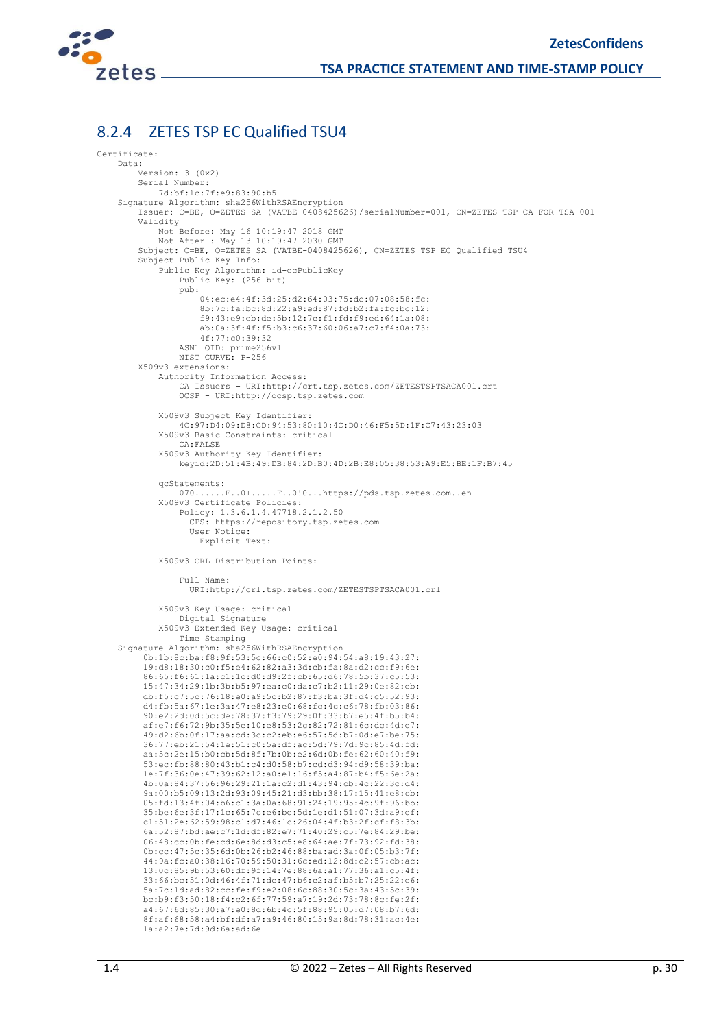

### <span id="page-29-0"></span>8.2.4 ZETES TSP EC Qualified TSU4

```
Certificate:
     Data:
         Version: 3 (0x2)
         Serial Number:
             7d:bf:1c:7f:e9:83:90:b5
     Signature Algorithm: sha256WithRSAEncryption
         Issuer: C=BE, O=ZETES SA (VATBE-0408425626)/serialNumber=001, CN=ZETES TSP CA FOR TSA 001
         Validity
 Not Before: May 16 10:19:47 2018 GMT
 Not After : May 13 10:19:47 2030 GMT
 Subject: C=BE, O=ZETES SA (VATBE-0408425626), CN=ZETES TSP EC Qualified TSU4
         Subject Public Key Info:
             Public Key Algorithm: id-ecPublicKey
                 Public-Key: (256 bit)
                 pub: 
                      04:ec:e4:4f:3d:25:d2:64:03:75:dc:07:08:58:fc:
                     8b:7c:fa:bc:8d:22:a9:ed:87:fd:b2:fa:fc:bc:12:
                     f9:43:e9:eb:de:5b:12:7c:f1:fd:f9:ed:64:1a:08:
                     ab:0a:3f:4f:f5:b3:c6:37:60:06:a7:c7:f4:0a:73:
                     4f:77:c0:39:32
                  ASN1 OID: prime256v1
                 NIST CURVE: P-256
         X509v3 extensions:
             Authority Information Access: 
                 CA Issuers - URI:http://crt.tsp.zetes.com/ZETESTSPTSACA001.crt
                 OCSP - URI:http://ocsp.tsp.zetes.com
             X509v3 Subject Key Identifier: 
                  4C:97:D4:09:D8:CD:94:53:80:10:4C:D0:46:F5:5D:1F:C7:43:23:03
             X509v3 Basic Constraints: critical
                  CA:FALSE
             X509v3 Authority Key Identifier: 
                 keyid:2D:51:4B:49:DB:84:2D:B0:4D:2B:E8:05:38:53:A9:E5:BE:1F:B7:45
             qcStatements: 
                 070......F..0+.....F..0!0...https://pds.tsp.zetes.com..en
             X509v3 Certificate Policies: 
                  Policy: 1.3.6.1.4.47718.2.1.2.50
                    CPS: https://repository.tsp.zetes.com
                   User Notice:
                      Explicit Text: 
             X509v3 CRL Distribution Points: 
                 Full Name:
                    URI:http://crl.tsp.zetes.com/ZETESTSPTSACA001.crl
             X509v3 Key Usage: critical
                 Digital Signature
             X509v3 Extended Key Usage: critical
                  Time Stamping
     Signature Algorithm: sha256WithRSAEncryption
          0b:1b:8c:ba:f8:9f:53:5c:66:c0:52:e0:94:54:a8:19:43:27:
          19:d8:18:30:c0:f5:e4:62:82:a3:3d:cb:fa:8a:d2:cc:f9:6e:
          86:65:f6:61:1a:c1:1c:d0:d9:2f:cb:65:d6:78:5b:37:c5:53:
          15:47:34:29:1b:3b:b5:97:ea:c0:da:c7:b2:11:29:0e:82:eb:
          db:f5:c7:5c:76:18:e0:a9:5c:b2:87:f3:ba:3f:d4:c5:52:93:
          d4:fb:5a:67:1e:3a:47:e8:23:e0:68:fc:4c:c6:78:fb:03:86:
          90:e2:2d:0d:5c:de:78:37:f3:79:29:0f:33:b7:e5:4f:b5:b4:
          af:e7:f6:72:9b:35:5e:10:e8:53:2c:82:72:81:6c:dc:4d:e7:
          49:d2:6b:0f:17:aa:cd:3c:c2:eb:e6:57:5d:b7:0d:e7:be:75:
          36:77:eb:21:54:1e:51:c0:5a:df:ac:5d:79:7d:9c:85:4d:fd:
          aa:5c:2e:15:b0:cb:5d:8f:7b:0b:e2:6d:0b:fe:62:60:40:f9:
          53:ec:fb:88:80:43:b1:c4:d0:58:b7:cd:d3:94:d9:58:39:ba:
          1e:7f:36:0e:47:39:62:12:a0:e1:16:f5:a4:87:b4:f5:6e:2a:
          4b:0a:84:37:56:96:29:21:1a:c2:d1:43:94:cb:4c:22:3c:d4:
          9a:00:b5:09:13:2d:93:09:45:21:d3:bb:38:17:15:41:e8:cb:
          05:fd:13:4f:04:b6:c1:3a:0a:68:91:24:19:95:4c:9f:96:bb:
          35:be:6e:3f:17:1c:65:7c:e6:be:5d:1e:d1:51:07:3d:a9:ef:
          c1:51:2e:62:59:98:c1:d7:46:1c:26:04:4f:b3:2f:cf:f8:3b:
          6a:52:87:bd:ae:c7:1d:df:82:e7:71:40:29:c5:7e:84:29:be:
          06:48:cc:0b:fe:cd:6e:8d:d3:c5:e8:64:ae:7f:73:92:fd:38:
          0b:cc:47:5c:35:6d:0b:26:b2:46:88:ba:ad:3a:0f:05:b3:7f:
          44:9a:fc:a0:38:16:70:59:50:31:6c:ed:12:8d:c2:57:cb:ac:
          13:0c:85:9b:53:60:df:9f:14:7e:88:6a:a1:77:36:a1:c5:4f:
          33:66:bc:51:0d:46:4f:71:dc:47:b6:c2:af:b5:b7:25:22:e6:
          5a:7c:1d:ad:82:cc:fe:f9:e2:08:6c:88:30:5c:3a:43:5c:39:
          bc:b9:f3:50:18:f4:c2:6f:77:59:a7:19:2d:73:78:8c:fe:2f:
          a4:67:6d:85:30:a7:e0:8d:6b:4c:5f:88:95:05:d7:08:b7:6d:
          8f:af:68:58:a4:bf:df:a7:a9:46:80:15:9a:8d:78:31:ac:4e:
          1a:a2:7e:7d:9d:6a:ad:6e
```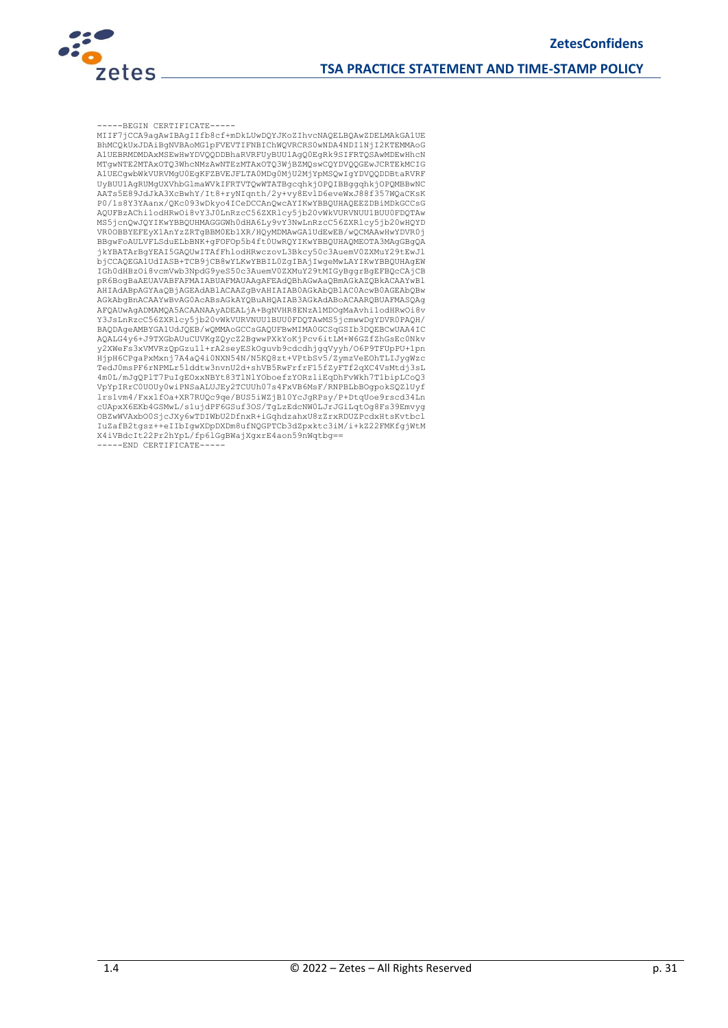$---RECTN CERTTETCAPE---$ 

MIIF7jCCA9agAwIBAgIIfb8cf+mDkLUwDQYJKoZIhvcNAQELBQAwZDELMAkGA1UE BhMCOkUxJDAiBqNVBAoMG1pFVEVTIFNBIChWOVRCRS0wNDA4NDI1NiI2KTEMMAoG A1UEBRMDMDAxMSEwHwYDVQQDDBhaRVRFUyBUU1AgQ0EgRk9SIFRTQSAwMDEwHhcN MTgwNTE2MTAxOTQ3WhcNMzAwNTEzMTAxOTQ3WjBZMQswCQYDVQQGEwJCRTEkMCIG A1UECgwbWkVURVMgU0EgKFZBVEJFLTA0MDg0MjU2MjYpMSQwIgYDVQQDDBtaRVRF UyBUU1AgRUMgUXVhbGlmaWVkIFRTVTQwWTATBgcqhkjOPQIBBggqhkjOPQMBBwNC AATs5E89JdJkA3XcBwhY/It8+ryNIqnth/2y+vy8EvlD6eveWxJ88f357WQaCKsK P0/1s8Y3YAanx/OKc093wDkyo4ICeDCCAnOwcAYIKwYBBOUHAOEEZDBiMDkGCCsG AQUFBzAChilodHRwOi8vY3J0LnRzcC56ZXRlcy5jb20vWkVURVNUU1BUU0FDQTAw MS5jcnQwJQYIKwYBBQUHMAGGGWh0dHA6Ly9vY3NwLnRzcC56ZXRlcy5jb20wHQYD VROOBBYEFEyX1AnYzZRTgBBM0Eb1XR/HQyMDMAwGA1UdEwEB/wQCMAAwHwYDVR0j BBgwFoAULVFLSduELbBNK+gFOFOp5b4ft0UwRQYIKwYBBQUHAQMEOTA3MAgGBgQA jkYBATArBgYEAI5GAQUwITAfFhlodHRwczovL3Bkcy50c3AuemV0ZXMuY29tEwJl .<br>bjCCAQEGA1UdIASB+TCB9jCB8wYLKwYBBIL0ZqIBAjIwqeMwLAYIKwYBBQUHAqEW IGh0dHBzOi8vcmVwb3NpdG9yeS50c3AuemV0ZXMuY29tMIGyBggrBgEFBQcCAjCB pR6BogBaAEUAVABFAFMAIABUAFMAUAAgAFEAdQBhAGwAaQBmAGKAZQBkACAAYwBl \_<br>AHIAdABpAGYAaQBjAGEAdABlACAAZgBvAHIAIAB0AGkAbQBlAC0AcwB0AGEAbQBw AGKAbgBnACAAYwBvAGOACABsAGkAYQBuAHQAIAB3AGkAdABoACAARQBUAFMASQAg<br>AGKAbgBnACAAYwBvAGOACABsAGkAYQBuAHQAIAB3AGkAdABoACAARQBUAFMASQAg<br>AFQAUwAgADMAMQA5ACAANAAyADEALjA+BgNVHR8ENzA1MDOgMaAvhilodHRw0i8v Y3JsLnRzcC56ZXRlcy5jb20vWkVURVNUU1BUU0FDQTAwMS5jcmwwDqYDVR0PAQH/ BAQDAqeAMBYGA1UdJQEB/wQMMAoGCCsGAQUFBwMIMA0GCSqGSIb3DQEBCwUAA4IC AQALG4y6+J9TXGbAUuCUVKgZQycZ2BgwwPXkYoKjPcv6itLM+W6GZfZhGsEc0Nkv TedJ0msPF6rNPMLr51ddtw3nvnU2d+shVB5RwFrfrF15fZyFTf2qXC4VsMtdj3sL 4m0L/mJgQP1T7PuIgEOxxNBYt83T1N1YOboefzYORzliEqDhFvWkh7T1bipLCoQ3 VpYpIRrC0UOUy0wiPNSaALUJEy2TCUUh07s4FxVB6MsF/RNPBLbBOgpokSQZ1Uyf lrs1vm4/Fxx1fOa+XR7RUQc9qe/BUS5iWZjB10YcJgRPsy/P+DtqUoe9rscd34Ln cUApxX6EKb4GSMwL/s1ujdPF6GSuf3OS/TgLzEdcNW0LJrJGiLqtOg8Fs39Emvyg OBZwWVAxbO0SjcJXy6wTDIWbU2DfnxR+iGqhdzahxU8zZrxRDUZPcdxHtsKvtbcl<br>IuZafB2tqsz++eIIbIqwXDpDXDm8ufNOGPTCb3dZpxktc3iM/i+kZ22FMKfqjWtM X4iVBdcIt22Pr2hYpL/fp6lGgBWajXgxrE4aon59nWqtbg== -END CERTIFICATE-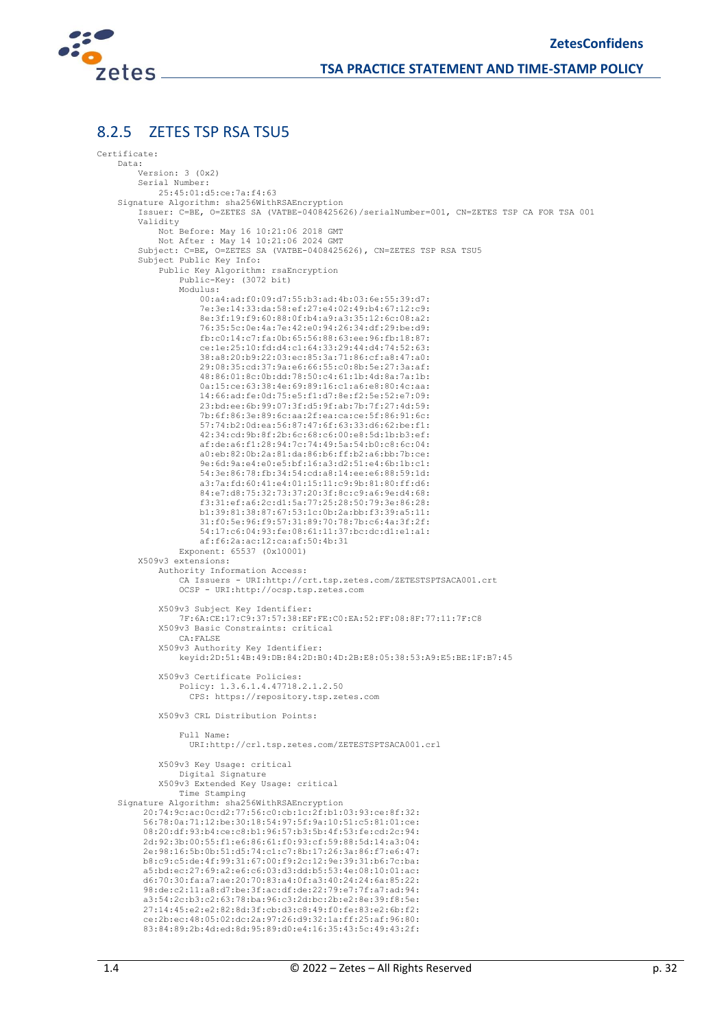



### <span id="page-31-0"></span>8.2.5 ZETES TSP RSA TSU5

```
Certificate:
     Data:
         Version: 3 (0x2)
         Serial Number:
             25:45:01:d5:ce:7a:f4:63
     Signature Algorithm: sha256WithRSAEncryption
         Issuer: C=BE, O=ZETES SA (VATBE-0408425626)/serialNumber=001, CN=ZETES TSP CA FOR TSA 001
         Validity
Not Before: May 16 10:21:06 2018 GMT<br>Not After : May 14 10:21:06 2024 GMT<br>Subject: C=BE, O=ZETES SA (VATBE-0408425626), CN=ZETES TSP RSA TSU5
         Subject Public Key Info:
             Public Key Algorithm: rsaEncryption
                  Public-Key: (3072 bit)
                  Modulus:
                      00:a4:ad:f0:09:d7:55:b3:ad:4b:03:6e:55:39:d7:
                      7e:3e:14:33:da:58:ef:27:e4:02:49:b4:67:12:c9:
                     8e:3f:19:f9:60:88:0f:b4:a9:a3:35:12:6c:08:a2:
                     76:35:5c:0e:4a:7e:42:e0:94:26:34:df:29:be:d9:
                     fb:c0:14:c7:fa:0b:65:56:88:63:ee:96:fb:18:87:
                     ce:1e:25:10:fd:d4:c1:64:33:29:44:d4:74:52:63:
                     38:a8:20:b9:22:03:ec:85:3a:71:86:cf:a8:47:a0:
                     29:08:35:cd:37:9a:e6:66:55:c0:8b:5e:27:3a:af:
                     48:86:01:8c:0b:dd:78:50:c4:61:1b:4d:8a:7a:1b:
                     0a:15:ce:63:38:4e:69:89:16:c1:a6:e8:80:4c:aa:
                     14:66:ad:fe:0d:75:e5:f1:d7:8e:f2:5e:52:e7:09:
                     23:bd:ee:6b:99:07:3f:d5:9f:ab:7b:7f:27:4d:59:
                     7b:6f:86:3e:89:6c:aa:2f:ea:ca:ce:5f:86:91:6c:
                     57:74:b2:0d:ea:56:87:47:6f:63:33:d6:62:be:f1:
                     42:34:cd:9b:8f:2b:6c:68:c6:00:e8:5d:1b:b3:ef:
                     af:de:a6:f1:28:94:7c:74:49:5a:54:b0:c8:6c:04:
                     a0:eb:82:0b:2a:81:da:86:b6:ff:b2:a6:bb:7b:ce:
                     9e:6d:9a:e4:e0:e5:bf:16:a3:d2:51:e4:6b:1b:c1:
                     54:3e:86:78:fb:34:54:cd:a8:14:ee:e6:88:59:1d:
                     a3:7a:fd:60:41:e4:01:15:11:c9:9b:81:80:ff:d6:
                     84:e7:d8:75:32:73:37:20:3f:8c:c9:a6:9e:d4:68:
                     f3:31:ef:a6:2c:d1:5a:77:25:28:50:79:3e:86:28:
                     b1:39:81:38:87:67:53:1c:0b:2a:bb:f3:39:a5:11:
                     31:f0:5e:96:f9:57:31:89:70:78:7b:c6:4a:3f:2f:
                     54:17:c6:04:93:fe:08:61:11:37:bc:dc:d1:e1:a1:
                     af:f6:2a:ac:12:ca:af:50:4b:31
                  Exponent: 65537 (0x10001)
         X509v3 extensions:
             Authority Information Access: 
                  CA Issuers - URI:http://crt.tsp.zetes.com/ZETESTSPTSACA001.crt
                  OCSP - URI:http://ocsp.tsp.zetes.com
             X509v3 Subject Key Identifier: 
                  7F:6A:CE:17:C9:37:57:38:EF:FE:C0:EA:52:FF:08:8F:77:11:7F:C8
             X509v3 Basic Constraints: critical
                  CA:FALSE
             X509v3 Authority Key Identifier: 
                  keyid:2D:51:4B:49:DB:84:2D:B0:4D:2B:E8:05:38:53:A9:E5:BE:1F:B7:45
 X509v3 Certificate Policies: 
 Policy: 1.3.6.1.4.47718.2.1.2.50
                    CPS: https://repository.tsp.zetes.com
             X509v3 CRL Distribution Points: 
                  Full Name:
                    URI:http://crl.tsp.zetes.com/ZETESTSPTSACA001.crl
              X509v3 Key Usage: critical
                  Digital Signature
             X509v3 Extended Key Usage: critical
                  Time Stamping
     Signature Algorithm: sha256WithRSAEncryption
          20:74:9c:ac:0c:d2:77:56:c0:cb:1c:2f:b1:03:93:ce:8f:32:
          56:78:0a:71:12:be:30:18:54:97:5f:9a:10:51:c5:81:01:ce:
          08:20:df:93:b4:ce:c8:b1:96:57:b3:5b:4f:53:fe:cd:2c:94:
          2d:92:3b:00:55:f1:e6:86:61:f0:93:cf:59:88:5d:14:a3:04:
          2e:98:16:5b:0b:51:d5:74:c1:c7:8b:17:26:3a:86:f7:e6:47:
          b8:c9:c5:de:4f:99:31:67:00:f9:2c:12:9e:39:31:b6:7c:ba:
          a5:bd:ec:27:69:a2:e6:c6:03:d3:dd:b5:53:4e:08:10:01:ac:
          d6:70:30:fa:a7:ae:20:70:83:a4:0f:a3:40:24:24:6a:85:22:
          98:de:c2:11:a8:d7:be:3f:ac:df:de:22:79:e7:7f:a7:ad:94:
          a3:54:2c:b3:c2:63:78:ba:96:c3:2d:bc:2b:e2:8e:39:f8:5e:
 27:14:45:e2:e2:82:8d:3f:cb:d3:c8:49:f0:fe:83:e2:6b:f2:
 ce:2b:ec:48:05:02:dc:2a:97:26:d9:32:1a:ff:25:af:96:80:
          83:84:89:2b:4d:ed:8d:95:89:d0:e4:16:35:43:5c:49:43:2f:
```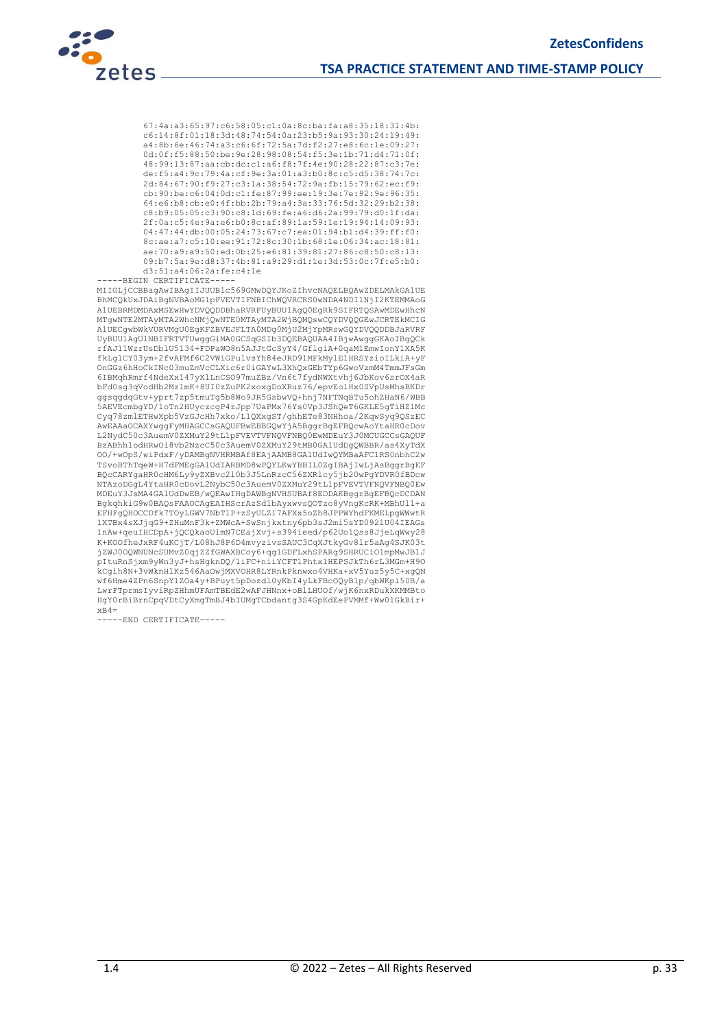

67:4a:a3:65:97:c6:58:05:c1:0a:8c:ba:fa:a8:35:18:31:4b: c6:14:8f:01:18:3d:48:74:54:0a:23:b5:9a:93:30:24:19:49:<br>a4:8b:6e:46:74:a3:c6:6f:72:5a:7d:f2:27:e8:6c:le:09:27: 0d:0f:f5:88:50:be:9e:28:98:08:54:f5:3e:1b:71:d4:71:0f: 48:99:13:87:aa:cb:dc:cl:a6:f8:7f:4e:90:28:22:87:c3:7e: de:f5:a4:9c:79:4a:cf:9e:3a:01:a3:b0:8c:c5:d5:38:74:7c: 2d:84:67:90:f9:27:c3:1a:38:54:72:9a:fb:15:79:62:ec:f9:  $ch.90 \cdot he.6 \cdot 04 \cdot 0d \cdot c1 \cdot fe.87 \cdot 99 \cdot ee.19 \cdot 3e.7e.92 \cdot 9e.96 \cdot 35 \cdot$ 64:e6:b8:cb:e0:4f:bb:2b:79:a4:3a:33:76:5d:32:29:b2:38: c8:b9:05:05:c3:90:c8:1d:69:fe:a6:d6:2a:99:79:d0:1f:da: 2f:0a:c5:4e:9a:e6:b0:8c:af:89:1a:59:1e:19:94:14:09:93: 04:47:44:db:00:05:24:73:67:c7:ea:01:94:bl:d4:39:ff:f0: 8c:ae:a7:c5:10:ee:91:72:8c:30:1b:68:1e:06:34:ac:18:81:  $a e^{-70}$ ;  $a 9.59$ ;  $a 9.50$ ;  $ed$ ;  $0 h$ ;  $25$ ;  $e 6.81$ ;  $39.81$ ;  $27.86$ ;  $c 8.50$ ;  $c 8.13$ ; 09:b7:5a:9e:d8:37:4b:81:a9:29:d1:1e:3d:53:0c:7f:e5:b0: d3:51:a4:06:2a:fe:c4:1e -BEGIN CERTIFICATE-

MIIGLjCCBBagAwIBAgIIJUUB1c569GMwDQYJKoZIhvcNAQELBQAwZDELMAkGA1UE ENMCQKUXJDAiBgNVBAoMGIpFVEVTIFNBIChWQVRCRS0wNDA4NDI1NjI2KTEMMAoG<br>A1UEBRMDMDAxMSEwHwYDVQQDDBhaRVRFUyBUU1AgQ0EgRk9SIFRTQSAwMDEwHhcN MTqwNTE2MTAvMTA2WhcNMjOwNTE0MTAvMTA2WjBOMOswCOYDVOOGEwJCRTEkMCIG A1UECqwbWkVURVMqU0EqKFZBVEJFLTA0MDq0MjU2MjYpMRswGQYDVQQDDBJaRVRF UyBUU1AgU1NBIFRTVTUwggGiMA0GCSqGSIb3DQEBAQUAA4IBjwAwggGKAoIBgQCk rfAJ11WzrUsDb1U5134+FDPaWO8n5AJJtGcSyY4/Gf1giA+0qaM1EmwIonY1XA5K fkLglCY03ym+2fyAFMf6C2VWiGPulysYh84eJRD91MFkMylE1HRSYzioILkiA+yF OnGGz6hHoCkINc03muZmVcCLXic6r0iGAYwL3XhQxGEbTYp6GwoVzmM4TmmJFsGm 6IBMqhRmrf4NdeXx147yXlLnCSO97muZBz/Vn6t7fydNWXtvhj6JbKov6srOX4aR bFd0sg3qVodHb2Mz1mK+8UI0zZuPK2xoxgDoXRuz76/epvEolHx0SVpUsMhsBKDr ggsqgdqGtv+yprt7zp5tmuTg5b8Wo9JR5GsbwVQ+hnj7NFTNqBTu5ohZHaN6/WBB 5AEVEcmbgYD/1oTn2HUyczcgP4zJpp7UaPMx76Ys0Vp3JShQeT6GKLE5gTiHZ1Mc  $\texttt{Cyq78zmlETHwXpb5VzGJcHh7xko/L1QXxgST/ghhETe83NHhoa/2KqwSyq9QSzEC}$ AwEAAaOCAXYwqqFyMHAGCCsGAOUFBwEBBGOwYjA5BqqrBqEFBOcwAoYtaHR0cDov L2NydC50c3AuemV0ZXMuY29tL1pFVEVTVFNQVFNBQ0EwMDEuY3J0MCUGCCsGAQUF BzABhhlodHRwOi8vb2NzcC50c3AuemV0ZXMuY29tMB0GA1UdDgQWBBR/as4XyTdX 00/+w0pS/wiPdxF/yDAMBgNVHRMBAf8EAjAAMB8GA1UdIwQYMBaAFC1RS0nbhC2w TSvoBThTqeW+H7dFMEgGA1UdIARBMD8wPQYLKwYBBIL0ZgIBAjIwLjAsBggrBgEF BQcCARYgaHR0cHM6Ly9yZXBvc210b3J5LnRzcC56ZXRlcy5jb20wPgYDVR0fBDcw NTAzoDGqL4YtaHR0cDovL2NybC50c3AuemV0ZXMuY29tL1pFVEVTVFNQVFNBQ0Ew MDEuY3JsMA4GA1UdDwEB/wQEAwIHgDAWBgNVHSUBAf8EDDAKBggrBgEFBQcDCDAN BgkqhkiG9w0BAQsFAAOCAgEAIHScrAzSdlbAyxwvsQOTzo8yVngKcRK+MBhUl1+a EFHFgQHOCCDfk7TOyLGWV7NbT1P+zSyULZI7AFXx5oZh8JPPWYndFKMELpgWWwtR 1XTBx4sXJjqG9+ZHuMnF3k+ZMWcA+SwSnjkxtny6pb3sJ2mi5sYD0921U04IEAGs 1nAw+qeuIHCDpA+jQCQkaoUimN7CEajXvj+s394ieed/p62Uo1Qss8JjeLqWwy28 K+KOOfheJxRF4uKCjT/L08hJ8P6D4mvyzivsSAUC3CqXJtkyGv8lr5aAg4SJK03t jZWJ0OQWNUNcSUMvZ0qjZZfGWAXBCoy6+qg1GDFLxhSPARg9SHRUCiO1mpMwJBlJ pItuRnSjxm9yWn3yJ+hsHgknDQ/1iFC+niiYCFT1Phtx1HEPSJkTh6rL3MGm+H9O kCgih8N+3vWknHlKz546AaOwjMXVOHR8LYRnkPknwxo4VHKa+xV5Yuz5y5C+xgQN wf6Hme4ZPn6SnpY1ZOa4y+BPuyt5pDozdl0yKbI4yLkFBcOQyB1p/qbWKp150B/a LwrFTprmsIyviRpZHhmUFAmTBEdE2wAFJHNnx+oB1LHUOf/wjK6nxRDukXKMMBto HqY0rBiBrnCpqVDtCvXmqTmBJ4bIUMqTCbdantq3S4GpKdEePVMMf+Ww01GkBir+  $x\bar{B}4=$ 

-----END CERTIFICATE-----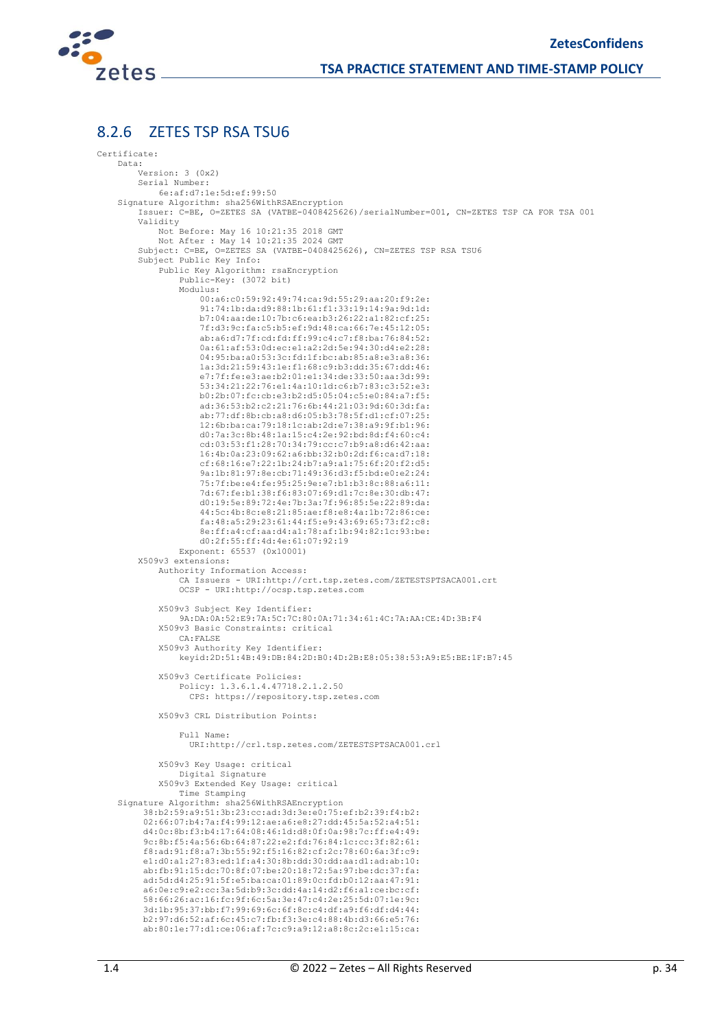



### <span id="page-33-0"></span>8.2.6 ZETES TSP RSA TSU6

```
Certificate:
     Data:
         Version: 3 (0x2)
         Serial Number:
              6e:af:d7:1e:5d:ef:99:50
     Signature Algorithm: sha256WithRSAEncryption
         Issuer: C=BE, O=ZETES SA (VATBE-0408425626)/serialNumber=001, CN=ZETES TSP CA FOR TSA 001
         Validity
Not Before: May 16 10:21:35 2018 GMT<br>Not After : May 14 10:21:35 2024 GMT<br>Subject: C=BE, O=ZETES SA (VATBE-0408425626), CN=ZETES TSP RSA TSU6
         Subject Public Key Info:
              Public Key Algorithm: rsaEncryption
                  Public-Key: (3072 bit)
                  Modulus:
                      00:a6:c0:59:92:49:74:ca:9d:55:29:aa:20:f9:2e:
                      91:74:1b:da:d9:88:1b:61:f1:33:19:14:9a:9d:1d:
                      b7:04:aa:de:10:7b:c6:ea:b3:26:22:a1:82:cf:25:
                      7f:d3:9c:fa:c5:b5:ef:9d:48:ca:66:7e:45:12:05:
                     ab:a6:d7:7f:cd:fd:ff:99:c4:c7:f8:ba:76:84:52:
0a:61:af:53:0d:ec:e1:a2:2d:5e:94:30:d4:e2:28:
 04:95:ba:a0:53:3c:fd:1f:bc:ab:85:a8:e3:a8:36:
                      1a:3d:21:59:43:1e:f1:68:c9:b3:dd:35:67:dd:46:
                      e7:7f:fe:e3:ae:b2:01:e1:34:de:33:50:aa:3d:99:
                     53:34:21:22:76:e1:4a:10:1d:c6:b7:83:c3:52:e3:
                     b0:2b:07:fc:cb:e3:b2:d5:05:04:c5:e0:84:a7:f5:
                     ad:36:53:b2:c2:21:76:6b:44:21:03:9d:60:3d:fa:
                     ab:77:df:8b:cb:a8:d6:05:b3:78:5f:d1:cf:07:25:
                      12:6b:ba:ca:79:18:1c:ab:2d:e7:38:a9:9f:b1:96:
                     d0:7a:3c:8b:48:1a:15:c4:2e:92:bd:8d:f4:60:c4:
                     cd:03:53:f1:28:70:34:79:cc:c7:b9:a8:d6:42:aa:
                     16:4b:0a:23:09:62:a6:bb:32:b0:2d:f6:ca:d7:18:
                     cf:68:16:e7:22:1b:24:b7:a9:a1:75:6f:20:f2:d5:
                      9a:1b:81:97:8e:cb:71:49:36:d3:f5:bd:e0:e2:24:
                      75:7f:be:e4:fe:95:25:9e:e7:b1:b3:8c:88:a6:11:
                      7d:67:fe:b1:38:f6:83:07:69:d1:7c:8e:30:db:47:
                     d0:19:5e:89:72:4e:7b:3a:7f:96:85:5e:22:89:da:
                     44:5c:4b:8c:e8:21:85:ae:f8:e8:4a:1b:72:86:ce:
                     fa:48:a5:29:23:61:44:f5:e9:43:69:65:73:f2:c8:
                     8e:ff:a4:cf:aa:d4:a1:78:af:1b:94:82:1c:93:be:
                     d0:2f:55:ff:4d:4e:61:07:92:19
                  Exponent: 65537 (0x10001)
         X509v3 extensions:
              Authority Information Access: 
                  CA Issuers - URI:http://crt.tsp.zetes.com/ZETESTSPTSACA001.crt
                  OCSP - URI:http://ocsp.tsp.zetes.com
              X509v3 Subject Key Identifier: 
                  9A:DA:0A:52:E9:7A:5C:7C:80:0A:71:34:61:4C:7A:AA:CE:4D:3B:F4
              X509v3 Basic Constraints: critical
                  CA:FALSE
              X509v3 Authority Key Identifier: 
                  keyid:2D:51:4B:49:DB:84:2D:B0:4D:2B:E8:05:38:53:A9:E5:BE:1F:B7:45
 X509v3 Certificate Policies: 
 Policy: 1.3.6.1.4.47718.2.1.2.50
                    CPS: https://repository.tsp.zetes.com
              X509v3 CRL Distribution Points: 
                  Full Name:
                    URI:http://crl.tsp.zetes.com/ZETESTSPTSACA001.crl
              X509v3 Key Usage: critical
                  Digital Signature
              X509v3 Extended Key Usage: critical
                  Time Stamping
     Signature Algorithm: sha256WithRSAEncryption
          38:b2:59:a9:51:3b:23:cc:ad:3d:3e:e0:75:ef:b2:39:f4:b2:
          02:66:07:b4:7a:f4:99:12:ae:a6:e8:27:dd:45:5a:52:a4:51:
          d4:0c:8b:f3:b4:17:64:08:46:1d:d8:0f:0a:98:7c:ff:e4:49:
          9c:8b:f5:4a:56:6b:64:87:22:e2:fd:76:84:1c:cc:3f:82:61:
 f8:ad:91:f8:a7:3b:55:92:f5:16:82:cf:2c:78:60:6a:3f:c9:
 e1:d0:a1:27:83:ed:1f:a4:30:8b:dd:30:dd:aa:d1:ad:ab:10:
          ab:fb:91:15:dc:70:8f:07:be:20:18:72:5a:97:be:dc:37:fa:
          ad:5d:d4:25:91:5f:e5:ba:ca:01:89:0c:fd:b0:12:aa:47:91:
          a6:0e:c9:e2:cc:3a:5d:b9:3c:dd:4a:14:d2:f6:a1:ce:bc:cf:
          58:66:26:ac:16:fc:9f:6c:5a:3e:47:c4:2e:25:5d:07:1e:9c:
          3d:1b:95:37:bb:f7:99:69:6c:6f:8c:c4:df:a9:f6:df:d4:44:
          b2:97:d6:52:af:6c:45:c7:fb:f3:3e:c4:88:4b:d3:66:e5:76:
          ab:80:1e:77:d1:ce:06:af:7c:c9:a9:12:a8:8c:2c:e1:15:ca:
```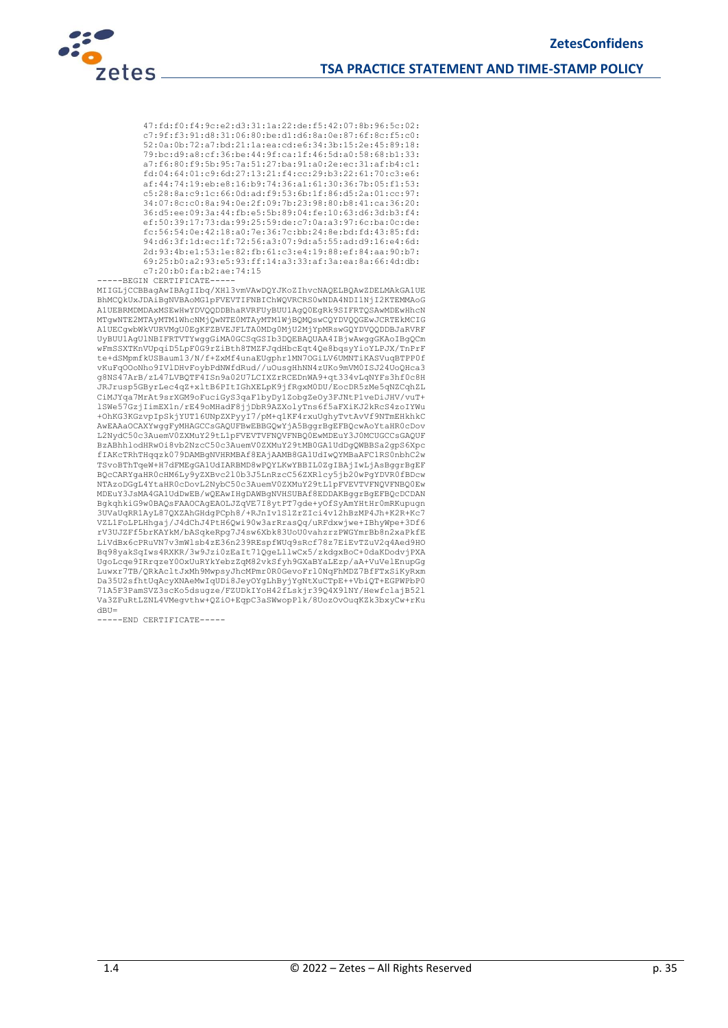

47:fd:f0:f4:9c:e2:d3:31:1a:22:de:f5:42:07:8b:96:5c:02: c7:9f:f3:91:d8:31:06:80:be:d1:d6:8a:0e:87:6f:8c:f5:c0: 52:0a:0b:72:a7:bd:21:1a:ea:cd:e6:34:3b:15:2e:45:89:18: 79:bc:d9:a8:cf:36:be:44:9f:ca:1f:46:5d:a0:58:68:b1:33: a7:f6:80:f9:5b:95:7a:51:27:ba:91:a0:2e:ec:31:af:b4:c1: fd:04:64:01:c9:6d:27:13:21:f4:cc:29:b3:22:61:70:c3:e6: af: 44: 74: 19: eb: e8: 16: b9: 74: 36: a1: 61: 30: 36: 7b: 05: f1: 53: 05:28:8a:c9:1c:66:0d:ad:f9:53:6b:1f:86:d5:2a:01:cc:97; 34:07:8c:c0:8a:94:0e:2f:09:7b:23:98:80:b8:41:ca:36:20: 36:d5:ee:09:3a:44:fb:e5:5b:89:04:fe:10:63:d6:3d:b3:f4: ef:50:39:17:73:da:99:25:59:de:c7:0a:a3:97:6c:ba:0c:de:  $fc:56:54:0e:42:18:a0:7e:36:7c:bb:24:8e:bd:fd:43:85:fd:$ 94:d6:3f:1d:ec:1f:72:56:a3:07:9d:a5:55:ad:d9:16:e4:6d:  $2d+93+4b+1+53+16+82+f b+61+63+64+19+88+6f+84+a^2+90+b7$ 69:25:b0:a2:93:e5:93:ff:14:a3:33:af:3a:ea:8a:66:4d:db: c7:20:b0:fa:b2:ae:74:15 -BEGIN CERTIFICATE-

MIIGLjCCBBagAwIBAgIIbq/XHl3vmVAwDQYJKoZIhvcNAQELBQAwZDELMAkGA1UE BhMCQkUxJDAiBgNVBAoMG1pFVEVTIFNBIChWQVRCRS0wNDA4NDI1NjI2KTEMMAoG A1UEBRMDMDAxMSEwHwYDVQQDDBhaRVRFUyBUU1AgQ0EqRk9SIFRTQSAwMDEwHhcN MTqwNTE2MTAvMTM1WhcNMjOwNTE0MTAvMTM1WjBOMOswCOYDVOOGEwJCRTEkMCIG A1UECqwbWkVURVMqU0EqKFZBVEJFLTA0MDq0MjU2MjYpMRswGQYDVQQDDBJaRVRF UyBUU1AgU1NBIFRTVTYwggGiMA0GCSqGSIb3DQEBAQUAA4IBjwAwggGKAoIBgQCm wFmSSXTKnVUpqiD5LpF0G9rZiBth8TMZFJqdHbcEqt4Qe8bqsyYioYLPJX/TnPrF te+dSMpmfkUSBaum13/N/f+ZxMf4unaEUgphr1MN7OGiLV6UMNTiKASVuqBTPP0f vKuFqOOoNho9IVlDHvFoybPdNWfdRud//uOusgHhNN4zUKo9mVM0ISJ24UoQHca3 g8NS47ArB/zL47LVBQTF4ISn9a02U7LCIXZrRCEDnWA9+qt334vLqNYFs3hf0c8H J<br>RJrusp5GByrLec4qZ+xltB6PItIGhXELpK9jfRgxM0DU/EocDR5zMe5qNZCqhZL CiMJYqa7MrAt9srXGM9oFuciGyS3qaF1byDy1ZobgZeOy3FJNtP1veDiJHV/vuT+ lSWe57GzjIimEX1n/rE49oMHadF8jjDbR9AZXolyTns6f5aFXiKJ2kRcS4zoIYWu +OhKG3KGzvpIpSkjYUT16UNpZXPyyI7/pM+q1KF4rxuUghyTvtAvVf9NTmEHkhkC AwEAAaOCAXYwggFyMHAGCCsGAQUFBwEBBGQwYjA5BggrBgEFBQcwAoYtaHR0cDov L2NydC50c3AuemV0ZXMuY29tL1pFVEVTVFNQVFNBQ0EwMDEuY3J0MCUGCCsGAQUF BzABhhlodHRwOi8vb2NzcC50c3AuemV0ZXMuY29tMB0GA1UdDgQWBBSa2gpS6Xpc fIAKcTRhTHqqzk079DAMBgNVHRMBAf8EAjAAMB8GA1UdIwQYMBaAFC1RS0nbhC2w TSvoBThTqeW+H7dFMEgGA1UdIARBMD8wPQYLKwYBBIL0ZgIBAjIwLjAsBggrBgEF BQcCARYgaHR0cHM6Ly9yZXBvc210b3J5LnRzcC56ZXRlcy5jb20wPgYDVR0fBDcw NTAzoDGqL4YtaHR0cDovL2NybC50c3AuemV0ZXMuY29tL1pFVEVTVFNQVFNBQ0Ew MDEuY3JsMA4GA1UdDwEB/wQEAwIHgDAWBgNVHSUBAf8EDDAKBggrBgEFBQcDCDAN BgkqhkiG9w0BAQsFAAOCAgEAOLJZqVE7I8ytPT7gde+yOfSyAmYHtHr0mRKupugn 3UVaUqRR1AyL87QXZAhGHdgPCph8/+RJnIv1S1ZrZIc14v12hBzMP4Jh+K2R+Kc7 VZL1FoLPLHhgaj/J4dChJ4PtH6Qwi90w3arRrasQq/uRFdxwjwe+IBhyWpe+3Df6 rV3UJZFf5brKAYkM/bASqkeRpg7J4sw6Xbk83UoU0vahzrzPWGYmrBb8n2xaPkfE<br>LiVdBx6cPRuVN7v3mWlsb4zE36n239REspfWUq9sRcf78z7EiEvTZuV2q4Aed9HO Bq98yakSqIws4RXKR/3w9Jzi0zEaIt71QgeLllwCx5/zkdgxBoC+0daKDodvjPXA UgoLcqe9IRrqzeY0OxUuRYkYebzZqM82vkSfyh9GXaBYaLEzp/aA+VuVelEnupGg Luwxr7TB/QRkAcltJxMh9MwpsyJhcMPmr0R0GevoFr10NqFhMDZ7BfFTxSiKyRxm Da35U2sfhtUqAcyXNAeMwIqUDi8JeyOYgLhByjYgNtXuCTpE++VbiQT+EGPWPbP0 71A5F3PamSVZ3scKo5dsugze/FZUDkIYoH42fLskjr3904X91NY/HewfclajB521 Va3ZFuRtLZNL4VMegythw+OZiO+EgpC3aSWwopPlk/8UozOvOugKZk3bxvCw+rKu  $dBU=$ 

----END CERTIFICATE-----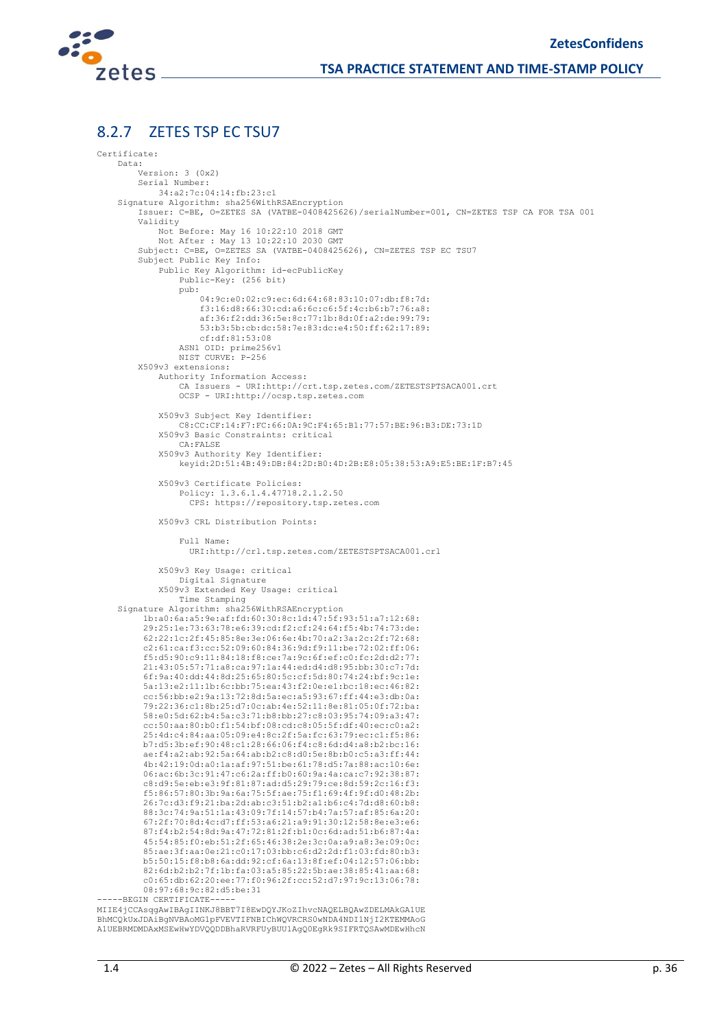

#### <span id="page-35-0"></span>8.2.7 ZETES TSP EC TSU7

```
Certificate:
     Data:
         Version: 3 (0x2)
         Serial Number:
             34:a2:7c:04:14:fb:23:c1
     Signature Algorithm: sha256WithRSAEncryption
         Issuer: C=BE, O=ZETES SA (VATBE-0408425626)/serialNumber=001, CN=ZETES TSP CA FOR TSA 001
         Validity
 Not Before: May 16 10:22:10 2018 GMT
 Not After : May 13 10:22:10 2030 GMT
 Subject: C=BE, O=ZETES SA (VATBE-0408425626), CN=ZETES TSP EC TSU7
         Subject Public Key Info:
             Public Key Algorithm: id-ecPublicKey
                  Public-Key: (256 bit)
                  pub: 
                      04:9c:e0:02:c9:ec:6d:64:68:83:10:07:db:f8:7d:
                     f3:16:d8:66:30:cd:a6:6c:c6:5f:4c:b6:b7:76:a8:
                     af:36:f2:dd:36:5e:8c:77:1b:8d:0f:a2:de:99:79:
                     53:b3:5b:cb:dc:58:7e:83:dc:e4:50:ff:62:17:89:
                     cf:df:81:53:08
                  ASN1 OID: prime256v1
                  NIST CURVE: P-256
         X509v3 extensions:
              Authority Information Access: 
                  CA Issuers - URI:http://crt.tsp.zetes.com/ZETESTSPTSACA001.crt
                  OCSP - URI:http://ocsp.tsp.zetes.com
 X509v3 Subject Key Identifier: 
 C8:CC:CF:14:F7:FC:66:0A:9C:F4:65:B1:77:57:BE:96:B3:DE:73:1D
             X509v3 Basic Constraints: critical
                  CA:FALSE
 X509v3 Authority Key Identifier: 
 keyid:2D:51:4B:49:DB:84:2D:B0:4D:2B:E8:05:38:53:A9:E5:BE:1F:B7:45
             X509v3 Certificate Policies: 
                  Policy: 1.3.6.1.4.47718.2.1.2.50
                    CPS: https://repository.tsp.zetes.com
             X509v3 CRL Distribution Points: 
                  Full Name:
                    URI:http://crl.tsp.zetes.com/ZETESTSPTSACA001.crl
             X509v3 Key Usage: critical
                  Digital Signature
              X509v3 Extended Key Usage: critical
                  Time Stamping
     Signature Algorithm: sha256WithRSAEncryption
          1b:a0:6a:a5:9e:af:fd:60:30:8c:1d:47:5f:93:51:a7:12:68:
          29:25:1e:73:63:78:e6:39:cd:f2:cf:24:64:f5:4b:74:73:de:
          62:22:1c:2f:45:85:8e:3e:06:6e:4b:70:a2:3a:2c:2f:72:68:
          c2:61:ca:f3:cc:52:09:60:84:36:9d:f9:11:be:72:02:ff:06:
          f5:d5:90:c9:11:84:18:f8:ce:7a:9c:6f:ef:c0:fc:2d:d2:77:
          21:43:05:57:71:a8:ca:97:1a:44:ed:d4:d8:95:bb:30:c7:7d:
          6f:9a:40:dd:44:8d:25:65:80:5c:cf:5d:80:74:24:bf:9c:1e:
          5a:13:e2:11:1b:6c:bb:75:ea:43:f2:0e:e1:bc:18:ec:46:82:
          cc:56:bb:e2:9a:13:72:8d:5a:ec:a5:93:67:ff:44:e3:db:0a:
           79:22:36:c1:8b:25:d7:0c:ab:4e:52:11:8e:81:05:0f:72:ba:
          58:e0:5d:62:b4:5a:c3:71:b8:bb:27:c8:03:95:74:09:a3:47:
          cc:50:aa:80:b0:f1:54:bf:08:cd:c8:05:5f:df:40:ec:c0:a2:
          25:4d:c4:84:aa:05:09:e4:8c:2f:5a:fc:63:79:ec:c1:f5:86:
          b7:d5:3b:ef:90:48:c1:28:66:06:f4:c8:6d:d4:a8:b2:bc:16:
          ae:f4:a2:ab:92:5a:64:ab:b2:c8:d0:5e:8b:b0:c5:a3:ff:44:
           4b:42:19:0d:a0:1a:af:97:51:be:61:78:d5:7a:88:ac:10:6e:
          06:ac:6b:3c:91:47:c6:2a:ff:b0:60:9a:4a:ca:c7:92:38:87:
          c8:d9:5e:eb:e3:9f:81:87:ad:d5:29:79:ce:8d:59:2c:16:f3:
          f5:86:57:80:3b:9a:6a:75:5f:ae:75:f1:69:4f:9f:d0:48:2b:
          26:7c:d3:f9:21:ba:2d:ab:c3:51:b2:a1:b6:c4:7d:d8:60:b8:
          88:3c:74:9a:51:1a:43:09:7f:14:57:b4:7a:57:af:85:6a:20:
           67:2f:70:8d:4c:d7:ff:53:a6:21:a9:91:30:12:58:8e:e3:e6:
          87:f4:b2:54:8d:9a:47:72:81:2f:b1:0c:6d:ad:51:b6:87:4a:
          45:54:85:f0:eb:51:2f:65:46:38:2e:3c:0a:a9:a8:3e:09:0c:
          85:ae:3f:aa:0e:21:c0:17:03:bb:c6:d2:2d:f1:03:fd:80:b3:
          b5:50:15:f8:b8:6a:dd:92:cf:6a:13:8f:ef:04:12:57:06:bb:
          82:6d:b2:b2:7f:1b:fa:03:a5:85:22:5b:ae:38:85:41:aa:68:
          c0:65:db:62:20:ee:77:f0:96:2f:cc:52:d7:97:9c:13:06:78:
          08:97:68:9c:82:d5:be:31
-----BEGIN CERTIFICATE-----
```
MIIE4jCCAsqgAwIBAgIINKJ8BBT7I8EwDQYJKoZIhvcNAQELBQAwZDELMAkGA1UE BhMCQkUxJDAiBgNVBAoMG1pFVEVTIFNBIChWQVRCRS0wNDA4NDI1NjI2KTEMMAoG A1UEBRMDMDAxMSEwHwYDVQQDDBhaRVRFUyBUU1AgQ0EgRk9SIFRTQSAwMDEwHhcN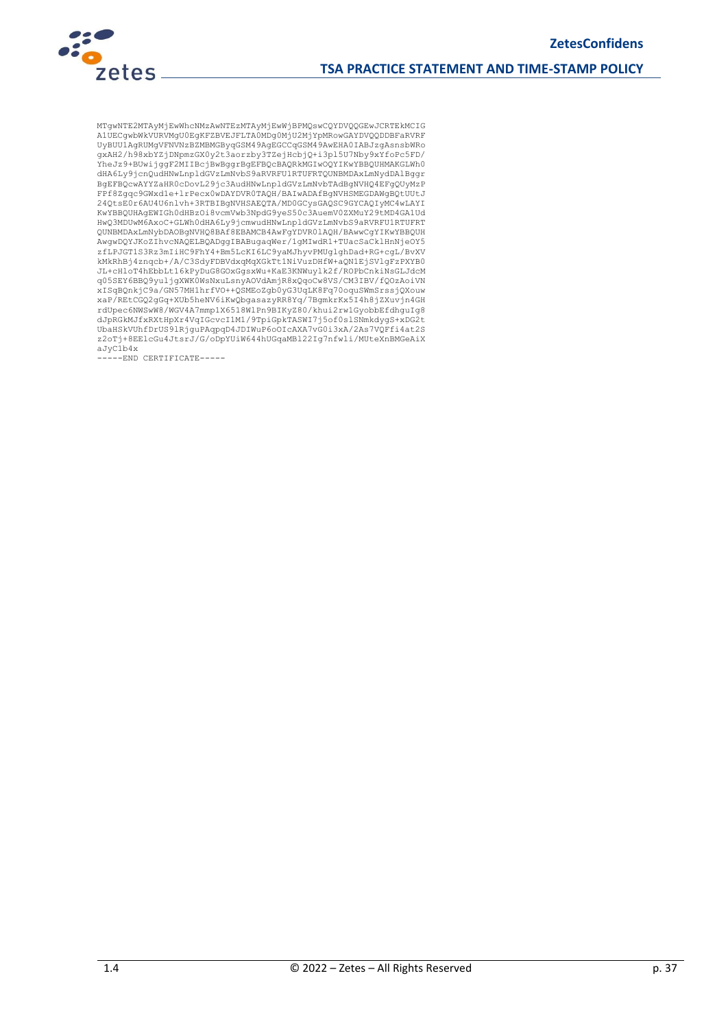

MTgwNTE2MTAyMjEwWhcNMzAwNTEzMTAyMjEwWjBPMQswCQYDVQQGEwJCRTEkMCIG A1UECgwbWkVURVMgU0EgKFZBVEJFLTA0MDg0MjU2MjYpMRowGAYDVQQDDBFaRVRF<br>UyBUU1AqRUMqVFNVNzBZMBMGByqGSM49AqEGCCqGSM49AwEHA0IABJzqAsnsbWRo gxAH2/h98xbYZjDNpmzGX0y2t3aorzby3TZejHcbjQ+i3p15U7Nby9xYfoPc5FD/ YheJz9+BUwijggF2MIIBcjBwBggrBgEFBQcBAQRkMGIwOQYIKwYBBQUHMAKGLWh0 dHA6Ly9jcnQudHNwLnpldGVzLmNvbS9aRVRFU1RTUFRTQUNBMDAxLmNydDAlBggr EggerBOCWAYYZaHROCDovL29jc3AudHNwLnpldGVzLmNvbTAdBgNVHQ4EFgQUyMzP<br>FFf82gqc9GWxdle+lrPecx0wDAYDVR0TAQH/sAIwADAfBgNVHQ4EFgQUyMzP 24QtsE0r6AU4U6nlvh+3RTBIBgNVHSAEQTA/MD0GCysGAQSC9GYCAQIyMC4wLAYI KwYBBQUHAqEWIGh0dHBz0i8vcmVwb3NpdG9yeS50c3AuemV0ZXMuY29tMD4GA1Ud HwQ3MDUwM6AxoC+GLWh0dHA6Ly9jcmwudHNwLnpldGVzLmNvbS9aRVRFU1RTUFRT  $\verb|QUNBMDAxLmMybDAOBgNVHQ8BAf8EBAMCB4AwFgYDVR01AQH/BAwwCgYIKWYBBQUH\\$ AwgwDQYJKoZIhvcNAQELBQADggIBABugaqWer/1gMIwdR1+TUacSaCk1HnNjeOY5<br>zfLPJGT1S3Rz3mIiHC9FhY4+Bm5LcKI6LC9yaMJhyvPMUglghDad+RG+cgL/BvXV<br>kMkRhBj4znqcb+/A/C3SdyFDBVdxqMqXGkTt1NiVuzDHfW+aQN1EjSVlgFzPXYB0 JL+cHloT4hEbbLt16kPyDuG8GOxGgsxWu+KaE3KNWuylk2f/ROPbCnkiNsGLJdcM q05SEY6BBQ9yuljgXWKOWsNxuLsnyAOVdAmjR8xQqoCw8VS/CM3IBV/fQOzAoiVN xISqBQnkjC9a/GN57MHlhrfVO++QSMEoZgb0yG3UqLK8Fq70oquSWmSrssjQXouw xaP/REtCGQ2gGq+XUb5heNV6iKwQbgasazyRR8Yq/7BgmkrKx5I4h8jZXuvjn4GH<br>xaP/REtCGQ2gGq+XUb5heNV6iKwQbgasazyRR8Yq/7BgmkrKx5I4h8jZXuvjn4GH<br>rdUpec6NWSwW8/WGV4A7mmp1X6518WlPn9BIKyZ80/khui2rw1GyobbEfdhguIg8 dJpRGkMJfxRXtHpXr4VqIGcvcI1M1/9TpiGpkTASWI7j5of0s1SNmkdyqS+xDG2t UbaHSkVUhfDrUS91RjquPAqpqD4JDIWuP6oOIcAXA7vG0i3xA/2As7VQFfi4at2S z2oTj+8EE1cGu4JtsrJ/G/oDpYUiW644hUGqaMB122Ig7nfwli/MUteXnBMGeAiX  $aJyC1b4x$ 

--END CERTIFICATE-----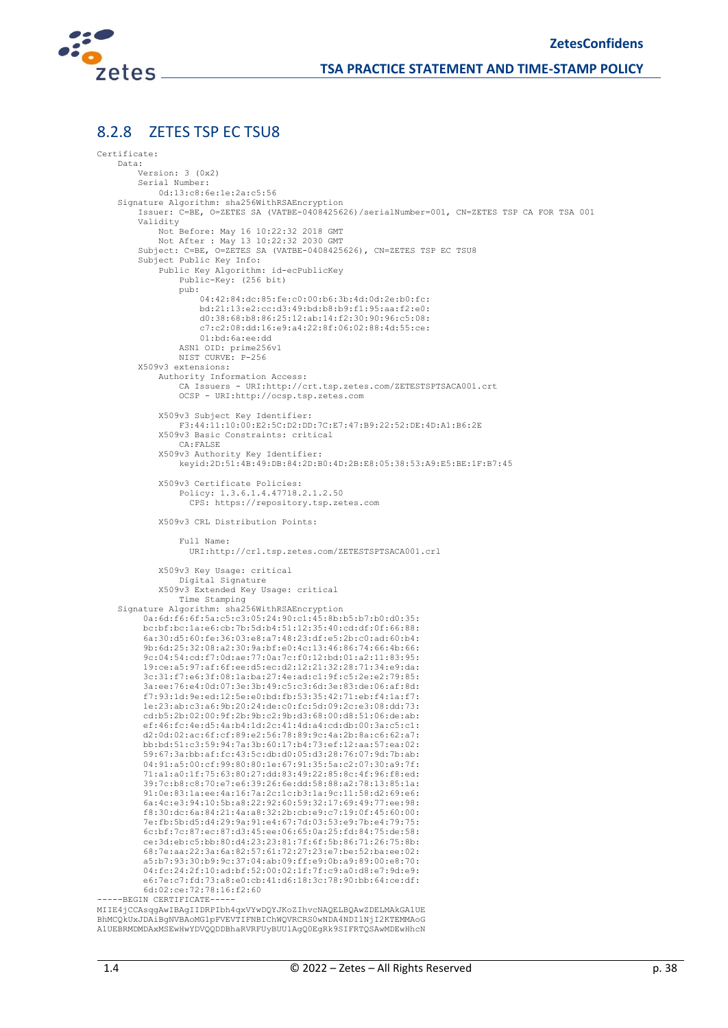

#### <span id="page-37-0"></span>8.2.8 ZETES TSP EC TSU8

```
Certificate:
     Data:
         Version: 3 (0x2)
         Serial Number:
             0d:13:c8:6e:1e:2a:c5:56
     Signature Algorithm: sha256WithRSAEncryption
         Issuer: C=BE, O=ZETES SA (VATBE-0408425626)/serialNumber=001, CN=ZETES TSP CA FOR TSA 001
         Validity
 Not Before: May 16 10:22:32 2018 GMT
 Not After : May 13 10:22:32 2030 GMT
 Subject: C=BE, O=ZETES SA (VATBE-0408425626), CN=ZETES TSP EC TSU8
         Subject Public Key Info:
             Public Key Algorithm: id-ecPublicKey
                  Public-Key: (256 bit)
                  pub: 
                      04:42:84:dc:85:fe:c0:00:b6:3b:4d:0d:2e:b0:fc:
                     bd:21:13:e2:cc:d3:49:bd:b8:b9:f1:95:aa:f2:e0:
                     d0:38:68:b8:86:25:12:ab:14:f2:30:90:96:c5:08:
                     c7:c2:08:dd:16:e9:a4:22:8f:06:02:88:4d:55:ce:
                     01:bd:6a:ee:dd
                  ASN1 OID: prime256v1
                  NIST CURVE: P-256
         X509v3 extensions:
              Authority Information Access: 
                  CA Issuers - URI:http://crt.tsp.zetes.com/ZETESTSPTSACA001.crt
                  OCSP - URI:http://ocsp.tsp.zetes.com
             X509v3 Subject Key Identifier: 
                  F3:44:11:10:00:E2:5C:D2:DD:7C:E7:47:B9:22:52:DE:4D:A1:B6:2E
             X509v3 Basic Constraints: critical
                  CA:FALSE
 X509v3 Authority Key Identifier: 
 keyid:2D:51:4B:49:DB:84:2D:B0:4D:2B:E8:05:38:53:A9:E5:BE:1F:B7:45
             X509v3 Certificate Policies: 
                  Policy: 1.3.6.1.4.47718.2.1.2.50
                    CPS: https://repository.tsp.zetes.com
             X509v3 CRL Distribution Points: 
                  Full Name:
                    URI:http://crl.tsp.zetes.com/ZETESTSPTSACA001.crl
             X509v3 Key Usage: critical
                  Digital Signature
              X509v3 Extended Key Usage: critical
                  Time Stamping
     Signature Algorithm: sha256WithRSAEncryption
          0a:6d:f6:6f:5a:c5:c3:05:24:90:c1:45:8b:b5:b7:b0:d0:35:
          bc:bf:bc:1a:e6:cb:7b:5d:b4:51:12:35:40:cd:df:0f:66:88:
          6a:30:d5:60:fe:36:03:e8:a7:48:23:df:e5:2b:c0:ad:60:b4:
          9b:6d:25:32:08:a2:30:9a:bf:e0:4c:13:46:86:74:66:4b:66:
          9c:04:54:cd:f7:0d:ae:77:0a:7c:f0:12:bd:01:a2:11:83:95:
          19:ce:a5:97:af:6f:ee:d5:ec:d2:12:21:32:28:71:34:e9:da:
          3c:31:f7:e6:3f:08:1a:ba:27:4e:ad:c1:9f:c5:2e:e2:79:85:
          3a:ee:76:e4:0d:07:3e:3b:49:c5:c3:6d:3e:83:de:06:af:8d:
          f7:93:1d:9e:ed:12:5e:e0:bd:fb:53:35:42:71:eb:f4:1a:f7:
          1e:23:ab:c3:a6:9b:20:24:de:c0:fc:5d:09:2c:e3:08:dd:73:
          cd:b5:2b:02:00:9f:2b:9b:c2:9b:d3:68:00:d8:51:06:de:ab:
          ef:46:fc:4e:d5:4a:b4:1d:2c:41:4d:a4:cd:db:00:3a:c5:c1:
          d2:0d:02:ac:6f:cf:89:e2:56:78:89:9c:4a:2b:8a:c6:62:a7:
          bb:bd:51:c3:59:94:7a:3b:60:17:b4:73:ef:12:aa:57:ea:02:
          59:67:3a:bb:af:fc:43:5c:db:d0:05:d3:28:76:07:9d:7b:ab:
          04:91:a5:00:cf:99:80:80:1e:67:91:35:5a:c2:07:30:a9:7f:
          71:a1:a0:1f:75:63:80:27:dd:83:49:22:85:8c:4f:96:f8:ed:
          39:7c:b8:c8:70:e7:e6:39:26:6e:dd:58:88:a2:78:13:85:1a:
          91:0e:83:1a:ee:4a:16:7a:2c:1c:b3:1a:9c:11:58:d2:69:e6:
          6a:4c:e3:94:10:5b:a8:22:92:60:59:32:17:69:49:77:ee:98:
          f8:30:dc:6a:84:21:4a:a8:32:2b:cb:e9:c7:19:0f:45:60:00:
          7e:fb:5b:d5:d4:29:9a:91:e4:67:7d:03:53:e9:7b:e4:79:75:
          6c:bf:7c:87:ec:87:d3:45:ee:06:65:0a:25:fd:84:75:de:58:
          ce:3d:eb:c5:bb:80:d4:23:23:81:7f:6f:5b:86:71:26:75:8b:
          68:7e:aa:22:3a:6a:82:57:61:72:27:23:e7:be:52:ba:ee:02:
          a5:b7:93:30:b9:9c:37:04:ab:09:ff:e9:0b:a9:89:00:e8:70:
          04:fc:24:2f:10:ad:bf:52:00:02:1f:7f:c9:a0:d8:e7:9d:e9:
          e6:7e:c7:fd:73:a8:e0:cb:41:d6:18:3c:78:90:bb:64:ce:df:
          6d:02:ce:72:78:16:f2:60
-----BEGIN CERTIFICATE-----
```
MIIE4jCCAsqgAwIBAgIIDRPIbh4qxVYwDQYJKoZIhvcNAQELBQAwZDELMAkGA1UE BhMCQkUxJDAiBgNVBAoMG1pFVEVTIFNBIChWQVRCRS0wNDA4NDI1NjI2KTEMMAoG A1UEBRMDMDAxMSEwHwYDVQQDDBhaRVRFUyBUU1AgQ0EgRk9SIFRTQSAwMDEwHhcN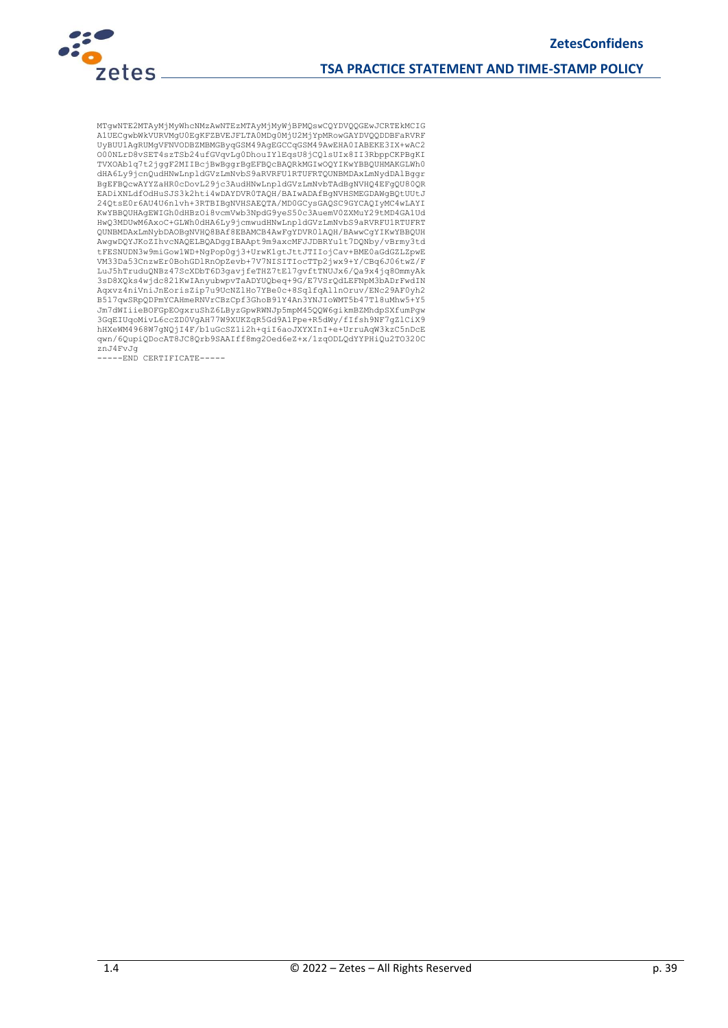

 $\verb+MTGwNTE2MTAYMjMyWhcNMzAWNTEzMTAYMjMyWjBPMQswCQYDVQQGEWJCRTEkMCIG$ A1UECgwbWkVURVMgU0EgKFZBVEJFLTA0MDg0MjU2MjYpMRowGAYDVQQDDBFaRVRF<br>UyBUU1AqRUMqVFNVODBZMBMGByqGSM49AqEGCCqGSM49AwEHA0IABEKE3IX+wAC2 000NLrD8vSET4szTSb24ufGVqvLg0DhouIYlEqsU8jCQlsUIx8II3RbppCKPBgKI TVXOAb1q7t2jggF2MIIBcjBwBggrBgEFBQcBAQRkMGIwOQYIKwYBBQUHMAKGLWh0 dHA6Ly9jcnQudHNwLnpldGVzLmNvbS9aRVRFU1RTUFRTQUNBMDAxLmNydDAlBggr EGEFBOCWAYYZaHROCDovL29jc3AudHNwLnpldGVzLmNvbTAdBgNVHQ4EFgQU80QR<br>EADiXNLdfOdHuSJS3k2hti4wDAYDVR0TAQH/BAIRWbDTAdBgNVHQ4EFgQU80QR 24QtsE0r6AU4U6nlvh+3RTBIBgNVHSAEQTA/MD0GCysGAQSC9GYCAQIyMC4wLAYI KwYBBQUHAqEWIGh0dHBz0i8vcmVwb3NpdG9yeS50c3AuemV0ZXMuY29tMD4GA1Ud HwQ3MDUwM6AxoC+GLWh0dHA6Ly9jcmwudHNwLnpldGVzLmNvbS9aRVRFU1RTUFRT QUNBMDAxLmNybDAOBgNVHQ8BAf8EBAMCB4AwFgYDVR01AQH/BAwwCgYIKwYBBQUH AwgwDQYJKoZIhvcNAQELBQADggIBAApt9m9axcMFJJDBRYu1t7DQNby/vBrmy3td<br>tFESNUDN3w9miGow1WD+NgPop0gj3+UrwK1gtJttJTIIojCav+BME0aGdGZLZpwE<br>VM33Da53CnzwEr0BohGDlRnOpZevb+7V7NISITIocTTp2jwx9+Y/CBq6J06twZ/F LuJ5hTruduQNBz47ScXDbT6D3gavjfeTHZ7tEl7gvftTNUJx6/Qa9x4jq80mmyAk 3sD8XQks4wjdc821KwIAnyubwpvTaADYUQbeq+9G/E7VSrQdLEFNpM3bADrFwdIN Aqxvz4niVniJnEorisZip7u9UcNZlHo7YBe0c+8SqlfqAllnOruv/ENc29AF0yh2 Om/dwiileborgpbogArdonavabryzopminiopomphisygwogiamazamaponiumiga hHXeWM4968W7qNQjI4F/bluGcSZli2h+qiI6aoJXYXInI+e+UrruAqW3kzC5nDcE qwn/6QupiQDocAT8JC8Qrb9SAAIff8mg2Oed6eZ+x/1zqODLQdYYPHiQu2TO320C znJ4FvJg<br>-----END CERTIFICATE-----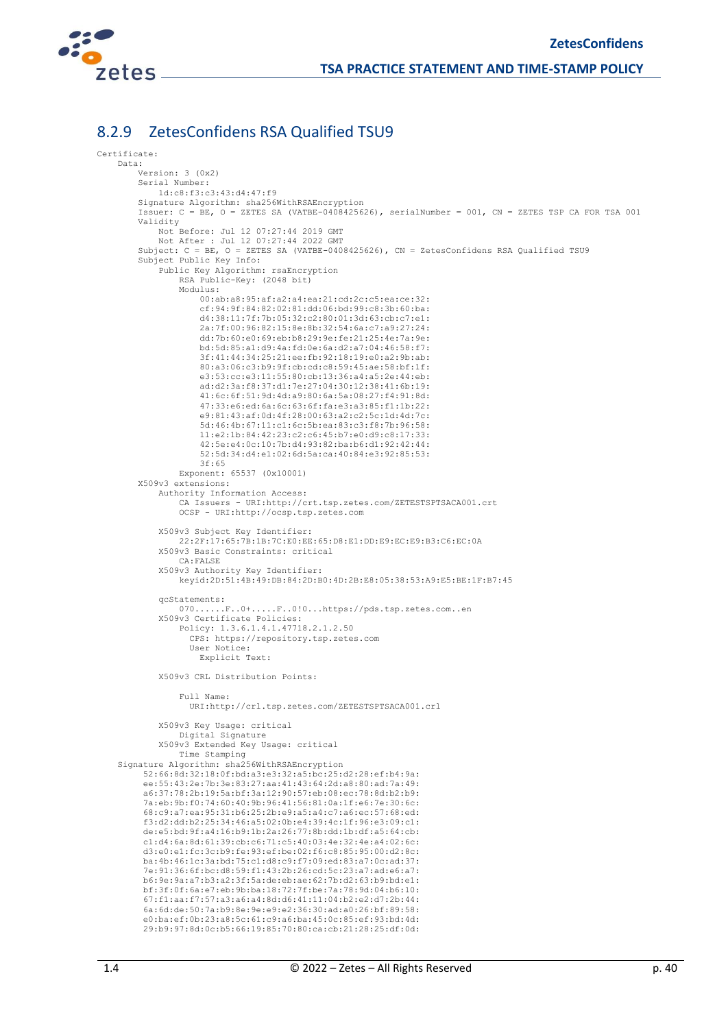

### <span id="page-39-0"></span>8.2.9 ZetesConfidens RSA Qualified TSU9

```
Certificate:
     Data:
         Version: 3 (0x2)
         Serial Number:
             1d:c8:f3:c3:43:d4:47:f9
         Signature Algorithm: sha256WithRSAEncryption
         Issuer: C = BE, O = ZETES SA (VATBE-0408425626), serialNumber = 001, CN = ZETES TSP CA FOR TSA 001
         Validity
 Not Before: Jul 12 07:27:44 2019 GMT
 Not After : Jul 12 07:27:44 2022 GMT
         Subject: C = BE, O = ZETES SA (VATBE-0408425626), CN = ZetesConfidens RSA Qualified TSU9
         Subject Public Key Info:
             Public Key Algorithm: rsaEncryption
                 RSA Public-Key: (2048 bit)
                 Modulus:
                     00:ab:a8:95:af:a2:a4:ea:21:cd:2c:c5:ea:ce:32:
                    cf:94:9f:84:82:02:81:dd:06:bd:99:c8:3b:60:ba:
                    d4:38:11:7f:7b:05:32:c2:80:01:3d:63:cb:c7:e1:
                    2a:7f:00:96:82:15:8e:8b:32:54:6a:c7:a9:27:24:
                    dd:7b:60:e0:69:eb:b8:29:9e:fe:21:25:4e:7a:9e:
                    bd:5d:85:a1:d9:4a:fd:0e:6a:d2:a7:04:46:58:f7:
                     3f:41:44:34:25:21:ee:fb:92:18:19:e0:a2:9b:ab:
                    80:a3:06:c3:b9:9f:cb:cd:c8:59:45:ae:58:bf:1f:
                    e3:53:cc:e3:11:55:80:cb:13:36:a4:a5:2e:44:eb:
                    ad:d2:3a:f8:37:d1:7e:27:04:30:12:38:41:6b:19:
                     41:6c:6f:51:9d:4d:a9:80:6a:5a:08:27:f4:91:8d:
                    47:33:e6:ed:6a:6c:63:6f:fa:e3:a3:85:f1:1b:22:
                    e9:81:43:af:0d:4f:28:00:63:a2:c2:5c:1d:4d:7c:
                     5d:46:4b:67:11:c1:6c:5b:ea:83:c3:f8:7b:96:58:
                    11:e2:1b:84:42:23:c2:c6:45:b7:e0:d9:c8:17:33:
                    42:5e:e4:0c:10:7b:d4:93:82:ba:b6:d1:92:42:44:
                    52:5d:34:d4:e1:02:6d:5a:ca:40:84:e3:92:85:53:
                    3f:65
                 Exponent: 65537 (0x10001)
         X509v3 extensions:
             Authority Information Access: 
                 CA Issuers - URI:http://crt.tsp.zetes.com/ZETESTSPTSACA001.crt
                 OCSP - URI:http://ocsp.tsp.zetes.com
             X509v3 Subject Key Identifier: 
                 22:2F:17:65:7B:1B:7C:E0:EE:65:D8:E1:DD:E9:EC:E9:B3:C6:EC:0A
             X509v3 Basic Constraints: critical
                 CA:FALSE
             X509v3 Authority Key Identifier: 
                 keyid:2D:51:4B:49:DB:84:2D:B0:4D:2B:E8:05:38:53:A9:E5:BE:1F:B7:45
             qcStatements: 
                 070......F..0+.....F..0!0...https://pds.tsp.zetes.com..en
             X509v3 Certificate Policies: 
                 Policy: 1.3.6.1.4.1.47718.2.1.2.50
                   CPS: https://repository.tsp.zetes.com
                  User Notice:
                     Explicit Text: 
             X509v3 CRL Distribution Points: 
                 Full Name:
                   URI:http://crl.tsp.zetes.com/ZETESTSPTSACA001.crl
             X509v3 Key Usage: critical
                 Digital Signature
             X509v3 Extended Key Usage: critical
                 Time Stamping
    Signature Algorithm: sha256WithRSAEncryption
          52:66:8d:32:18:0f:bd:a3:e3:32:a5:bc:25:d2:28:ef:b4:9a:
          ee:55:43:2e:7b:3e:83:27:aa:41:43:64:2d:a8:80:ad:7a:49:
          a6:37:78:2b:19:5a:bf:3a:12:90:57:eb:08:ec:78:8d:b2:b9:
          7a:eb:9b:f0:74:60:40:9b:96:41:56:81:0a:1f:e6:7e:30:6c:
          68:c9:a7:ea:95:31:b6:25:2b:e9:a5:a4:c7:a6:ec:57:68:ed:
          f3:d2:dd:b2:25:34:46:a5:02:0b:e4:39:4c:1f:96:e3:09:c1:
          de:e5:bd:9f:a4:16:b9:1b:2a:26:77:8b:dd:1b:df:a5:64:cb:
          c1:d4:6a:8d:61:39:cb:c6:71:c5:40:03:4e:32:4e:a4:02:6c:
          d3:e0:e1:fc:3c:b9:fe:93:ef:be:02:f6:c8:85:95:00:d2:8c:
          ba:4b:46:1c:3a:bd:75:c1:d8:c9:f7:09:ed:83:a7:0c:ad:37:
          7e:91:36:6f:bc:d8:59:f1:43:2b:26:cd:5c:23:a7:ad:e6:a7:
          b6:9e:9a:a7:b3:a2:3f:5a:de:eb:ae:62:7b:d2:63:b9:bd:e1:
          bf:3f:0f:6a:e7:eb:9b:ba:18:72:7f:be:7a:78:9d:04:b6:10:
          67:f1:aa:f7:57:a3:a6:a4:8d:d6:41:11:04:b2:e2:d7:2b:44:
          6a:6d:de:50:7a:b9:8e:9e:e9:e2:36:30:ad:a0:26:bf:89:58:
          e0:ba:ef:0b:23:a8:5c:61:c9:a6:ba:45:0c:85:ef:93:bd:4d:
          29:b9:97:8d:0c:b5:66:19:85:70:80:ca:cb:21:28:25:df:0d:
```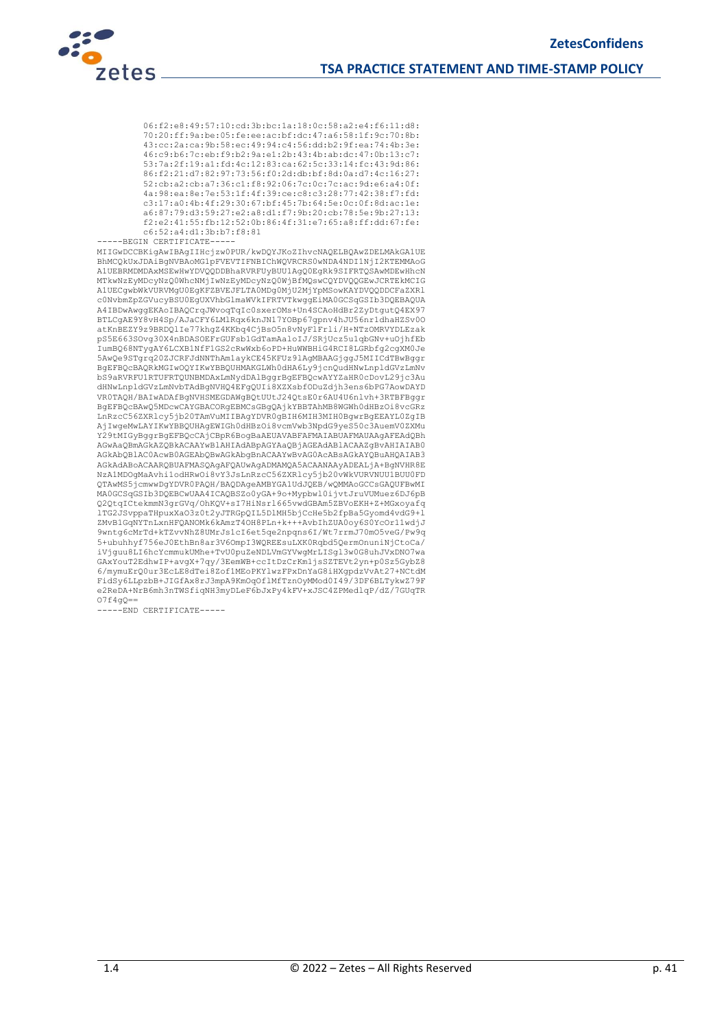

**[TSA PRACTICE STATEMENT AND TIME-STAMP POLICY](#page-0-1)**

```
 06:f2:e8:49:57:10:cd:3b:bc:1a:18:0c:58:a2:e4:f6:11:d8:
 70:20:ff:9a:be:05:fe:ee:ac:bf:dc:47:a6:58:1f:9c:70:8b:
 43:cc:2a:ca:9b:58:ec:49:94:c4:56:dd:b2:9f:ea:74:4b:3e:
          46:c9:b6:7c:eb:f9:b2:9a:e1:2b:43:4b:ab:dc:47:0b:13:c7:
           53:7a:2f:19:a1:fd:4c:12:83:ca:62:5c:33:14:fc:43:9d:86:
          86:f2:21:d7:82:97:73:56:f0:2d:db:bf:8d:0a:d7:4c:16:27:
          52:cb:a2:cb:a7:36:c1:f8:92:06:7c:0c:7c:ac:9d:e6:a4:0f:
          4a:98:ea:8e:7e:53:1f:4f:39:ce:c8:c3:28:77:42:38:f7:fd:
          c3:17:a0:4b:4f:29:30:67:bf:45:7b:64:5e:0c:0f:8d:ac:1e:
          a6:87:79:d3:59:27:e2:a8:d1:f7:9b:20:cb:78:5e:9b:27:13:
           f2:e2:41:55:fb:12:52:0b:86:4f:31:e7:65:a8:ff:dd:67:fe:
           c6:52:a4:d1:3b:b7:f8:81
```
-----BEGIN CERTIFICATE-----

MIIGwDCCBKigAwIBAgIIHcjzw0PUR/kwDQYJKoZIhvcNAQELBQAwZDELMAkGA1UE BhMCQkUxJDAiBgNVBAoMG1pFVEVTIFNBIChWQVRCRS0wNDA4NDI1NjI2KTEMMAoG A1UEBRMDMDAxMSEwHwYDVQQDDBhaRVRFUyBUU1AgQ0EgRk9SIFRTQSAwMDEwHhcN MTkwNzEyMDcyNzQ0WhcNMjIwNzEyMDcyNzQ0WjBfMQswCQYDVQQGEwJCRTEkMCIG A1UECgwbWkVURVMgU0EgKFZBVEJFLTA0MDg0MjU2MjYpMSowKAYDVQQDDCFaZXRl c0NvbmZpZGVucyBSU0EgUXVhbGlmaWVkIFRTVTkwggEiMA0GCSqGSIb3DQEBAQUA A4IBDwAwggEKAoIBAQCrqJWvoqTqIc0sxerOMs+Un4SCAoHdBr2ZyDtgutQ4EX97 BTLCgAE9Y8vH4Sp/AJaCFY6LMlRqx6knJN17YOBp67gpnv4hJU56nr1dhaHZSv0O atKnBEZY9z9BRDQlIe77khgZ4KKbq4CjBsO5n8vNyFlFrli/H+NTzOMRVYDLEzak pS5E663SOvg30X4nBDASOEFrGUFsb1GdTamAaloIJ/SRjUcz5u1qbGNv+uOjhfEb IumBQ68NTygAY6LCXB1NfF1GS2cRwWxb6oPD+HuWWBHiG4RCI8LGRbfg2cgXM0Je 5AwQe9STgrq20ZJCRFJdNNThAm1aykCE45KFUz9lAgMBAAGjggJ5MIICdTBwBggr BgEFBQcBAQRkMGIwOQYIKwYBBQUHMAKGLWh0dHA6Ly9jcnQudHNwLnpldGVzLmNv bS9aRVRFU1RTUFRTQUNBMDAxLmNydDAlBggrBgEFBQcwAYYZaHR0cDovL29jc3Au dHNwLnpldGVzLmNvbTAdBgNVHQ4EFgQUIi8XZXsbfODuZdjh3ens6bPG7AowDAYD VR0TAQH/BAIwADAfBgNVHSMEGDAWgBQtUUtJ24QtsE0r6AU4U6nlvh+3RTBFBggr BgEFBQcBAwQ5MDcwCAYGBACORgEBMCsGBgQAjkYBBTAhMB8WGWh0dHBzOi8vcGRz LnRzcC56ZXRlcy5jb20TAmVuMIIBAgYDVR0gBIH6MIH3MIH0BgwrBgEEAYL0ZgIB AjIwgeMwLAYIKwYBBQUHAgEWIGh0dHBzOi8vcmVwb3NpdG9yeS50c3AuemV0ZXMu Y29tMIGyBggrBgEFBQcCAjCBpR6BogBaAEUAVABFAFMAIABUAFMAUAAgAFEAdQBh AGwAaQBmAGkAZQBkACAAYwBlAHIAdABpAGYAaQBjAGEAdABlACAAZgBvAHIAIAB0 AGkAbQBlAC0AcwB0AGEAbQBwAGkAbgBnACAAYwBvAG0AcABsAGkAYQBuAHQAIAB3 AGkAdABoACAARQBUAFMASQAgAFQAUwAgADMAMQA5ACAANAAyADEALjA+BgNVHR8E NzA1MDOgMaAvhi1odHRwOi8vY3JsLnRzcC56ZXRlcy5jb20vWkVURVNUU1BUU0FD QTAwMS5jcmwwDgYDVR0PAQH/BAQDAgeAMBYGA1UdJQEB/wQMMAoGCCsGAQUFBwMI MA0GCSqGSIb3DQEBCwUAA4ICAQBSZo0yGA+9o+Mypbwl0ijvtJruVUMuez6DJ6pB Q2QtqICtekmmN3grGVq/OhKQV+sI7HiNsrl665vwdGBAm5ZBVoEKH+Z+MGxoyafq lTG2JSvppaTHpuxXaO3z0t2yJTRGpQIL5DlMH5bjCcHe5b2fpBa5Gyomd4vdG9+l ZMvB1GqNYTnLxnHFQANOMk6kAmzT4OH8PLn+k+++AvbIhZUA0oy6S0YcOr11wdjJ 9wntg6cMrTd+kTZvvNhZ8UMrJs1cI6et5qe2npqns6I/Wt7rrmJ70mO5veG/Pw9q 5+ubuhhyf756eJ0EthBn8ar3V6OmpI3WQREEsuLXK0Rqbd5QermOnuniNjCtoCa/ iVjguu8LI6hcYcmmukUMhe+TvU0puZeNDLVmGYVwgMrLISgl3w0G8uhJVxDNO7wa GAxYouT2EdhwIP+avgX+7qy/3EemWB+ccItDzCrKm1jsSZTEVt2yn+p0Sz5GybZ8 6/mymuErQ0ur3EcLE8dTei8Zof1MEoPKYlwzFPxDnYaG8iHXgpdzVvAt27+NCtdM FidSy6LLpzbB+JIGfAx8rJ3mpA9KmOqOflMfTznOyMMod0I49/3DF6BLTykwZ79F e2ReDA+NrB6mh3nTWSfiqNH3myDLeF6bJxPy4kFV+xJSC4ZPMedlqP/dZ/7GUqTR  $07f4q0=$ 

.<br>-END CERTIFICATE-----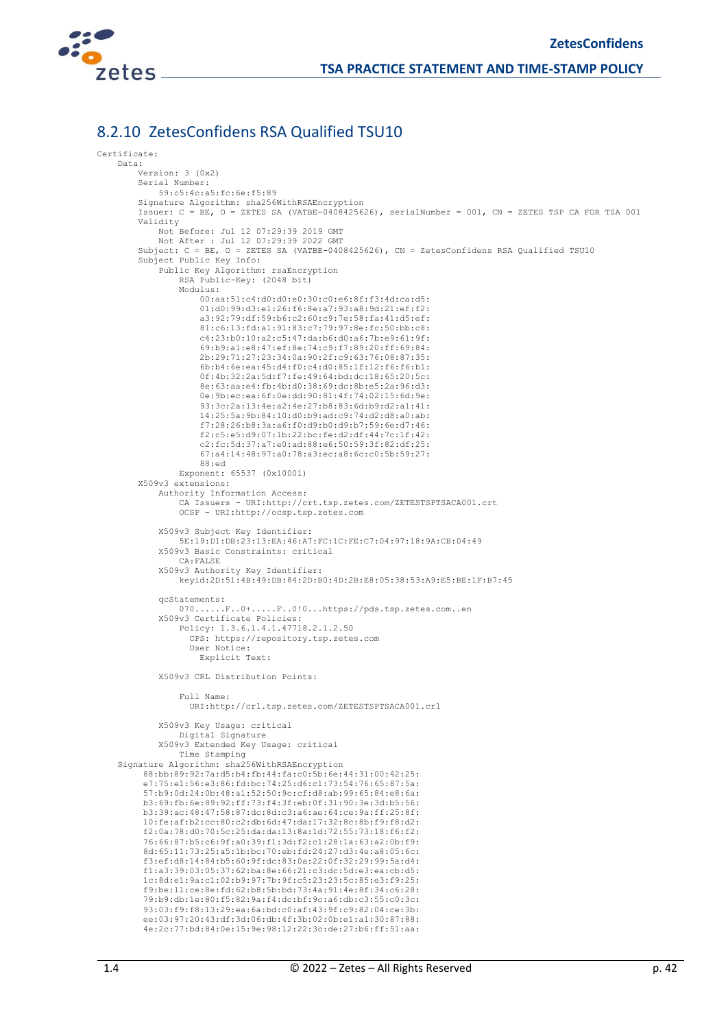

### <span id="page-41-0"></span>8.2.10 ZetesConfidens RSA Qualified TSU10

```
Certificate:
     Data:
         Version: 3 (0x2)
         Serial Number:
             59:c5:4c:a5:fc:6e:f5:89
         Signature Algorithm: sha256WithRSAEncryption
         Issuer: C = BE, O = ZETES SA (VATBE-0408425626), serialNumber = 001, CN = ZETES TSP CA FOR TSA 001
         Validity
 Not Before: Jul 12 07:29:39 2019 GMT
 Not After : Jul 12 07:29:39 2022 GMT
        Subject: C = BE, O = ZETES SA (VATER-0408425626), CN = ZetesConfidens RSA Qualified TSU10 Subject Public Key Info:
             Public Key Algorithm: rsaEncryption
                 RSA Public-Key: (2048 bit)
                 Modulus:
                     00:aa:51:c4:d0:d0:e0:30:c0:e6:8f:f3:4d:ca:d5:
                      01:d0:99:d3:e1:26:f6:8e:a7:93:a8:9d:21:ef:f2:
                     a3:92:79:df:59:b6:c2:60:c9:7e:58:fa:41:d5:ef:
                     81:c6:13:fd:a1:91:83:c7:79:97:8e:fc:50:bb:c8:
                      c4:23:b0:10:a2:c5:47:da:b6:d0:a6:7b:e9:61:9f:
 69:b9:a1:e8:47:ef:8e:74:c9:f7:89:20:ff:69:84:
2b:29:71:27:23:34:0a:90:2f:c9:63:76:08:87:35:
                     6b:b4:6e:ea:45:d4:f0:c4:d0:85:1f:12:f6:f6:b1:
                     0f:4b:32:2a:5d:f7:fe:49:64:bd:dc:18:65:20:5c:
                     8e:63:aa:e4:fb:4b:d0:38:69:dc:8b:e5:2a:96:d3:
                     0e:9b:ec:ea:6f:0e:dd:90:81:4f:74:02:15:6d:9e:
                     93:3c:2a:13:4e:a2:4e:27:b8:83:6d:b9:d2:a1:41:
                     14:25:5a:9b:84:10:d0:b9:ad:c9:74:d2:d8:a0:ab:
                     f7:28:26:b8:3a:a6:f0:d9:b0:d9:b7:59:6e:d7:46:
                     f2:c5:e5:d9:07:1b:22:bc:fe:d2:df:44:7c:1f:42:
                     c2:fc:5d:37:a7:e0:ad:88:e6:50:59:3f:82:df:25:
                     67:a4:14:48:97:a0:78:a3:ec:a8:6c:c0:5b:59:27:
                    88:ed
                 Exponent: 65537 (0x10001)
         X509v3 extensions:
             Authority Information Access: 
                 CA Issuers - URI:http://crt.tsp.zetes.com/ZETESTSPTSACA001.crt
                 OCSP - URI:http://ocsp.tsp.zetes.com
             X509v3 Subject Key Identifier: 
                  5E:19:D1:DB:23:13:EA:46:A7:FC:1C:FE:C7:04:97:18:9A:CB:04:49
             X509v3 Basic Constraints: critical
                 CA:FALSE
             X509v3 Authority Key Identifier: 
                  keyid:2D:51:4B:49:DB:84:2D:B0:4D:2B:E8:05:38:53:A9:E5:BE:1F:B7:45
             qcStatements: 
                 070......F..0+.....F..0!0...https://pds.tsp.zetes.com..en
             X509v3 Certificate Policies: 
                 Policy: 1.3.6.1.4.1.47718.2.1.2.50
                    CPS: https://repository.tsp.zetes.com
                   User Notice:
                      Explicit Text: 
             X509v3 CRL Distribution Points: 
                  Full Name:
                    URI:http://crl.tsp.zetes.com/ZETESTSPTSACA001.crl
             X509v3 Key Usage: critical
                 Digital Signature
             X509v3 Extended Key Usage: critical
                 Time Stamping
    Signature Algorithm: sha256WithRSAEncryption
          88:bb:89:92:7a:d5:b4:fb:44:fa:c0:5b:6e:44:31:00:42:25:
          e7:75:e1:56:e3:86:fd:bc:74:25:d6:c1:73:54:76:65:87:5a:
          57:b9:0d:24:0b:48:a1:52:50:9c:cf:d8:ab:99:65:84:e8:6a:
          b3:69:fb:6e:89:92:ff:73:f4:3f:eb:0f:31:90:3e:3d:b5:56:
          b3:39:ac:48:47:58:87:dc:8d:c3:a6:ae:64:ce:9a:ff:25:8f:
          10:fe:af:b2:cc:80:c2:db:6d:47:da:17:32:8c:8b:f9:f8:d2:
          f2:0a:78:d0:70:5c:25:da:da:13:8a:1d:72:55:73:18:f6:f2:
          76:66:87:b5:c6:9f:a0:39:f1:3d:f2:c1:28:1a:63:a2:0b:f9:
          8d:65:11:73:25:a5:1b:bc:70:eb:fd:24:27:d3:4e:a8:05:6c:
          f3:ef:d8:14:84:b5:60:9f:dc:83:0a:22:0f:32:29:99:5a:d4:
          f1:a3:39:03:05:37:62:ba:8e:66:21:c3:dc:5d:e3:ea:cb:d5:
          1c:8d:e1:9a:c1:02:b9:97:7b:9f:c5:23:23:5c:85:e3:f9:25:
          f9:be:11:ce:8e:fd:62:b8:5b:bd:73:4a:91:4e:8f:34:c6:28:
          79:b9:db:1e:80:f5:82:9a:f4:dc:bf:9c:a6:db:c3:55:c0:3c:
          93:03:f9:f8:13:29:ea:6a:bd:c0:af:43:9f:c9:82:04:ce:3b:
          ee:03:97:20:43:df:3d:06:db:4f:3b:02:0b:e1:a1:30:87:88:
          4e:2c:77:bd:84:0e:15:9e:98:12:22:3c:de:27:b6:ff:51:aa:
```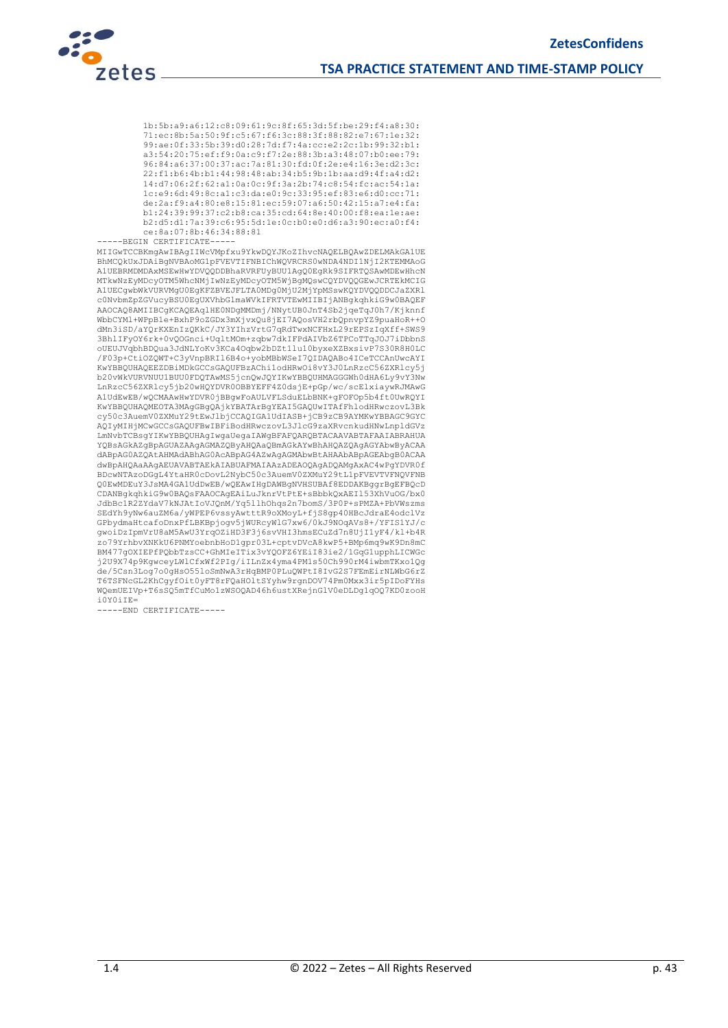

**TSA PRACTICE STATEMENT AND TIME-STAMP POLICY** 

```
1b:5b:a9:a6:12:c8:09:61:9c:8f:65:3d:5f:be:29:f4:a8:30:
71:ec:8b:5a:50:9f:c5:67:f6:3c:88:3f:88:82:e7:67:1e:32:<br>99:ae:0f:33:5b:39:d0:28:7d:f7:4a:cc:e2:2c:1b:99:32:b1:
a3:54:20:75:ef:f9:0a:c9:f7:2e:88:3b:a3:48:07:b0:ee:79:
96:84:a6:37:00:37:ac:7a:81:30:fd:0f:2e:e4:16:3e:d2:3c:
22:f1:b6:4b:b1:44:98:48:ab:34:b5:9b:1b:aa:d9:4f:a4:d2:
14:d7:06:2f:62:a1:0a:0c:9f:3a:2b:74:c8:54:fc:ac:54:1a:
10.09.60.49.80.31.03.03.90.90.33.95.95.83.66.00.00.71.de:2a:f9:a4:80:e8:15:81:ec:59:07:a6:50:42:15:a7:e4:fa:
bl:24:39:99:37:c2:b8:ca:35:cd:64:8e:40:00:f8:ea:le:ae:
b2:d5:d1:7a:39:c6:95:5d:1e:0c:b0:e0:d6:a3:90:ec:a0:f4:
ce:8a:07:8b:46:34:88:81
```
----- BEGIN CERTIFICATE-

```
MIIGwTCCBKmgAwIBAgIIWcVMpfxu9YkwDQYJKoZIhvcNAQELBQAwZDELMAkGAlUE<br>BhMCQkUxJDAiBgNVBAoMG1pFVEVTIFNBIChWQVRCRS0wNDA4NDI1NjI2KTEMMAoG
A1UEBRMDMDAxMSEwHwYDVQQDDBhaRVRFUyBUU1AgQ0EgRk9SIFRTQSAwMDEwHhcN
MTkwNzEyMDcyOTM5WhcNMjIwNzEyMDcyOTM5WjBgMQswCQYDVQQGEwJCRTEkMCIG
A1UECgwbWkVURVMgU0EgKFZBVEJFLTA0MDg0MjU2MjYpMSswKQYDVQQDDCJaZXR1
c0NvbmZpZGVucyBSU0EgUXVhbGlmaWVkIFRTVTEwMIIBIjANBgkqhkiG9w0BAQEF
AAOCAQ8AMIIBCqKCAQEAq1HE0NDqMMDmj/NNytUB0JnT4Sb2jqeTqJ0h7/Kjknnf
WbbCYM1+WPpB1e+BxhP9oZGDx3mXjvxQu8jEI7AOosVH2rbOpnvpYZ9puaHoR++O
dMn3iSD/aYQrKXEnIzQKkC/JY3YIhzVrtG7qRdTwxNCFHxL29rEPSzIqXff+SWS9
3Bh1IFyOY6rk+0vQOGnci+Uq1tMOm+zqbw7dkIFPdAIVbZ6TPCoTTqJOJ7iDbbnS
oUEUJVqbhBDQua3JdNLYoKv3KCa4Oqbw2bDZt1lu10byxeXZBxsivP7S30R8H0LC
/F03p+CtiOZQWT+C3yVnpBRIl6B4o+yobMBbWSeI7QIDAQABo4ICeTCCAnUwcAYI
KwYBBOUHAOEEZDBiMDkGCCsGAOUFBzAChilodHRwOi8vY3J0LnRzcC56ZXRlcv5i
b20vWkVURVNUU1BUU0FDQTAwMS5jcnQwJQYIKwYBBQUHMAGGGWh0dHA6Ly9vY3Nw
LnRzcC56ZXRlcy5jb20wHQYDVR0OBBYEFF4Z0dsjE+pGp/wc/scElxiaywRJMAwG
A1UdEwEB/wQCMAAwHwYDVR0jBBgwFoAULVFLSduELbBNK+gFOFOp5b4ft0UwRQYI
KwYBBQUHAQMEOTA3MAgGBgQAjkYBATArBgYEAI5GAQUwITAfFhlodHRwczovL3Bk
cy50c3AuemV0ZXMuY29tEwJlbjCCAQIGA1UdIASB+jCB9zCB9AYMKwYBBAGC9GYC
AOIVMIHjMCwGCCsGAQUFBwIBFiBodHRwczovL3JlcG9zaXRvcnkudHNwLnpldGVz
LmNvbTCBsgYIKwYBBQUHAgIwgaUegaIAWgBFAFQARQBTACAAVABTAFAAIABRAHUA
YQBsAGkAZgBpAGUAZAAgAGMAZQByAHQAaQBmAGkAYwBhAHQAZQAgAGYAbwByACAA
dABpAG0AZQAtAHMAdABhAG0AcABpAG4AZwAgAGMAbwBtAHAAbABpAGEAbgB0ACAA
dwBpAHQAaAAgAEUAVABTAEkAIABUAFMAIAAzADEAOQAgADQAMgAxAC4wPgYDVR0f
BDcwNTAzoDGqL4YtaHR0cDovL2NybC50c3AuemV0ZXMuY29tL1pFVEVTVFNOVFNB
Q0EwMDEuY3JsMA4GA1UdDwEB/wQEAwIHqDAWBqNVHSUBAf8EDDAKBqqrBqEFBQcD
CDANBgkghkiG9w0BAQsFAAOCAgEAiLuJKnrVtPtE+sBbbkQxAEI153XhVuOG/bx0
JdbBc1R2ZYdaV7kNJAtIoVJQnM/Yq5llhOhqs2n7bomS/3P0P+sPMZA+PbVWszms
SEdYh9yNw6auZM6a/yWPEP6vssyAwtttR9oXMoyL+fjS8gp40HBcJdraE4odclVz
GPbydmaHtcafoDnxPfLBKBpjogv5jWURcyWlG7xw6/0kJ9NOqAVs8+/YFIS1YJ/c
gwolDzIpmVrU8aM5AwU3YrqOZiHD3F3j6svVHI3hmsECuZd7n8UjI1yF4/kl+b4R
zo79YrhbvXNKkU6PNMYoebnbHoD1gpr03L+cptvDVcA8kwP5+BMp6mq9wK9Dn8mC
BM477gOXIEPfPQbbTzsCC+GhMIeITix3vYQOFZ6YEiI83ie2/1GqG1upphLICWGc
j2U9X74p9KgwceyLWlCfxWf2PIg/iILnZx4yma4PM1s50Ch990rM4iwbmTKxo1Qg
de/5Csn3Log7o0gHsO551oSmNwA3rHqBMP0PLuQWPtI8IvG2S7FEmEirNLWbG6rZ
T6TSFNcGL2KhCgyfOit0yFT8rFQaHOltSYyhw9rgnDOV74Pm0Mxx3ir5pIDoFYHs
WQemUEIVp+T6sSQ5mTfCuMo1zWSOQAD46h6ustXRejnGlV0eDLDg1qOQ7KD0zooH
i0Y0iIE=
```
-END CERTIFICATE -----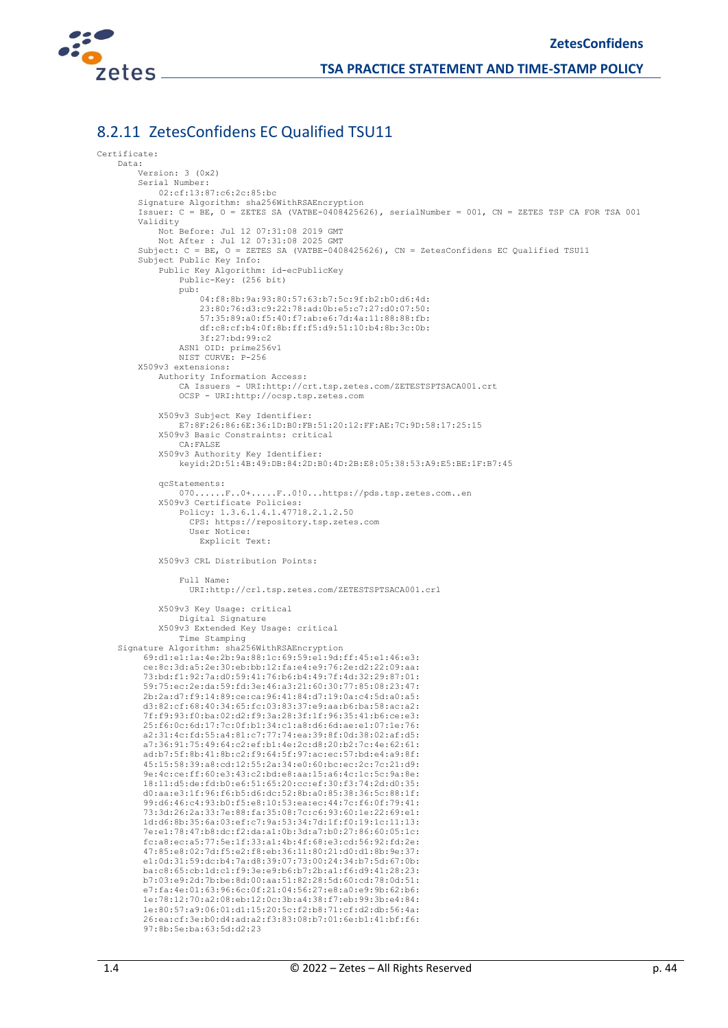

### <span id="page-43-0"></span>8.2.11 ZetesConfidens EC Qualified TSU11

```
Certificate:
     Data:
         Version: 3 (0x2)
         Serial Number:
             02:cf:13:87:c6:2c:85:bc
         Signature Algorithm: sha256WithRSAEncryption
         Issuer: C = BE, O = ZETES SA (VATBE-0408425626), serialNumber = 001, CN = ZETES TSP CA FOR TSA 001
         Validity
 Not Before: Jul 12 07:31:08 2019 GMT
 Not After : Jul 12 07:31:08 2025 GMT
         Subject: C = BE, O = ZETES SA (VATBE-0408425626), CN = ZetesConfidens EC Qualified TSU11
         Subject Public Key Info:
             Public Key Algorithm: id-ecPublicKey
                  Public-Key: (256 bit)
                  pub:
                      04:f8:8b:9a:93:80:57:63:b7:5c:9f:b2:b0:d6:4d:
                      23:80:76:d3:c9:22:78:ad:0b:e5:c7:27:d0:07:50:
                      57:35:89:a0:f5:40:f7:ab:e6:7d:4a:11:88:88:fb:
                     df:c8:cf:b4:0f:8b:ff:f5:d9:51:10:b4:8b:3c:0b:
                     3f:27:bd:99:c2
                  ASN1 OID: prime256v1
                  NIST CURVE: P-256
         X509v3 extensions:
              Authority Information Access: 
                  CA Issuers - URI:http://crt.tsp.zetes.com/ZETESTSPTSACA001.crt
                  OCSP - URI:http://ocsp.tsp.zetes.com
             X509v3 Subject Key Identifier: 
                  E7:8F:26:86:6E:36:1D:B0:FB:51:20:12:FF:AE:7C:9D:58:17:25:15
             X509v3 Basic Constraints: critical
                  CA:FALSE
             X509v3 Authority Key Identifier: 
                  keyid:2D:51:4B:49:DB:84:2D:B0:4D:2B:E8:05:38:53:A9:E5:BE:1F:B7:45
             qcStatements: 
                  070......F..0+.....F..0!0...https://pds.tsp.zetes.com..en
             X509v3 Certificate Policies: 
                  Policy: 1.3.6.1.4.1.47718.2.1.2.50
                    CPS: https://repository.tsp.zetes.com
                   User Notice:
                      Explicit Text: 
             X509v3 CRL Distribution Points: 
                  Full Name:
                    URI:http://crl.tsp.zetes.com/ZETESTSPTSACA001.crl
             X509v3 Key Usage: critical
                  Digital Signature
             X509v3 Extended Key Usage: critical
                  Time Stamping
     Signature Algorithm: sha256WithRSAEncryption
           69:d1:e1:1a:4e:2b:9a:88:1c:69:59:e1:9d:ff:45:e1:46:e3:
          ce:8c:3d:a5:2e:30:eb:bb:12:fa:e4:e9:76:2e:d2:22:09:aa:
           73:bd:f1:92:7a:d0:59:41:76:b6:b4:49:7f:4d:32:29:87:01:
          59:75:ec:2e:da:59:fd:3e:46:a3:21:60:30:77:85:08:23:47:
          2b:2a:d7:f9:14:89:ce:ca:96:41:84:d7:19:0a:c4:5d:a0:a5:
           d3:82:cf:68:40:34:65:fc:03:83:37:e9:aa:b6:ba:58:ac:a2:
          7f:f9:93:f0:ba:02:d2:f9:3a:28:3f:1f:96:35:41:b6:ce:e3:
          25:f6:0c:6d:17:7c:0f:b1:34:c1:a8:d6:6d:ae:e1:07:1e:76:
          a2:31:4c:fd:55:a4:81:c7:77:74:ea:39:8f:0d:38:02:af:d5:
          a7:36:91:75:49:64:c2:ef:b1:4e:2c:d8:20:b2:7c:4e:62:61:
          ad:b7:5f:8b:41:8b:c2:f9:64:5f:97:ac:ec:57:bd:e4:a9:8f:
          45:15:58:39:a8:cd:12:55:2a:34:e0:60:bc:ec:2c:7c:21:d9:
          9e:4c:ce:ff:60:e3:43:c2:bd:e8:aa:15:a6:4c:1c:5c:9a:8e:
          18:11:d5:de:fd:b0:e6:51:65:20:cc:ef:30:f3:74:2d:d0:35:
          d0:aa:e3:1f:96:f6:b5:d6:dc:52:8b:a0:85:38:36:5c:88:1f:
           99:d6:46:c4:93:b0:f5:e8:10:53:ea:ec:44:7c:f6:0f:79:41:
           73:3d:26:2a:33:7e:88:fa:35:08:7c:c6:93:60:1e:22:69:e1:
          1d:d6:8b:35:6a:03:ef:c7:9a:53:34:7d:1f:f0:19:1c:11:13:
          7e:e1:78:47:b8:dc:f2:da:a1:0b:3d:a7:b0:27:86:60:05:1c:
          fc:a8:ec:a5:77:5e:1f:33:a1:4b:4f:68:e3:cd:56:92:fd:2e:
 47:85:e8:02:7d:f5:e2:f8:eb:36:11:80:21:d0:d1:8b:9e:37:
 e1:0d:31:59:dc:b4:7a:d8:39:07:73:00:24:34:b7:5d:67:0b:
          ba:c8:65:cb:1d:c1:f9:3e:e9:b6:b7:2b:a1:f6:d9:41:28:23:
          b7:03:e9:2d:7b:be:8d:00:aa:51:82:28:5d:60:cd:78:0d:51:
          e7:fa:4e:01:63:96:6c:0f:21:04:56:27:e8:a0:e9:9b:62:b6:
          1e:78:12:70:a2:08:eb:12:0c:3b:a4:38:f7:eb:99:3b:e4:84:
 1e:80:57:a9:06:01:d1:15:20:5c:f2:b8:71:cf:d2:db:56:4a:
 26:ea:cf:3e:b0:d4:ad:a2:f3:83:08:b7:01:6e:b1:41:bf:f6:
          97:8b:5e:ba:63:5d:d2:23
```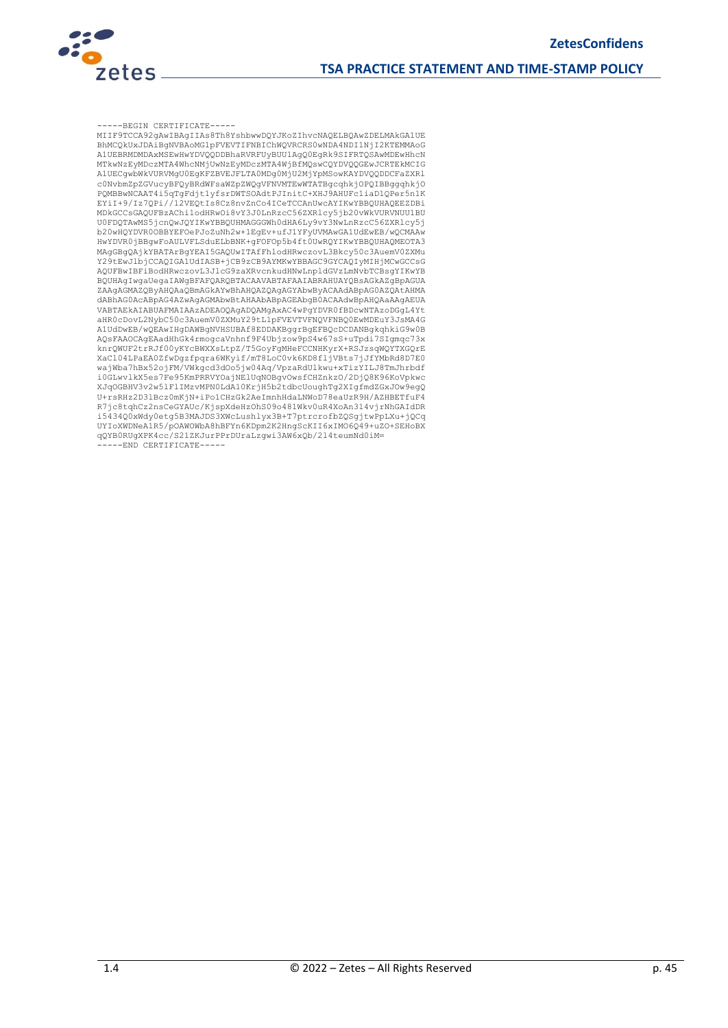$---RERTN CERTFTCAPF---$ 

MIIF9TCCA92gAwIBAgIIAs8Th8YshbwwDQYJKoZIhvcNAQELBQAwZDELMAkGA1UE BhMCOkUxJDAiBqNVBAoMG1pFVEVTIFNBIChWOVRCRS0wNDA4NDI1NiI2KTEMMAoG A1UEBRMDMDAxMSEwHwYDVQQDDBhaRVRFUyBUU1AgQ0EgRk9SIFRTQSAwMDEwHhcN MTkwNzEyMDczMTA4WhcNMjUwNzEyMDczMTA4WjBfMQswCQYDVQQGEwJCRTEkMCIG A1UECgwbWkVURVMgU0EgKFZBVEJFLTA0MDg0MjU2MjYpMSowKAYDVQQDDCFaZXR1 c0NvbmZpZGVucyBFQyBRdWFsaWZpZWQgVFNVMTEwWTATBgcqhkjOPQIBBggqhkjO PQMBBwNCAAT4i5qTgFdjt1yfsrDWTSOAdtPJInitC+XHJ9AHUFc1iaD1QPer5n1K EYiI+9/Iz7QPi//12VEQtIs8Cz8nvZnCo4ICeTCCAnUwcAYIKwYBBQUHAQEEZDBi MDkGCCsGAQUFBzAChilodHRw0i8vY3J0LnRzcC56ZXRlcy5jb20vWkVURVNUU1BU UOFDQTAwMS5jcnQwJQYIKwYBBQUHMAGGGWh0dHA6Ly9vY3NwLnRzcC56ZXRlcy5j b20wHQYDVR0OBBYEFOePJoZuNh2w+1EgEv+ufJ1YFyUVMAwGA1UdEwEB/wQCMAAw HwYDVR0jBBgwFoAULVFLSduELbBNK+gFOFOp5b4ft0UwRQYIKwYBBQUHAQMEOTA3 MAgGBgOAjkYBATArBgYEAI5GAOUwITAfFhlodHRwczovL3Bkcv50c3AuemV0ZXMu x29tEwJlbjCCAQIGA1UdIASB+jCB9zCB9AYMKwYBBAGC9GYCAQIyMIHjMCwGCCsG AQUFBwIBFiBodHRwczovL3JlcG9zaXRvcnkudHNwLnpldGVzLmNvbTCBsgYIKwYB BQUHAgIwgaUegaIAWgBFAFQARQBTACAAVABTAFAAIABRAHUAYQBsAGkAZgBpAGUA ZAAGAGMAZQByAHQAaQBmAGkAYwBhAHQAZQAGAGYAbwByACAAdABpAG0AZQAtAHMA aHR0cDovL2NybC50c3AuemV0ZXMuY29tL1pFVEVTVFNQVFNBQ0EwMDEuY3JsMA4G A1UdDwEB/wQEAwIHgDAWBgNVHSUBAf8EDDAKBggrBgEFBQcDCDANBgkghkiG9w0B AQSFAAOCAgEAadHhGk4rmogcaVnhnf9F4Ubjzow9pS4w67sS+uTpdi7SIgmqc73x knrQWUF2trRJf00yKYcBWXXsLtpZ/T5GoyFgMHeFCCNHKyrX+RSJzsqWQYTXGQrE XaClO4LPaEA0ZfwDgzfpqra6WKyif/mT8LoC0vk6KD8fljVBts7jJfYMbRd8D7E0<br>wajWba7hBx52ojFM/VWkgcd3d0o5jw04Aq/VpzaRdUlkwu+xTizYILJ8TmJhrdf i0GLwvlkX5es7Fe95KmPRRVYOajNElUqNOBgvOwsfCHZnkzO/2DjQ8K96KoVpkwc XJqOGBHV3v2w51F1IMzvMPN0LdA10KrjH5b2tdbcUoughTg2XIgfmdZGxJOw9egQ U+rsRHz2D31Bcz0mKjN+iPo1CHzGk2AeImnhHdaLNWoD78eaUzR9H/AZHBETfuF4  $\verb|R7jc8tqhCz2nsCeGYAUC/KjspXdeHzOhS09o481Wkv0uR4XoAn314vjrmhGAIdDR$ i5434Q0xWdy0etg5B3MAJDS3XWcLushlyx3B+T7ptrcrofbZQSgjtwPpLXu+jQCq UYIoXWDNeA1R5/pOAWOWbA8hBFYn6KDpm2K2HngScKII6xIMO6Q49+uZO+SEHoBX qQYB0RUgXPK4cc/S21ZKJurPPrDUraLzgwi3AW6xQb/214teumNd0iM= -END CERTIFICATE-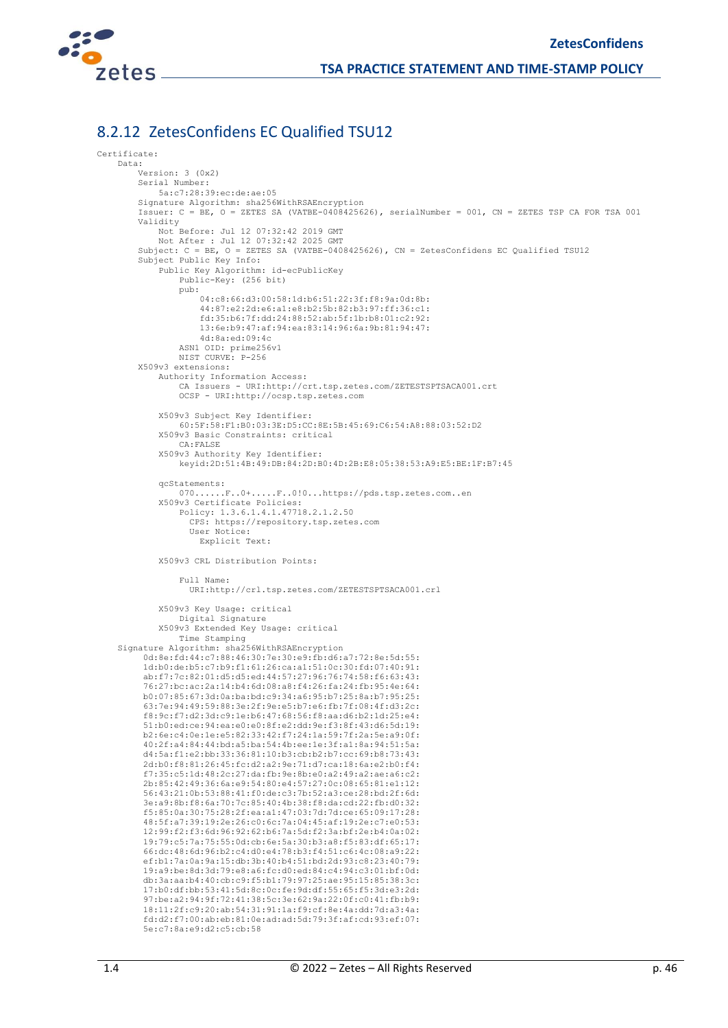

### <span id="page-45-0"></span>8.2.12 ZetesConfidens EC Qualified TSU12

```
Certificate:
     Data:
         Version: 3 (0x2)
         Serial Number:
             5a:c7:28:39:ec:de:ae:05
         Signature Algorithm: sha256WithRSAEncryption
         Issuer: C = BE, O = ZETES SA (VATBE-0408425626), serialNumber = 001, CN = ZETES TSP CA FOR TSA 001
         Validity
 Not Before: Jul 12 07:32:42 2019 GMT
 Not After : Jul 12 07:32:42 2025 GMT
         Subject: C = BE, O = ZETES SA (VATBE-0408425626), CN = ZetesConfidens EC Qualified TSU12
         Subject Public Key Info:
             Public Key Algorithm: id-ecPublicKey
                 Public-Key: (256 bit)
                 pub:
                     04:c8:66:d3:00:58:1d:b6:51:22:3f:f8:9a:0d:8b:
                     44:87:e2:2d:e6:a1:e8:b2:5b:82:b3:97:ff:36:c1:
                     fd:35:b6:7f:dd:24:88:52:ab:5f:1b:b8:01:c2:92:
                     13:6e:b9:47:af:94:ea:83:14:96:6a:9b:81:94:47:
                     4d:8a:ed:09:4c
                 ASN1 OID: prime256v1
                 NIST CURVE: P-256
         X509v3 extensions:
             Authority Information Access: 
                 CA Issuers - URI:http://crt.tsp.zetes.com/ZETESTSPTSACA001.crt
                 OCSP - URI:http://ocsp.tsp.zetes.com
             X509v3 Subject Key Identifier: 
                  60:5F:58:F1:B0:03:3E:D5:CC:8E:5B:45:69:C6:54:A8:88:03:52:D2
             X509v3 Basic Constraints: critical
                 CA:FALSE
             X509v3 Authority Key Identifier: 
                 keyid:2D:51:4B:49:DB:84:2D:B0:4D:2B:E8:05:38:53:A9:E5:BE:1F:B7:45
             qcStatements: 
                 070......F..0+.....F..0!0...https://pds.tsp.zetes.com..en
             X509v3 Certificate Policies: 
                 Policy: 1.3.6.1.4.1.47718.2.1.2.50
                   CPS: https://repository.tsp.zetes.com
                   User Notice:
                      Explicit Text: 
             X509v3 CRL Distribution Points: 
                 Full Name:
                   URI:http://crl.tsp.zetes.com/ZETESTSPTSACA001.crl
             X509v3 Key Usage: critical
                 Digital Signature
             X509v3 Extended Key Usage: critical
                 Time Stamping
     Signature Algorithm: sha256WithRSAEncryption
          0d:8e:fd:44:c7:88:46:30:7e:30:e9:fb:d6:a7:72:8e:5d:55:
          1d:b0:de:b5:c7:b9:f1:61:26:ca:a1:51:0c:30:fd:07:40:91:
          ab:f7:7c:82:01:d5:d5:ed:44:57:27:96:76:74:58:f6:63:43:
          76:27:bc:ac:2a:14:b4:6d:08:a8:f4:26:fa:24:fb:95:4e:64:
          b0:07:85:67:3d:0a:ba:bd:c9:34:a6:95:b7:25:8a:b7:95:25:
          63:7e:94:49:59:88:3e:2f:9e:e5:b7:e6:fb:7f:08:4f:d3:2c:
          f8:9c:f7:d2:3d:c9:1e:b6:47:68:56:f8:aa:d6:b2:1d:25:e4:
          51:b0:ed:ce:94:ea:e0:e0:8f:e2:dd:9e:f3:8f:43:d6:5d:19:
          b2:6e:c4:0e:1e:e5:82:33:42:f7:24:1a:59:7f:2a:5e:a9:0f:
          40:2f:a4:84:44:bd:a5:ba:54:4b:ee:1e:3f:a1:8a:94:51:5a:
          d4:5a:f1:e2:bb:33:36:81:10:b3:cb:b2:b7:cc:69:b8:73:43:
          2d:b0:f8:81:26:45:fc:d2:a2:9e:71:d7:ca:18:6a:e2:b0:f4:
          f7:35:c5:1d:48:2c:27:da:fb:9e:8b:e0:a2:49:a2:ae:a6:c2:
          2b:85:42:49:36:6a:e9:54:80:e4:57:27:0c:08:65:81:e1:12:
          56:43:21:0b:53:88:41:f0:de:c3:7b:52:a3:ce:28:bd:2f:6d:
          3e:a9:8b:f8:6a:70:7c:85:40:4b:38:f8:da:cd:22:fb:d0:32:
          f5:85:0a:30:75:28:2f:ea:a1:47:03:7d:7d:ce:65:09:17:28:
          48:5f:a7:39:19:2e:26:c0:6c:7a:04:45:af:19:2e:c7:e0:53:
          12:99:f2:f3:6d:96:92:62:b6:7a:5d:f2:3a:bf:2e:b4:0a:02:
          19:79:c5:7a:75:55:0d:cb:6e:5a:30:b3:a8:f5:83:df:65:17:
          66:dc:48:6d:96:b2:c4:d0:e4:78:b3:f4:51:c6:4c:08:a9:22:
          ef:b1:7a:0a:9a:15:db:3b:40:b4:51:bd:2d:93:c8:23:40:79:
          19:a9:be:8d:3d:79:e8:a6:fc:d0:ed:84:c4:94:c3:01:bf:0d:
          db:3a:aa:b4:40:cb:c9:f5:b1:79:97:25:ae:95:15:85:38:3c:
          17:b0:df:bb:53:41:5d:8c:0c:fe:9d:df:55:65:f5:3d:e3:2d:
          97:be:a2:94:9f:72:41:38:5c:3e:62:9a:22:0f:c0:41:fb:b9:
          18:11:2f:c9:20:ab:54:31:91:1a:f9:cf:8e:4a:dd:7d:a3:4a:
          fd:d2:f7:00:ab:eb:81:0e:ad:ad:5d:79:3f:af:cd:93:ef:07:
          5e:c7:8a:e9:d2:c5:cb:58
```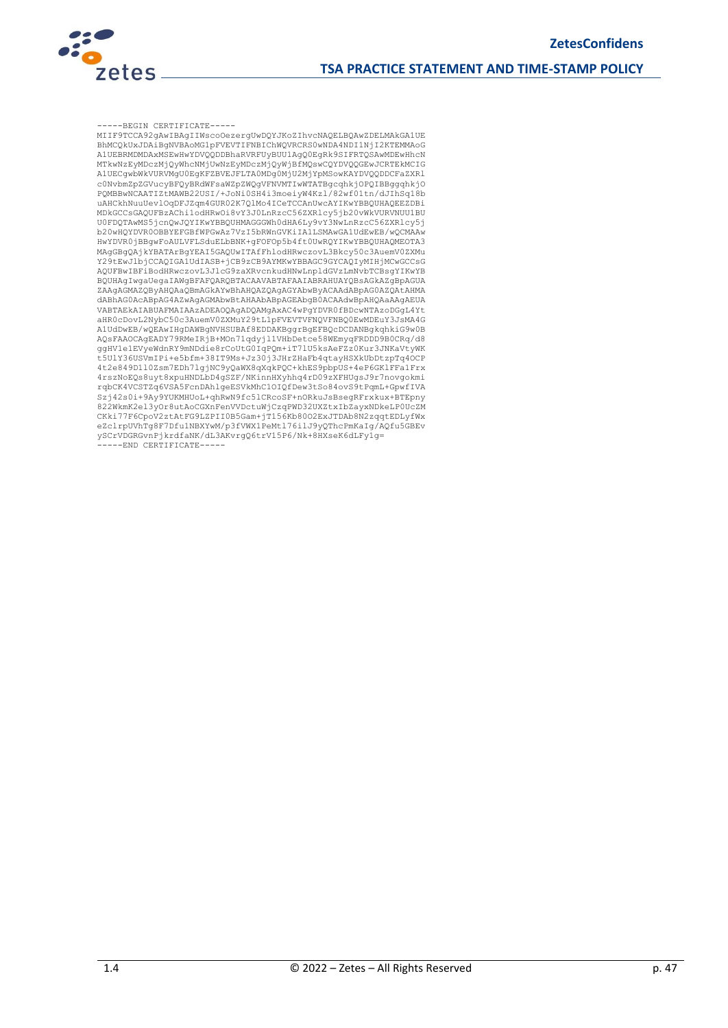$---RERTN CERTFTCATE---$ 

MIIF9TCCA92gAwIBAgIIWscoOezergUwDQYJKoZIhvcNAQELBQAwZDELMAkGA1UE BhMCOkUxJDAiBqNVBAoMG1pFVEVTIFNBIChWOVRCRS0wNDA4NDI1NiI2KTEMMAoG A1UEBRMDMDAxMSEwHwYDVQQDDBhaRVRFUyBUU1AgQ0EgRk9SIFRTQSAwMDEwHhcN MTkwNzEyMDczMjQyWhcNMjUwNzEyMDczMjQyWjBfMQswCQYDVQQGEwJCRTEkMCIG A1UECgwbWkVURVMgU0EgKFZBVEJFLTA0MDg0MjU2MjYpMSowKAYDVQQDDCFaZXR1 c0NvbmZpZGVucyBFQyBRdWFsaWZpZWQgVFNVMTIwWTATBgcqhkj0PQIBBggqhkj0 PQMBBwNCAATIZtMAWB22USI/+JoNi0SH4i3moeiyW4Kzl/82wf01tn/dJIhSq18b uAHCkhNuuUevlOqDFJZqm4GUR02K7QlMo4ICeTCCAnUwcAYIKwYBBQUHAQEEZDBi MDkGCCsGAQUFBzAChilodHRw0i8vY3J0LnRzcC56ZXRlcy5jb20vWkVURVNUU1BU UOFDQTAwMS5jcnQwJQYIKwYBBQUHMAGGGWh0dHA6Ly9vY3NwLnRzcC56ZXRlcy5j b20wHQYDVR0OBBYEFGBfWPGwAz7VzI5bRWnGVKiIA1LSMAwGA1UdEwEB/wQCMAAw HwYDVR0jBBgwFoAULVFLSduELbBNK+gFOFOp5b4ft0UwRQYIKwYBBQUHAQMEOTA3 MAgGBgOAjkYBATArBgYEAI5GAOUwITAfFhlodHRwczovL3Bkcv50c3AuemV0ZXMu x29tEwJlbjCCAQIGA1UdIASB+jCB9zCB9AYMKwYBBAGC9GYCAQIyMIHjMCwGCCsG AQUFBwIBFiBodHRwczovL3JlcG9zaXRvcnkudHNwLnpldGVzLmNvbTCBsgYIKwYB BQUHAgIwgaUegaIAWgBFAFQARQBTACAAVABTAFAAIABRAHUAYQBsAGkAZgBpAGUA ZAAGAGMAZQByAHQAaQBmAGkAYwBhAHQAZQAGAGYAbwByACAAdABpAG0AZQAtAHMA aHR0cDovL2NybC50c3AuemV0ZXMuY29tL1pFVEVTVFNQVFNBQ0EwMDEuY3JsMA4G A1UdDwEB/wQEAwIHgDAWBgNVHSUBAf8EDDAKBggrBgEFBQcDCDANBgkghkiG9w0B AQSFAAOCAgEADY79RMeIRjB+MOn71qdyj11VHbDetce58WEmyqFRDD9B0CRq/d8 ggHV1e1EVyeWdnRY9mNDdie8rCoUtG0IqPQm+iT71U5ksAeF2z0Kur3JNKaVtyWK t5UlY36USVmIPi+e5bfm+38IT9Ms+Jz30j3JHrZHaFb4qtayHSXkUbDtzpTq4OCP exercively.com/interactions/state/actions/state/actions/state/actions/state/actions/state/actions/state/actions/state/actions/state/actions/state/actions/state/actions/state/actions/state/actions/state/actions/state/action rgbCK4VCSTZq6VSA5FcnDAhlgeESVkMhC1OIQfDew3tSo84ovS9tPqmL+GpwfIVA Szj42s0i+9Ay9YUKMHUoL+qhRwN9fc51CRcoSF+nORkuJsBsegRFrxkux+BTEpny 822WkmK2e13yOr8utAoCGXnFenVVDctuWjCzqPWD32UXZtxIbZayxNDkeLP0UcZM CKki77F6CpoV2ztAtFG9LZPII0B5Gam+jT156Kb8002ExJTDAb8N2zqqtEDLyfWx<br>eZclrpUVhTg8F7Dfu1NBXYwM/p3fVWX1PeMtl76ilJ9yQThcPmKaIg/AQfu5GBEv ySCrVDGRGvnPjkrdfaNK/dL3AKvrgQ6trV15P6/Nk+8HXseK6dLFy1g= -END CERTIFICATE-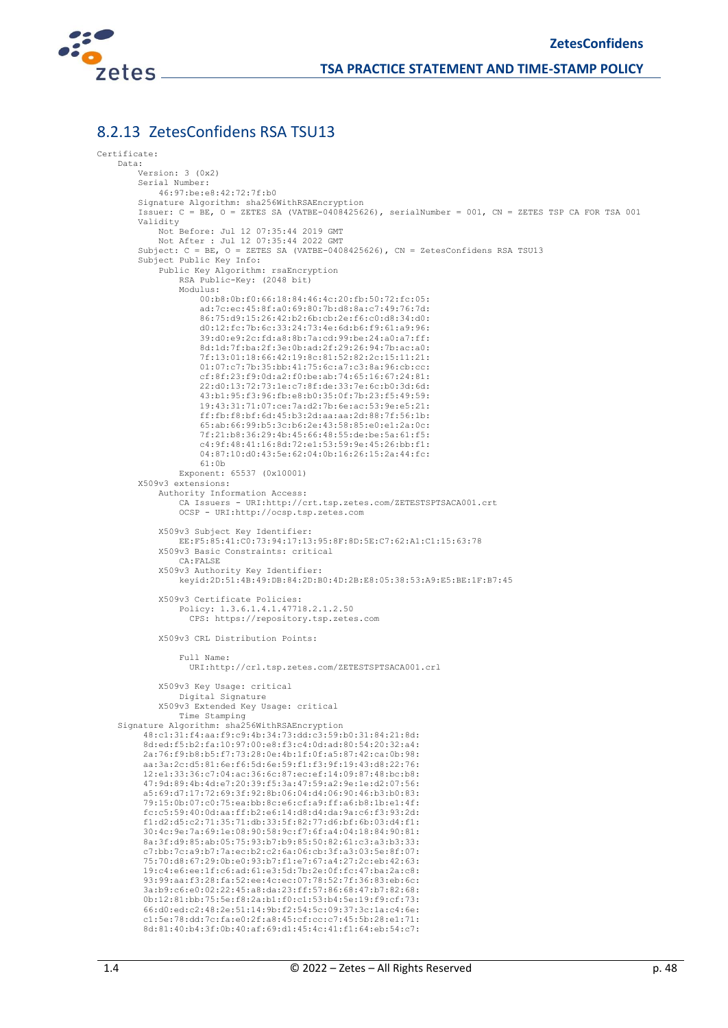

### <span id="page-47-0"></span>8.2.13 ZetesConfidens RSA TSU13

```
Certificate:
     Data:
         Version: 3 (0x2)
         Serial Number:
             46:97:be:e8:42:72:7f:b0
         Signature Algorithm: sha256WithRSAEncryption
         Issuer: C = BE, O = ZETES SA (VATBE-0408425626), serialNumber = 001, CN = ZETES TSP CA FOR TSA 001
         Validity
 Not Before: Jul 12 07:35:44 2019 GMT
 Not After : Jul 12 07:35:44 2022 GMT
         Subject: C = BE, O = ZETES SA (VATBE-0408425626), CN = ZetesConfidens RSA TSU13
         Subject Public Key Info:
             Public Key Algorithm: rsaEncryption
                 RSA Public-Key: (2048 bit)
                 Modulus:
                      00:b8:0b:f0:66:18:84:46:4c:20:fb:50:72:fc:05:
                      ad:7c:ec:45:8f:a0:69:80:7b:d8:8a:c7:49:76:7d:
                     86:75:d9:15:26:42:b2:6b:cb:2e:f6:c0:d8:34:d0:
                     d0:12:fc:7b:6c:33:24:73:4e:6d:b6:f9:61:a9:96:
                      39:d0:e9:2c:fd:a8:8b:7a:cd:99:be:24:a0:a7:ff:
                      8d:1d:7f:ba:2f:3e:0b:ad:2f:29:26:94:7b:ac:a0:
                     7f:13:01:18:66:42:19:8c:81:52:82:2c:15:11:21:
                     01:07:c7:7b:35:bb:41:75:6c:a7:c3:8a:96:cb:cc:
                      cf:8f:23:f9:0d:a2:f0:be:ab:74:65:16:67:24:81:
                      22:d0:13:72:73:1e:c7:8f:de:33:7e:6c:b0:3d:6d:
                     43:b1:95:f3:96:fb:e8:b0:35:0f:7b:23:f5:49:59:
                     19:43:31:71:07:ce:7a:d2:7b:6e:ac:53:9e:e5:21:
                     ff:fb:f8:bf:6d:45:b3:2d:aa:aa:2d:88:7f:56:1b:
                     65:ab:66:99:b5:3c:b6:2e:43:58:85:e0:e1:2a:0c:
                     7f:21:b8:36:29:4b:45:66:48:55:de:be:5a:61:f5:
                     c4:9f:48:41:16:8d:72:e1:53:59:9e:45:26:bb:f1:
                     04:87:10:d0:43:5e:62:04:0b:16:26:15:2a:44:fc:
                     61:0b
                 Exponent: 65537 (0x10001)
         X509v3 extensions:
             Authority Information Access: 
                 CA Issuers - URI:http://crt.tsp.zetes.com/ZETESTSPTSACA001.crt
                 OCSP - URI:http://ocsp.tsp.zetes.com
             X509v3 Subject Key Identifier: 
                  EE:F5:85:41:C0:73:94:17:13:95:8F:8D:5E:C7:62:A1:C1:15:63:78
             X509v3 Basic Constraints: critical
                 CA:FALSE
             X509v3 Authority Key Identifier: 
                  keyid:2D:51:4B:49:DB:84:2D:B0:4D:2B:E8:05:38:53:A9:E5:BE:1F:B7:45
             X509v3 Certificate Policies: 
                  Policy: 1.3.6.1.4.1.47718.2.1.2.50
                    CPS: https://repository.tsp.zetes.com
             X509v3 CRL Distribution Points: 
                 Full Name:
                    URI:http://crl.tsp.zetes.com/ZETESTSPTSACA001.crl
             X509v3 Key Usage: critical
                 Digital Signature
             X509v3 Extended Key Usage: critical
                 Time Stamping
    Signature Algorithm: sha256WithRSAEncryption
          48:c1:31:f4:aa:f9:c9:4b:34:73:dd:c3:59:b0:31:84:21:8d:
          8d:ed:f5:b2:fa:10:97:00:e8:f3:c4:0d:ad:80:54:20:32:a4:
          2a:76:f9:b8:b5:f7:73:28:0e:4b:1f:0f:a5:87:42:ca:0b:98:
          aa:3a:2c:d5:81:6e:f6:5d:6e:59:f1:f3:9f:19:43:d8:22:76:
          12:e1:33:36:c7:04:ac:36:6c:87:ec:ef:14:09:87:48:bc:b8:
          47:9d:89:4b:4d:e7:20:39:f5:3a:47:59:a2:9e:1e:d2:07:56:
          a5:69:d7:17:72:69:3f:92:8b:06:04:d4:06:90:46:b3:b0:83:
          79:15:0b:07:c0:75:ea:bb:8c:e6:cf:a9:ff:a6:b8:1b:e1:4f:
          fc:c5:59:40:0d:aa:ff:b2:e6:14:d8:d4:da:9a:c6:f3:93:2d:
          f1:d2:d5:c2:71:35:71:db:33:5f:82:77:d6:bf:6b:03:d4:f1:
          30:4c:9e:7a:69:1e:08:90:58:9c:f7:6f:a4:04:18:84:90:81:
          8a:3f:d9:85:ab:05:75:93:b7:b9:85:50:82:61:c3:a3:b3:33:
 c7:bb:7c:a9:b7:7a:ec:b2:c2:6a:06:cb:3f:a3:03:5e:8f:07:
 75:70:d8:67:29:0b:e0:93:b7:f1:e7:67:a4:27:2c:eb:42:63:
          19:c4:e6:ee:1f:c6:ad:61:e3:5d:7b:2e:0f:fc:47:ba:2a:c8:
          93:99:aa:f3:28:fa:52:ee:4c:ec:07:78:52:7f:36:83:eb:6c:
          3a:b9:c6:e0:02:22:45:a8:da:23:ff:57:86:68:47:b7:82:68:
          0b:12:81:bb:75:5e:f8:2a:b1:f0:c1:53:b4:5e:19:f9:cf:73:
          66:d0:ed:c2:48:2e:51:14:9b:f2:54:5c:09:37:3c:1a:c4:6e:
          c1:5e:78:dd:7c:fa:e0:2f:a8:45:cf:cc:c7:45:5b:28:e1:71:
          8d:81:40:b4:3f:0b:40:af:69:d1:45:4c:41:f1:64:eb:54:c7:
```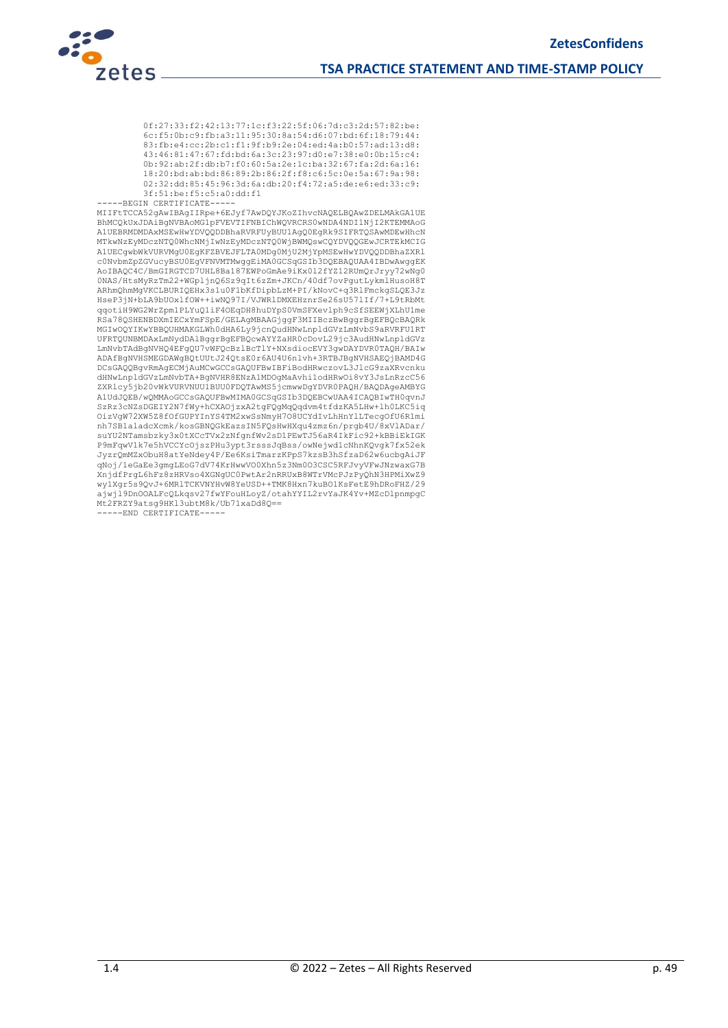

```
0f:27:33:f2:42:13:77:1c:f3:22:5f:06:7d:c3:2d:57:82:be:
6c:f5:0b:c9:fb:a3:11:95:30:8a:54:d6:07:bd:6f:18:79:44:
83:fb:e4:cc:2b:c1:f1:9f:b9:2e:04:ed:4a:b0:57:ad:13:d8:
43:46:81:47:67:fd:bd:6a:3c:23:97:d0:e7:38:e0:0b:15:c4:
0b:92:ab:2f:db:b7:f0:60:5a:2e:1c:ba:32:67:fa:2d:6a:16:
18:20:bd:ab:bd:86:89:2b:86:2f:f8:c6:5c:0e:5a:67:9a:98:
02:32:dd:85:45:96:3d:6a:db:20:f4:72:a5:de:e6:ed:33:c9:
3f \cdot 51 \cdot h \cdot f 5 \cdot c 5 \cdot a 0 \cdot d d \cdot f1
```
----BEGIN CERTIFICATE----

```
MIIFtTCCA52qAwIBAqIIRpe+6EJyf7AwDQYJKoZIhvcNAQELBQAwZDELMAkGA1UE
BhMCQkUxJDAiBgNVBAoMG1pFVEVTIFNBIChWQVRCRS0wNDA4NDI1NjI2KTEMMAoG
A1UEBRMDMDAxMSEwHwYDVQQDDBhaRVRFUyBUU1AgQ0EgRk9SIFRTQSAwMDEwHhcN
MTkwNzEyMDczNTQ0WhcNMjIwNzEyMDczNTQ0WjBWMQswCQYDVQQGEwJCRTEkMCIG
AIUECGWbWkVURVMgUOEgKFZBVEJFLTAOMDgOMjUZMjYpMSEwHwYDVQQDDBhaZXRl<br>CONvbmZpZGVucyBSUOEgVFNVMTMwggEiMAOGCSqGSIb3DQEBAQUAA4IBDwAwggEK
AOIBAQC4C/BmGIRGTCD7UHL8Ba187EWPoGmAe9iKx012fYZ12RUmQrJryy72wNg0
ONAS/HtsMyRzTm22+WGpljnQ6Sz9qIt6zZm+JKCn/40df7ovPgutLykmlHusoH8T
ARhmQhmMgVKCLBURIQEHx3s1u0F1bKfDipbLzM+PI/kNovC+q3RlFmckgSLQE3Jz
HseP3jN+bLA9bUOxlfOW++iwNQ97I/VJWRlDMXEHznrSe26sU57lIf/7+L9tRbMt
qqotiH9WG2WrZpm1PLYuQ1iF4OEqDH8huDYpS0VmSFXevlph9cSfSEEWiXLhU1me
RSa78QSHENBDXmIECxYmFSpE/GELAgMBAAGjggF3MIIBczBwBggrBgEFBQcBAQRk
MGIwOQYIKwYBBQUHMAKGLWh0dHA6Ly9jcnQudHNwLnpldGVzLmNvbS9aRVRFU1RT
UFRTQUNBMDAxLmNydDAlBggrBgEFBQcwAYYZaHR0cDovL29jc3AudHNwLnpldGVz
LmNvbTAdBgNVHQ4EFgQU7vWFQcBzlBcTlY+NXsdiocEVY3gwDAYDVR0TAQH/BAIw
ADAfBgNVHSMEGDAWgBQtUUtJ24QtsE0r6AU4U6nlvh+3RTBJBgNVHSAEQjBAMD4G
DCsGAOOBqvRmAqECMiAuMCwGCCsGAOUFBwIBFiBodHRwczovL3J1cG9zaXRvcnku
dHNwLnpldGVzLmNvbTA+BgNVHR8ENzA1MDOgMaAvhilodHRwOi8vY3JsLnRzcC56
ZXRlcy5jb20vWkVURVNUU1BUU0FDQTAwMS5jcmwwDgYDVR0PAQH/BAQDAgeAMBYG
A1UdJQEB/wQMMAoGCCsGAQUFBwMIMA0GCSqGSIb3DQEBCwUAA4ICAQBIwTH0qvnJ
SzRz3cNZsDGEIY2N7fWy+hCXAOjzxA2tgFQgMqQqdvm4tfdzKA5LHw+lh0LKC5iq
OizVgW72XW5Z8fOfGUPYInYS4TM2xwSsNmyH7O8UCYdIvLhHnYlLTecgOfU6R1mi
nh7SB1aladcXcmk/kosGBNOGkEazsIN5FOsHwHXqu4zmz6n/prqb4U/8xVlADar/
suYU2NTamsbzky3x0tXCcTVx2zNfgnfWv2sD1PEwTJ56aR4IkFic92+kBBiEkIGK
P9mFqwV1k7e5hVCCYcOjszPHu3ypt3rsssJqBss/owNejwd1cNhnKQvgk7fx52ek
JyzromMZxObuH8atYeNdey4P/Ee6KsiTmarzKPpS7kzsB3hSfzaD62w6ucbgAiJF
qNoj/1eGaEe3gmgLEoG7dV74KrHwwVO0Xhn5z3Nm0O3CSC5RFJvyVFwJNzwaxG7B
XnjdfPrgL6hFz8zHRVso4XGNgUC0PwtAr2nRRUxB8WTrVMcPJzPyQhN3HPMiXwZ9
wy1Xgr5s9QvJ+6MR1TCKVNYHvW8YeUSD++TMK8Hxn7kuBO1KsFetE9hDRoFHZ/29
ajwj19DnOOALFcQLkqsv27fwYFouHLoyZ/otahYYIL2rvYaJK4Yv+MZcDlpnmpgC
Mt2FRZY9atsg9HKl3ubtM8k/Ub71xaDd8Q ==
```
----END CERTIFICATE---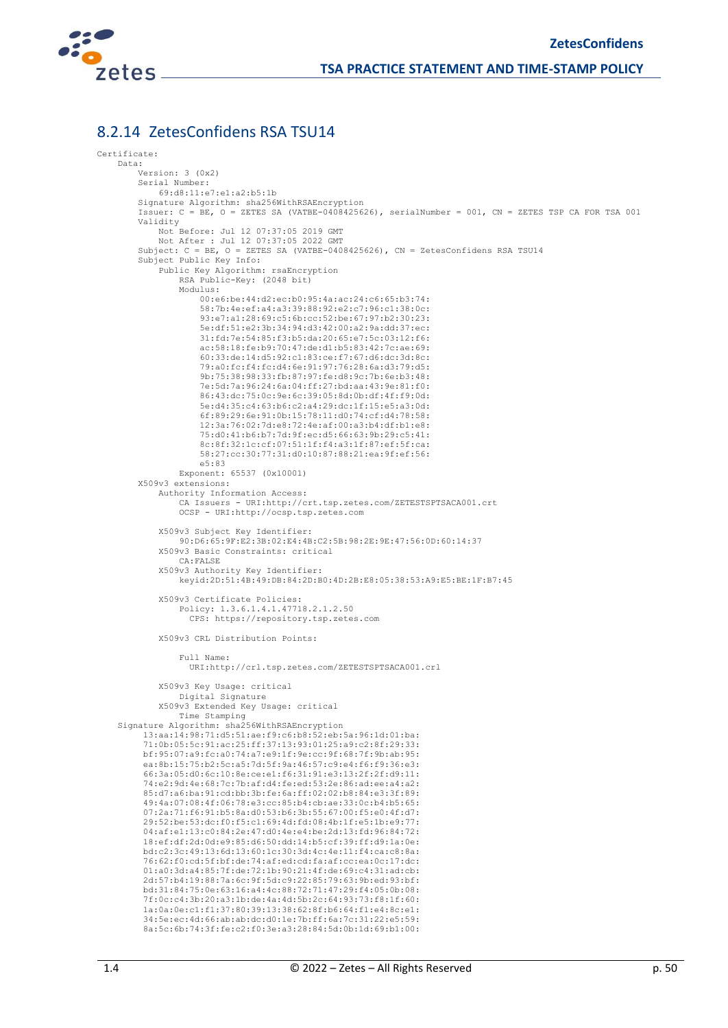

### <span id="page-49-0"></span>8.2.14 ZetesConfidens RSA TSU14

```
Certificate:
     Data:
         Version: 3 (0x2)
         Serial Number:
             69:d8:11:e7:e1:a2:b5:1b
         Signature Algorithm: sha256WithRSAEncryption
         Issuer: C = BE, O = ZETES SA (VATBE-0408425626), serialNumber = 001, CN = ZETES TSP CA FOR TSA 001
         Validity
 Not Before: Jul 12 07:37:05 2019 GMT
 Not After : Jul 12 07:37:05 2022 GMT
        Subject: C = BE, O = ZETES SA (VATBE-0408425626), CN = ZetesConfidens RSA TSU14 Subject Public Key Info:
             Public Key Algorithm: rsaEncryption
                 RSA Public-Key: (2048 bit)
                 Modulus:
                     00:e6:be:44:d2:ec:b0:95:4a:ac:24:c6:65:b3:74:
                     58:7b:4e:ef:a4:a3:39:88:92:e2:c7:96:c1:38:0c:
                      93:e7:a1:28:69:c5:6b:cc:52:be:67:97:b2:30:23:
                      5e:df:51:e2:3b:34:94:d3:42:00:a2:9a:dd:37:ec:
                     31:fd:7e:54:85:f3:b5:da:20:65:e7:5c:03:12:f6:
                     ac:58:18:fe:b9:70:47:de:d1:b5:83:42:7c:ae:69:
                     60:33:de:14:d5:92:c1:83:ce:f7:67:d6:dc:3d:8c:
                     79:a0:fc:f4:fc:d4:6e:91:97:76:28:6a:d3:79:d5:
                     9b:75:38:98:33:fb:87:97:fe:d8:9c:7b:6e:b3:48:
                      7e:5d:7a:96:24:6a:04:ff:27:bd:aa:43:9e:81:f0:
                      86:43:dc:75:0c:9e:6c:39:05:8d:0b:df:4f:f9:0d:
                     5e:d4:35:c4:63:b6:c2:a4:29:dc:1f:15:e5:a3:0d:
                     6f:89:29:6e:91:0b:15:78:11:d0:74:cf:d4:78:58:
                     12:3a:76:02:7d:e8:72:4e:af:00:a3:b4:df:b1:e8:
                     75:d0:41:b6:b7:7d:9f:ec:d5:66:63:9b:29:c5:41:
                     8c:8f:32:1c:cf:07:51:1f:f4:a3:1f:87:ef:5f:ca:
                     58:27:cc:30:77:31:d0:10:87:88:21:ea:9f:ef:56:
                    e5:83
                 Exponent: 65537 (0x10001)
         X509v3 extensions:
             Authority Information Access: 
                 CA Issuers - URI:http://crt.tsp.zetes.com/ZETESTSPTSACA001.crt
                 OCSP - URI:http://ocsp.tsp.zetes.com
 X509v3 Subject Key Identifier: 
 90:D6:65:9F:E2:3B:02:E4:4B:C2:5B:98:2E:9E:47:56:0D:60:14:37
             X509v3 Basic Constraints: critical
                 CA:FALSE
             X509v3 Authority Key Identifier: 
                 keyid:2D:51:4B:49:DB:84:2D:B0:4D:2B:E8:05:38:53:A9:E5:BE:1F:B7:45
             X509v3 Certificate Policies: 
                 Policy: 1.3.6.1.4.1.47718.2.1.2.50
                   CPS: https://repository.tsp.zetes.com
             X509v3 CRL Distribution Points: 
                 Full Name:
                   URI:http://crl.tsp.zetes.com/ZETESTSPTSACA001.crl
             X509v3 Key Usage: critical
                 Digital Signature
             X509v3 Extended Key Usage: critical
                 Time Stamping
     Signature Algorithm: sha256WithRSAEncryption
          13:aa:14:98:71:d5:51:ae:f9:c6:b8:52:eb:5a:96:1d:01:ba:
          71:0b:05:5c:91:ac:25:ff:37:13:93:01:25:a9:c2:8f:29:33:
          bf:95:07:a9:fc:a0:74:a7:e9:1f:9e:cc:9f:68:7f:9b:ab:95:
          ea:8b:15:75:b2:5c:a5:7d:5f:9a:46:57:c9:e4:f6:f9:36:e3:
          66:3a:05:d0:6c:10:8e:ce:e1:f6:31:91:e3:13:2f:2f:d9:11:
          74:e2:9d:4e:68:7c:7b:af:d4:fe:ed:53:2e:86:ad:ee:a4:a2:
          85:d7:a6:ba:91:cd:bb:3b:fe:6a:ff:02:02:b8:84:e3:3f:89:
          49:4a:07:08:4f:06:78:e3:cc:85:b4:cb:ae:33:0c:b4:b5:65:
          07:2a:71:f6:91:b5:8a:d0:53:b6:3b:55:67:00:f5:e0:4f:d7:
          29:52:be:53:dc:f0:f5:c1:69:4d:fd:08:4b:1f:e5:1b:e9:77:
          04:af:e1:13:c0:84:2e:47:d0:4e:e4:be:2d:13:fd:96:84:72:
          18:ef:df:2d:0d:e9:85:d6:50:dd:14:b5:cf:39:ff:d9:1a:0e:
          bd:c2:3c:49:13:6d:13:60:1c:30:3d:4c:4e:11:f4:ca:c8:8a:
          76:62:f0:cd:5f:bf:de:74:af:ed:cd:fa:af:cc:ea:0c:17:dc:
          01:a0:3d:a4:85:7f:de:72:1b:90:21:4f:de:69:c4:31:ad:cb:
          2d:57:b4:19:88:7a:6c:9f:5d:c9:22:85:79:63:9b:ed:93:bf:
          bd:31:84:75:0e:63:16:a4:4c:88:72:71:47:29:f4:05:0b:08:
          7f:0c:c4:3b:20:a3:1b:de:4a:4d:5b:2c:64:93:73:f8:1f:60:
          1a:0a:0e:c1:f1:37:80:39:13:38:62:8f:b6:64:f1:e4:8c:e1:
          34:5e:ec:4d:66:ab:ab:dc:d0:1e:7b:ff:6a:7c:31:22:e5:59:
          8a:5c:6b:74:3f:fe:c2:f0:3e:a3:28:84:5d:0b:1d:69:b1:00:
```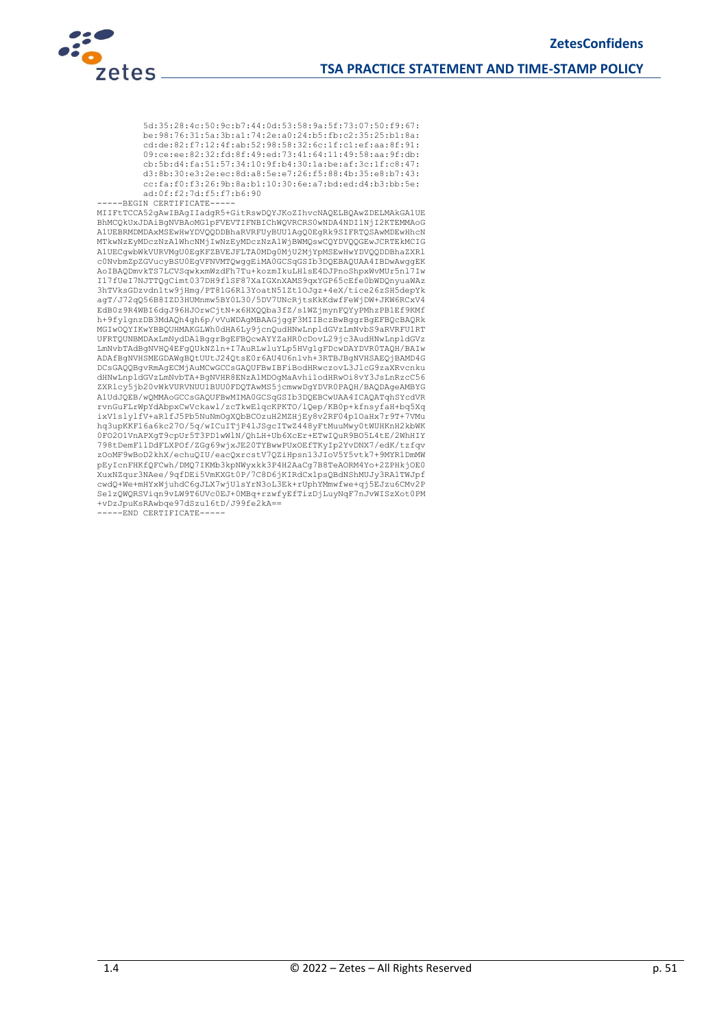

```
TSA PRACTICE STATEMENT AND TIME-STAMP POLICY
```

```
5d:35:28:4c:50:9c:b7:44:0d:53:58:9a:5f:73:07:50:f9:67:
be:98:76:31:5a:3b:a1:74:2e:a0:24:b5:fb:c2:35:25:b1:8a:<br>cd:de:82:f7:12:4f:ab:52:98:58:32:6c:1f:c1:ef:aa:8f:91:
09:ce:ee:82:32:fd:8f:49:ed:73:41:64:11:49:58:aa:9f:db:
cb:5b: d4:fa:51:57:34:10:9f:b4:30:1a:be:af:3c:1f:c8:47:d3:8b:30:e3:2e:ec:8d:a8:5e:e7:26:f5:88:4b:35:e8:b7:43:
cc:fa:f0:f3:26:9b:8a:b1:10:30:6e:a7:bd:ed:d4:b3:bb:5e:
ad \cdot 0f \cdot f2 \cdot 7d \cdot f5 \cdot f7 \cdot b6 \cdot 90
```

```
----BEGIN CERTIFICATE----
MIIFtTCCA52qAwIBAqIIadqR5+GitRswDQYJKoZIhvcNAQELBQAwZDELMAkGA1UE
BhMCQkUxJDAiBgNVBAoMG1pFVEVTIFNBIChWQVRCRS0wNDA4NDI1NjI2KTEMMAoG
A1UEBRMDMDAxMSEwHwYDVQQDDBhaRVRFUyBUU1AgQ0EgRk9SIFRTQSAwMDEwHhcN
MTkwNzEyMDczNzA1WhcNMjIwNzEyMDczNzA1WjBWMQswCQYDVQQGEwJCRTEkMCIG
A1UECawbWkVURVMaU0EaKFZBVEJFLTA0MDa0MjU2MjYpMSEwHwYDVOODDBhaZXR1
c0NvbmZpZGVucyBSU0EqVFNVMTQwqqEiMA0GCSqGSIb3DQEBAQUAA4IBDwAwqqEK
AoIBAQDmvkTS7LCVSqwkxmWzdFh7Tu+kozmIkuLH1sE4DJPnoShpxWvMUr5nl7Iw
I17fUeI7NJTTQgCimt037DH9f1SF87XaIGXnXAMS9qxYGP65cEfe0bWDQnyuaWAz
3hTVksGDzvdnltw9jHmg/PT81G6Rl3YoatN51Zt10Jgz+4eX/tice26zSH5depYk
agr/J72qq56B81ZD3HUMnmw5BY0L30/5DV7UNcRjtsKkKdwfFeWjDW+JKW6RCxV4<br>EdB0z9R4WBI6dgJ96HJOrwCjtN+x6HXQQba3fZ/s1WZjmynFQYyPMhzPB1Ef9KMf<br>h+9fylgnzDB3MdAQh4gh6p/vVuWDAgMBAAGjggF3MIIBczBwBggrBgEFBQcBAQRk
MGIwOQYIKWYBBQUHMAKGLWh0dHA6Ly9jcnQudHNwLnpldGVzLmNvbS9aRVRFU1RT
UFRTQUNBMDAxLmNydDAlBggrBgEFBQcwAYYZaHR0cDovL29jc3AudHNwLnpldGVz
LmNvbTAdBgNVHQ4EFgQUkNZln+I7AuRLwluYLp5HVg1gFDcwDAYDVR0TAQH/BAIw
ADAfBqNVHSMEGDAWqBOtUUtJ24QtsE0r6AU4U6nlvh+3RTBJBqNVHSAEQjBAMD4G
DCsGAOOBqvRmAqECMiAuMCwGCCsGAOUFBwIBFiBodHRwczovL3J1cG9zaXRvcnku
dHNwLnpldGVzLmNvbTA+BgNVHR8ENzA1MDOgMaAvhilodHRwOi8vY3JsLnRzcC56
ZXRlcy5jb20vWkVURVNUU1BUU0FDQTAwMS5jcmwwDgYDVR0PAQH/BAQDAgeAMBYG
A1UdJQEB/wQMMAoGCCsGAQUFBwMIMA0GCSqGSIb3DQEBCwUAA4ICAQATqhSYcdVR
\verb|rvnGuFLrWpYdAbpxCwVckawl/zcTkwElqcKPKTO/lQep/KB0p+kfnsyfaH+bq5XqixV1slylfV+aRlfJ5Pb5NuNmOgXQbBCOzuH2MZHjEy8v2RF04p1OaHx7r9T+7VMu<br>hq3upKKF16a6kc27O/5q/wICuITjP4lJSgcITwZ448yFtMuuMwy0tWUHKnH2kbWK
0F0201VnAPXgT9cpUr5T3PD1wWlN/QhLH+Ub6XcEr+ETwIQuR9B05L4tE/2WhHIY
798tDemF11DdFLXPOf/ZGg69wjxJE20TYBwwPUxOEfTKyIp2YvDNX7/edK/tzfqv
zOoMF9wBoD2khX/echuQIU/eacQxrcstV7QZiHpsn13JIoV5Y5vtk7+9MYR1DmMW
PEYIONFHKfQFCwh/DMQ7IKMb3kpNWyxkk3P4H2AaCg7B8TeAORM4Yo+2ZPHkjOE0<br>XuxNZqur3NAee/9qfDEi5VmKXGt0P/7C8D6jKIRdCx1psQBdNShMUJy3RA1TWJpf<br>cwdQ+We+mHYxWjuhdC6gJLX7wjUlsYrN3oL3Ek+rUphYMmwfwe+qj5EJzu6CMv2P
SelzQWQRSViqn9vLW9T6UVc0EJ+0MBq+rzwfyEfTizDjLuyNqF7nJvWISzXot0PM
+vDzJpuKsRAwbqe97dSzu16tD/J99fe2kA==
```
-----END CERTIFICATE---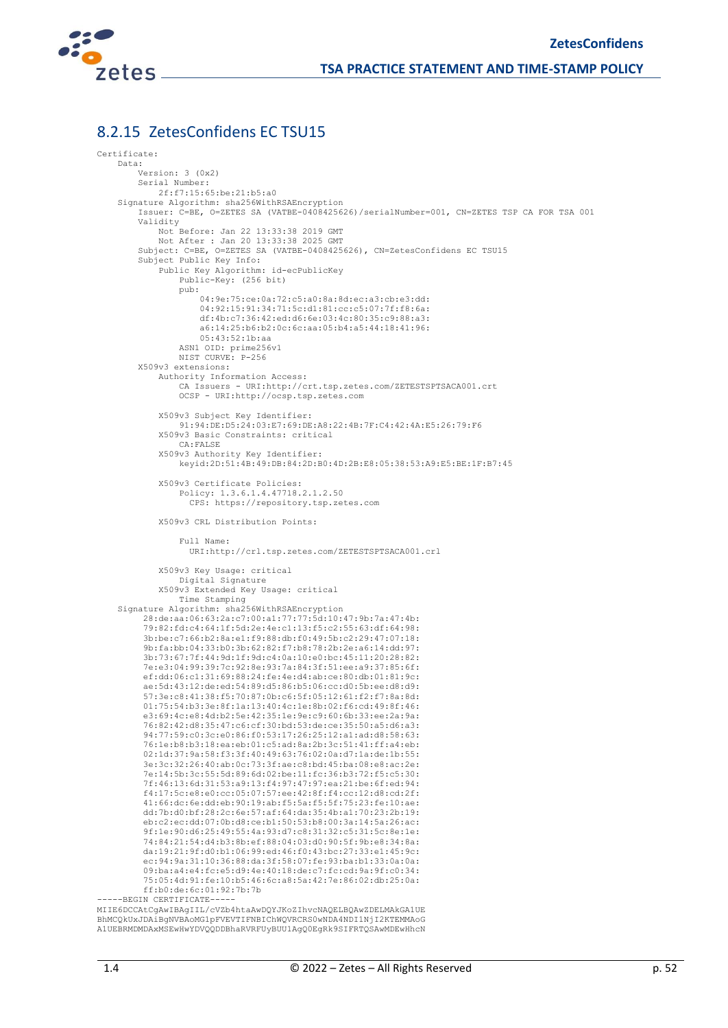

### <span id="page-51-0"></span>8.2.15 ZetesConfidens EC TSU15

```
Certificate:
     Data:
         Version: 3 (0x2)
         Serial Number:
             2f:f7:15:65:be:21:b5:a0
     Signature Algorithm: sha256WithRSAEncryption
         Issuer: C=BE, O=ZETES SA (VATBE-0408425626)/serialNumber=001, CN=ZETES TSP CA FOR TSA 001
         Validity
             Not Before: Jan 22 13:33:38 2019 GMT
 Not After : Jan 20 13:33:38 2025 GMT
 Subject: C=BE, O=ZETES SA (VATBE-0408425626), CN=ZetesConfidens EC TSU15
         Subject Public Key Info:
             Public Key Algorithm: id-ecPublicKey
                 Public-Key: (256 bit)
                 pub: 
                      04:9e:75:ce:0a:72:c5:a0:8a:8d:ec:a3:cb:e3:dd:
                     04:92:15:91:34:71:5c:d1:81:cc:c5:07:7f:f8:6a:
                     df:4b:c7:36:42:ed:d6:6e:03:4c:80:35:c9:88:a3:
                     a6:14:25:b6:b2:0c:6c:aa:05:b4:a5:44:18:41:96:
                     05:43:52:1b:aa
                  ASN1 OID: prime256v1
                 NIST CURVE: P-256
         X509v3 extensions:
             Authority Information Access: 
                 CA Issuers - URI:http://crt.tsp.zetes.com/ZETESTSPTSACA001.crt
                 OCSP - URI:http://ocsp.tsp.zetes.com
             X509v3 Subject Key Identifier: 
                  91:94:DE:D5:24:03:E7:69:DE:A8:22:4B:7F:C4:42:4A:E5:26:79:F6
             X509v3 Basic Constraints: critical
                 CA:FALSE
 X509v3 Authority Key Identifier: 
 keyid:2D:51:4B:49:DB:84:2D:B0:4D:2B:E8:05:38:53:A9:E5:BE:1F:B7:45
             X509v3 Certificate Policies: 
                  Policy: 1.3.6.1.4.47718.2.1.2.50
                    CPS: https://repository.tsp.zetes.com
             X509v3 CRL Distribution Points: 
                  Full Name:
                    URI:http://crl.tsp.zetes.com/ZETESTSPTSACA001.crl
             X509v3 Key Usage: critical
                 Digital Signature
             X509v3 Extended Key Usage: critical
                  Time Stamping
     Signature Algorithm: sha256WithRSAEncryption
          28:de:aa:06:63:2a:c7:00:a1:77:77:5d:10:47:9b:7a:47:4b:
          79:82:fd:c4:64:1f:5d:2e:4e:c1:13:f5:c2:55:63:df:64:98:
          3b:be:c7:66:b2:8a:e1:f9:88:db:f0:49:5b:c2:29:47:07:18:
          9b:fa:bb:04:33:b0:3b:62:82:f7:b8:78:2b:2e:a6:14:dd:97:
          3b:73:67:7f:44:9d:1f:9d:c4:0a:10:e0:bc:45:11:20:28:82:
          7e:e3:04:99:39:7c:92:8e:93:7a:84:3f:51:ee:a9:37:85:6f:
          ef:dd:06:c1:31:69:88:24:fe:4e:d4:ab:ce:80:db:01:81:9c:
          ae:5d:43:12:de:ed:54:89:d5:86:b5:06:cc:d0:5b:ee:d8:d9:
          57:3e:c8:41:38:f5:70:87:0b:c6:5f:05:12:61:f2:f7:8a:8d:
          01:75:54:b3:3e:8f:1a:13:40:4c:1e:8b:02:f6:cd:49:8f:46:
          e3:69:4c:e8:4d:b2:5e:42:35:1e:9e:c9:60:6b:33:ee:2a:9a:
          76:82:42:d8:35:47:c6:cf:30:bd:53:de:ce:35:50:a5:d6:a3:
          94:77:59:c0:3c:e0:86:f0:53:17:26:25:12:a1:ad:d8:58:63:
          76:1e:b8:b3:18:ea:eb:01:c5:ad:8a:2b:3c:51:41:ff:a4:eb:
          02:1d:37:9a:58:f3:3f:40:49:63:76:02:0a:d7:1a:de:1b:55:
          3e:3c:32:26:40:ab:0c:73:3f:ae:c8:bd:45:ba:08:e8:ac:2e:
          7e:14:5b:3c:55:5d:89:6d:02:be:11:fc:36:b3:72:f5:c5:30:
          7f:46:13:6d:31:53:a9:13:f4:97:47:97:ea:21:be:6f:ed:94:
          f4:17:5c:e8:e0:cc:05:07:57:ee:42:8f:f4:cc:12:d8:cd:2f:
          41:66:dc:6e:dd:eb:90:19:ab:f5:5a:f5:5f:75:23:fe:10:ae:
          dd:7b:d0:bf:28:2c:6e:57:af:64:da:35:4b:a1:70:23:2b:19:
          eb:c2:ec:dd:07:0b:d8:ce:b1:50:53:b8:00:3a:14:5a:26:ac:
          9f:1e:90:d6:25:49:55:4a:93:d7:c8:31:32:c5:31:5c:8e:1e:
          74:84:21:54:d4:b3:8b:ef:88:04:03:d0:90:5f:9b:e8:34:8a:
          da:19:21:9f:d0:b1:06:99:ed:46:f0:43:bc:27:33:e1:45:9c:
          ec:94:9a:31:10:36:88:da:3f:58:07:fe:93:ba:b1:33:0a:0a:
          09:ba:a4:e4:fc:e5:d9:4e:40:18:de:c7:fc:cd:9a:9f:c0:34:
          75:05:4d:91:fe:10:b5:46:6c:a8:5a:42:7e:86:02:db:25:0a:
          ff:b0:de:6c:01:92:7b:7b
-----BEGIN CERTIFICATE-----
```
MIIE6DCCAtCgAwIBAgIIL/cVZb4htaAwDQYJKoZIhvcNAQELBQAwZDELMAkGA1UE BhMCQkUxJDAiBgNVBAoMG1pFVEVTIFNBIChWQVRCRS0wNDA4NDI1NjI2KTEMMAoG A1UEBRMDMDAxMSEwHwYDVQQDDBhaRVRFUyBUU1AgQ0EgRk9SIFRTQSAwMDEwHhcN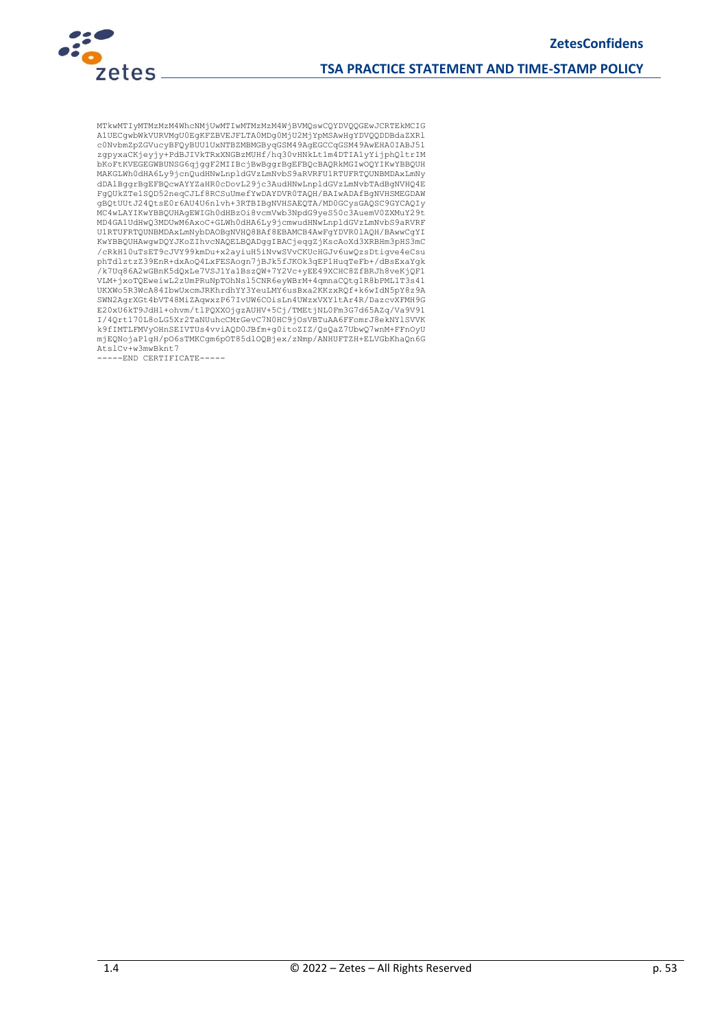

MTkwMTIyMTMzMzM4WhcNMjUwMTIwMTMzMzM4WjBVMQswCQYDVQQGEwJCRTEkMCIG A1UECgwbWkVURVMgU0EgKFZBVEJFLTA0MDg0MjU2MjYpMSAwHgYDVQQDDBdaZXR1<br>c0NvbmZpZGVucvBFOvBUU1UxNTBZMBMGBvqGSM49AqEGCCqGSM49AwEHA0IABJ51 zgpyxaCKjeyjy+PdBJIVkTRxXNGBzMUHf/hq30vHNkLt1m4DTIA1yYijphQltrIM bKoFtKVEGEGWBUNSG6qjggF2MIIBcjBwBggrBgEFBQcBAQRkMGIwOQYIKwYBBQUH MAKGLWh0dHA6Ly9jcnQudHNwLnpldGVzLmNvbS9aRVRFU1RTUFRTQUNBMDAxLmNy gBQtUUtJ24QtsE0r6AU4U6nlvh+3RTBIBgNVHSAEQTA/MD0GCysGAQSC9GYCAQIy MC4wLAYIKwYBBQUHAqEWIGh0dHBz0i8vcmVwb3NpdG9yeS50c3AuemV0ZXMuY29t MD4GA1UdHwQ3MDUwM6AxoC+GLWh0dHA6Ly9jcmwudHNwLnpldGVzLmNvbS9aRVRF U1RTUFRTQUNBMDAxLmNybDAOBgNVHQ8BAf8EBAMCB4AwFgYDVR01AQH/BAwwCgYI KwYBBQUHAwgwDQYJKoZIhvcNAQELBQADggIBACjeqgZjKscAoXd3XRBHm3pHS3mC /cRkH10uTsET9cJVY99kmDu+x2ayiuH5iNvwSVvCKUcHGJv6uwQzsDtigve4eCsu phTdlztzZ39EnR+dxAoQ4LxFESAoqn7jBJk5fJKOk3qEP1HuqTeFb+/dBsExaYqk /k7Uq86A2wGBnK5dQxLe7VSJ1Ya1BszQW+7Y2Vc+yEE49XCHC8ZfBRJh8veKjQF1 VLM+jxoTQEweiwL2zUmPRuNpTOhNs15CNR6eyWBrM+4qmnaCQtg1R8bPML1T3s41 UKXWo5R3WcA84IbwUxcmJRKhrdhYY3YeuLMY6usBxa2KKzxRQf+k6wIdN5pY8z9A SWN2AgrXGt4bVT48MiZAqwxzP67IvUW6COisLn4UWzxVXY1tAr4R/DazcvXFMH9GE20xU6kT9JdH1+ohvm/tlPQXXOjgzAUHV+5Cj/TMEtjNL0Fm3G7d65AZq/Va9V91<br>1/4Qrt170L8oLG5Xr2TaNUuhcCMrGevC7N0HC9j0sVBTuAA6FFomrJ8ekNY1SVVK k9fIMTLFMVyOHnSEIVTUs4vviAQD0JBfm+q0itoZIZ/QsQaZ7UbwQ7wnM+FFnOyU mjEQNojaPlgH/p06sTMKCgm6p0T85dl0QBjex/zNmp/ANHUFTZH+ELVGbKhaQn6G AtslCv+w3mwBknt7

--END CERTIFICATE-----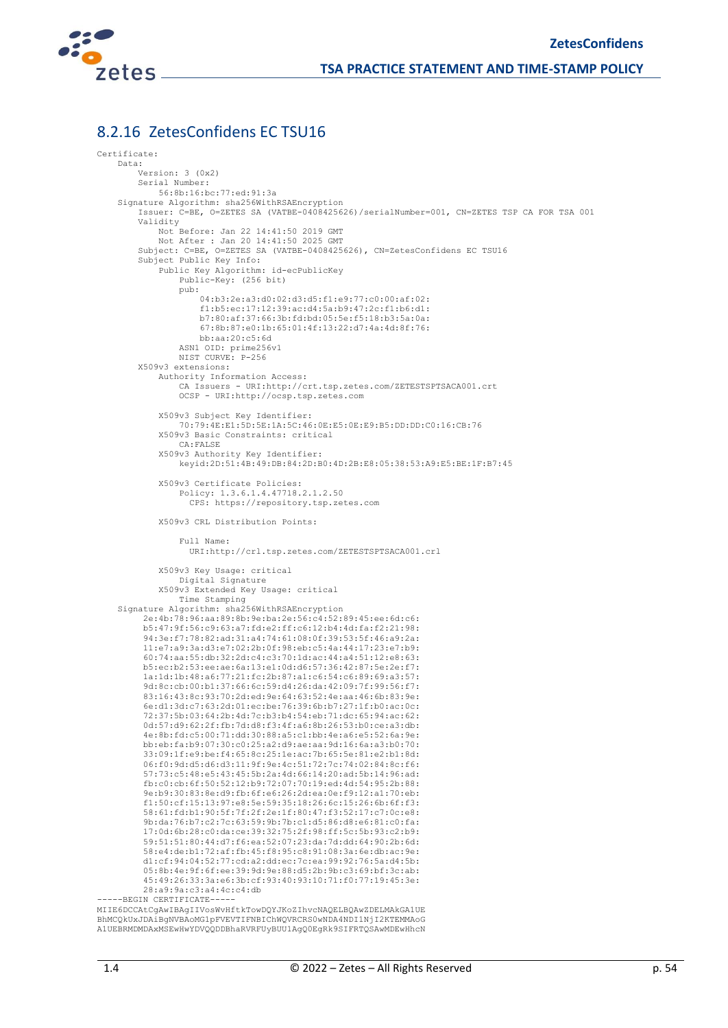

### <span id="page-53-0"></span>8.2.16 ZetesConfidens EC TSU16

```
Certificate:
     Data:
         Version: 3 (0x2)
         Serial Number:
             56:8b:16:bc:77:ed:91:3a
     Signature Algorithm: sha256WithRSAEncryption
         Issuer: C=BE, O=ZETES SA (VATBE-0408425626)/serialNumber=001, CN=ZETES TSP CA FOR TSA 001
         Validity
 Not Before: Jan 22 14:41:50 2019 GMT
 Not After : Jan 20 14:41:50 2025 GMT
 Subject: C=BE, O=ZETES SA (VATBE-0408425626), CN=ZetesConfidens EC TSU16
         Subject Public Key Info:
             Public Key Algorithm: id-ecPublicKey
                  Public-Key: (256 bit)
                  pub: 
                      04:b3:2e:a3:d0:02:d3:d5:f1:e9:77:c0:00:af:02:
                     f1:b5:ec:17:12:39:ac:d4:5a:b9:47:2c:f1:b6:d1:
                     b7:80:af:37:66:3b:fd:bd:05:5e:f5:18:b3:5a:0a:
                     67:8b:87:e0:1b:65:01:4f:13:22:d7:4a:4d:8f:76:
                     bb:aa:20:c5:6d
                  ASN1 OID: prime256v1
                  NIST CURVE: P-256
         X509v3 extensions:
              Authority Information Access: 
                  CA Issuers - URI:http://crt.tsp.zetes.com/ZETESTSPTSACA001.crt
                  OCSP - URI:http://ocsp.tsp.zetes.com
 X509v3 Subject Key Identifier: 
 70:79:4E:E1:5D:5E:1A:5C:46:0E:E5:0E:E9:B5:DD:DD:C0:16:CB:76
             X509v3 Basic Constraints: critical
                  CA:FALSE
 X509v3 Authority Key Identifier: 
 keyid:2D:51:4B:49:DB:84:2D:B0:4D:2B:E8:05:38:53:A9:E5:BE:1F:B7:45
             X509v3 Certificate Policies: 
                  Policy: 1.3.6.1.4.47718.2.1.2.50
                    CPS: https://repository.tsp.zetes.com
             X509v3 CRL Distribution Points: 
                  Full Name:
                    URI:http://crl.tsp.zetes.com/ZETESTSPTSACA001.crl
             X509v3 Key Usage: critical
                  Digital Signature
              X509v3 Extended Key Usage: critical
                  Time Stamping
     Signature Algorithm: sha256WithRSAEncryption
          2e:4b:78:96:aa:89:8b:9e:ba:2e:56:c4:52:89:45:ee:6d:c6:
          b5:47:9f:56:c9:63:a7:fd:e2:ff:c6:12:b4:4d:fa:f2:21:98:
          94:3e:f7:78:82:ad:31:a4:74:61:08:0f:39:53:5f:46:a9:2a:
          11:e7:a9:3a:d3:e7:02:2b:0f:98:eb:c5:4a:44:17:23:e7:b9:
          60:74:aa:55:db:32:2d:c4:c3:70:1d:ac:44:a4:51:12:e8:63:
          b5:ec:b2:53:ee:ae:6a:13:e1:0d:d6:57:36:42:87:5e:2e:f7:
          1a:1d:1b:48:a6:77:21:fc:2b:87:a1:c6:54:c6:89:69:a3:57:
          9d:8c:cb:00:b1:37:66:6c:59:d4:26:da:42:09:7f:99:56:f7:
          83:16:43:8c:93:70:2d:ed:9e:64:63:52:4e:aa:46:6b:83:9e:
           6e:d1:3d:c7:63:2d:01:ec:be:76:39:6b:b7:27:1f:b0:ac:0c:
           72:37:5b:03:64:2b:4d:7c:b3:b4:54:eb:71:dc:65:94:ac:62:
          0d:57:d9:62:2f:fb:7d:d8:f3:4f:a6:8b:26:53:b0:ce:a3:db:
          4e:8b:fd:c5:00:71:dd:30:88:a5:c1:bb:4e:a6:e5:52:6a:9e:
          bb:eb:fa:b9:07:30:c0:25:a2:d9:ae:aa:9d:16:6a:a3:b0:70:
           33:09:1f:e9:be:f4:65:8c:25:1e:ac:7b:65:5e:81:e2:b1:8d:
          06:f0:9d:d5:d6:d3:11:9f:9e:4c:51:72:7c:74:02:84:8c:f6:
          57:73:c5:48:e5:43:45:5b:2a:4d:66:14:20:ad:5b:14:96:ad:
          fb:c0:cb:6f:50:52:12:b9:72:07:70:19:ed:4d:54:95:2b:88:
          9e:b9:30:83:8e:d9:fb:6f:e6:26:2d:ea:0e:f9:12:a1:70:eb:
          f1:50:cf:15:13:97:e8:5e:59:35:18:26:6c:15:26:6b:6f:f3:
          58:61:fd:b1:90:5f:7f:2f:2e:1f:80:47:f3:52:17:c7:0c:e8:
           9b:da:76:b7:c2:7c:63:59:9b:7b:c1:d5:86:d8:e6:81:c0:fa:
           17:0d:6b:28:c0:da:ce:39:32:75:2f:98:ff:5c:5b:93:c2:b9:
          59:51:51:80:44:d7:f6:ea:52:07:23:da:7d:dd:64:90:2b:6d:
          58:e4:de:b1:72:af:fb:45:f8:95:c8:91:08:3a:6e:db:ac:9e:
         d1:cf:94:04:52:77:cd:a2:dd:ec:7c:ea:99:92:76:5a:d4:5b:
          05:8b:4e:9f:6f:ee:39:9d:9e:88:d5:2b:9b:c3:69:bf:3c:ab:
          45:49:26:33:3a:e6:3b:cf:93:40:93:10:71:f0:77:19:45:3e:
          28:a9:9a:c3:a4:4c:c4:db
-----BEGIN CERTIFICATE--
```
MIIE6DCCAtCgAwIBAgIIVosWvHftkTowDQYJKoZIhvcNAQELBQAwZDELMAkGA1UE BhMCQkUxJDAiBgNVBAoMG1pFVEVTIFNBIChWQVRCRS0wNDA4NDI1NjI2KTEMMAoG A1UEBRMDMDAxMSEwHwYDVQQDDBhaRVRFUyBUU1AgQ0EgRk9SIFRTQSAwMDEwHhcN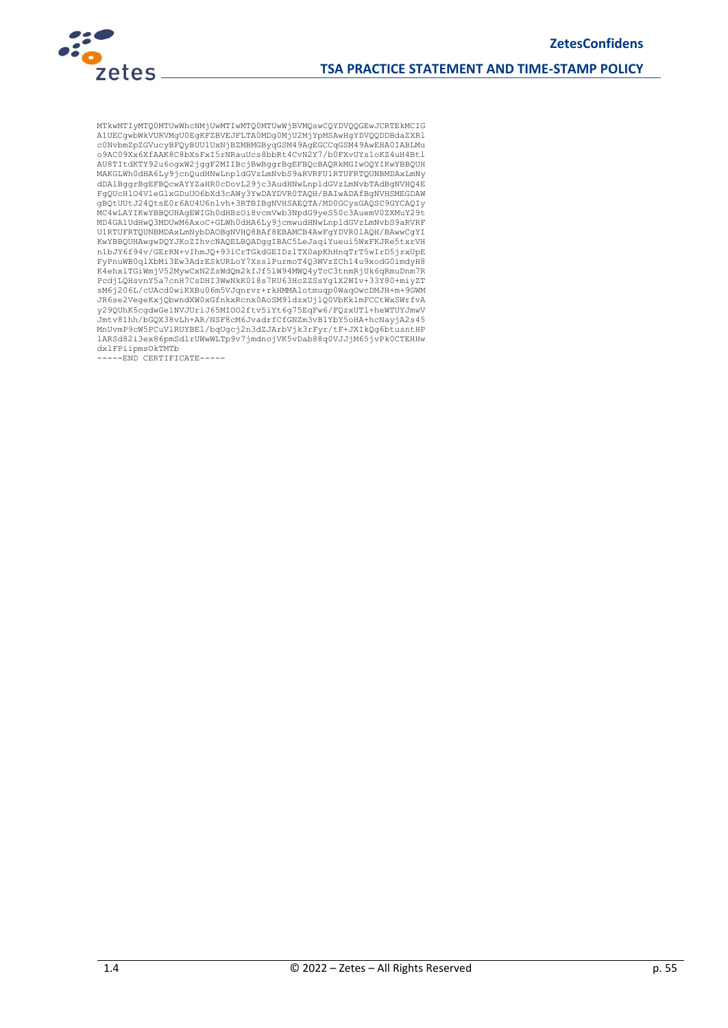

MTkwMTIyMTQ0MTUwWhcNMjUwMTIwMTQ0MTUwWjBVMQswCQYDVQQGEwJCRTEkMCIG A1UECgwbWkVURVMgU0EgKFZBVEJFLTA0MDg0MjU2MjYpMSAwHgYDVQQDDBdaZXR1<br>c0NvbmZpZGVucyBFQyBUU1UxNjBZMBMGByqGSM49AqEGCCqGSM49AwEHA0IABLMu 09AC09Xx6XfAAK8C8bXsFxI5rNRauUcs8bbRt4CvN2Y7/b0FXvUYs1oKZ4uH4Btl AU8TItdKTY92u6ogxW2jggF2MIIBcjBwBggrBgEFBQcBAQRkMGIwOQYIKwYBBQUH MAKGLWh0dHA6Ly9jcnQudHNwLnpldGVzLmNvbS9aRVRFU1RTUFRTQUNBMDAxLmNy gBQtUUtJ24QtsE0r6AU4U6nlvh+3RTBIBgNVHSAEQTA/MD0GCysGAQSC9GYCAQIy MC4wLAYIKwYBBQUHAqEWIGh0dHBz0i8vcmVwb3NpdG9yeS50c3AuemV0ZXMuY29t MD4GA1UdHwQ3MDUwM6AxoC+GLWh0dHA6Ly9jcmwudHNwLnpldGVzLmNvbS9aRVRF U1RTUFRTQUNBMDAxLmNybDAOBgNVHQ8BAf8EBAMCB4AwFgYDVR01AQH/BAwwCgYI KwYBBQUHAwgwDQYJKoZIhvcNAQELBQADggIBAC5LeJaqiYueui5WxFKJRe5txrVH<br>n1bJY6f94v/GErRN+vIhmJQ+93iCrTGkdGEIDz1TX0apKhHnqTrT5wIrD5jrxUpE FyPnuWBOqlXbMi3Ew3AdrESkURLoY7XsslPurmoT4Q3WVzZCh14u9xodG0imdyH8 K4ehx1TGiWmjV52MywCxN2ZsWdQm2kIJf51W94MWQ4yTcC3tnmRjUk6qRmuDnm7R PcdjLQHsvnY5a7cnH7CsDHI3WwNkK018s7RU63HcZZSsYg1X2WIv+33Y80+miyZT sM6j206L/cUAcd0wiKXBu06m5VJqnrvr+rkHMMAlotmuqp0WaqOwcDMJH+m+9GWM JR6se2VegeKxjQbwndXW0xGfnkxRcnx0AoSM91dzxUj1Q0VbKk1mFCCtWxSWrfvA<br>y29QUhK5cgdwGe1NVJUriJ65MIOO2ftv5iYt6g75EqFw6/FQzxUT1+heWTUYJmwV Jmtv81hh/bGOX38vLh+AR/NSF8cM6JvadrfCfGNZm3vB1YbY5oHA+hcNavjA2s45  $dx1FPiipmsOkTMTb$ 

--END CERTIFICATE-----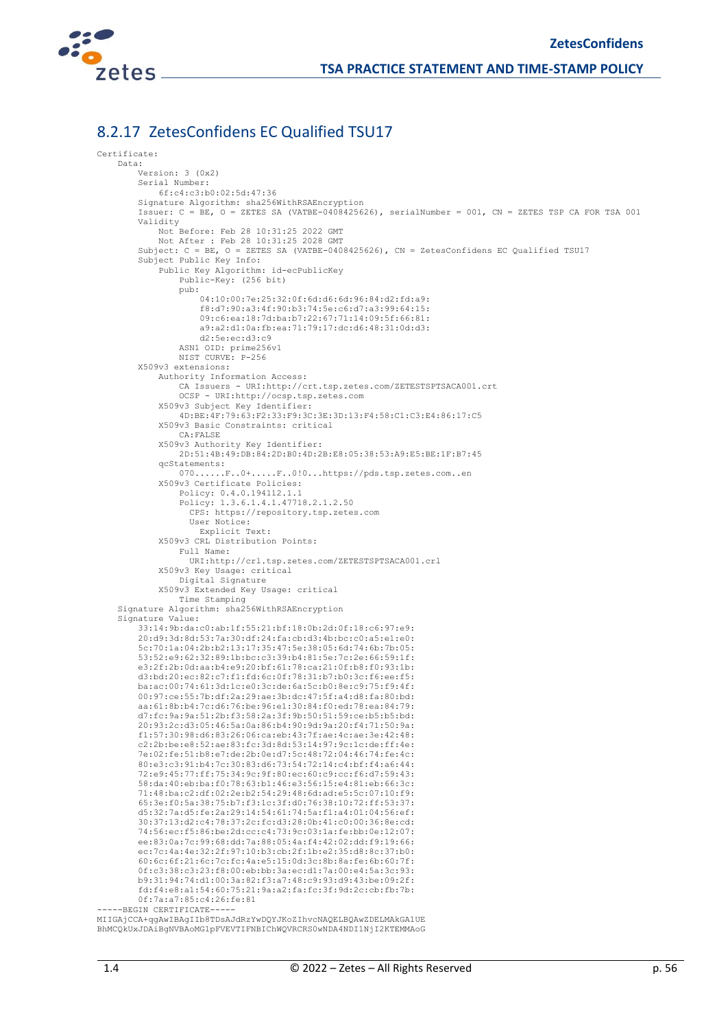

#### <span id="page-55-0"></span>8.2.17 ZetesConfidens EC Qualified TSU17

```
Certificate:
     Data:
         Version: 3 (0x2)
         Serial Number:
             6f:c4:c3:b0:02:5d:47:36
         Signature Algorithm: sha256WithRSAEncryption
         Issuer: C = BE, O = ZETES SA (VATBE-0408425626), serialNumber = 001, CN = ZETES TSP CA FOR TSA 001
         Validity
             Not Before: Feb 28 10:31:25 2022 GMT
             Not After : Feb 28 10:31:25 2028 GMT
         Subject: C = BE, O = ZETES SA (VATBE-0408425626), CN = ZetesConfidens EC Qualified TSU17
         Subject Public Key Info:
             Public Key Algorithm: id-ecPublicKey
                 Public-Key: (256 bit)
                 pub:
                     04:10:00:7e:25:32:0f:6d:d6:6d:96:84:d2:fd:a9:
                     f8:d7:90:a3:4f:90:b3:74:5e:c6:d7:a3:99:64:15:
                     09:c6:ea:18:7d:ba:b7:22:67:71:14:09:5f:66:81:
                     a9:a2:d1:0a:fb:ea:71:79:17:dc:d6:48:31:0d:d3:
                     d2:5e:ec:d3:c9
                 ASN1 OID: prime256v1
                 NIST CURVE: P-256
         X509v3 extensions:
             Authority Information Access: 
                 CA Issuers - URI:http://crt.tsp.zetes.com/ZETESTSPTSACA001.crt
                 OCSP - URI:http://ocsp.tsp.zetes.com
 X509v3 Subject Key Identifier: 
 4D:BE:4F:79:63:F2:33:F9:3C:3E:3D:13:F4:58:C1:C3:E4:86:17:C5
             X509v3 Basic Constraints: critical
                 CA:FALSE
             X509v3 Authority Key Identifier: 
                 2D:51:4B:49:DB:84:2D:B0:4D:2B:E8:05:38:53:A9:E5:BE:1F:B7:45
             qcStatements: 
                070......F..0+.....F..0!0...https://pds.tsp.zetes.com..en
             X509v3 Certificate Policies: 
                 Policy: 0.4.0.194112.1.1
                 Policy: 1.3.6.1.4.1.47718.2.1.2.50
                   CPS: https://repository.tsp.zetes.com
                   User Notice:
                     Explicit Text: 
             X509v3 CRL Distribution Points: 
                 Full Name:
                   URI:http://crl.tsp.zetes.com/ZETESTSPTSACA001.crl
 X509v3 Key Usage: critical
 Digital Signature
             X509v3 Extended Key Usage: critical
                 Time Stamping
     Signature Algorithm: sha256WithRSAEncryption
     Signature Value:
         33:14:9b:da:c0:ab:1f:55:21:bf:18:0b:2d:0f:18:c6:97:e9:
         20:d9:3d:8d:53:7a:30:df:24:fa:cb:d3:4b:bc:c0:a5:e1:e0:
         5c:70:1a:04:2b:b2:13:17:35:47:5e:38:05:6d:74:6b:7b:05:
         53:52:e9:62:32:89:1b:bc:c3:39:b4:81:5e:7c:2e:66:59:1f:
         e3:2f:2b:0d:aa:b4:e9:20:bf:61:78:ca:21:0f:b8:f0:93:1b:
         d3:bd:20:ec:82:c7:f1:fd:6c:0f:78:31:b7:b0:3c:f6:ee:f5:
         ba:ac:00:74:61:3d:1c:e0:3c:de:6a:5c:b0:8e:c9:75:f9:4f:
         00:97:ce:55:7b:df:2a:29:ae:3b:dc:47:5f:a4:d8:fa:80:bd:
         aa:61:8b:b4:7c:d6:76:be:96:e1:30:84:f0:ed:78:ea:84:79:
         d7:fc:9a:9a:51:2b:f3:58:2a:3f:9b:50:51:59:ce:b5:b5:bd:
         20:93:2c:d3:05:46:5a:0a:86:b4:90:9d:9a:20:f4:71:50:9a:
         f1:57:30:98:d6:83:26:06:ca:eb:43:7f:ae:4c:ae:3e:42:48:
         c2:2b:be:e8:52:ae:83:fc:3d:8d:53:14:97:9c:1c:de:ff:4e:
         7e:02:fe:51:b8:e7:de:2b:0e:d7:5c:48:72:04:46:74:fe:4c:
         80:e3:c3:91:b4:7c:30:83:d6:73:54:72:14:c4:bf:f4:a6:44:
         72:e9:45:77:ff:75:34:9c:9f:80:ec:60:c9:cc:f6:d7:59:43:
         58:da:40:eb:ba:f0:78:63:b1:46:e3:56:15:e4:81:eb:66:3c:
         71:48:ba:c2:df:02:2e:b2:54:29:48:6d:ad:e5:5c:07:10:f9:
         65:3e:f0:5a:38:75:b7:f3:1c:3f:d0:76:38:10:72:ff:53:37:
         d5:32:7a:d5:fe:2a:29:14:54:61:74:5a:f1:a4:01:04:56:ef:
         30:37:13:d2:c4:78:37:2c:fc:d3:28:0b:41:c0:00:36:8e:cd:
         74:56:ec:f5:86:be:2d:cc:c4:73:9c:03:1a:fe:bb:0e:12:07:
         ee:83:0a:7c:99:68:dd:7a:88:05:4a:f4:42:02:dd:f9:19:66:
         ec:7c:4a:4e:32:2f:97:10:b3:cb:2f:1b:e2:35:d8:8c:37:b0:
         60:6c:6f:21:6c:7c:fc:4a:e5:15:0d:3c:8b:8a:fe:6b:60:7f:
         0f:c3:38:c3:23:f8:00:eb:bb:3a:ec:d1:7a:00:e4:5a:3c:93:
         b9:31:94:74:d1:00:3a:82:f3:a7:48:c9:93:d9:43:be:09:2f:
         fd:f4:e8:a1:54:60:75:21:9a:a2:fa:fc:3f:9d:2c:cb:fb:7b:
         0f:7a:a7:85:c4:26:fe:81
 -----BEGIN CERTIFICATE-----
MIIGAjCCA+qgAwIBAgIIb8TDsAJdRzYwDQYJKoZIhvcNAQELBQAwZDELMAkGA1UE
BhMCQkUxJDAiBgNVBAoMG1pFVEVTIFNBIChWQVRCRS0wNDA4NDI1NjI2KTEMMAoG
```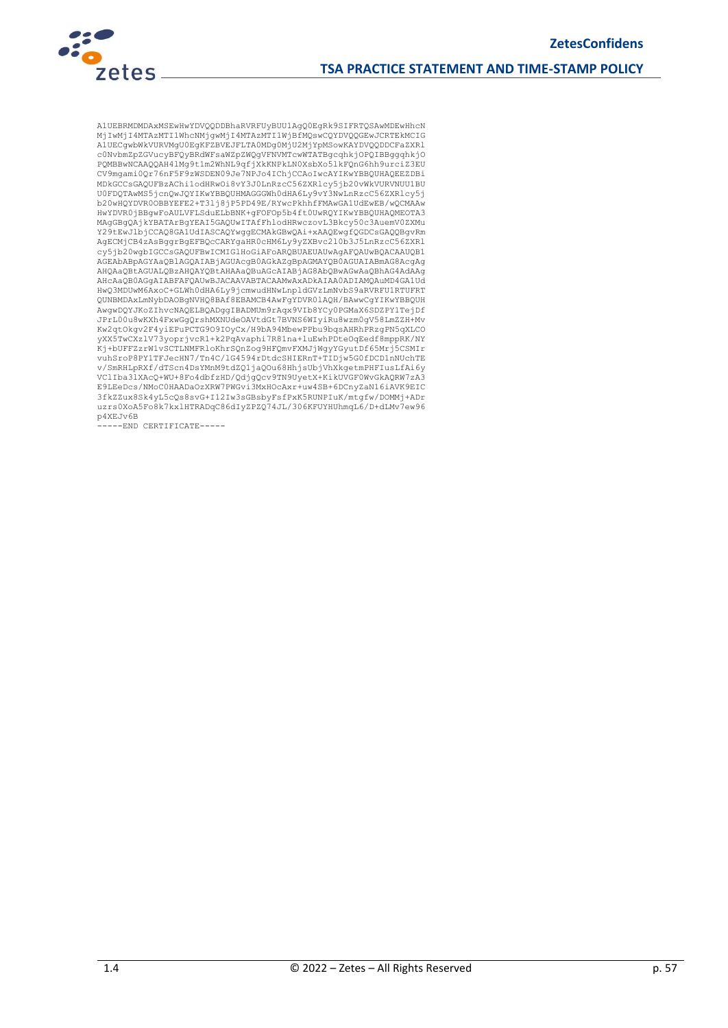

A1UEBRMDMDAxMSEwHwYDVQQDDBhaRVRFUyBUU1AgQ0EgRk9SIFRTQSAwMDEwHhcN MjIwMjI4MTAzMTI1WhcNMjgwMjI4MTAzMTI1WjBfMQswCQYDVQQGEwJCRTEkMCIG<br>A1UECqwbWkVURVMqU0EqKFZBVEJFLTA0MDq0MjU2MjYpMSowKAYDVOODDCFaZXR1 c0NvbmZpZGVucyBFQyBRdWFsaWZpZWQgVFNVMTcwWTATBgcqhkj0PQIBBggqhkj0 PQMBBwNCAAQQAH41Mg9t1m2WhNL9qfjXkKNPkLN0XsbXo51kFQnG6hh9urciZ3EU CV9mgami0Qr76nF5F9zWSDEN09Je7NPJo4IChjCCAoIwcAYIKwYBBQUHAQEEZDBi MDkGCCsGAQUFBzAChilodHRwOi8vY3J0LnRzcC56ZXRlcy5jb20vWkVURVNUU1BU U0FDQTAwMS5jcnQwJQYIKwYBBQUHMAGGGWh0dHA6Ly9vY3NwLnRzcC56ZXRlcy5j b20wHQYDVR0OBBYEFE2+T31j8jP5PD49E/RYwcPkhhfFMAwGA1UdEwEB/wQCMAAw ENTRICIPED EN AVARIA EN EN EN ANALISA EN AVARIA EN EN ANALISA EN EN ANALISA EN EN ANALISA EN EN EN ANALISA EN ES<br>AnagGBgQAjkYBATArBgYEAI5GAQUwITAfFhlodHRwczovL3Bkcy50c3AuemV0ZXMu Y29tEwJlbjCCAQ8GA1UdIASCAQYwggECMAkGBwQAi+xAAQEwgfQGDCsGAQQBgvRm AgECMjCB4zAsBggrBgEFBQcCARYgaHR0cHM6Ly9yZXBvc210b3J5LnRzcC56ZXR1 cy5ib20wgbIGCCsGAOUFBwICMIGlHoGiAFoAROBUAEUAUwAgAFOAUwBOACAAUOB1 AGEAbABpAGYAaQBlAGQAIABjAGUAcqB0AGkAZqBpAGMAYQB0AGUAIABmAG8AcqAq AHQAaQBtAGUALQBzAHQAYQBtAHAAaQBuAGcAIABjAG8AbQBwAGwAaQBhAG4AdAAg AHCAaQB0AGgAIABFAFQAUwBJACAAVABTACAAMwAxADkAIAA0ADIAMQAuMD4GA1Ud HwQ3MDUwM6AxoC+GLWh0dHA6Ly9jcmwudHNwLnpldGVzLmNvbS9aRVRFU1RTUFRT QUNBMDAxLmNybDAOBgNVHQ8BAf8EBAMCB4AwFgYDVR01AQH/BAwwCgYIKwYBBQUH AwgwDQYJKoZIhvcNAQELBQADgqIBADMUm9rAqx9VIb8YCy0PGMaX6SDZPY1TejDf The Contract of the Magnetic Contract of the Contract of the Contract of the Contract of the Contract of the C Kw2qt0kqv2F4yiEPuPCTG909I0yCx/H9bA94MbewPPbu9bqsAHRhPRzqPN5qXLCO yXX5TwCXz1V73yoprjvcR1+k2PqAvaphi7R81na+luEwhPDteOqEedf8mppRK/NY Kj+bUFFZzrW1vSCTLNMFR1oKhrSQnZog9HFQmvFXMJjWgyYGyutDf65Mrj5CSMIr vuhSroP8PY1TFJecHN7/Tn4C/1G4594rDtdcSHIERnT+TIDjw5G0fDCD1nNUchTE v/SmRHLpRXf/dTScn4DsYMnM9tdZQ1jaQOu68HhjsUbjVhXkgetmPHFIusLfAi6y VClIba31XAcQ+WU+8Fo4dbfzHD/QdjgQcv9TN9UyetX+KikUVGF0WvGkAQRW7zA3 E9LEeDcs/NMoC0HAADaOzXRW7PWGvi3MxHOcAxr+uw4SB+6DCnyZaN16iAVK9EIC 3fkZZux8Sk4yL5cQs8svG+I12Iw3sGBsbyFsfPxK5RUNPIuK/mtgfw/DOMMj+ADr uzrs0XoA5Fo8k7kxlHTRADqC86dIyZPZQ74JL/306KFUYHUhmqL6/D+dLMv7ew96 p4XEJv6B

--END CERTIFICATE-----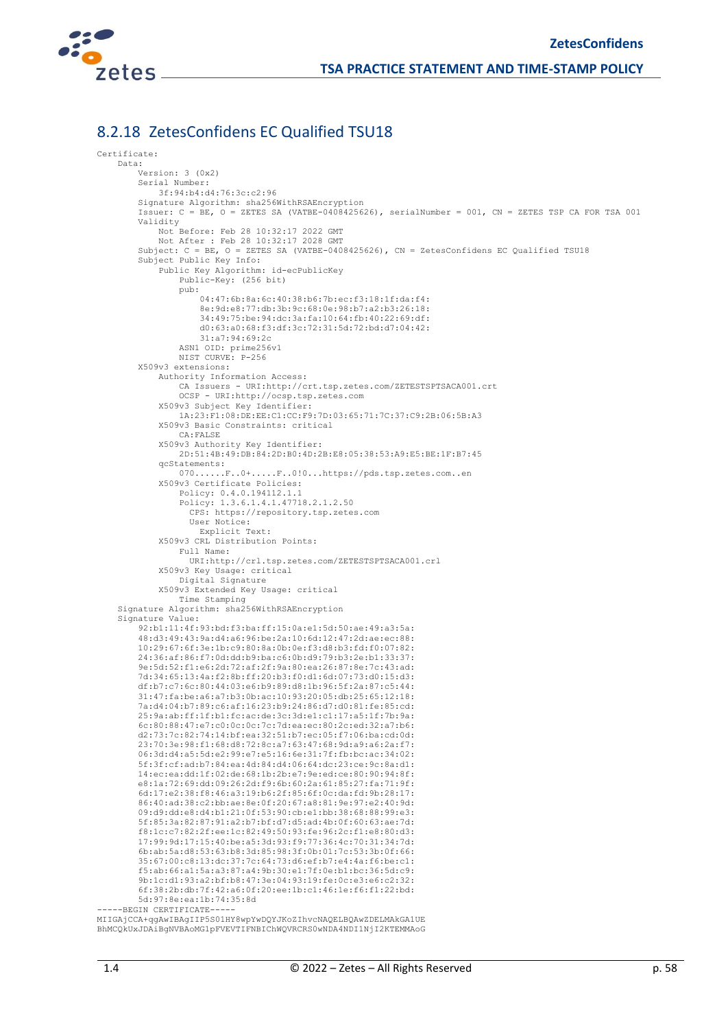

### <span id="page-57-0"></span>8.2.18 ZetesConfidens EC Qualified TSU18

```
Certificate:
     Data:
         Version: 3 (0x2)
         Serial Number:
             3f:94:b4:d4:76:3c:c2:96
         Signature Algorithm: sha256WithRSAEncryption
         Issuer: C = BE, O = ZETES SA (VATBE-0408425626), serialNumber = 001, CN = ZETES TSP CA FOR TSA 001
         Validity
             Not Before: Feb 28 10:32:17 2022 GMT
             Not After : Feb 28 10:32:17 2028 GMT
         Subject: C = BE, O = ZETES SA (VATBE-0408425626), CN = ZetesConfidens EC Qualified TSU18
         Subject Public Key Info:
             Public Key Algorithm: id-ecPublicKey
                 Public-Key: (256 bit)
                 pub:
                      04:47:6b:8a:6c:40:38:b6:7b:ec:f3:18:1f:da:f4:
                     8e:9d:e8:77:db:3b:9c:68:0e:98:b7:a2:b3:26:18:
                     34:49:75:be:94:dc:3a:fa:10:64:fb:40:22:69:df:
                     d0:63:a0:68:f3:df:3c:72:31:5d:72:bd:d7:04:42:
                     31:a7:94:69:2c
                  ASN1 OID: prime256v1
                 NIST CURVE: P-256
         X509v3 extensions:
             Authority Information Access: 
                 CA Issuers - URI:http://crt.tsp.zetes.com/ZETESTSPTSACA001.crt
                 OCSP - URI:http://ocsp.tsp.zetes.com
 X509v3 Subject Key Identifier: 
 1A:23:F1:08:DE:EE:C1:CC:F9:7D:03:65:71:7C:37:C9:2B:06:5B:A3
             X509v3 Basic Constraints: critical
                  CA:FALSE
             X509v3 Authority Key Identifier: 
                 2D:51:4B:49:DB:84:2D:B0:4D:2B:E8:05:38:53:A9:E5:BE:1F:B7:45
             qcStatements: 
                 070......F..0+.....F..0!0...https://pds.tsp.zetes.com..en
             X509v3 Certificate Policies: 
                  Policy: 0.4.0.194112.1.1
                  Policy: 1.3.6.1.4.1.47718.2.1.2.50
                    CPS: https://repository.tsp.zetes.com
                   User Notice:
                      Explicit Text: 
             X509v3 CRL Distribution Points: 
                  Full Name:
                   URI:http://crl.tsp.zetes.com/ZETESTSPTSACA001.crl
 X509v3 Key Usage: critical
 Digital Signature
             X509v3 Extended Key Usage: critical
                 Time Stamping
     Signature Algorithm: sha256WithRSAEncryption
     Signature Value:
         92:b1:11:4f:93:bd:f3:ba:ff:15:0a:e1:5d:50:ae:49:a3:5a:
         48:d3:49:43:9a:d4:a6:96:be:2a:10:6d:12:47:2d:ae:ec:88:
         10:29:67:6f:3e:1b:c9:80:8a:0b:0e:f3:d8:b3:fd:f0:07:82:
         24:36:af:86:f7:0d:dd:b9:ba:c6:0b:d9:79:b3:2e:b1:33:37:
         9e:5d:52:f1:e6:2d:72:af:2f:9a:80:ea:26:87:8e:7c:43:ad:
         7d:34:65:13:4a:f2:8b:ff:20:b3:f0:d1:6d:07:73:d0:15:d3:
         df:b7:c7:6c:80:44:03:e6:b9:89:d8:1b:96:5f:2a:87:c5:44:
         31:47:fa:be:a6:a7:b3:0b:ac:10:93:20:05:db:25:65:12:18:
         7a:d4:04:b7:89:c6:af:16:23:b9:24:86:d7:d0:81:fe:85:cd:
         25:9a:ab:ff:1f:b1:fc:ac:de:3c:3d:e1:c1:17:a5:1f:7b:9a:
         6c:80:88:47:e7:c0:0c:0c:7c:7d:ea:ec:80:2c:ed:32:a7:b6:
         d2:73:7c:82:74:14:bf:ea:32:51:b7:ec:05:f7:06:ba:cd:0d:
         23:70:3e:98:f1:68:d8:72:8c:a7:63:47:68:9d:a9:a6:2a:f7:
         06:3d:d4:a5:5d:e2:99:e7:e5:16:6e:31:7f:fb:bc:ac:34:02:
         5f:3f:cf:ad:b7:84:ea:4d:84:d4:06:64:dc:23:ce:9c:8a:d1:
         14:ec:ea:dd:1f:02:de:68:1b:2b:e7:9e:ed:ce:80:90:94:8f:
         e8:1a:72:69:dd:09:26:2d:f9:6b:60:2a:61:85:27:fa:71:9f:
         6d:17:e2:38:f8:46:a3:19:b6:2f:85:6f:0c:da:fd:9b:28:17:
         86:40:ad:38:c2:bb:ae:8e:0f:20:67:a8:81:9e:97:e2:40:9d:
         09:d9:dd:e8:d4:b1:21:0f:53:90:cb:e1:bb:38:68:88:99:e3:
         5f:85:3a:82:87:91:a2:b7:bf:d7:d5:ad:4b:0f:60:63:ae:7d:
         f8:1c:c7:82:2f:ee:1c:82:49:50:93:fe:96:2c:f1:e8:80:d3:
         17:99:9d:17:15:40:be:a5:3d:93:f9:77:36:4c:70:31:34:7d:
 6b:ab:5a:d8:53:63:b8:3d:85:98:3f:0b:01:7c:53:3b:0f:66:
 35:67:00:c8:13:dc:37:7c:64:73:d6:ef:b7:e4:4a:f6:be:c1:
         f5:ab:66:a1:5a:a3:87:a4:9b:30:e1:7f:0e:b1:bc:36:5d:c9:
         9b:1c:d1:93:a2:bf:b8:47:3e:04:93:19:fe:0c:e3:e6:c2:32:
         6f:38:2b:db:7f:42:a6:0f:20:ee:1b:c1:46:1e:f6:f1:22:bd:
         5d:97:8e:ea:1b:74:35:8d
 -----BEGIN CERTIFICATE-----
MIIGAjCCA+qgAwIBAgIIP5S01HY8wpYwDQYJKoZIhvcNAQELBQAwZDELMAkGA1UE
```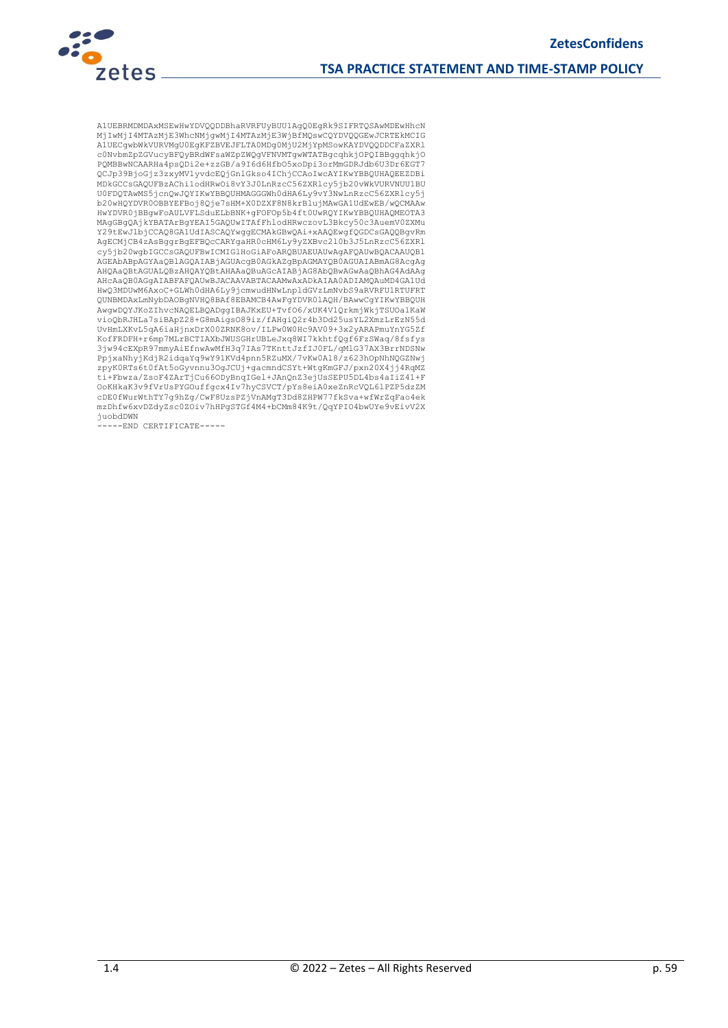

A1UEBRMDMDAxMSEwHwYDVQQDDBhaRVRFUyBUU1AgQ0EgRk9SIFRTQSAwMDEwHhcN MjIwMjI4MTAzMjE3WhcNMjgwMjI4MTAzMjE3WjBfMQswCQYDVQQGEwJCRTEkMCIG<br>A1UECqwbWkVURVMqU0EqKFZBVEJFLTA0MDq0MjU2MjYpMSowKAYDVOODDCFaZXR1 c0NvbmZpZGVucyBFQyBRdWFsaWZpZWQgVFNVMTgwWTATBgcqhkj0PQIBBggqhkj0 PQMBBwNCAARHa4psQDi2e+zzGB/a9I6d6HfbO5xoDpi3orMmGDRJdb6U3Dr6EGT7 QCJp39BjoGjz3zxyMV1yvdcEQjGnlGkso4IChjCCAoIwcAYIKwYBBQUHAQEEZDBi MDkGCCsGAQUFBzAChilodHRwOi8vY3J0LnRzcC56ZXRlcy5jb20vWkVURVNUU1BU U0FDQTAwMS5jcnQwJQYIKwYBBQUHMAGGGWh0dHA6Ly9vY3NwLnRzcC56ZXRlcy5j b20wHQYDVR0OBBYEFBoj8Qje7sHM+X0DZXF8N8krBlujMAwGA1UdEwEB/wQCMAAw Y29tEwJlbjCCAQ8GA1UdIASCAQYwggECMAkGBwQAi+xAAQEwgfQGDCsGAQQBgvRm AgECMjCB4zAsBggrBgEFBQcCARYgaHR0cHM6Ly9yZXBvc210b3J5LnRzcC56ZXR1 cy5ib20wgbIGCCsGAOUFBwICMIGlHoGiAFoAROBUAEUAUwAgAFOAUwBOACAAUOB1 AGEAbABpAGYAaQBlAGQAIABjAGUAcqB0AGkAZqBpAGMAYQB0AGUAIABmAG8AcqAq AHQAaQBtAGUALQBzAHQAYQBtAHAAaQBuAGcAIABjAG8AbQBwAGwAaQBhAG4AdAAg AHCAaQB0AGgAIABFAFQAUwBJACAAVABTACAAMwAxADkAIAA0ADIAMQAuMD4GA1Ud HwQ3MDUwM6AxoC+GLWh0dHA6Ly9jcmwudHNwLnpldGVzLmNvbS9aRVRFU1RTUFRT  $\verb|QUNBMDAXLmMybDAOBgNVHQ8BAf8EBAMCB4AWFgYDVR01AQH/BAWWCgYIKWYBBQUH\\$ AwgwDQYJKoZIhvcNAQELBQADggIBAJKxEU+TvfO6/xUK4V1QrkmjWkjTSUOa1KaW vioObRJHLa7siBApZ28+G8mAigs089iz/fAHqiQ2r4b3Dd25usYL2XmzLrEzN55d UvHmLXKvL5qA6iaHjnxDrX00ZRNK8ov/ILPw0W0Hc9AV09+3x2yARAPmuYnYG5Zf KofFRDFH+r6mp7MLrBCTIAXbJWUSGHrUBLeJxq8WI7kkhtfQgf6FzSWaq/8fsfys 3jw94cEXpR97mmyAiEfnwAwMfH3q7IAs7TKnttJzfIJ0FL/qM1G37AX3BrrNDSNw  $\verb!PpjxaNhyjKdjR2idqaYq9wY91KVd4pnn5RZuMX/7vKw0Al8/z623hOpNhNQGZNwj$ rpyanurjukaju-rajaroj (1915)<br>zpyKORTS6tOfAt5oGyvnnu3OgJCUj+gacmndCSYt+WtgKmGFJ/pxn2OX4jj4RqMZ<br>ti+Fbwza/ZsoF4ZArTjCu66ODyBnqIGel+JAnQnZ3ejUsSEPU5DL4bs4aIiZ41+F OoKHkaK3v9fVrUsPYGOuffgcx4Iv7hyCSVCT/pYs8eiA0xeZnRcVQL61PZP5dzZM cDE0fWurWthTY7g9hZg/CwF8UzsPZjVnAMgT3Dd8ZHPW77fkSva+wfWrZqFao4ek mzDhfw6xvDZdyZsc0ZOiv7hHPgSTGf4M4+bCMm84K9t/QqYPIO4bwUYe9vEivV2X juobdDWN

-END CERTIFICATE-----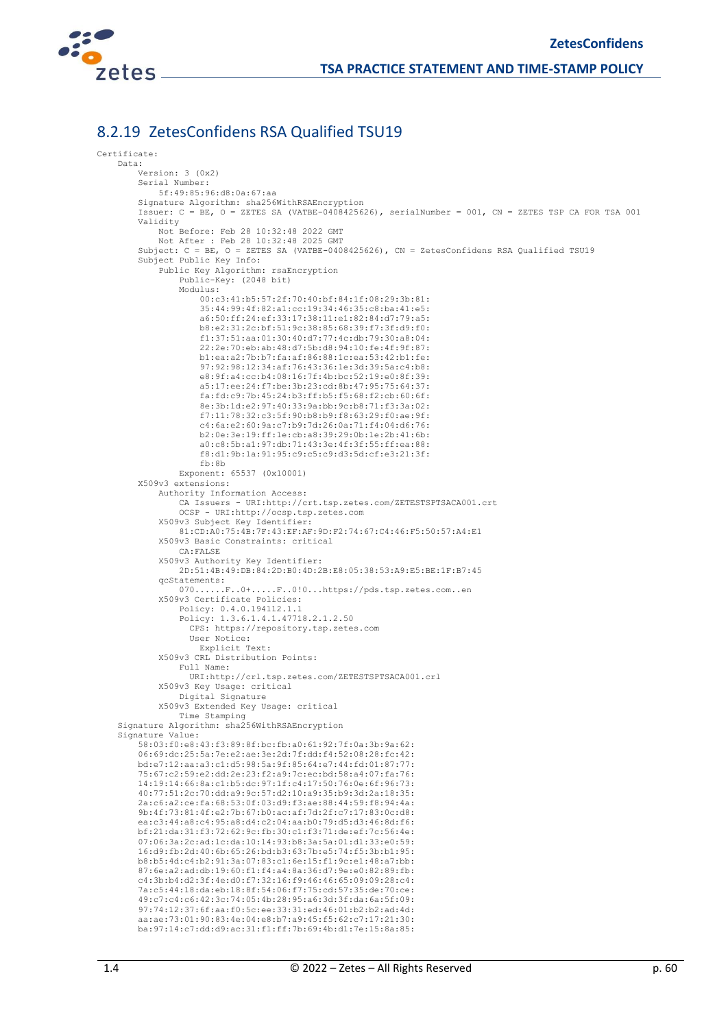

### <span id="page-59-0"></span>8.2.19 ZetesConfidens RSA Qualified TSU19

```
Certificate:
     Data:
         Version: 3 (0x2)
         Serial Number:
             5f:49:85:96:d8:0a:67:aa
         Signature Algorithm: sha256WithRSAEncryption
         Issuer: C = BE, O = ZETES SA (VATBE-0408425626), serialNumber = 001, CN = ZETES TSP CA FOR TSA 001
         Validity
             Not Before: Feb 28 10:32:48 2022 GMT
             Not After : Feb 28 10:32:48 2025 GMT
        Subject: C = BE, O = ZETES SA (VATBE-0408425626), CN = ZetesConfidens RSA Qualified TSU19 Subject Public Key Info:
             Public Key Algorithm: rsaEncryption
                 Public-Key: (2048 bit)
                 Modulus:
                     00:c3:41:b5:57:2f:70:40:bf:84:1f:08:29:3b:81:
                     35:44:99:4f:82:a1:cc:19:34:46:35:c8:ba:41:e5:
                    a6:50:ff:24:ef:33:17:38:11:e1:82:84:d7:79:a5:
                    b8:e2:31:2c:bf:51:9c:38:85:68:39:f7:3f:d9:f0:
                    f1:37:51:aa:01:30:40:d7:77:4c:db:79:30:a8:04:
                    22:2e:70:eb:ab:48:d7:5b:d8:94:10:fe:4f:9f:87:
                    b1:ea:a2:7b:b7:fa:af:86:88:1c:ea:53:42:b1:fe:
                    97:92:98:12:34:af:76:43:36:1e:3d:39:5a:c4:b8:
                    e8:9f:a4:cc:b4:08:16:7f:4b:bc:52:19:e0:8f:39:
                    a5:17:ee:24:f7:be:3b:23:cd:8b:47:95:75:64:37:
                     fa:fd:c9:7b:45:24:b3:ff:b5:f5:68:f2:cb:60:6f:
                    8e:3b:1d:e2:97:40:33:9a:bb:9c:b8:71:f3:3a:02:
                    f7:11:78:32:c3:5f:90:b8:b9:f8:63:29:f0:ae:9f:
                    c4:6a:e2:60:9a:c7:b9:7d:26:0a:71:f4:04:d6:76:
                    b2:0e:3e:19:ff:1e:cb:a8:39:29:0b:1e:2b:41:6b:
                    a0:c8:5b:a1:97:db:71:43:3e:4f:3f:55:ff:ea:88:
                    f8:d1:9b:1a:91:95:c9:c5:c9:d3:5d:cf:e3:21:3f:
                    fb:8b
                 Exponent: 65537 (0x10001)
         X509v3 extensions:
             Authority Information Access: 
                 CA Issuers - URI:http://crt.tsp.zetes.com/ZETESTSPTSACA001.crt
                 OCSP - URI:http://ocsp.tsp.zetes.com
 X509v3 Subject Key Identifier: 
 81:CD:A0:75:4B:7F:43:EF:AF:9D:F2:74:67:C4:46:F5:50:57:A4:E1
             X509v3 Basic Constraints: critical
                 CA:FALSE
             X509v3 Authority Key Identifier: 
                 2D:51:4B:49:DB:84:2D:B0:4D:2B:E8:05:38:53:A9:E5:BE:1F:B7:45
             qcStatements: 
                070......F..0+.....F..0!0...https://pds.tsp.zetes.com..en
             X509v3 Certificate Policies: 
                 Policy: 0.4.0.194112.1.1
                 Policy: 1.3.6.1.4.1.47718.2.1.2.50
                   CPS: https://repository.tsp.zetes.com
                  User Notice:
                     Explicit Text: 
             X509v3 CRL Distribution Points: 
                 Full Name:
                   URI:http://crl.tsp.zetes.com/ZETESTSPTSACA001.crl
 X509v3 Key Usage: critical
 Digital Signature
             X509v3 Extended Key Usage: critical
                 Time Stamping
     Signature Algorithm: sha256WithRSAEncryption
     Signature Value:
         58:03:f0:e8:43:f3:89:8f:bc:fb:a0:61:92:7f:0a:3b:9a:62:
         06:69:dc:25:5a:7e:e2:ae:3e:2d:7f:dd:f4:52:08:28:fc:42:
         bd:e7:12:aa:a3:c1:d5:98:5a:9f:85:64:e7:44:fd:01:87:77:
         75:67:c2:59:e2:dd:2e:23:f2:a9:7c:ec:bd:58:a4:07:fa:76:
         14:19:14:66:8a:c1:b5:dc:97:1f:c4:17:50:76:0e:6f:96:73:
         40:77:51:2c:70:dd:a9:9c:57:d2:10:a9:35:b9:3d:2a:18:35:
         2a:c6:a2:ce:fa:68:53:0f:03:d9:f3:ae:88:44:59:f8:94:4a:
         9b:4f:73:81:4f:e2:7b:67:b0:ac:af:7d:2f:c7:17:83:0c:d8:
         ea:c3:44:a8:c4:95:a8:d4:c2:04:aa:b0:79:d5:d3:46:8d:f6:
         bf:21:da:31:f3:72:62:9c:fb:30:c1:f3:71:de:ef:7c:56:4e:
         07:06:3a:2c:ad:1c:da:10:14:93:b8:3a:5a:01:d1:33:e0:59:
         16:d9:fb:2d:40:6b:65:26:bd:b3:63:7b:e5:74:f5:3b:b1:95:
         b8:b5:4d:c4:b2:91:3a:07:83:c1:6e:15:f1:9c:e1:48:a7:bb:
         87:6e:a2:ad:db:19:60:f1:f4:a4:8a:36:d7:9e:e0:82:89:fb:
         c4:3b:b4:d2:3f:4e:d0:f7:32:16:f9:46:46:65:09:09:28:c4:
         7a:c5:44:18:da:eb:18:8f:54:06:f7:75:cd:57:35:de:70:ce:
         49:c7:c4:c6:42:3c:74:05:4b:28:95:a6:3d:3f:da:6a:5f:09:
         97:74:12:37:6f:aa:f0:5c:ee:33:31:ed:46:01:b2:b2:ad:4d:
         aa:ae:73:01:90:83:4e:04:e8:b7:a9:45:f5:62:c7:17:21:30:
         ba:97:14:c7:dd:d9:ac:31:f1:ff:7b:69:4b:d1:7e:15:8a:85:
```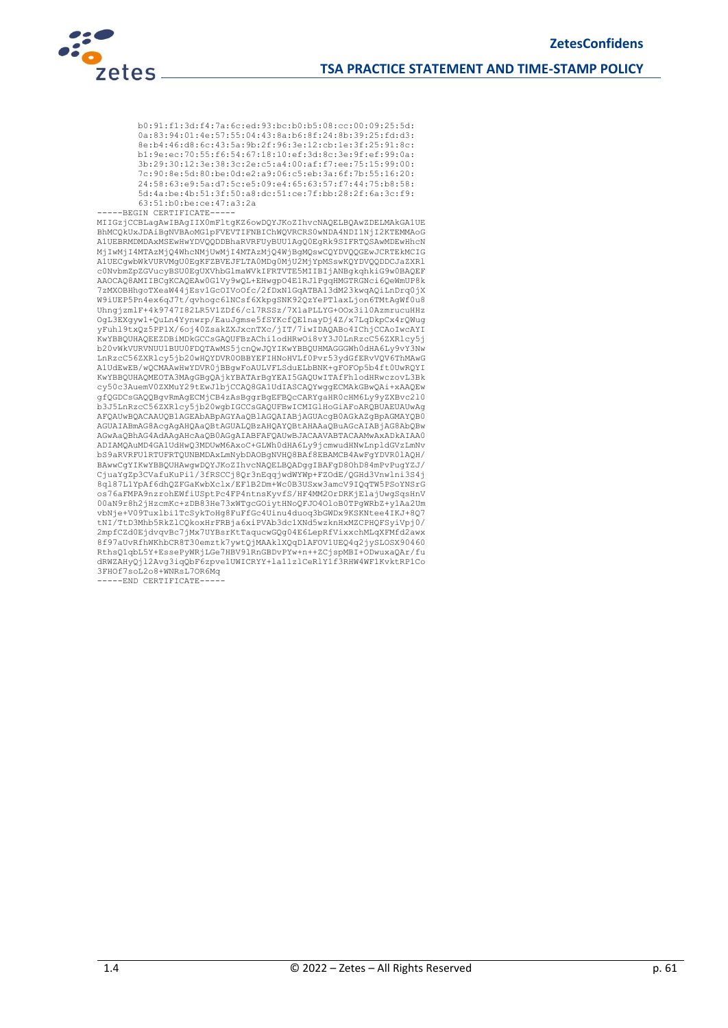

b0:91:f1:3d:f4:7a:6c:ed:93:bc:b0:b5:08:cc:00:09:25:5d: 0a:83:94:01:4e:57:55:04:43:8a:b6:8f:24:8b:39:25:fd:d3: 8e:b4:46:d8:6c:43:5a:9b:2f:96:3e:12:cb:1e:3f:25:91:8c: bl:9e:ec:70:55:f6:54:67:18:10:ef:3d:8c:3e:9f:ef:99:0a: 3b:29:30:12:3e:38:3c:2e:c5:a4:00:af:f7:ee:75:15:99:00: 7c:90:8e:5d:80:be:0d:e2:a9:06:c5:eb:3a:6f:7b:55:16:20: 24:58:63:e9:5a:d7:5c:e5:09:e4:65:63:57:f7:44:75:b8:58:  $5d \cdot 4a \cdot b$   $e \cdot 4b \cdot 51 \cdot 3f \cdot 50 \cdot a8 \cdot d$   $c \cdot 51 \cdot c$   $e \cdot 7f \cdot b$   $b \cdot 28 \cdot 2f \cdot 6a \cdot 3c \cdot f9 \cdot$ 63:51:b0:be:ce:47:a3:2a

-BEGIN CERTIFICATE-

MIIGzjCCBLagAwIBAgIIX0mFltgKZ6owDQYJKoZIhvcNAQELBQAwZDELMAkGA1UE BhMCQKUxJDAiBgNVBAoMG1pFVEVTIFNBIChWQVRCRS0wNDA4NDI1NjI2KTEMMAoG A1UEBRMDMDAxMSEwHwYDVQQDDBhaRVRFUyBUU1AgQ0EgRk9SIFRTQSAwMDEwHhcN MjIwMjI4MTAzMjQ4WhcNMjUwMjI4MTAzMjQ4WjBgMQswCQYDVQQGEwJCRTEkMCIG ngimigi minimigi mionigomigi minimigi mga grigomogi si ggodhooni ministo<br>A1UECqwbWkVURVMqU0EqKFZBVEJFLTA0MDq0MjU2MjYpMSswKQYDVQQDDCJaZXR1 c0NvbmZpZGVucyBSU0EgUXVhbGlmaWVkIFRTVTE5MIIBIjANBgkqhkiG9w0BAQEF AAOCAQ8AMIIBCgKCAQEAw0G1Vy9wQL+EHwgpO4E1RJ1PgqHMGTRGNci6QeWmUP8k 7zMXOBHhgoTXeaW44jEsv1GcOIVoOfc/2fDxN1GqATBA13dM23kwqAQiLnDrq0jX W9iUEP5Pn4ex6qJ7t/qvhogc6lNCsf6XkpgSNK92QzYePTlaxLjon6TMtAgWf0u8<br>UhnqjzmlF+4k9747I82LR5V1ZDf6/cl7RSSz/7X1aPLLYG+OOx3il0AzmrucuHHz OqL3EXqyw1+OuLn4Yynwrp/EauJqmse5fSYKcfOE1nayDj4Z/x7LqDkpCx4rOWuq yFuhl9txQz5PP1X/60j40ZsakZXJxcnTXc/jIT/7iwIDAQABo4IChjCCAoIwCAYI KWYBBQUHAQEEZDBiMDkGCCsGAQUFBzAChilodHRwOi8vY3J0LnRzcC56ZXRlcy5j b20vWkVURVNUU1BUU0FDQTAwMS5jcnQwJQYIKwYBBQUHMAGGGWh0dHA6Ly9vY3Nw LnRzcC56ZXRlcv5jb20wHOYDVR0OBBYEFIHNoHVLf0Pvr53ydGfERvVOV6ThMAwG A1UdEwEB/wQCMAAwHwYDVR0jBBgwFoAULVFLSduELbBNK+gFOFOp5b4ft0UwRQYI KwYBBQUHAQMEOTA3MAgGBgQAjkYBATArBgYEAI5GAQUwITAfFhlodHRwczovL3Bk cy50c3AuemV0ZXMuY29tEwJlbjCCAQ8GA1UdIASCAQYwggECMAkGBwQAi+xAAQEw gfQGDCsGAQQBgvRmAgECMjCB4zAsBggrBgEFBQcCARYgaHR0cHM6Ly9yZXBvc210 b3J5LnRzcC56ZXRlcy5jb20wgbIGCCsGAQUFBwICMIGlHoGiAFoARQBUAEUAUwAg AFQAUwBQACAAUQB1AGEAbABpAGYAaQB1AGQAIABjAGUAcgB0AGkAZgBpAGMAYQB0 AGUAIABmAG8AcqAqAHQAaQBtAGUALQBzAHQAYQBtAHAAaQBuAGcAIABjAG8AbQBw AGwAaQBhAG4AdAAgAHcAaQB0AGgAIABFAFQAUwBJACAAVABTACAAMwAxADkAIAA0 ADIAMQAuMD4GA1UdHwQ3MDUwM6AxoC+GLWh0dHA6Ly9jcmwudHNwLnpldGVzLmNv bS9aRVRFU1RTUFRTQUNBMDAxLmNybDAOBgNVHQ8BAf8EBAMCB4AwFgYDVR01AQH/ BAwwCgYIKwYBBQUHAwgwDQYJKoZIhvcNAQELBQADggIBAFgD8OhD84mPvPugYZJ/ CjuaYgZranizatowna wegazach charged wdWYWp+FZOdE/QGHd3Vnwlni3S4j<br>CjuaYgZp3CVafuKuPil/3fRSCCj8Qr3nEqqjwdWYWp+FZOdE/QGHd3Vnwlni3S4j<br>8q187L1YpAf6dhQZFGaKwbXclx/EF1B2Dm+Wc0B3USxw3amcV9IQqTW5PSoYNSrG os76aFMPA9nzrohEWfiUSptPc4FP4ntnsKyvfS/HF4MM2OrDRKjElajUwgSqsHnV 00aN9r8h2jHzcmKc+zDB83He73xWTgcGOiytHNoQFJO4O1oB0TPgWRbZ+y1Aa2Um vbNje+V09Tuxlbi1TcSykToHg8FuFfGc4Uinu4duoq3bGWDx9KSKNtee4IKJ+8Q7 tNI/TtD3Mhb5RkZ1CQkoxHrFRBja6xiPVAb3dc1XNd5wzknHxMZCPHQFSyiVpj0/ CHILAD SURFACE AND THE CONTRACT CONTRACT AND CONTRACT CONTRACT AND A SURFACE OF SURFACE OF STATISTIC SURFACE SURFACE OF STATISTIC SURFACE SURFACE SURFACE SURFACE SURFACE SURFACE SURFACE SURFACE SURFACE SURFACE SURFACE SURF RthsQ1qbL5Y+EssePyWRjLGe7HBV91RnGBDvPYw+n++ZCjspMBI+ODwuxaQAr/fu dRWZAHyQjl2Avg3iqQbF6zpve1UWICRYY+la11zlCeRlY1f3RHW4WF1KvktRP1Co 3FHOf7soL2o8+WNRsL7OR6Mq -----END CERTIFICATE--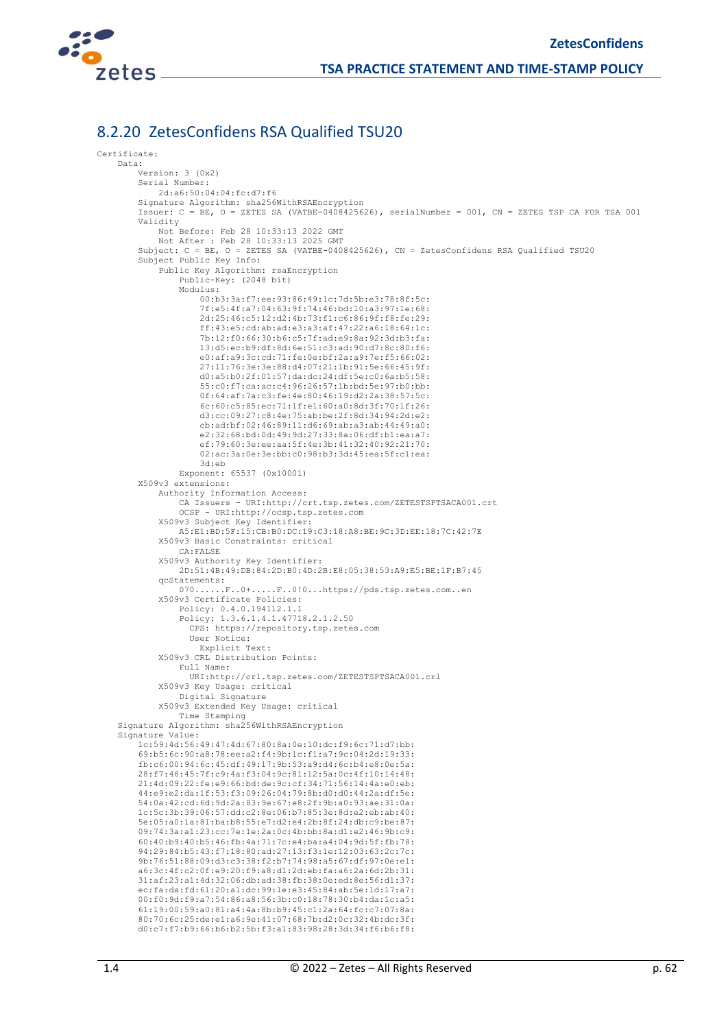

### <span id="page-61-0"></span>8.2.20 ZetesConfidens RSA Qualified TSU20

```
Certificate:
     Data:
         Version: 3 (0x2)
         Serial Number:
             2d:a6:50:04:04:fc:d7:f6
         Signature Algorithm: sha256WithRSAEncryption
         Issuer: C = BE, O = ZETES SA (VATBE-0408425626), serialNumber = 001, CN = ZETES TSP CA FOR TSA 001
         Validity
             Not Before: Feb 28 10:33:13 2022 GMT
             Not After : Feb 28 10:33:13 2025 GMT
        Subject: C = BE, O = ZETES SA (VATER-0408425626), CN = ZetesConfidens RSA Qualified TSU20 Subject Public Key Info:
             Public Key Algorithm: rsaEncryption
                  Public-Key: (2048 bit)
                 Modulus:
                      00:b3:3a:f7:ee:93:86:49:1c:7d:5b:e3:78:8f:5c:
                      7f:e5:4f:a7:04:63:9f:74:46:bd:10:a3:97:1e:68:
                     2d:25:46:c5:12:d2:4b:73:f1:c6:86:9f:f8:fe:29:
                     ff:43:e5:cd:ab:ad:e3:a3:af:47:22:a6:18:64:1c:
                     7b:12:f0:66:30:b6:c5:7f:ad:e9:8a:92:3d:b3:fa:
                     13:d5:ec:b9:df:8d:6e:51:c3:ad:90:d7:8c:80:f6:
                     e0:af:a9:3c:cd:71:fe:0e:bf:2a:a9:7e:f5:66:02:
                     27:11:76:3e:3e:88:d4:07:21:1b:91:5e:66:45:9f:
                     d0:a5:b0:2f:01:57:da:dc:24:df:5e:c0:6a:b5:58:
                     55:c0:f7:ca:ac:c4:96:26:57:1b:bd:5e:97:b0:bb:
                     0f:64:af:7a:c3:fe:4e:80:46:19:d2:2a:38:57:5c:
                     6c:60:c5:85:ec:71:1f:e1:60:a0:8d:3f:70:1f:26:
                     d3:cc:09:27:c8:4e:75:ab:be:2f:8d:34:94:2d:e2:
                     cb:ad:bf:02:46:89:11:d6:69:ab:a3:ab:44:49:a0:
                     e2:32:68:bd:0d:49:9d:27:33:8a:06:df:b1:ea:a7:
                     ef:79:60:3e:ee:aa:5f:4e:3b:41:32:40:92:21:70:
                     02:ac:3a:0e:3e:bb:c0:98:b3:3d:45:ea:5f:c1:ea:
                     3d:eb
                 Exponent: 65537 (0x10001)
         X509v3 extensions:
             Authority Information Access: 
                 CA Issuers - URI:http://crt.tsp.zetes.com/ZETESTSPTSACA001.crt
                 OCSP - URI:http://ocsp.tsp.zetes.com
 X509v3 Subject Key Identifier: 
 A5:E1:BD:5F:15:CB:B0:DC:19:C3:18:A8:BE:9C:3D:EE:18:7C:42:7E
             X509v3 Basic Constraints: critical
                 CA:FALSE
             X509v3 Authority Key Identifier: 
                 2D:51:4B:49:DB:84:2D:B0:4D:2B:E8:05:38:53:A9:E5:BE:1F:B7:45
             qcStatements: 
                 070......F..0+.....F..0!0...https://pds.tsp.zetes.com..en
             X509v3 Certificate Policies: 
                  Policy: 0.4.0.194112.1.1
                 Policy: 1.3.6.1.4.1.47718.2.1.2.50
                    CPS: https://repository.tsp.zetes.com
                   User Notice:
                      Explicit Text: 
             X509v3 CRL Distribution Points: 
                  Full Name:
                   URI:http://crl.tsp.zetes.com/ZETESTSPTSACA001.crl
 X509v3 Key Usage: critical
 Digital Signature
             X509v3 Extended Key Usage: critical
                 Time Stamping
     Signature Algorithm: sha256WithRSAEncryption
     Signature Value:
         1c:59:4d:56:49:47:4d:67:80:8a:0e:10:dc:f9:6c:71:d7:bb:
         69:b5:6c:90:a8:78:ee:a2:f4:9b:1c:f1:a7:9c:04:2d:19:33:
         fb:c6:00:94:6c:45:df:49:17:9b:53:a9:d4:6c:b4:e8:0e:5a:
         28:f7:46:45:7f:c9:4a:f3:04:9c:81:12:5a:0c:4f:10:14:48:
         21:4d:09:22:fe:e9:66:bd:de:9c:cf:34:71:56:14:4a:e0:eb:
         44:e9:e2:da:1f:53:f3:09:26:04:79:8b:d0:d0:44:2a:df:5e:
         54:0a:42:cd:6d:9d:2a:83:9e:67:e8:2f:9b:a0:93:ae:31:0a:
         1c:5c:3b:39:06:57:dd:c2:8e:06:b7:85:3e:8d:e2:eb:ab:40:
         5e:05:a0:1a:81:ba:b8:55:e7:d2:e4:2b:8f:24:db:c9:be:87:
         09:74:3a:a1:23:cc:7e:1e:2a:0c:4b:bb:8a:d1:e2:46:9b:c9:
         60:40:b9:40:b5:46:fb:4a:71:7c:e4:ba:a4:04:9d:5f:fb:78:
         94:29:84:b5:43:f7:18:80:ad:27:13:f3:1e:12:03:63:2c:7c:
         9b:76:51:88:09:d3:c3:38:f2:b7:74:98:a5:67:df:97:0e:e1:
         a6:3c:4f:c2:0f:e9:20:f9:a8:d1:2d:eb:fa:a6:2a:6d:2b:31:
         31:af:23:a1:4d:32:06:db:ad:38:fb:38:0e:ed:8e:56:d1:37:
         ec:fa:da:fd:61:20:a1:dc:99:1e:e3:45:84:ab:5e:1d:17:a7:
         00:f0:9d:f9:a7:54:86:a8:56:3b:c0:18:78:30:b4:da:1c:a5:
 61:19:00:59:a0:81:a4:4a:8b:b9:45:c1:2a:64:fc:c7:07:8a:
 80:70:6c:25:de:e1:a6:9e:41:07:68:7b:d2:0c:32:4b:dc:3f:
         d0:c7:f7:b9:66:b6:b2:5b:f3:a1:83:98:28:3d:34:f6:b6:f8:
```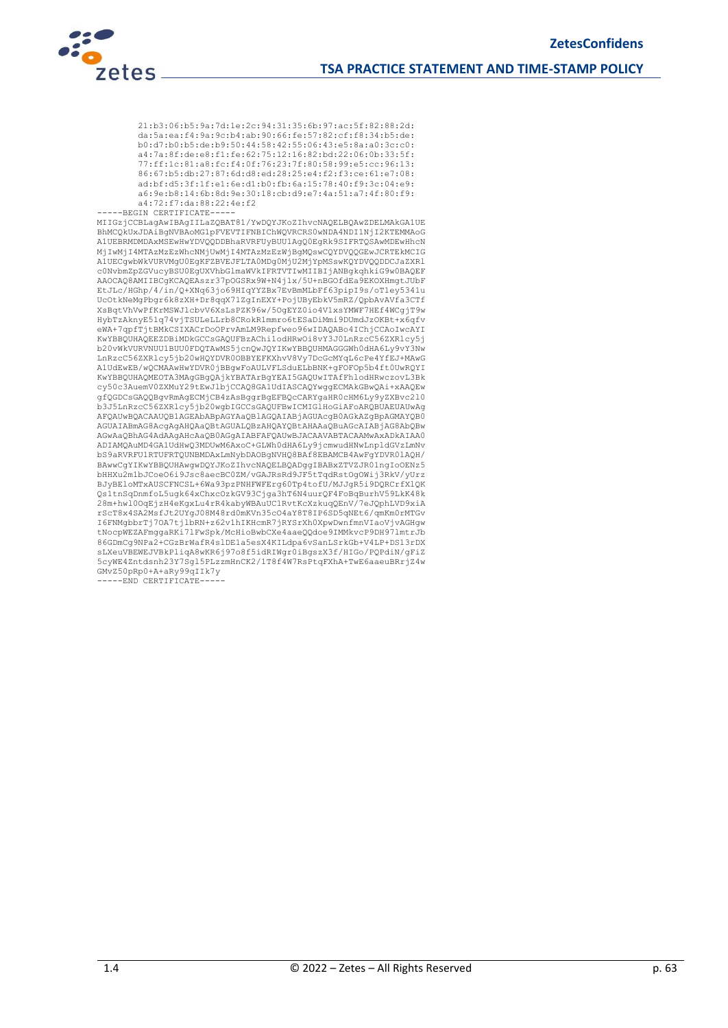

```
21:b3:06:b5:9a:7d:1e:2c:94:31:35:6b:97:ac:5f:82:88:2d:
da:5a:ea:f4:9a:9c:b4:ab:90:66:fe:57:82:cf:f8:34:b5:de:<br>b0:d7:b0:b5:de:b9:50:44:58:42:55:06:43:e5:8a:a0:3c:c0:
a4:7a:8f:de:e8:f1:fe:62:75:12:16:82:bd:22:06:0b:33:5f:
77:ff:1c:81:a8:fc:f4:0f:76:23:7f:80:58:99:e5:cc:96:13:
86:67:b5:db:27:87:6d:d8:ed:28:25:e4:f2:f3:ce:61:e7:08:
ad:bf:d5:3f:1f:e1:6e:d1:b0:fb:6a:15:78:40:f9:3c:04:e9:
a6.9a \cdot b8.14.6b \cdot 8d \cdot 9a.30.18 \cdot cb \cdot d9.27.4a.51.27.4f.80.69a4:72:f7:da:88:22:4e:f2
```
-BEGIN CERTIFICATE-

MIIGziCCBLagAwIBAgIILaZQBAT81/YwDQYJKoZIhvcNAQELBQAwZDELMAkGA1UE BhMCQKUxJDAiBgNVBAoMG1pFVEVTIFNBIChWQVRCRS0wNDA4NDI1NjI2KTEMMAoG A1UEBRMDMDAxMSEwHwYDVQQDDBhaRVRFUyBUU1AgQ0EgRk9SIFRTQSAwMDEwHhcN MjIwMjI4MTAzMzEzWhcNMjUwMjI4MTAzMzEzWjBgMQswCQYDVQQGEwJCRTEkMCIG ngimigi ininanazamionigomigi ininanazamgagniganogia vggoznochiamioto<br>A1UECqwbWkVURVMqU0EqKFZBVEJFLTA0MDq0MjU2MjYpMSswKQYDVQQDDCJaZXR1 c0NvbmZpZGVucyBSU0EgUXVhbGlmaWVkIFRTVTIwMIIBIjANBgkqhkiG9w0BAQEF AAOCAQ8AMIIBCgKCAQEAszr37pOGSRx9W+N4j1x/5U+nBGOfdEa9EKOXHmgtJUbF EtJLc/HGhp/4/in/Q+XNq63jo69HIqYYZBx7EvBmMLbFf63pipI9s/oT1ey5341u UcOtkNeMgPbgr6k8zXH+Dr8qqX71ZgInEXY+PojUByEbkV5mRZ/QpbAvAVfa3CTf XsBqtVhVwPfKrMSWJlcbvV6XsLsPZK96w/50gEYZ01o4V1xsYMWF7HEf4WCqiT9w HybTzAknyE51q74vjTSULeLLrb8CRokR1mmro6tESaDiMmi9DUmdJzOKBt+x6qfv eWA+7qpfTjtBMkCSIXACrDoOPrvAmLM9Repfweo96wIDAQABo4IChjCCAoIwcAYI KWYBBQUHAQEEZDBiMDkGCCsGAQUFBzAChilodHRwOi8vY3J0LnRzcC56ZXRlcy5j b20vWkVURVNUU1BUU0FDQTAwMS5jcnQwJQYIKwYBBQUHMAGGGWh0dHA6Ly9vY3Nw LnRzcC56ZXRlcy5jb20wHQYDVR0OBBYEFKXhvV8Vy7DcGcMYqL6cPe4YfEJ+MAwG KwYBBQUHAQMEOTA3MAgGBgQAjkYBATArBgYEAI5GAQUwITAfFhlodHRwczovL3Bk cy50c3AuemV0ZXMuY29tEwJlbjCCAQ8GA1UdIASCAQYwggECMAkGBwQAi+xAAQEw gfQGDCsGAQQBgvRmAgECMjCB4zAsBggrBgEFBQcCARYgaHR0cHM6Ly9yZXBvc210 b3J5LnRzcC56ZXRlcy5jb20wgbIGCCsGAQUFBwICMIGlHoGiAFoARQBUAEUAUwAg AFQAUwBQACAAUQB1AGEAbABpAGYAaQB1AGQAIABjAGUAcgB0AGkAZgBpAGMAYQB0 AGUAIABmAG8AcqAqAHQAaQBtAGUALQBzAHQAYQBtAHAAaQBuAGcAIABjAG8AbQBw AGwAaQBhAG4AdAAgAHcAaQB0AGgAIABFAFQAUwBJACAAVABTACAAMwAxADkAIAA0 ADIAMQAuMD4GA1UdHwQ3MDUwM6AxoC+GLWh0dHA6Ly9jcmwudHNwLnpldGVzLmNv bS9aRVRFU1RTUFRTQUNBMDAxLmNybDAOBgNVHQ8BAf8EBAMCB4AwFgYDVR01AQH/ BAwwCgYIKwYBBQUHAwgwDQYJKoZIhvcNAQELBQADggIBABxZTVZJR01ngIoOENz5 bHHXu2m1bJCoe06i9Jsc8aecBC0ZM/vGAJRsRd9JF5tTqdRstOgOWij3RkV/yUrz BJyBEloMTxAUSCFNCSL+6Wa93pzPNHFWFErg60Tp4tofU/MJJqR5i9DQRCrfXlQK Qs1tnSqDnmfoL5ugk64xChxcOzkGV93Cjga3hT6N4uurQF4FoBqBurhV59LkK48k 28m+hw10OqEjzH4eKgxLu4rR4kabyWBAuUC1RvtKcXzkuqQEnV/7eJQphLVD9xiA rScT8x4SA2MsfJt2UYgJ08M48rd0mKVn35cO4aY8T8IP6SD5qNEt6/qmKm0rMTGv I6FNMgbbrTj7OA7tj1bRN+z62v1hIKHcmR7jRYSrXh0XpwDwnfmnVIaoVjvAGHgw tNocpWEZAFmggaRKi71FwSpk/McHioBwbCXe4aaeQQdoe9IMMkvcP9DH971mtrJb 86GDmCg9NPa2+CGzBrWafR4slDE1a5esX4KILdpa6vSanLSrkGb+V4LP+DS13rDX sLXeuVBEWEJVBkPliqA8wKR6j97o8f5idRIWgr0iBgszX3f/HIGo/PQPdiN/gFiZ 5cyWE4Zntdsnh23Y7Sgl5PLzzmHnCK2/1T8f4W7RsPtqFXhA+TwE6aaeuBRrjZ4w GMvZ50pRp0+A+aRy99qIIk7y -----END CERTIFICATE--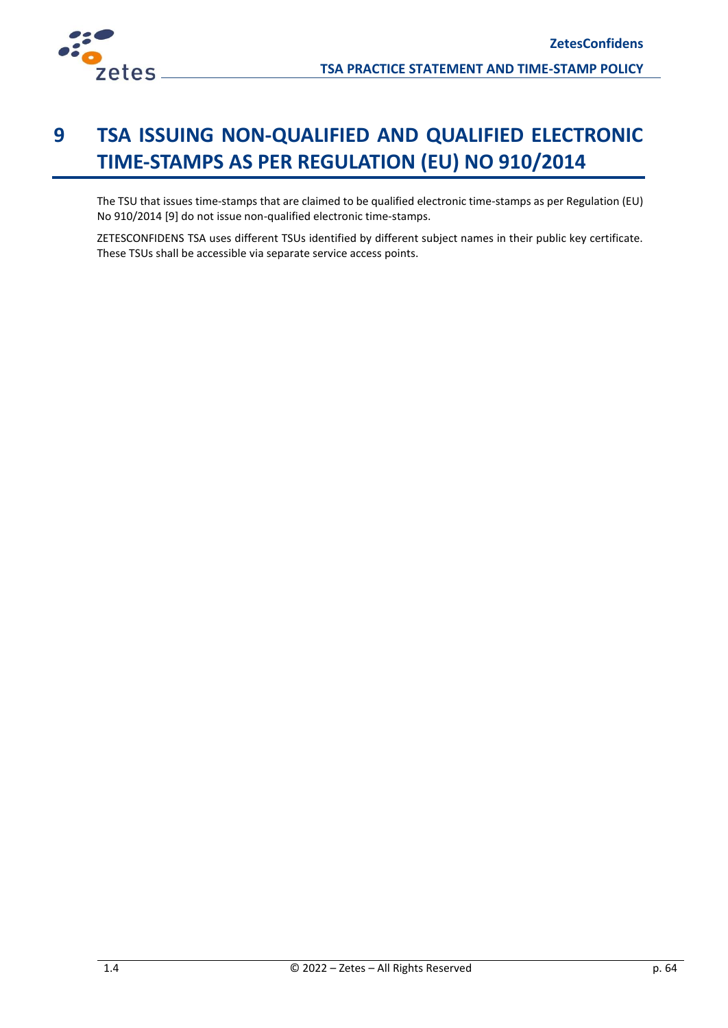

# <span id="page-63-0"></span>**9 TSA ISSUING NON-QUALIFIED AND QUALIFIED ELECTRONIC TIME-STAMPS AS PER REGULATION (EU) NO 910/2014**

The TSU that issues time-stamps that are claimed to be qualified electronic time-stamps as per Regulation (EU) No 910/2014 [9] do not issue non-qualified electronic time-stamps.

ZETESCONFIDENS TSA uses different TSUs identified by different subject names in their public key certificate. These TSUs shall be accessible via separate service access points.